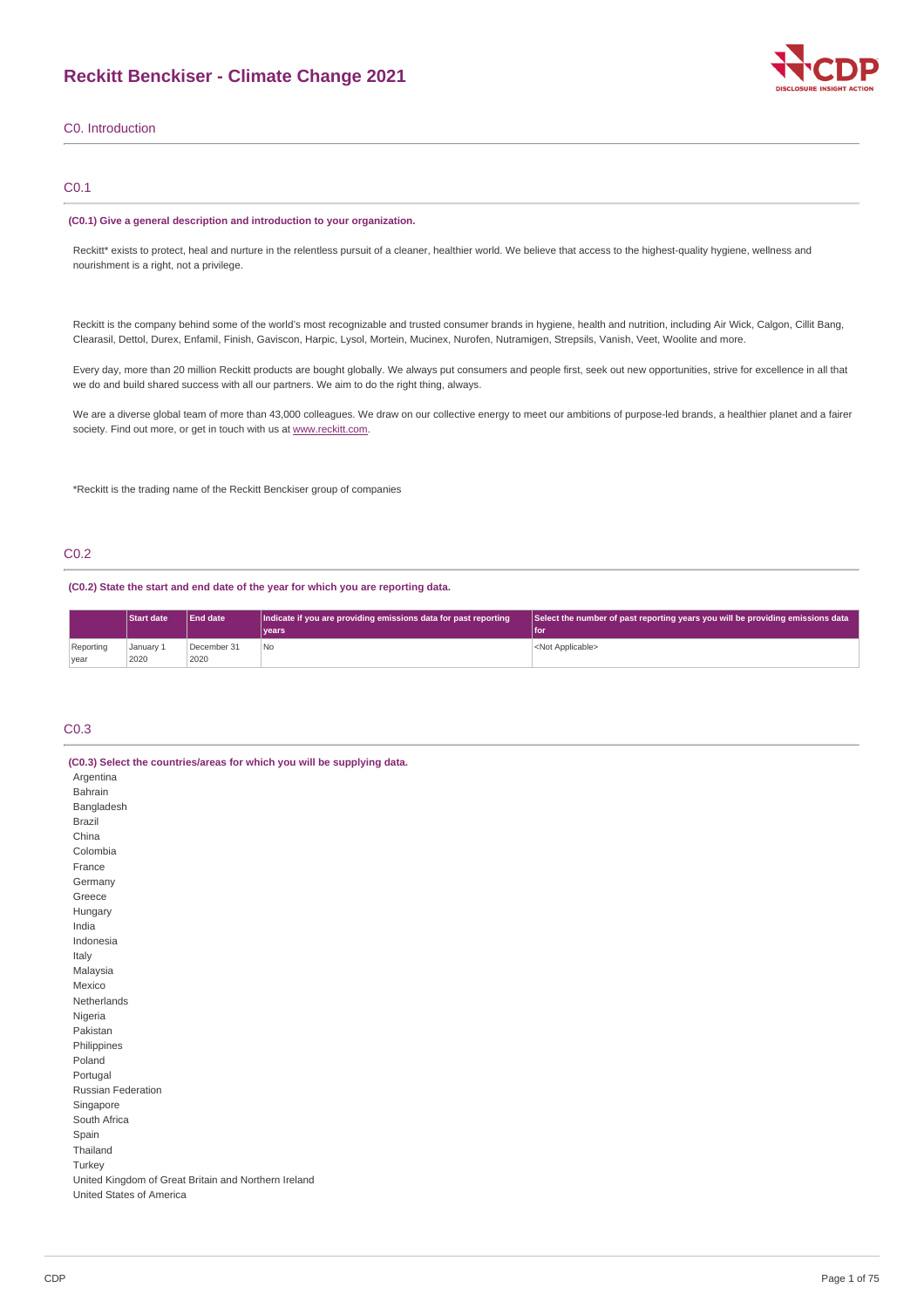

## C0. Introduction

## C0.1

### **(C0.1) Give a general description and introduction to your organization.**

Reckitt\* exists to protect, heal and nurture in the relentless pursuit of a cleaner, healthier world. We believe that access to the highest-quality hygiene, wellness and nourishment is a right, not a privilege.

Reckitt is the company behind some of the world's most recognizable and trusted consumer brands in hygiene, health and nutrition, including Air Wick, Calgon, Cillit Bang, Clearasil, Dettol, Durex, Enfamil, Finish, Gaviscon, Harpic, Lysol, Mortein, Mucinex, Nurofen, Nutramigen, Strepsils, Vanish, Veet, Woolite and more.

Every day, more than 20 million Reckitt products are bought globally. We always put consumers and people first, seek out new opportunities, strive for excellence in all that we do and build shared success with all our partners. We aim to do the right thing, always.

We are a diverse global team of more than 43,000 colleagues. We draw on our collective energy to meet our ambitions of purpose-led brands, a healthier planet and a fairer society. Find out more, or get in touch with us at [www.reckitt.com](http://www.reckitt.com/).

\*Reckitt is the trading name of the Reckitt Benckiser group of companies

## C0.2

**(C0.2) State the start and end date of the year for which you are reporting data.**

|           | <b>End date</b><br><b>Start date</b><br> Indicate if you are providing emissions data for past reporting<br>vears <sup>1</sup> |             |     | Select the number of past reporting years you will be providing emissions data<br>l for |  |  |
|-----------|--------------------------------------------------------------------------------------------------------------------------------|-------------|-----|-----------------------------------------------------------------------------------------|--|--|
|           |                                                                                                                                |             |     |                                                                                         |  |  |
| Reporting | January 1                                                                                                                      | December 31 | 'No | <not applicable=""></not>                                                               |  |  |
| vear      | 2020                                                                                                                           | 2020        |     |                                                                                         |  |  |

## C0.3

| (C0.3) Select the countries/areas for which you will be supplying data. |
|-------------------------------------------------------------------------|
| Argentina                                                               |
| Bahrain                                                                 |
| Bangladesh                                                              |
| <b>Brazil</b>                                                           |
| China                                                                   |
| Colombia                                                                |
| France                                                                  |
| Germany                                                                 |
| Greece                                                                  |
| Hungary                                                                 |
| India                                                                   |
| Indonesia                                                               |
| Italy                                                                   |
| Malaysia                                                                |
| Mexico                                                                  |
| Netherlands                                                             |
| Nigeria                                                                 |
| Pakistan                                                                |
| Philippines                                                             |
| Poland                                                                  |
| Portugal                                                                |
| <b>Russian Federation</b>                                               |
| Singapore                                                               |
| South Africa                                                            |
| Spain                                                                   |
| Thailand                                                                |
| Turkey                                                                  |
| United Kingdom of Great Britain and Northern Ireland                    |
| United States of America                                                |
|                                                                         |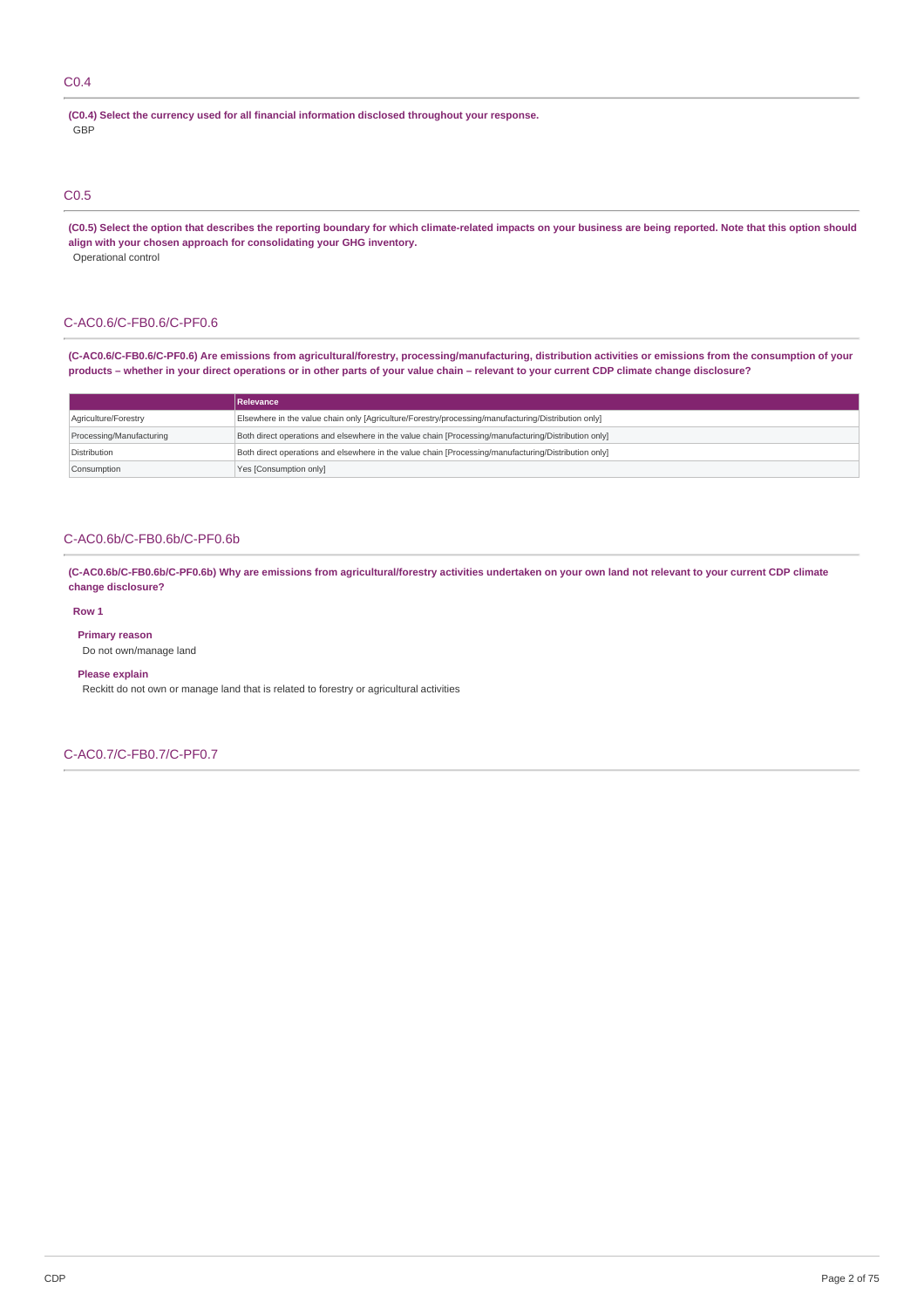## C0.4

**(C0.4) Select the currency used for all financial information disclosed throughout your response.** GBP

## C0.5

(C0.5) Select the option that describes the reporting boundary for which climate-related impacts on your business are being reported. Note that this option should **align with your chosen approach for consolidating your GHG inventory.** Operational control

### C-AC0.6/C-FB0.6/C-PF0.6

(C-AC0.6/C-FB0.6/C-PF0.6) Are emissions from agricultural/forestry, processing/manufacturing, distribution activities or emissions from the consumption of your products - whether in your direct operations or in other parts of your value chain - relevant to your current CDP climate change disclosure?

|                          | Relevance                                                                                            |
|--------------------------|------------------------------------------------------------------------------------------------------|
| Agriculture/Forestry     | Elsewhere in the value chain only [Agriculture/Forestry/processing/manufacturing/Distribution only]  |
| Processing/Manufacturing | Both direct operations and elsewhere in the value chain [Processing/manufacturing/Distribution only] |
| Distribution             | Both direct operations and elsewhere in the value chain [Processing/manufacturing/Distribution only] |
| Consumption              | Yes [Consumption only]                                                                               |

## C-AC0.6b/C-FB0.6b/C-PF0.6b

(C-AC0.6b/C-FB0.6b/C-PF0.6b) Why are emissions from agricultural/forestry activities undertaken on your own land not relevant to your current CDP climate **change disclosure?**

### **Row 1**

**Primary reason**

Do not own/manage land

### **Please explain**

Reckitt do not own or manage land that is related to forestry or agricultural activities

C-AC0.7/C-FB0.7/C-PF0.7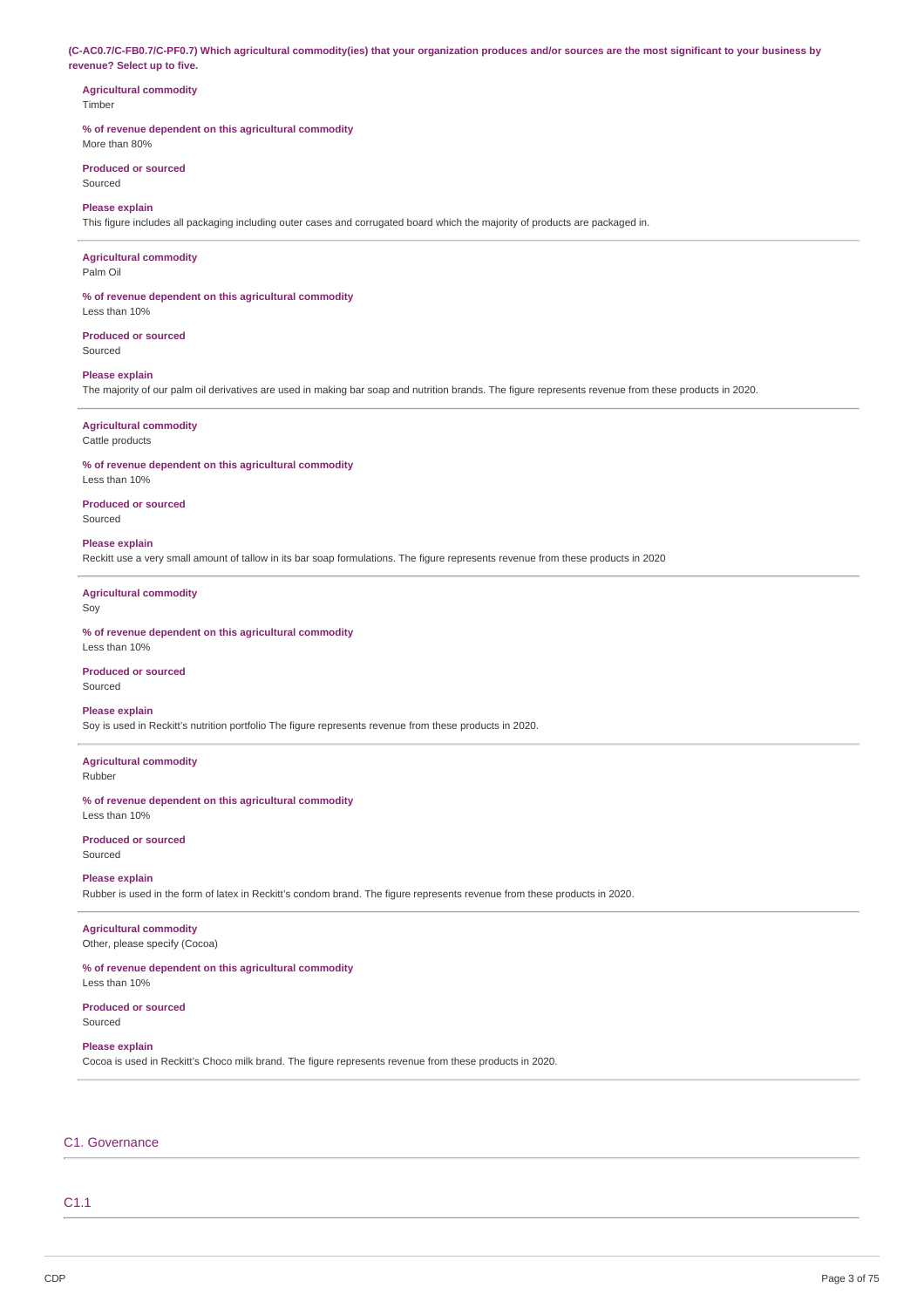(C-AC0.7/C-FB0.7/C-PF0.7) Which agricultural commodity(ies) that your organization produces and/or sources are the most significant to your business by **revenue? Select up to five.**

#### **Agricultural commodity Timber**

## **% of revenue dependent on this agricultural commodity**

More than 80%

#### **Produced or sourced** Sourced

**Please explain**

This figure includes all packaging including outer cases and corrugated board which the majority of products are packaged in.

## **Agricultural commodity**

Palm Oil

## **% of revenue dependent on this agricultural commodity**

Less than 10%

#### **Produced or sourced** Sourced

**Please explain**

The majority of our palm oil derivatives are used in making bar soap and nutrition brands. The figure represents revenue from these products in 2020.

### **Agricultural commodity**

Cattle products

**% of revenue dependent on this agricultural commodity** Less than 10%

#### **Produced or sourced**

Sourced

#### **Please explain**

Reckitt use a very small amount of tallow in its bar soap formulations. The figure represents revenue from these products in 2020

**Agricultural commodity**

Soy

**% of revenue dependent on this agricultural commodity** Less than 10%

#### **Produced or sourced** Sourced

## **Please explain**

Soy is used in Reckitt's nutrition portfolio The figure represents revenue from these products in 2020.

### **Agricultural commodity** Rubber

**% of revenue dependent on this agricultural commodity**

# Less than 10%

**Produced or sourced** Sourced

### **Please explain**

Rubber is used in the form of latex in Reckitt's condom brand. The figure represents revenue from these products in 2020.

## **Agricultural commodity**

Other, please specify (Cocoa)

## **% of revenue dependent on this agricultural commodity**

Less than 10%

#### **Produced or sourced** Sourced

**Please explain**

Cocoa is used in Reckitt's Choco milk brand. The figure represents revenue from these products in 2020.

## C1. Governance

## C1.1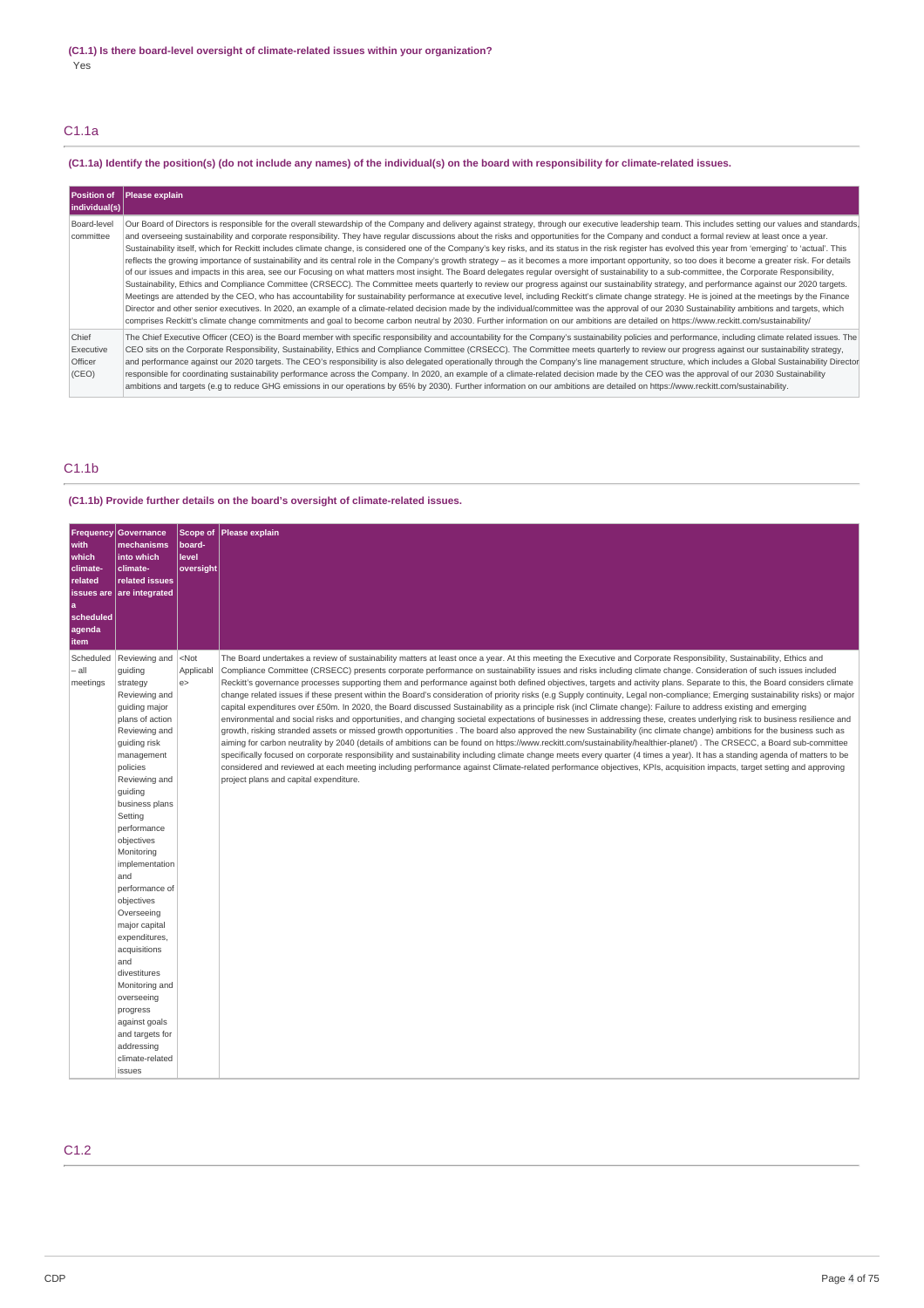## C1.1a

## (C1.1a) Identify the position(s) (do not include any names) of the individual(s) on the board with responsibility for climate-related issues.

| <b>Position of</b><br>individual(s)    | <b>Please explain</b>                                                                                                                                                                                                                                                                                                                                                                                                                                                                                                                                                                                                                                                                                                                                                                                                                                                                                                                                                                                                                                                                                                                                                                                                                                                                                                                                                                                                                                                                                                                                                                                                                                                                                                                                                                                                                         |
|----------------------------------------|-----------------------------------------------------------------------------------------------------------------------------------------------------------------------------------------------------------------------------------------------------------------------------------------------------------------------------------------------------------------------------------------------------------------------------------------------------------------------------------------------------------------------------------------------------------------------------------------------------------------------------------------------------------------------------------------------------------------------------------------------------------------------------------------------------------------------------------------------------------------------------------------------------------------------------------------------------------------------------------------------------------------------------------------------------------------------------------------------------------------------------------------------------------------------------------------------------------------------------------------------------------------------------------------------------------------------------------------------------------------------------------------------------------------------------------------------------------------------------------------------------------------------------------------------------------------------------------------------------------------------------------------------------------------------------------------------------------------------------------------------------------------------------------------------------------------------------------------------|
| Board-level<br>committee               | Our Board of Directors is responsible for the overall stewardship of the Company and delivery against strategy, through our executive leadership team. This includes setting our values and standards.<br>and overseeing sustainability and corporate responsibility. They have regular discussions about the risks and opportunities for the Company and conduct a formal review at least once a year.<br>Sustainability itself, which for Reckitt includes climate change, is considered one of the Company's key risks, and its status in the risk register has evolved this year from 'emerging' to 'actual'. This<br>reflects the growing importance of sustainability and its central role in the Company's growth strategy – as it becomes a more important opportunity, so too does it become a greater risk. For details<br>of our issues and impacts in this area, see our Focusing on what matters most insight. The Board delegates regular oversight of sustainability to a sub-committee, the Corporate Responsibility,<br>Sustainability, Ethics and Compliance Committee (CRSECC). The Committee meets quarterly to review our progress against our sustainability strategy, and performance against our 2020 targets.<br>Meetings are attended by the CEO, who has accountability for sustainability performance at executive level, including Reckitt's climate change strategy. He is joined at the meetings by the Finance<br>Director and other senior executives. In 2020, an example of a climate-related decision made by the individual/committee was the approval of our 2030 Sustainability ambitions and targets, which<br>comprises Reckitt's climate change commitments and goal to become carbon neutral by 2030. Further information on our ambitions are detailed on https://www.reckitt.com/sustainability/ |
| Chief<br>Executive<br>Officer<br>(CEO) | The Chief Executive Officer (CEO) is the Board member with specific responsibility and accountability for the Company's sustainability policies and performance, including climate related issues. The<br>CEO sits on the Corporate Responsibility, Sustainability, Ethics and Compliance Committee (CRSECC). The Committee meets quarterly to review our progress against our sustainability strategy,<br>and performance against our 2020 targets. The CEO's responsibility is also delegated operationally through the Company's line management structure, which includes a Global Sustainability Director<br>responsible for coordinating sustainability performance across the Company. In 2020, an example of a climate-related decision made by the CEO was the approval of our 2030 Sustainability<br>ambitions and targets (e.g to reduce GHG emissions in our operations by 65% by 2030). Further information on our ambitions are detailed on https://www.reckitt.com/sustainability.                                                                                                                                                                                                                                                                                                                                                                                                                                                                                                                                                                                                                                                                                                                                                                                                                                             |

## C1.1b

## **(C1.1b) Provide further details on the board's oversight of climate-related issues.**

| Frequency<br>with<br>which<br>climate-<br>related<br>scheduled<br>agenda<br>item | <b>Governance</b><br>mechanisms<br>into which<br>climate-<br>related issues<br>issues are are integrated                                                                                                                                                                                                                                                                                                                                                                                                                            | <b>Scope of</b><br>board-<br>level<br>oversight | Please explain                                                                                                                                                                                                                                                                                                                                                                                                                                                                                                                                                                                                                                                                                                                                                                                                                                                                                                                                                                                                                                                                                                                                                                                                                                                                                                                                                                                                                                                                                                                                                                                                                                                                                                                                                                                                   |
|----------------------------------------------------------------------------------|-------------------------------------------------------------------------------------------------------------------------------------------------------------------------------------------------------------------------------------------------------------------------------------------------------------------------------------------------------------------------------------------------------------------------------------------------------------------------------------------------------------------------------------|-------------------------------------------------|------------------------------------------------------------------------------------------------------------------------------------------------------------------------------------------------------------------------------------------------------------------------------------------------------------------------------------------------------------------------------------------------------------------------------------------------------------------------------------------------------------------------------------------------------------------------------------------------------------------------------------------------------------------------------------------------------------------------------------------------------------------------------------------------------------------------------------------------------------------------------------------------------------------------------------------------------------------------------------------------------------------------------------------------------------------------------------------------------------------------------------------------------------------------------------------------------------------------------------------------------------------------------------------------------------------------------------------------------------------------------------------------------------------------------------------------------------------------------------------------------------------------------------------------------------------------------------------------------------------------------------------------------------------------------------------------------------------------------------------------------------------------------------------------------------------|
| Scheduled<br>– all<br>meetings                                                   | Reviewing and<br>guiding<br>strategy<br>Reviewing and<br>guiding major<br>plans of action<br>Reviewing and<br>quiding risk<br>management<br>policies<br>Reviewing and<br>quiding<br>business plans<br>Setting<br>performance<br>objectives<br>Monitoring<br>implementation<br>and<br>performance of<br>objectives<br>Overseeing<br>major capital<br>expenditures,<br>acquisitions<br>and<br>divestitures<br>Monitoring and<br>overseeing<br>progress<br>against goals<br>and targets for<br>addressing<br>climate-related<br>issues | $<$ Not<br>Applicabl<br>e                       | The Board undertakes a review of sustainability matters at least once a year. At this meeting the Executive and Corporate Responsibility, Sustainability, Ethics and<br>Compliance Committee (CRSECC) presents corporate performance on sustainability issues and risks including climate change. Consideration of such issues included<br>Reckitt's governance processes supporting them and performance against both defined objectives, targets and activity plans. Separate to this, the Board considers climate<br>change related issues if these present within the Board's consideration of priority risks (e.g Supply continuity, Legal non-compliance; Emerging sustainability risks) or major<br>capital expenditures over £50m. In 2020, the Board discussed Sustainability as a principle risk (incl Climate change): Failure to address existing and emerging<br>environmental and social risks and opportunities, and changing societal expectations of businesses in addressing these, creates underlying risk to business resilience and<br>growth, risking stranded assets or missed growth opportunities. The board also approved the new Sustainability (inc climate change) ambitions for the business such as<br>aiming for carbon neutrality by 2040 (details of ambitions can be found on https://www.reckitt.com/sustainability/healthier-planet/). The CRSECC, a Board sub-committee<br>specifically focused on corporate responsibility and sustainability including climate change meets every quarter (4 times a year). It has a standing agenda of matters to be<br>considered and reviewed at each meeting including performance against Climate-related performance objectives, KPIs, acquisition impacts, target setting and approving<br>project plans and capital expenditure. |

## C1.2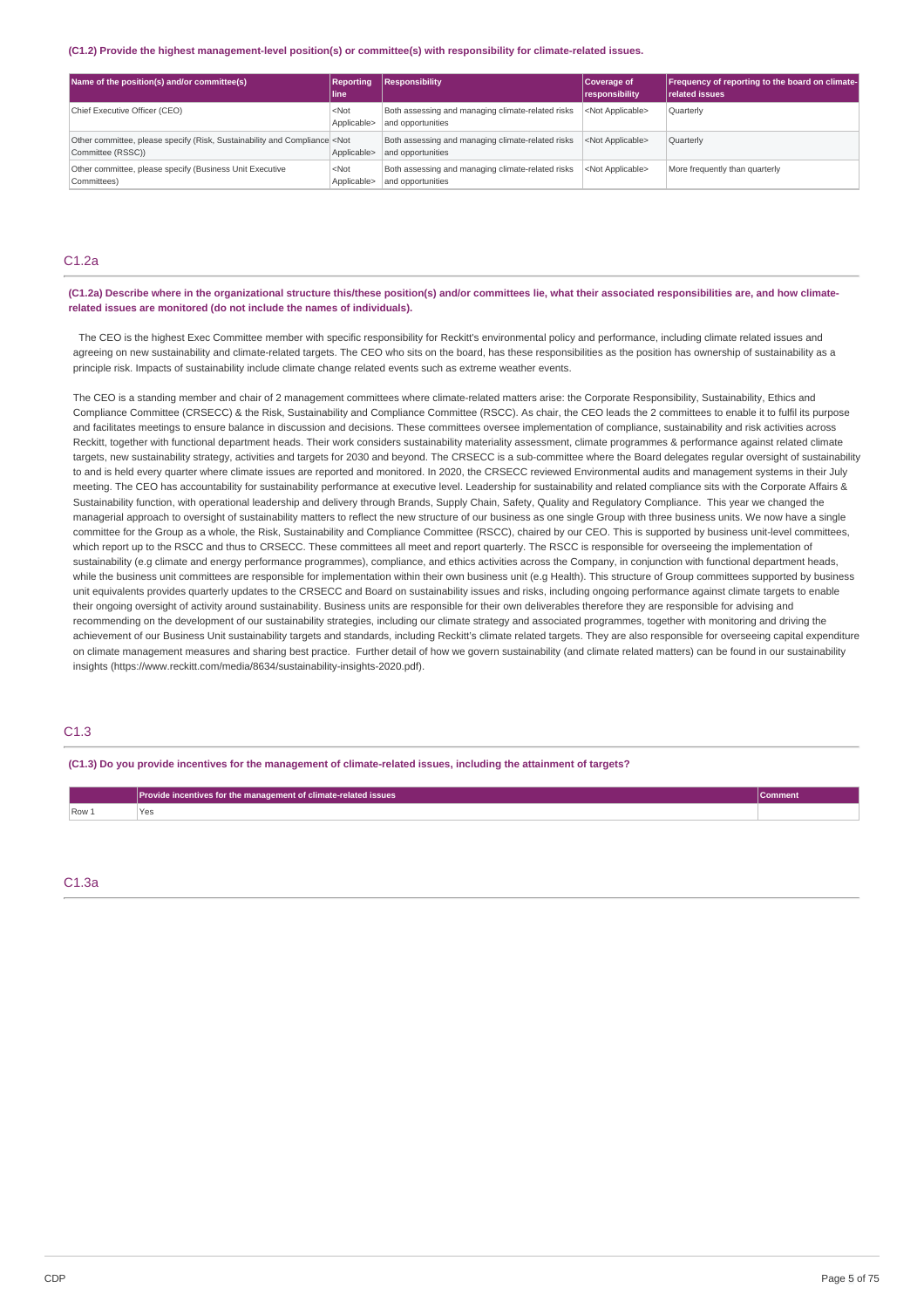#### **(C1.2) Provide the highest management-level position(s) or committee(s) with responsibility for climate-related issues.**

| Name of the position(s) and/or committee(s)                                                             | <b>Reporting</b><br>lline: | Responsibility                                                         | Coverage of<br>responsibility | Frequency of reporting to the board on climate-<br><b>related issues</b> |
|---------------------------------------------------------------------------------------------------------|----------------------------|------------------------------------------------------------------------|-------------------------------|--------------------------------------------------------------------------|
| Chief Executive Officer (CEO)                                                                           | $<$ Not<br>Applicable>     | Both assessing and managing climate-related risks<br>and opportunities | <not applicable=""></not>     | Quarterly                                                                |
| Other committee, please specify (Risk, Sustainability and Compliance <not<br>Committee (RSSC))</not<br> | Applicable>                | Both assessing and managing climate-related risks<br>and opportunities | <not applicable=""></not>     | Quarterly                                                                |
| Other committee, please specify (Business Unit Executive<br>Committees)                                 | $<$ Not<br>Applicable>     | Both assessing and managing climate-related risks<br>and opportunities | <not applicable=""></not>     | More frequently than quarterly                                           |

## C1.2a

(C1.2a) Describe where in the organizational structure this/these position(s) and/or committees lie, what their associated responsibilities are, and how climate**related issues are monitored (do not include the names of individuals).**

The CEO is the highest Exec Committee member with specific responsibility for Reckitt's environmental policy and performance, including climate related issues and agreeing on new sustainability and climate-related targets. The CEO who sits on the board, has these responsibilities as the position has ownership of sustainability as a principle risk. Impacts of sustainability include climate change related events such as extreme weather events.

The CEO is a standing member and chair of 2 management committees where climate-related matters arise: the Corporate Responsibility, Sustainability, Ethics and Compliance Committee (CRSECC) & the Risk, Sustainability and Compliance Committee (RSCC). As chair, the CEO leads the 2 committees to enable it to fulfil its purpose and facilitates meetings to ensure balance in discussion and decisions. These committees oversee implementation of compliance, sustainability and risk activities across Reckitt, together with functional department heads. Their work considers sustainability materiality assessment, climate programmes & performance against related climate targets, new sustainability strategy, activities and targets for 2030 and beyond. The CRSECC is a sub-committee where the Board delegates regular oversight of sustainability to and is held every quarter where climate issues are reported and monitored. In 2020, the CRSECC reviewed Environmental audits and management systems in their July meeting. The CEO has accountability for sustainability performance at executive level. Leadership for sustainability and related compliance sits with the Corporate Affairs & Sustainability function, with operational leadership and delivery through Brands, Supply Chain, Safety, Quality and Regulatory Compliance. This year we changed the managerial approach to oversight of sustainability matters to reflect the new structure of our business as one single Group with three business units. We now have a single committee for the Group as a whole, the Risk, Sustainability and Compliance Committee (RSCC), chaired by our CEO. This is supported by business unit-level committees, which report up to the RSCC and thus to CRSECC. These committees all meet and report quarterly. The RSCC is responsible for overseeing the implementation of sustainability (e.g climate and energy performance programmes), compliance, and ethics activities across the Company, in conjunction with functional department heads, while the business unit committees are responsible for implementation within their own business unit (e.g Health). This structure of Group committees supported by business unit equivalents provides quarterly updates to the CRSECC and Board on sustainability issues and risks, including ongoing performance against climate targets to enable their ongoing oversight of activity around sustainability. Business units are responsible for their own deliverables therefore they are responsible for advising and recommending on the development of our sustainability strategies, including our climate strategy and associated programmes, together with monitoring and driving the achievement of our Business Unit sustainability targets and standards, including Reckitt's climate related targets. They are also responsible for overseeing capital expenditure on climate management measures and sharing best practice. Further detail of how we govern sustainability (and climate related matters) can be found in our sustainability insights (https://www.reckitt.com/media/8634/sustainability-insights-2020.pdf).

## C1.3

(C1.3) Do you provide incentives for the management of climate-related issues, including the attainment of targets?

|         | Provide incentives for the management of climate-related issues | Johnneni |
|---------|-----------------------------------------------------------------|----------|
| $Row_1$ | ರ<br>___                                                        |          |

C1.3a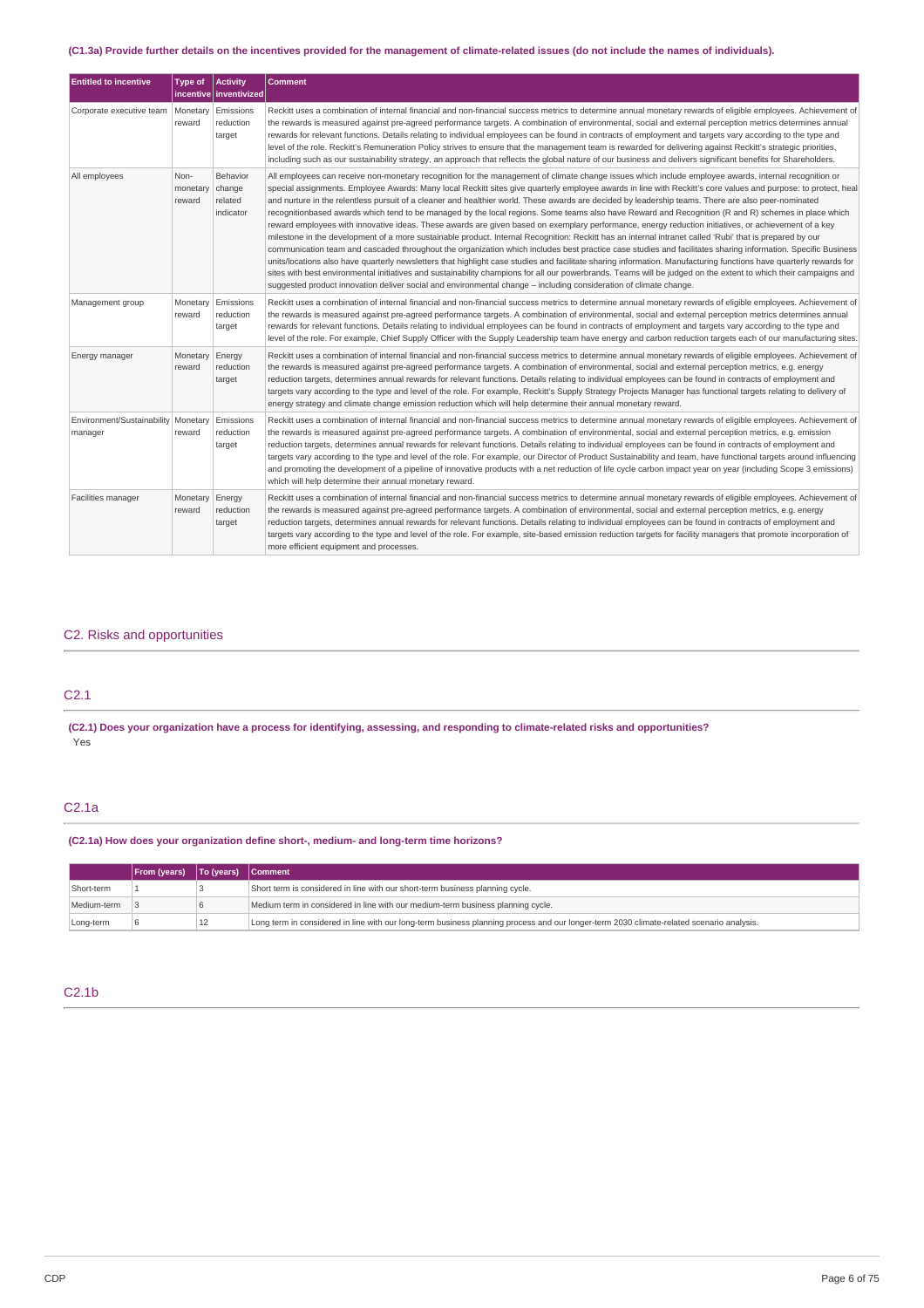## (C1.3a) Provide further details on the incentives provided for the management of climate-related issues (do not include the names of individuals).

| <b>Entitled to incentive</b>                     | Type of                    | <b>Activity</b>                                            | <b>Comment</b>                                                                                                                                                                                                                                                                                                                                                                                                                                                                                                                                                                                                                                                                                                                                                                                                                                                                                                                                                                                                                                                                                                                                                                                                                                                                                                                                                                                                                                                                                                                                                                          |
|--------------------------------------------------|----------------------------|------------------------------------------------------------|-----------------------------------------------------------------------------------------------------------------------------------------------------------------------------------------------------------------------------------------------------------------------------------------------------------------------------------------------------------------------------------------------------------------------------------------------------------------------------------------------------------------------------------------------------------------------------------------------------------------------------------------------------------------------------------------------------------------------------------------------------------------------------------------------------------------------------------------------------------------------------------------------------------------------------------------------------------------------------------------------------------------------------------------------------------------------------------------------------------------------------------------------------------------------------------------------------------------------------------------------------------------------------------------------------------------------------------------------------------------------------------------------------------------------------------------------------------------------------------------------------------------------------------------------------------------------------------------|
| Corporate executive team                         | Monetary<br>reward         | incentive inventivized<br>Emissions<br>reduction<br>target | Reckitt uses a combination of internal financial and non-financial success metrics to determine annual monetary rewards of eligible employees. Achievement of<br>the rewards is measured against pre-agreed performance targets. A combination of environmental, social and external perception metrics determines annual<br>rewards for relevant functions. Details relating to individual employees can be found in contracts of employment and targets vary according to the type and<br>level of the role. Reckitt's Remuneration Policy strives to ensure that the management team is rewarded for delivering against Reckitt's strategic priorities,<br>including such as our sustainability strategy, an approach that reflects the global nature of our business and delivers significant benefits for Shareholders.                                                                                                                                                                                                                                                                                                                                                                                                                                                                                                                                                                                                                                                                                                                                                            |
| All employees                                    | Non-<br>monetary<br>reward | Behavior<br>change<br>related<br>indicator                 | All employees can receive non-monetary recognition for the management of climate change issues which include employee awards, internal recognition or<br>special assignments. Employee Awards: Many local Reckitt sites give quarterly employee awards in line with Reckitt's core values and purpose: to protect, heal<br>and nurture in the relentless pursuit of a cleaner and healthier world. These awards are decided by leadership teams. There are also peer-nominated<br>recognitionbased awards which tend to be managed by the local regions. Some teams also have Reward and Recognition (R and R) schemes in place which<br>reward employees with innovative ideas. These awards are given based on exemplary performance, energy reduction initiatives, or achievement of a key<br>milestone in the development of a more sustainable product. Internal Recognition: Reckitt has an internal intranet called 'Rubi' that is prepared by our<br>communication team and cascaded throughout the organization which includes best practice case studies and facilitates sharing information. Specific Business<br>units/locations also have quarterly newsletters that highlight case studies and facilitate sharing information. Manufacturing functions have quarterly rewards for<br>sites with best environmental initiatives and sustainability champions for all our powerbrands. Teams will be judged on the extent to which their campaigns and<br>suggested product innovation deliver social and environmental change - including consideration of climate change. |
| Management group                                 | Monetary<br>reward         | Emissions<br>reduction<br>target                           | Reckitt uses a combination of internal financial and non-financial success metrics to determine annual monetary rewards of eligible employees. Achievement of<br>the rewards is measured against pre-agreed performance targets. A combination of environmental, social and external perception metrics determines annual<br>rewards for relevant functions. Details relating to individual employees can be found in contracts of employment and targets vary according to the type and<br>level of the role. For example, Chief Supply Officer with the Supply Leadership team have energy and carbon reduction targets each of our manufacturing sites.                                                                                                                                                                                                                                                                                                                                                                                                                                                                                                                                                                                                                                                                                                                                                                                                                                                                                                                              |
| Energy manager                                   | Monetary<br>reward         | Energy<br>reduction<br>target                              | Reckitt uses a combination of internal financial and non-financial success metrics to determine annual monetary rewards of eligible employees. Achievement of<br>the rewards is measured against pre-agreed performance targets. A combination of environmental, social and external perception metrics, e.g. energy<br>reduction targets, determines annual rewards for relevant functions. Details relating to individual employees can be found in contracts of employment and<br>targets vary according to the type and level of the role. For example, Reckitt's Supply Strategy Projects Manager has functional targets relating to delivery of<br>energy strategy and climate change emission reduction which will help determine their annual monetary reward.                                                                                                                                                                                                                                                                                                                                                                                                                                                                                                                                                                                                                                                                                                                                                                                                                  |
| Environment/Sustainability   Monetary<br>manager | reward                     | Emissions<br>reduction<br>target                           | Reckitt uses a combination of internal financial and non-financial success metrics to determine annual monetary rewards of eligible employees. Achievement of<br>the rewards is measured against pre-agreed performance targets. A combination of environmental, social and external perception metrics, e.g. emission<br>reduction targets, determines annual rewards for relevant functions. Details relating to individual employees can be found in contracts of employment and<br>targets vary according to the type and level of the role. For example, our Director of Product Sustainability and team, have functional targets around influencing<br>and promoting the development of a pipeline of innovative products with a net reduction of life cycle carbon impact year on year (including Scope 3 emissions)<br>which will help determine their annual monetary reward.                                                                                                                                                                                                                                                                                                                                                                                                                                                                                                                                                                                                                                                                                                  |
| Facilities manager                               | Monetary<br>reward         | Energy<br>reduction<br>target                              | Reckitt uses a combination of internal financial and non-financial success metrics to determine annual monetary rewards of eligible employees. Achievement of<br>the rewards is measured against pre-agreed performance targets. A combination of environmental, social and external perception metrics, e.g. energy<br>reduction targets, determines annual rewards for relevant functions. Details relating to individual employees can be found in contracts of employment and<br>targets vary according to the type and level of the role. For example, site-based emission reduction targets for facility managers that promote incorporation of<br>more efficient equipment and processes.                                                                                                                                                                                                                                                                                                                                                                                                                                                                                                                                                                                                                                                                                                                                                                                                                                                                                        |

## C2. Risks and opportunities

## C2.1

(C2.1) Does your organization have a process for identifying, assessing, and responding to climate-related risks and opportunities? Yes

## C2.1a

## **(C2.1a) How does your organization define short-, medium- and long-term time horizons?**

|             | <b>From (years)</b> | To (years)   Comment |                                                                                                                                          |
|-------------|---------------------|----------------------|------------------------------------------------------------------------------------------------------------------------------------------|
| Short-term  |                     |                      | Short term is considered in line with our short-term business planning cycle.                                                            |
| Medium-term |                     | 16                   | Medium term in considered in line with our medium-term business planning cycle.                                                          |
| Long-term   |                     | 12                   | Long term in considered in line with our long-term business planning process and our longer-term 2030 climate-related scenario analysis. |

## C2.1b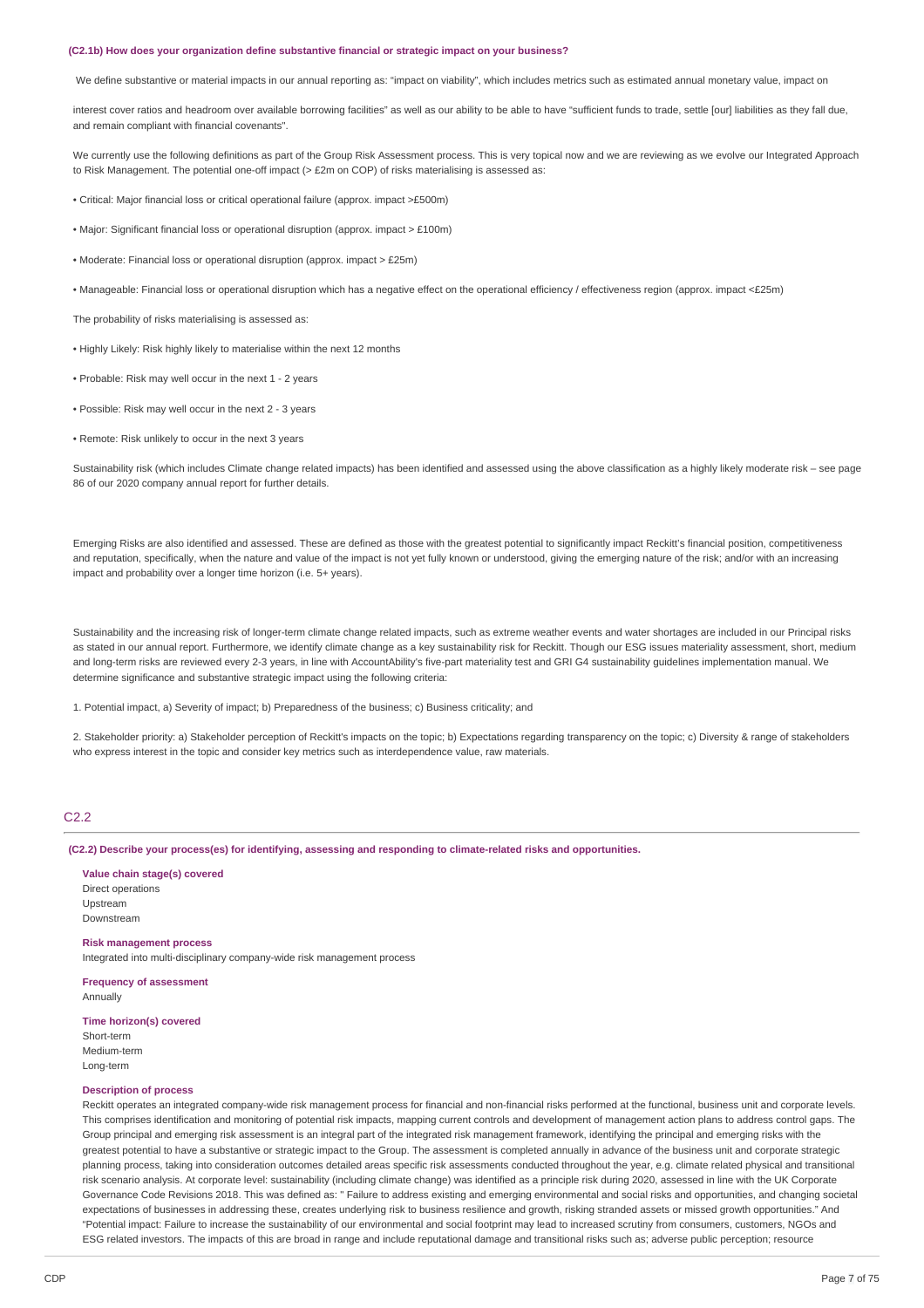#### **(C2.1b) How does your organization define substantive financial or strategic impact on your business?**

We define substantive or material impacts in our annual reporting as: "impact on viability", which includes metrics such as estimated annual monetary value, impact on

interest cover ratios and headroom over available borrowing facilities" as well as our ability to be able to have "sufficient funds to trade, settle [our] liabilities as they fall due, and remain compliant with financial covenants".

We currently use the following definitions as part of the Group Risk Assessment process. This is very topical now and we are reviewing as we evolve our Integrated Approach to Risk Management. The potential one-off impact (> £2m on COP) of risks materialising is assessed as:

• Critical: Major financial loss or critical operational failure (approx. impact >£500m)

• Major: Significant financial loss or operational disruption (approx. impact > £100m)

• Moderate: Financial loss or operational disruption (approx. impact > £25m)

• Manageable: Financial loss or operational disruption which has a negative effect on the operational efficiency / effectiveness region (approx. impact <£25m)

The probability of risks materialising is assessed as:

• Highly Likely: Risk highly likely to materialise within the next 12 months

• Probable: Risk may well occur in the next 1 - 2 years

• Possible: Risk may well occur in the next 2 - 3 years

• Remote: Risk unlikely to occur in the next 3 years

Sustainability risk (which includes Climate change related impacts) has been identified and assessed using the above classification as a highly likely moderate risk – see page 86 of our 2020 company annual report for further details.

Emerging Risks are also identified and assessed. These are defined as those with the greatest potential to significantly impact Reckitt's financial position, competitiveness and reputation, specifically, when the nature and value of the impact is not yet fully known or understood, giving the emerging nature of the risk; and/or with an increasing impact and probability over a longer time horizon (i.e. 5+ years).

Sustainability and the increasing risk of longer-term climate change related impacts, such as extreme weather events and water shortages are included in our Principal risks as stated in our annual report. Furthermore, we identify climate change as a key sustainability risk for Reckitt. Though our ESG issues materiality assessment, short, medium and long-term risks are reviewed every 2-3 years, in line with AccountAbility's five-part materiality test and GRI G4 sustainability guidelines implementation manual. We determine significance and substantive strategic impact using the following criteria:

1. Potential impact, a) Severity of impact; b) Preparedness of the business; c) Business criticality; and

2. Stakeholder priority: a) Stakeholder perception of Reckitt's impacts on the topic; b) Expectations regarding transparency on the topic; c) Diversity & range of stakeholders who express interest in the topic and consider key metrics such as interdependence value, raw materials.

## $C2.2$

**(C2.2) Describe your process(es) for identifying, assessing and responding to climate-related risks and opportunities.**

**Value chain stage(s) covered** Direct operations Upstream Downstream

**Risk management process** Integrated into multi-disciplinary company-wide risk management process

**Frequency of assessment** Annually

**Time horizon(s) covered**

Short-term Medium-term Long-term

#### **Description of process**

Reckitt operates an integrated company-wide risk management process for financial and non-financial risks performed at the functional, business unit and corporate levels. This comprises identification and monitoring of potential risk impacts, mapping current controls and development of management action plans to address control gaps. The Group principal and emerging risk assessment is an integral part of the integrated risk management framework, identifying the principal and emerging risks with the greatest potential to have a substantive or strategic impact to the Group. The assessment is completed annually in advance of the business unit and corporate strategic planning process, taking into consideration outcomes detailed areas specific risk assessments conducted throughout the year, e.g. climate related physical and transitional risk scenario analysis. At corporate level: sustainability (including climate change) was identified as a principle risk during 2020, assessed in line with the UK Corporate Governance Code Revisions 2018. This was defined as: " Failure to address existing and emerging environmental and social risks and opportunities, and changing societal expectations of businesses in addressing these, creates underlying risk to business resilience and growth, risking stranded assets or missed growth opportunities." And "Potential impact: Failure to increase the sustainability of our environmental and social footprint may lead to increased scrutiny from consumers, customers, NGOs and ESG related investors. The impacts of this are broad in range and include reputational damage and transitional risks such as; adverse public perception; resource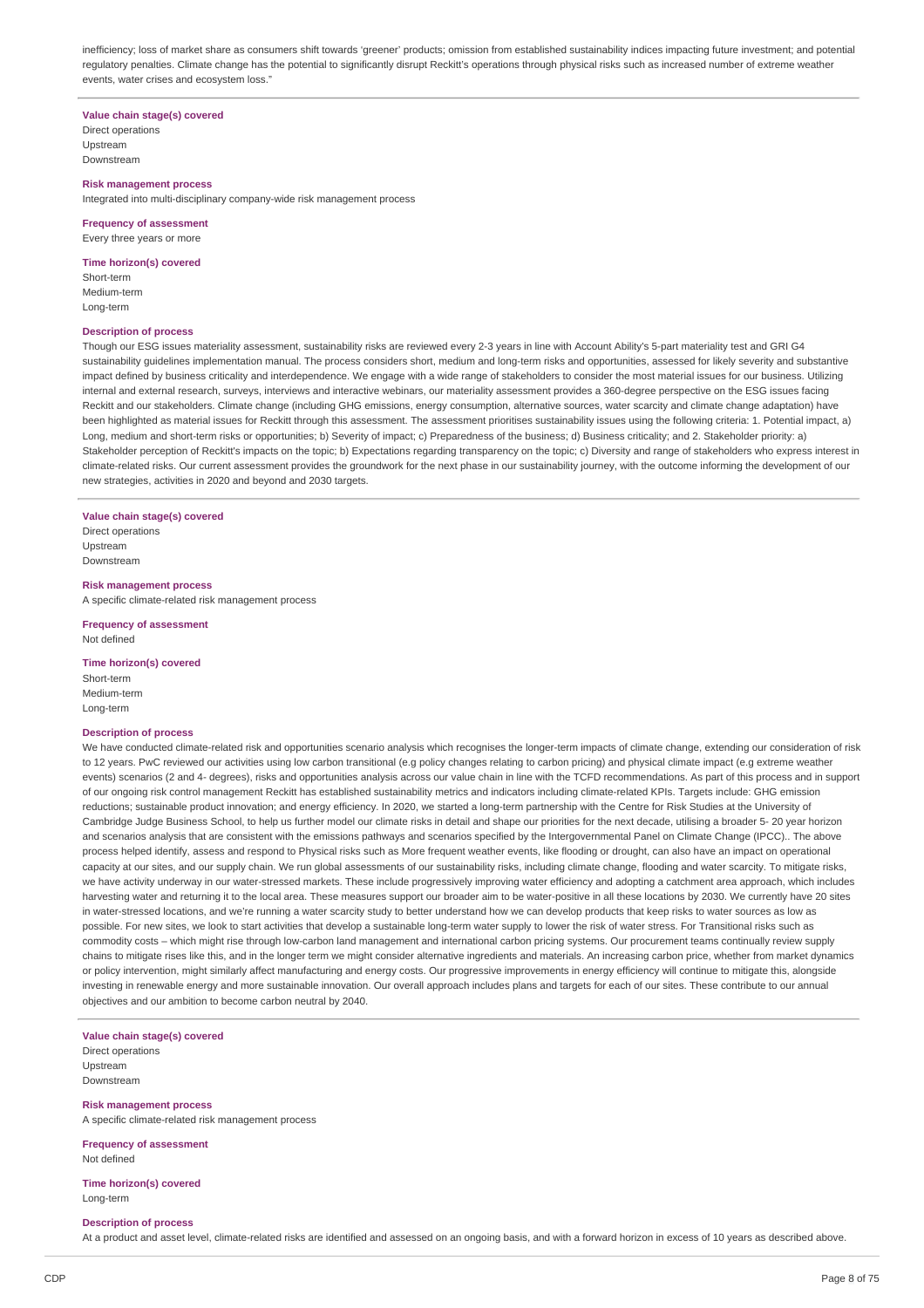inefficiency; loss of market share as consumers shift towards 'greener' products; omission from established sustainability indices impacting future investment; and potential regulatory penalties. Climate change has the potential to significantly disrupt Reckitt's operations through physical risks such as increased number of extreme weather events, water crises and ecosystem loss."

**Value chain stage(s) covered**

Direct operations Upstream Downstream

#### **Risk management process**

Integrated into multi-disciplinary company-wide risk management process

## **Frequency of assessment** Every three years or more

**Time horizon(s) covered**

Short-term Medium-term Long-term

### **Description of process**

Though our ESG issues materiality assessment, sustainability risks are reviewed every 2-3 years in line with Account Ability's 5-part materiality test and GRI G4 sustainability guidelines implementation manual. The process considers short, medium and long-term risks and opportunities, assessed for likely severity and substantive impact defined by business criticality and interdependence. We engage with a wide range of stakeholders to consider the most material issues for our business. Utilizing internal and external research, surveys, interviews and interactive webinars, our materiality assessment provides a 360-degree perspective on the ESG issues facing Reckitt and our stakeholders. Climate change (including GHG emissions, energy consumption, alternative sources, water scarcity and climate change adaptation) have been highlighted as material issues for Reckitt through this assessment. The assessment prioritises sustainability issues using the following criteria: 1. Potential impact, a) Long, medium and short-term risks or opportunities; b) Severity of impact; c) Preparedness of the business; d) Business criticality; and 2. Stakeholder priority: a) Stakeholder perception of Reckitt's impacts on the topic; b) Expectations regarding transparency on the topic; c) Diversity and range of stakeholders who express interest in climate-related risks. Our current assessment provides the groundwork for the next phase in our sustainability journey, with the outcome informing the development of our new strategies, activities in 2020 and beyond and 2030 targets.

**Value chain stage(s) covered** Direct operations

Upstream Downstream

**Risk management process** A specific climate-related risk management process

**Frequency of assessment** Not defined

#### **Time horizon(s) covered**

Short-term Medium-term Long-term

#### **Description of process**

We have conducted climate-related risk and opportunities scenario analysis which recognises the longer-term impacts of climate change, extending our consideration of risk to 12 years. PwC reviewed our activities using low carbon transitional (e.g policy changes relating to carbon pricing) and physical climate impact (e.g extreme weather events) scenarios (2 and 4- degrees), risks and opportunities analysis across our value chain in line with the TCFD recommendations. As part of this process and in support of our ongoing risk control management Reckitt has established sustainability metrics and indicators including climate-related KPIs. Targets include: GHG emission reductions; sustainable product innovation; and energy efficiency. In 2020, we started a long-term partnership with the Centre for Risk Studies at the University of Cambridge Judge Business School, to help us further model our climate risks in detail and shape our priorities for the next decade, utilising a broader 5- 20 year horizon and scenarios analysis that are consistent with the emissions pathways and scenarios specified by the Intergovernmental Panel on Climate Change (IPCC).. The above process helped identify, assess and respond to Physical risks such as More frequent weather events, like flooding or drought, can also have an impact on operational capacity at our sites, and our supply chain. We run global assessments of our sustainability risks, including climate change, flooding and water scarcity. To mitigate risks, we have activity underway in our water-stressed markets. These include progressively improving water efficiency and adopting a catchment area approach, which includes harvesting water and returning it to the local area. These measures support our broader aim to be water-positive in all these locations by 2030. We currently have 20 sites in water-stressed locations, and we're running a water scarcity study to better understand how we can develop products that keep risks to water sources as low as possible. For new sites, we look to start activities that develop a sustainable long-term water supply to lower the risk of water stress. For Transitional risks such as commodity costs – which might rise through low-carbon land management and international carbon pricing systems. Our procurement teams continually review supply chains to mitigate rises like this, and in the longer term we might consider alternative ingredients and materials. An increasing carbon price, whether from market dynamics or policy intervention, might similarly affect manufacturing and energy costs. Our progressive improvements in energy efficiency will continue to mitigate this, alongside investing in renewable energy and more sustainable innovation. Our overall approach includes plans and targets for each of our sites. These contribute to our annual objectives and our ambition to become carbon neutral by 2040.

**Value chain stage(s) covered**

Direct operations Upstream Downstream

**Risk management process** A specific climate-related risk management process

**Frequency of assessment** Not defined

**Time horizon(s) covered** Long-term

#### **Description of process**

At a product and asset level, climate-related risks are identified and assessed on an ongoing basis, and with a forward horizon in excess of 10 years as described above.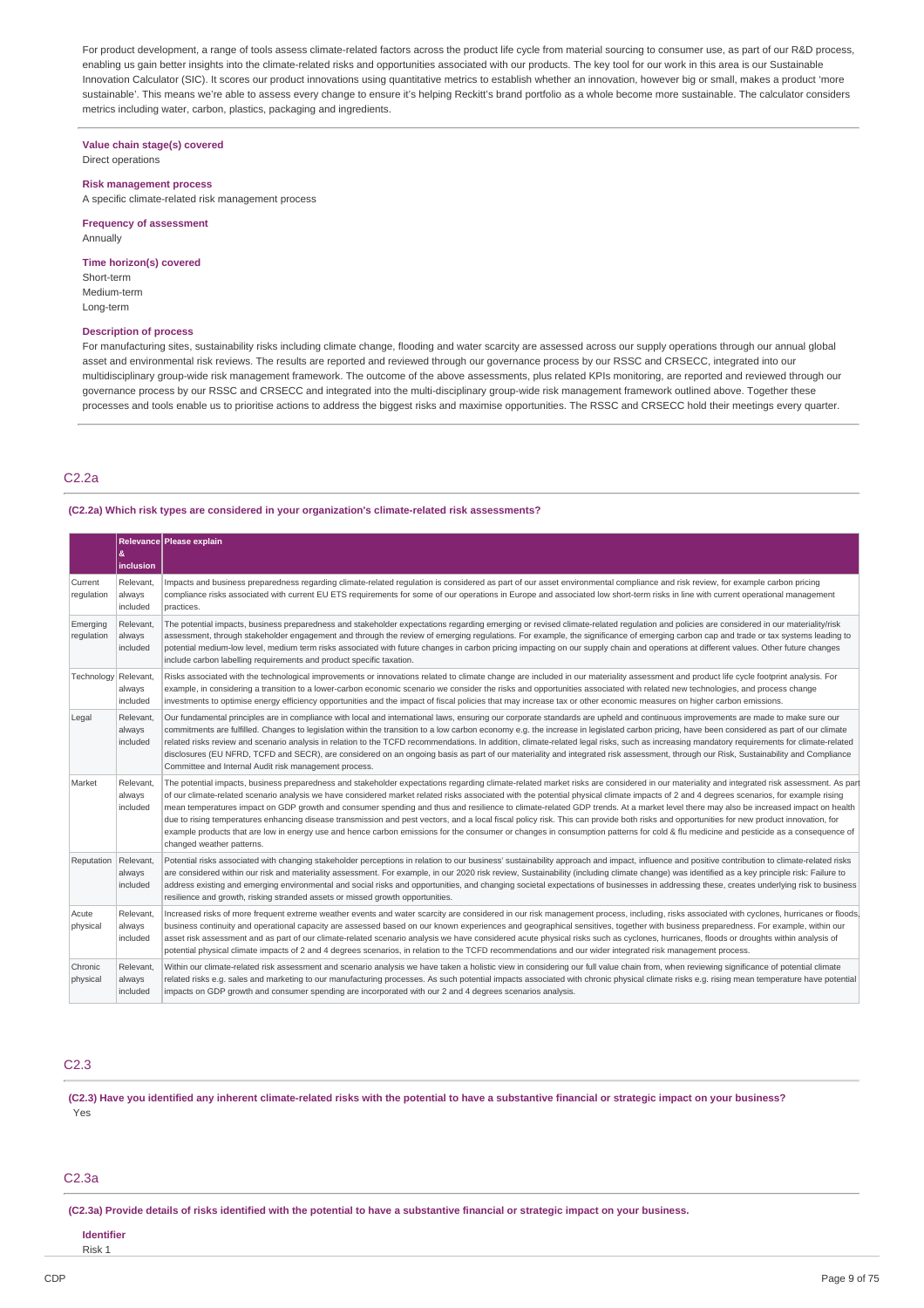For product development, a range of tools assess climate-related factors across the product life cycle from material sourcing to consumer use, as part of our R&D process, enabling us gain better insights into the climate-related risks and opportunities associated with our products. The key tool for our work in this area is our Sustainable Innovation Calculator (SIC). It scores our product innovations using quantitative metrics to establish whether an innovation, however big or small, makes a product 'more sustainable'. This means we're able to assess every change to ensure it's helping Reckitt's brand portfolio as a whole become more sustainable. The calculator considers metrics including water, carbon, plastics, packaging and ingredients.

**Value chain stage(s) covered** Direct operations

#### **Risk management process**

A specific climate-related risk management process

**Frequency of assessment** Annually

## **Time horizon(s) covered**

Short-term Medium-term Long-term

### **Description of process**

For manufacturing sites, sustainability risks including climate change, flooding and water scarcity are assessed across our supply operations through our annual global asset and environmental risk reviews. The results are reported and reviewed through our governance process by our RSSC and CRSECC, integrated into our multidisciplinary group-wide risk management framework. The outcome of the above assessments, plus related KPIs monitoring, are reported and reviewed through our governance process by our RSSC and CRSECC and integrated into the multi-disciplinary group-wide risk management framework outlined above. Together these processes and tools enable us to prioritise actions to address the biggest risks and maximise opportunities. The RSSC and CRSECC hold their meetings every quarter.

## C2.2a

### **(C2.2a) Which risk types are considered in your organization's climate-related risk assessments?**

|                        | &<br>inclusion                  | Relevance Please explain                                                                                                                                                                                                                                                                                                                                                                                                                                                                                                                                                                                                                                                                                                                                                                                                                                                                                                                                                                       |
|------------------------|---------------------------------|------------------------------------------------------------------------------------------------------------------------------------------------------------------------------------------------------------------------------------------------------------------------------------------------------------------------------------------------------------------------------------------------------------------------------------------------------------------------------------------------------------------------------------------------------------------------------------------------------------------------------------------------------------------------------------------------------------------------------------------------------------------------------------------------------------------------------------------------------------------------------------------------------------------------------------------------------------------------------------------------|
| Current<br>regulation  | Relevant<br>always<br>included  | Impacts and business preparedness regarding climate-related regulation is considered as part of our asset environmental compliance and risk review, for example carbon pricing<br>compliance risks associated with current EU ETS requirements for some of our operations in Europe and associated low short-term risks in line with current operational management<br>practices.                                                                                                                                                                                                                                                                                                                                                                                                                                                                                                                                                                                                              |
| Emerging<br>regulation | Relevant.<br>always<br>included | The potential impacts, business preparedness and stakeholder expectations regarding emerging or revised climate-related regulation and policies are considered in our materiality/risk<br>assessment, through stakeholder engagement and through the review of emerging regulations. For example, the significance of emerging carbon cap and trade or tax systems leading to<br>potential medium-low level, medium term risks associated with future changes in carbon pricing impacting on our supply chain and operations at different values. Other future changes<br>include carbon labelling requirements and product specific taxation.                                                                                                                                                                                                                                                                                                                                                 |
| Technology             | Relevant,<br>always<br>included | Risks associated with the technological improvements or innovations related to climate change are included in our materiality assessment and product life cycle footprint analysis. For<br>example, in considering a transition to a lower-carbon economic scenario we consider the risks and opportunities associated with related new technologies, and process change<br>investments to optimise energy efficiency opportunities and the impact of fiscal policies that may increase tax or other economic measures on higher carbon emissions.                                                                                                                                                                                                                                                                                                                                                                                                                                             |
| Legal                  | Relevant,<br>always<br>included | Our fundamental principles are in compliance with local and international laws, ensuring our corporate standards are upheld and continuous improvements are made to make sure our<br>commitments are fulfilled. Changes to legislation within the transition to a low carbon economy e.g. the increase in legislated carbon pricing, have been considered as part of our climate<br>related risks review and scenario analysis in relation to the TCFD recommendations. In addition, climate-related legal risks, such as increasing mandatory requirements for climate-related<br>disclosures (EU NFRD, TCFD and SECR), are considered on an ongoing basis as part of our materiality and integrated risk assessment, through our Risk, Sustainability and Compliance<br>Committee and Internal Audit risk management process.                                                                                                                                                                |
| Market                 | Relevant<br>always<br>included  | The potential impacts, business preparedness and stakeholder expectations regarding climate-related market risks are considered in our materiality and integrated risk assessment. As part<br>of our climate-related scenario analysis we have considered market related risks associated with the potential physical climate impacts of 2 and 4 degrees scenarios, for example rising<br>mean temperatures impact on GDP growth and consumer spending and thus and resilience to climate-related GDP trends. At a market level there may also be increased impact on health<br>due to rising temperatures enhancing disease transmission and pest vectors, and a local fiscal policy risk. This can provide both risks and opportunities for new product innovation, for<br>example products that are low in energy use and hence carbon emissions for the consumer or changes in consumption patterns for cold & flu medicine and pesticide as a consequence of<br>changed weather patterns. |
| Reputation             | Relevant<br>always<br>included  | Potential risks associated with changing stakeholder perceptions in relation to our business' sustainability approach and impact, influence and positive contribution to climate-related risks<br>are considered within our risk and materiality assessment. For example, in our 2020 risk review, Sustainability (including climate change) was identified as a key principle risk: Failure to<br>address existing and emerging environmental and social risks and opportunities, and changing societal expectations of businesses in addressing these, creates underlying risk to business<br>resilience and growth, risking stranded assets or missed growth opportunities.                                                                                                                                                                                                                                                                                                                 |
| Acute<br>physical      | Relevant<br>always<br>included  | Increased risks of more frequent extreme weather events and water scarcity are considered in our risk management process, including, risks associated with cyclones, hurricanes or floods,<br>business continuity and operational capacity are assessed based on our known experiences and geographical sensitives, together with business preparedness. For example, within our<br>asset risk assessment and as part of our climate-related scenario analysis we have considered acute physical risks such as cyclones, hurricanes, floods or droughts within analysis of<br>potential physical climate impacts of 2 and 4 degrees scenarios, in relation to the TCFD recommendations and our wider integrated risk management process.                                                                                                                                                                                                                                                       |
| Chronic<br>physical    | Relevant,<br>always<br>included | Within our climate-related risk assessment and scenario analysis we have taken a holistic view in considering our full value chain from, when reviewing significance of potential climate<br>related risks e.g. sales and marketing to our manufacturing processes. As such potential impacts associated with chronic physical climate risks e.g. rising mean temperature have potential<br>impacts on GDP growth and consumer spending are incorporated with our 2 and 4 degrees scenarios analysis.                                                                                                                                                                                                                                                                                                                                                                                                                                                                                          |

## C2.3

(C2.3) Have you identified any inherent climate-related risks with the potential to have a substantive financial or strategic impact on your business? Yes

#### C2.3a

(C2.3a) Provide details of risks identified with the potential to have a substantive financial or strategic impact on your business.

#### **Identifier**

Risk 1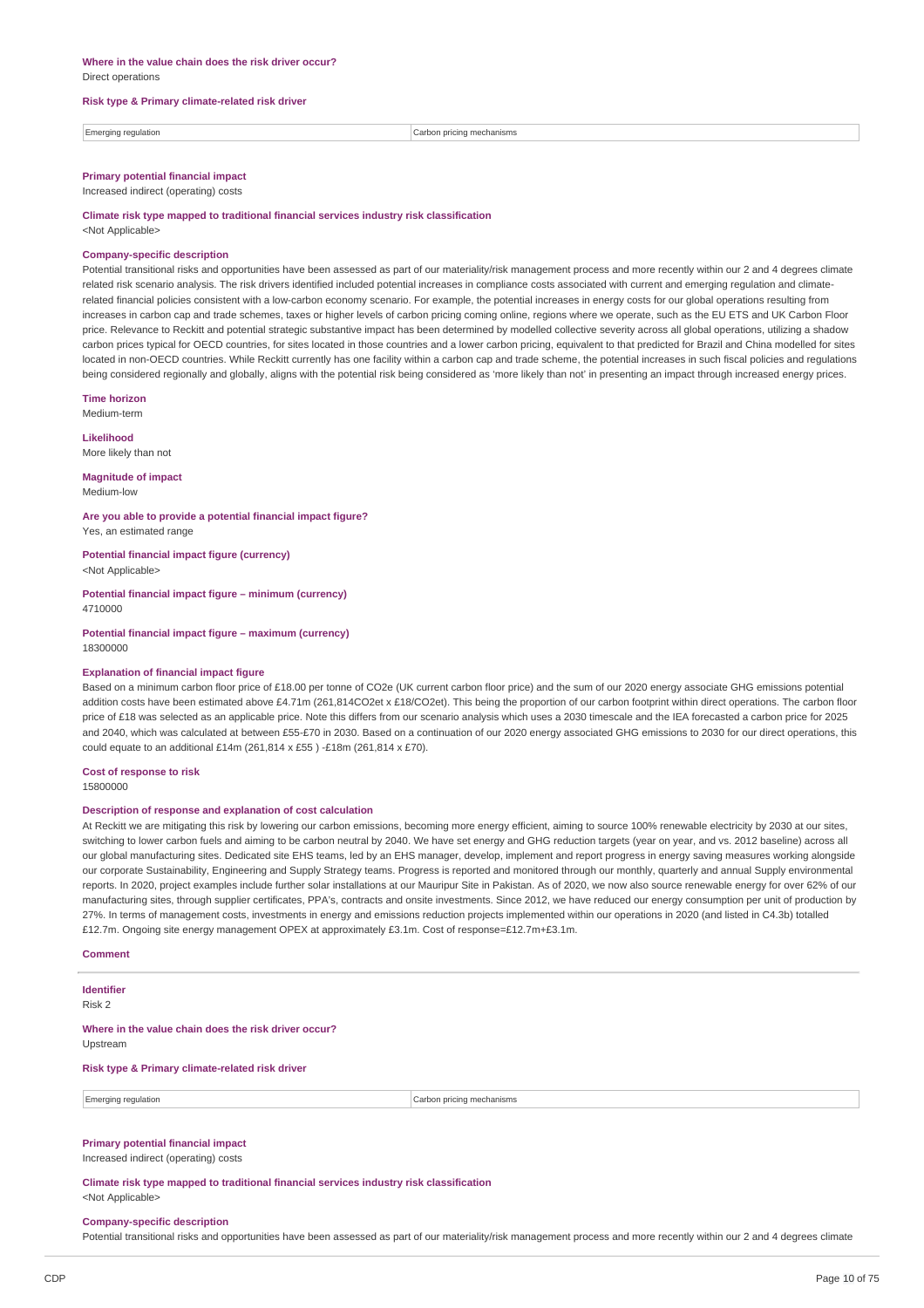#### **Risk type & Primary climate-related risk driver**

| <b>Show</b><br>regulation | anısms<br>:arhr<br>י …me<br>.<br>.<br>. |
|---------------------------|-----------------------------------------|
|                           |                                         |

## **Primary potential financial impact**

Increased indirect (operating) costs

**Climate risk type mapped to traditional financial services industry risk classification**

<Not Applicable>

#### **Company-specific description**

Potential transitional risks and opportunities have been assessed as part of our materiality/risk management process and more recently within our 2 and 4 degrees climate related risk scenario analysis. The risk drivers identified included potential increases in compliance costs associated with current and emerging regulation and climaterelated financial policies consistent with a low-carbon economy scenario. For example, the potential increases in energy costs for our global operations resulting from increases in carbon cap and trade schemes, taxes or higher levels of carbon pricing coming online, regions where we operate, such as the EU ETS and UK Carbon Floor price. Relevance to Reckitt and potential strategic substantive impact has been determined by modelled collective severity across all global operations, utilizing a shadow carbon prices typical for OECD countries, for sites located in those countries and a lower carbon pricing, equivalent to that predicted for Brazil and China modelled for sites located in non-OECD countries. While Reckitt currently has one facility within a carbon cap and trade scheme, the potential increases in such fiscal policies and regulations being considered regionally and globally, aligns with the potential risk being considered as 'more likely than not' in presenting an impact through increased energy prices.

**Time horizon**

Medium-term

**Likelihood** More likely than not

**Magnitude of impact** Medium-low

**Are you able to provide a potential financial impact figure?** Yes, an estimated range

**Potential financial impact figure (currency)** <Not Applicable>

**Potential financial impact figure – minimum (currency)** 4710000

**Potential financial impact figure – maximum (currency)** 18300000

#### **Explanation of financial impact figure**

Based on a minimum carbon floor price of £18.00 per tonne of CO2e (UK current carbon floor price) and the sum of our 2020 energy associate GHG emissions potential addition costs have been estimated above £4.71m (261,814CO2et x £18/CO2et). This being the proportion of our carbon footprint within direct operations. The carbon floor price of £18 was selected as an applicable price. Note this differs from our scenario analysis which uses a 2030 timescale and the IEA forecasted a carbon price for 2025 and 2040, which was calculated at between £55-£70 in 2030. Based on a continuation of our 2020 energy associated GHG emissions to 2030 for our direct operations, this could equate to an additional £14m (261,814 x £55 ) -£18m (261,814 x £70).

**Cost of response to risk** 15800000

#### **Description of response and explanation of cost calculation**

At Reckitt we are mitigating this risk by lowering our carbon emissions, becoming more energy efficient, aiming to source 100% renewable electricity by 2030 at our sites, switching to lower carbon fuels and aiming to be carbon neutral by 2040. We have set energy and GHG reduction targets (year on year, and vs. 2012 baseline) across all our global manufacturing sites. Dedicated site EHS teams, led by an EHS manager, develop, implement and report progress in energy saving measures working alongside our corporate Sustainability, Engineering and Supply Strategy teams. Progress is reported and monitored through our monthly, quarterly and annual Supply environmental reports. In 2020, project examples include further solar installations at our Mauripur Site in Pakistan. As of 2020, we now also source renewable energy for over 62% of our manufacturing sites, through supplier certificates, PPA's, contracts and onsite investments. Since 2012, we have reduced our energy consumption per unit of production by 27%. In terms of management costs, investments in energy and emissions reduction projects implemented within our operations in 2020 (and listed in C4.3b) totalled £12.7m. Ongoing site energy management OPEX at approximately £3.1m. Cost of response=£12.7m+£3.1m.

#### **Comment**

**Identifier** Risk 2

**Where in the value chain does the risk driver occur?** Upstream

#### **Risk type & Primary climate-related risk driver**

Emerging regulation Carbon pricing mechanisms

## **Primary potential financial impact**

Increased indirect (operating) costs

**Climate risk type mapped to traditional financial services industry risk classification** <Not Applicable>

### **Company-specific description**

Potential transitional risks and opportunities have been assessed as part of our materiality/risk management process and more recently within our 2 and 4 degrees climate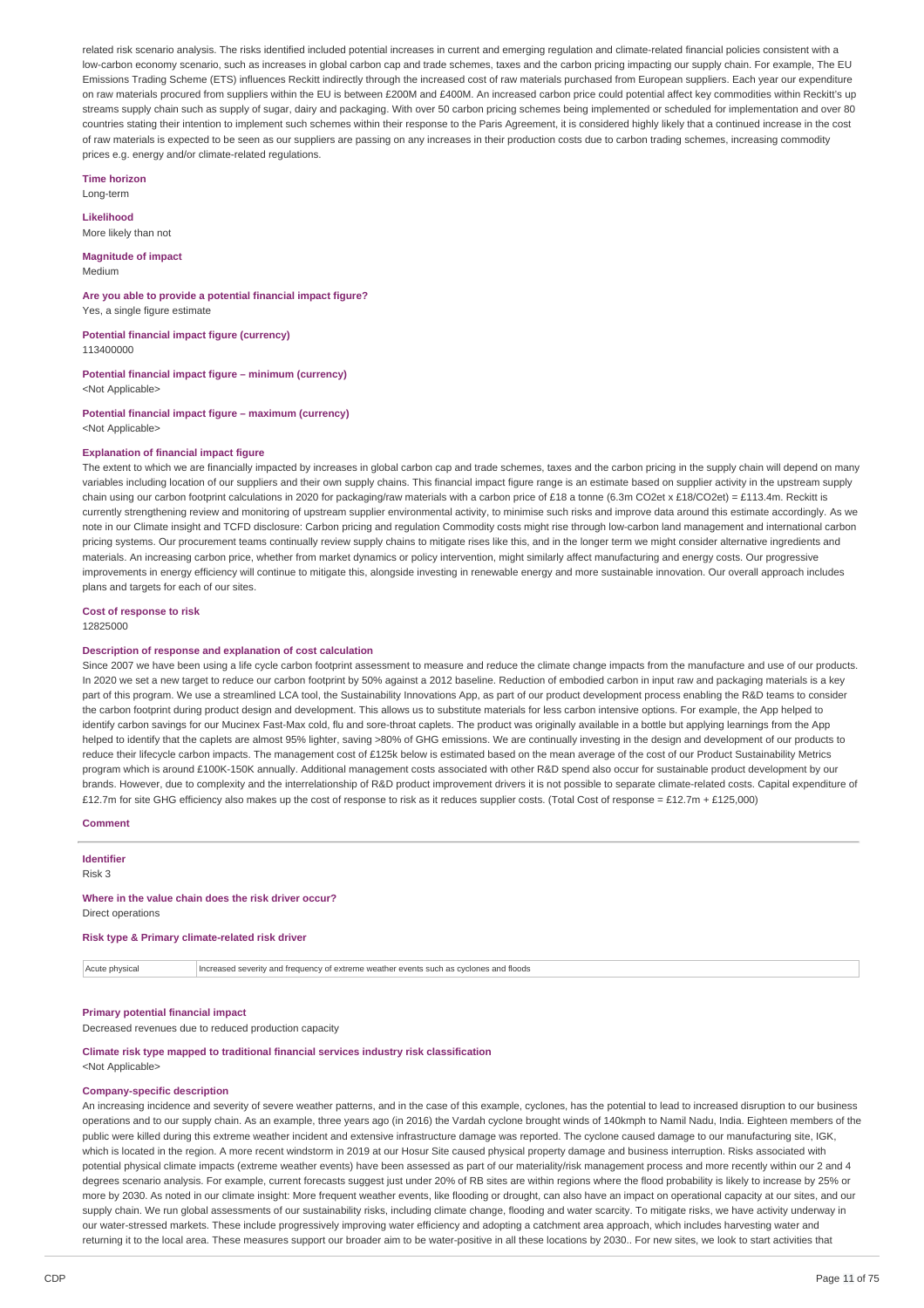related risk scenario analysis. The risks identified included potential increases in current and emerging regulation and climate-related financial policies consistent with a low-carbon economy scenario, such as increases in global carbon cap and trade schemes, taxes and the carbon pricing impacting our supply chain. For example, The EU Emissions Trading Scheme (ETS) influences Reckitt indirectly through the increased cost of raw materials purchased from European suppliers. Each year our expenditure on raw materials procured from suppliers within the EU is between £200M and £400M. An increased carbon price could potential affect key commodities within Reckitt's up streams supply chain such as supply of sugar, dairy and packaging. With over 50 carbon pricing schemes being implemented or scheduled for implementation and over 80 countries stating their intention to implement such schemes within their response to the Paris Agreement, it is considered highly likely that a continued increase in the cost of raw materials is expected to be seen as our suppliers are passing on any increases in their production costs due to carbon trading schemes, increasing commodity prices e.g. energy and/or climate-related regulations.

**Time horizon**

Long-term

**Likelihood** More likely than not

**Magnitude of impact**

Medium

**Are you able to provide a potential financial impact figure?** Yes, a single figure estimate

**Potential financial impact figure (currency)** 113400000

**Potential financial impact figure – minimum (currency)** <Not Applicable>

**Potential financial impact figure – maximum (currency)** <Not Applicable>

#### **Explanation of financial impact figure**

The extent to which we are financially impacted by increases in global carbon cap and trade schemes, taxes and the carbon pricing in the supply chain will depend on many variables including location of our suppliers and their own supply chains. This financial impact figure range is an estimate based on supplier activity in the upstream supply chain using our carbon footprint calculations in 2020 for packaging/raw materials with a carbon price of £18 a tonne (6.3m CO2et x £18/CO2et) = £113.4m. Reckitt is currently strengthening review and monitoring of upstream supplier environmental activity, to minimise such risks and improve data around this estimate accordingly. As we note in our Climate insight and TCFD disclosure: Carbon pricing and regulation Commodity costs might rise through low-carbon land management and international carbon pricing systems. Our procurement teams continually review supply chains to mitigate rises like this, and in the longer term we might consider alternative ingredients and materials. An increasing carbon price, whether from market dynamics or policy intervention, might similarly affect manufacturing and energy costs. Our progressive improvements in energy efficiency will continue to mitigate this, alongside investing in renewable energy and more sustainable innovation. Our overall approach includes plans and targets for each of our sites.

#### **Cost of response to risk**

12825000

#### **Description of response and explanation of cost calculation**

Since 2007 we have been using a life cycle carbon footprint assessment to measure and reduce the climate change impacts from the manufacture and use of our products. In 2020 we set a new target to reduce our carbon footprint by 50% against a 2012 baseline. Reduction of embodied carbon in input raw and packaging materials is a key part of this program. We use a streamlined LCA tool, the Sustainability Innovations App, as part of our product development process enabling the R&D teams to consider the carbon footprint during product design and development. This allows us to substitute materials for less carbon intensive options. For example, the App helped to identify carbon savings for our Mucinex Fast-Max cold, flu and sore-throat caplets. The product was originally available in a bottle but applying learnings from the App helped to identify that the caplets are almost 95% lighter, saving >80% of GHG emissions. We are continually investing in the design and development of our products to reduce their lifecycle carbon impacts. The management cost of £125k below is estimated based on the mean average of the cost of our Product Sustainability Metrics program which is around £100K-150K annually. Additional management costs associated with other R&D spend also occur for sustainable product development by our brands. However, due to complexity and the interrelationship of R&D product improvement drivers it is not possible to separate climate-related costs. Capital expenditure of £12.7m for site GHG efficiency also makes up the cost of response to risk as it reduces supplier costs. (Total Cost of response = £12.7m + £125,000)

**Comment**

**Identifier** Risk 3

## **Where in the value chain does the risk driver occur?**

Direct operations

#### **Risk type & Primary climate-related risk driver**

Acute physical Increased severity and frequency of extreme weather events such as cyclones and floods

## **Primary potential financial impact**

Decreased revenues due to reduced production capacity

#### **Climate risk type mapped to traditional financial services industry risk classification** <Not Applicable>

#### **Company-specific description**

An increasing incidence and severity of severe weather patterns, and in the case of this example, cyclones, has the potential to lead to increased disruption to our business operations and to our supply chain. As an example, three years ago (in 2016) the Vardah cyclone brought winds of 140kmph to Namil Nadu, India. Eighteen members of the public were killed during this extreme weather incident and extensive infrastructure damage was reported. The cyclone caused damage to our manufacturing site, IGK, which is located in the region. A more recent windstorm in 2019 at our Hosur Site caused physical property damage and business interruption. Risks associated with potential physical climate impacts (extreme weather events) have been assessed as part of our materiality/risk management process and more recently within our 2 and 4 degrees scenario analysis. For example, current forecasts suggest just under 20% of RB sites are within regions where the flood probability is likely to increase by 25% or more by 2030. As noted in our climate insight: More frequent weather events, like flooding or drought, can also have an impact on operational capacity at our sites, and our supply chain. We run global assessments of our sustainability risks, including climate change, flooding and water scarcity. To mitigate risks, we have activity underway in our water-stressed markets. These include progressively improving water efficiency and adopting a catchment area approach, which includes harvesting water and returning it to the local area. These measures support our broader aim to be water-positive in all these locations by 2030.. For new sites, we look to start activities that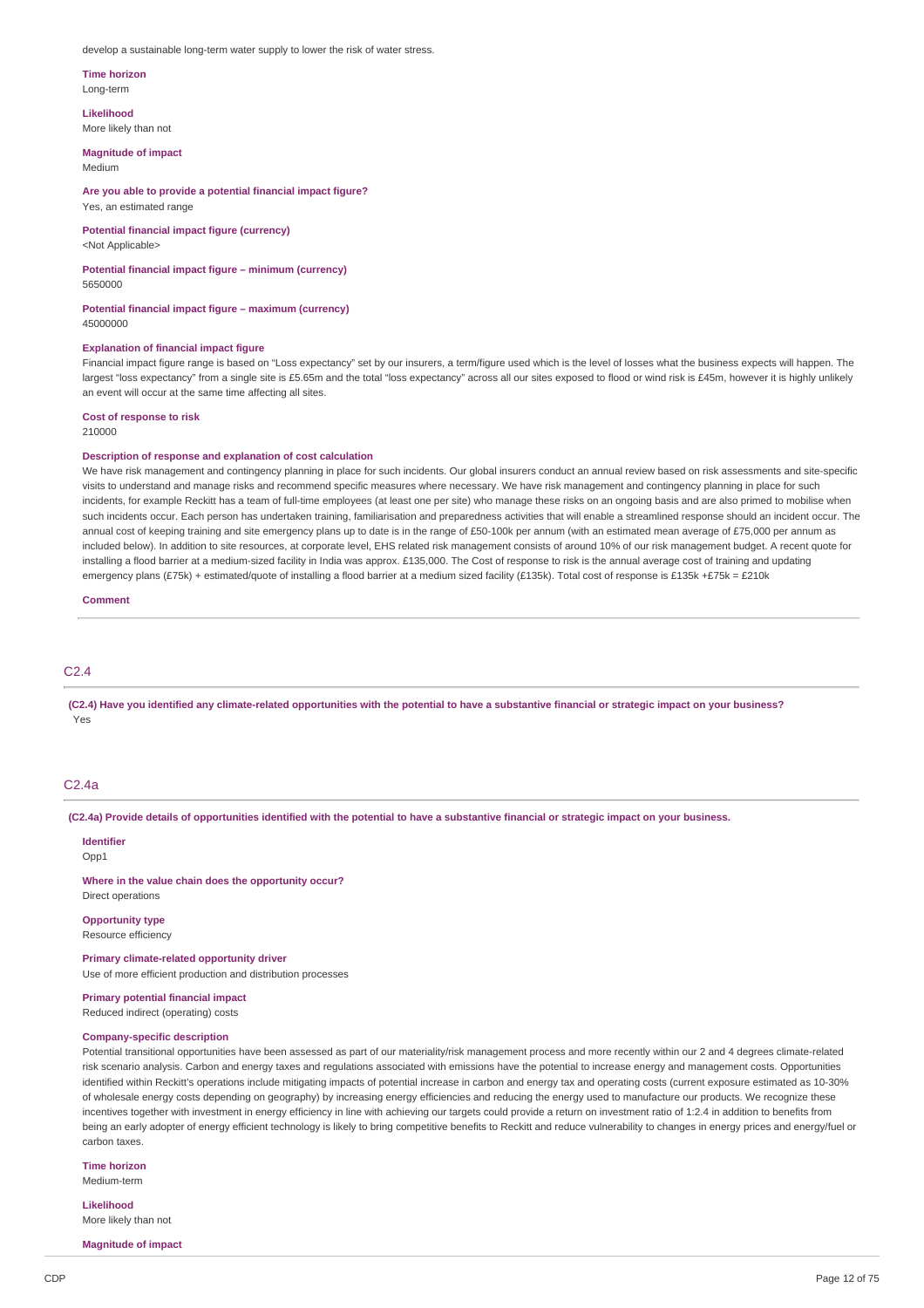develop a sustainable long-term water supply to lower the risk of water stress.

## **Time horizon**

Long-term

**Likelihood** More likely than not

#### **Magnitude of impact** Medium

**Are you able to provide a potential financial impact figure?** Yes, an estimated range

**Potential financial impact figure (currency)** <Not Applicable>

**Potential financial impact figure – minimum (currency)** 5650000

**Potential financial impact figure – maximum (currency)** 45000000

### **Explanation of financial impact figure**

Financial impact figure range is based on "Loss expectancy" set by our insurers, a term/figure used which is the level of losses what the business expects will happen. The largest "loss expectancy" from a single site is £5.65m and the total "loss expectancy" across all our sites exposed to flood or wind risk is £45m, however it is highly unlikely an event will occur at the same time affecting all sites.

**Cost of response to risk**

210000

#### **Description of response and explanation of cost calculation**

We have risk management and contingency planning in place for such incidents. Our global insurers conduct an annual review based on risk assessments and site-specific visits to understand and manage risks and recommend specific measures where necessary. We have risk management and contingency planning in place for such incidents, for example Reckitt has a team of full-time employees (at least one per site) who manage these risks on an ongoing basis and are also primed to mobilise when such incidents occur. Each person has undertaken training, familiarisation and preparedness activities that will enable a streamlined response should an incident occur. The annual cost of keeping training and site emergency plans up to date is in the range of £50-100k per annum (with an estimated mean average of £75,000 per annum as included below). In addition to site resources, at corporate level, EHS related risk management consists of around 10% of our risk management budget. A recent quote for installing a flood barrier at a medium-sized facility in India was approx. £135,000. The Cost of response to risk is the annual average cost of training and updating emergency plans (£75k) + estimated/quote of installing a flood barrier at a medium sized facility (£135k). Total cost of response is £135k +£75k = £210k

**Comment**

## C2.4

(C2.4) Have you identified any climate-related opportunities with the potential to have a substantive financial or strategic impact on your business? Yes

## C2.4a

(C2.4a) Provide details of opportunities identified with the potential to have a substantive financial or strategic impact on your business.

#### **Identifier** Opp<sub>1</sub>

**Where in the value chain does the opportunity occur?** Direct operations

**Opportunity type**

Resource efficiency

**Primary climate-related opportunity driver**

Use of more efficient production and distribution processes

## **Primary potential financial impact**

Reduced indirect (operating) costs

## **Company-specific description**

Potential transitional opportunities have been assessed as part of our materiality/risk management process and more recently within our 2 and 4 degrees climate-related risk scenario analysis. Carbon and energy taxes and regulations associated with emissions have the potential to increase energy and management costs. Opportunities identified within Reckitt's operations include mitigating impacts of potential increase in carbon and energy tax and operating costs (current exposure estimated as 10-30% of wholesale energy costs depending on geography) by increasing energy efficiencies and reducing the energy used to manufacture our products. We recognize these incentives together with investment in energy efficiency in line with achieving our targets could provide a return on investment ratio of 1:2.4 in addition to benefits from being an early adopter of energy efficient technology is likely to bring competitive benefits to Reckitt and reduce vulnerability to changes in energy prices and energy/fuel or carbon taxes.

**Time horizon**

Medium-term

**Likelihood** More likely than not

**Magnitude of impact**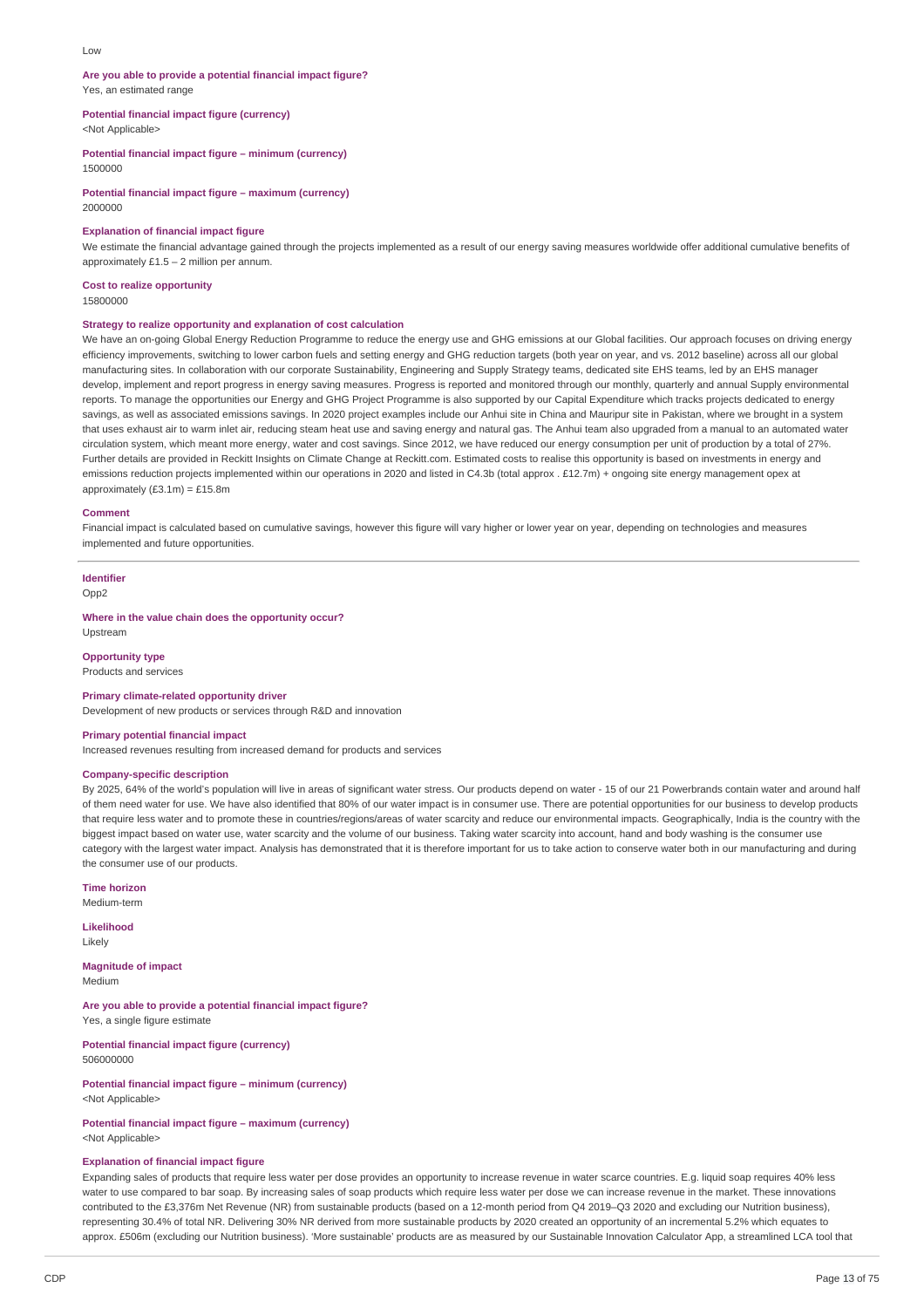#### **Are you able to provide a potential financial impact figure?** Yes, an estimated range

**Potential financial impact figure (currency)**

<Not Applicable>

**Potential financial impact figure – minimum (currency)** 1500000

**Potential financial impact figure – maximum (currency)** 2000000

### **Explanation of financial impact figure**

We estimate the financial advantage gained through the projects implemented as a result of our energy saving measures worldwide offer additional cumulative benefits of approximately £1.5 – 2 million per annum.

**Cost to realize opportunity** 15800000

#### **Strategy to realize opportunity and explanation of cost calculation**

We have an on-going Global Energy Reduction Programme to reduce the energy use and GHG emissions at our Global facilities. Our approach focuses on driving energy efficiency improvements, switching to lower carbon fuels and setting energy and GHG reduction targets (both year on year, and vs. 2012 baseline) across all our global manufacturing sites. In collaboration with our corporate Sustainability, Engineering and Supply Strategy teams, dedicated site EHS teams, led by an EHS manager develop, implement and report progress in energy saving measures. Progress is reported and monitored through our monthly, quarterly and annual Supply environmental reports. To manage the opportunities our Energy and GHG Project Programme is also supported by our Capital Expenditure which tracks projects dedicated to energy savings, as well as associated emissions savings. In 2020 project examples include our Anhui site in China and Mauripur site in Pakistan, where we brought in a system that uses exhaust air to warm inlet air, reducing steam heat use and saving energy and natural gas. The Anhui team also upgraded from a manual to an automated water circulation system, which meant more energy, water and cost savings. Since 2012, we have reduced our energy consumption per unit of production by a total of 27%. Further details are provided in Reckitt Insights on Climate Change at Reckitt com. Estimated costs to realise this opportunity is based on investments in energy and emissions reduction projects implemented within our operations in 2020 and listed in C4.3b (total approx . £12.7m) + ongoing site energy management opex at approximately  $(E3.1m) = E15.8m$ 

#### **Comment**

Financial impact is calculated based on cumulative savings, however this figure will vary higher or lower year on year, depending on technologies and measures implemented and future opportunities.

## **Identifier**

Opp2

#### **Where in the value chain does the opportunity occur?** Upstream

**Opportunity type**

## Products and services

**Primary climate-related opportunity driver**

Development of new products or services through R&D and innovation

#### **Primary potential financial impact**

Increased revenues resulting from increased demand for products and services

### **Company-specific description**

By 2025, 64% of the world's population will live in areas of significant water stress. Our products depend on water - 15 of our 21 Powerbrands contain water and around half of them need water for use. We have also identified that 80% of our water impact is in consumer use. There are potential opportunities for our business to develop products that require less water and to promote these in countries/regions/areas of water scarcity and reduce our environmental impacts. Geographically, India is the country with the biggest impact based on water use, water scarcity and the volume of our business. Taking water scarcity into account, hand and body washing is the consumer use category with the largest water impact. Analysis has demonstrated that it is therefore important for us to take action to conserve water both in our manufacturing and during the consumer use of our products.

**Time horizon**

Medium-term

**Likelihood** Likely

#### **Magnitude of impact** Medium

**Are you able to provide a potential financial impact figure?** Yes, a single figure estimate

**Potential financial impact figure (currency)** 506000000

**Potential financial impact figure – minimum (currency)** <Not Applicable>

### **Potential financial impact figure – maximum (currency)** <Not Applicable>

#### **Explanation of financial impact figure**

Expanding sales of products that require less water per dose provides an opportunity to increase revenue in water scarce countries. E.g. liquid soap requires 40% less water to use compared to bar soap. By increasing sales of soap products which require less water per dose we can increase revenue in the market. These innovations contributed to the £3,376m Net Revenue (NR) from sustainable products (based on a 12-month period from Q4 2019–Q3 2020 and excluding our Nutrition business), representing 30.4% of total NR. Delivering 30% NR derived from more sustainable products by 2020 created an opportunity of an incremental 5.2% which equates to approx. £506m (excluding our Nutrition business). 'More sustainable' products are as measured by our Sustainable Innovation Calculator App, a streamlined LCA tool that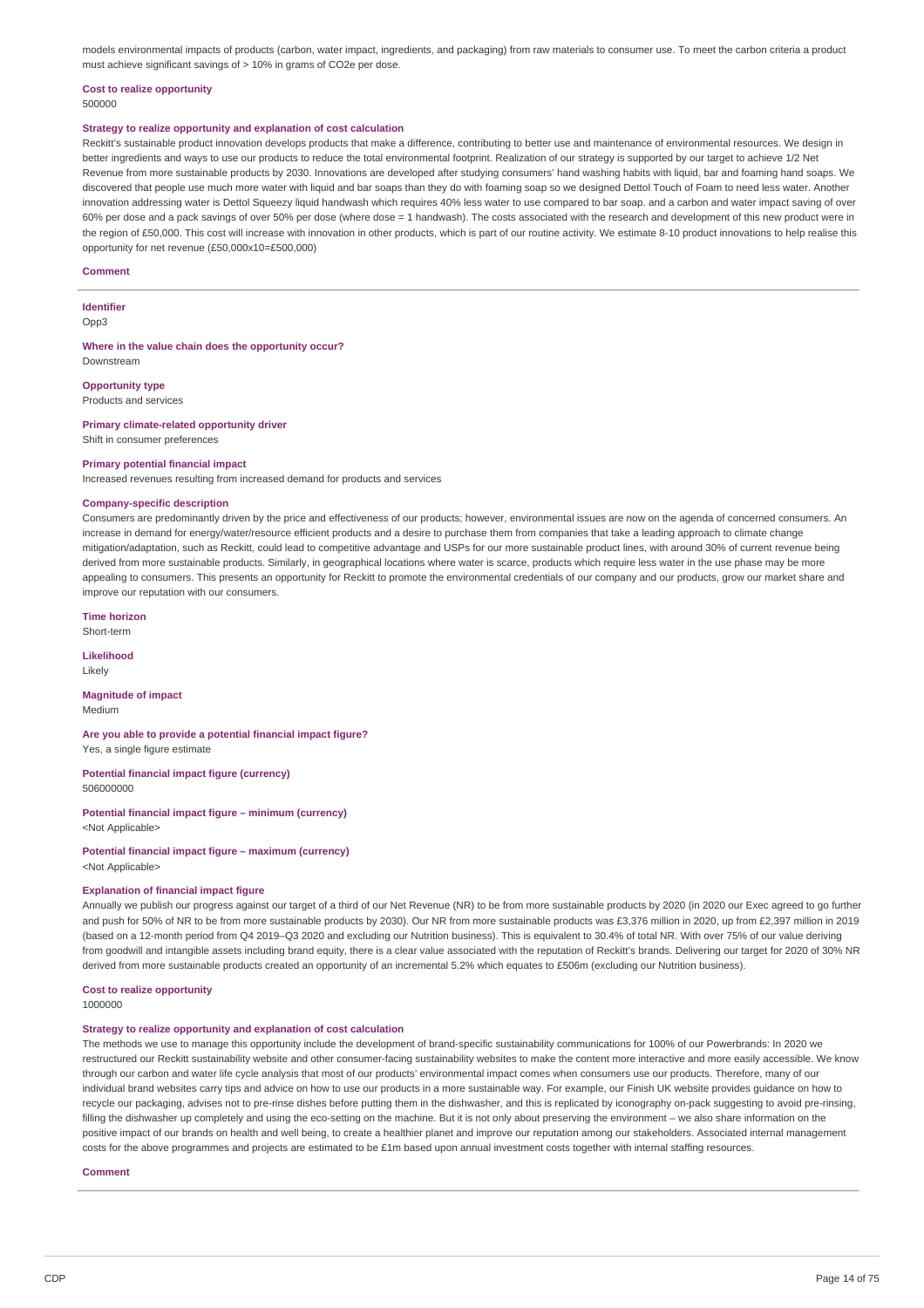models environmental impacts of products (carbon, water impact, ingredients, and packaging) from raw materials to consumer use. To meet the carbon criteria a product must achieve significant savings of > 10% in grams of CO2e per dose.

#### **Cost to realize opportunity** 500000

### **Strategy to realize opportunity and explanation of cost calculation**

Reckitt's sustainable product innovation develops products that make a difference, contributing to better use and maintenance of environmental resources. We design in better ingredients and ways to use our products to reduce the total environmental footprint. Realization of our strategy is supported by our target to achieve 1/2 Net Revenue from more sustainable products by 2030. Innovations are developed after studying consumers' hand washing habits with liquid, bar and foaming hand soaps. We discovered that people use much more water with liquid and bar soaps than they do with foaming soap so we designed Dettol Touch of Foam to need less water. Another innovation addressing water is Dettol Squeezy liquid handwash which requires 40% less water to use compared to bar soap, and a carbon and water impact saving of over 60% per dose and a pack savings of over 50% per dose (where dose = 1 handwash). The costs associated with the research and development of this new product were in the region of £50,000. This cost will increase with innovation in other products, which is part of our routine activity. We estimate 8-10 product innovations to help realise this opportunity for net revenue (£50,000x10=£500,000)

#### **Comment**

#### **Identifier** Opp3

#### **Where in the value chain does the opportunity occur?** Downstream

**Opportunity type**

Products and services

#### **Primary climate-related opportunity driver**

Shift in consumer preferences

#### **Primary potential financial impact**

Increased revenues resulting from increased demand for products and services

### **Company-specific description**

Consumers are predominantly driven by the price and effectiveness of our products; however, environmental issues are now on the agenda of concerned consumers. An increase in demand for energy/water/resource efficient products and a desire to purchase them from companies that take a leading approach to climate change mitigation/adaptation, such as Reckitt, could lead to competitive advantage and USPs for our more sustainable product lines, with around 30% of current revenue being derived from more sustainable products. Similarly, in geographical locations where water is scarce, products which require less water in the use phase may be more appealing to consumers. This presents an opportunity for Reckitt to promote the environmental credentials of our company and our products, grow our market share and improve our reputation with our consumers.

**Time horizon**

Short-term

**Likelihood** Likely

## **Magnitude of impact**

Medium

#### **Are you able to provide a potential financial impact figure?** Yes, a single figure estimate

**Potential financial impact figure (currency)** 506000000

#### **Potential financial impact figure – minimum (currency)** <Not Applicable>

**Potential financial impact figure – maximum (currency)** <Not Applicable>

#### **Explanation of financial impact figure**

Annually we publish our progress against our target of a third of our Net Revenue (NR) to be from more sustainable products by 2020 (in 2020 our Exec agreed to go further and push for 50% of NR to be from more sustainable products by 2030). Our NR from more sustainable products was £3,376 million in 2020, up from £2,397 million in 2019 (based on a 12-month period from Q4 2019–Q3 2020 and excluding our Nutrition business). This is equivalent to 30.4% of total NR. With over 75% of our value deriving from goodwill and intangible assets including brand equity, there is a clear value associated with the reputation of Reckitt's brands. Delivering our target for 2020 of 30% NR derived from more sustainable products created an opportunity of an incremental 5.2% which equates to £506m (excluding our Nutrition business).

## **Cost to realize opportunity**

## 1000000

## **Strategy to realize opportunity and explanation of cost calculation**

The methods we use to manage this opportunity include the development of brand-specific sustainability communications for 100% of our Powerbrands: In 2020 we restructured our Reckitt sustainability website and other consumer-facing sustainability websites to make the content more interactive and more easily accessible. We know through our carbon and water life cycle analysis that most of our products' environmental impact comes when consumers use our products. Therefore, many of our individual brand websites carry tips and advice on how to use our products in a more sustainable way. For example, our Finish UK website provides guidance on how to recycle our packaging, advises not to pre-rinse dishes before putting them in the dishwasher, and this is replicated by iconography on-pack suggesting to avoid pre-rinsing, filling the dishwasher up completely and using the eco-setting on the machine. But it is not only about preserving the environment – we also share information on the positive impact of our brands on health and well being, to create a healthier planet and improve our reputation among our stakeholders. Associated internal management costs for the above programmes and projects are estimated to be £1m based upon annual investment costs together with internal staffing resources.

#### **Comment**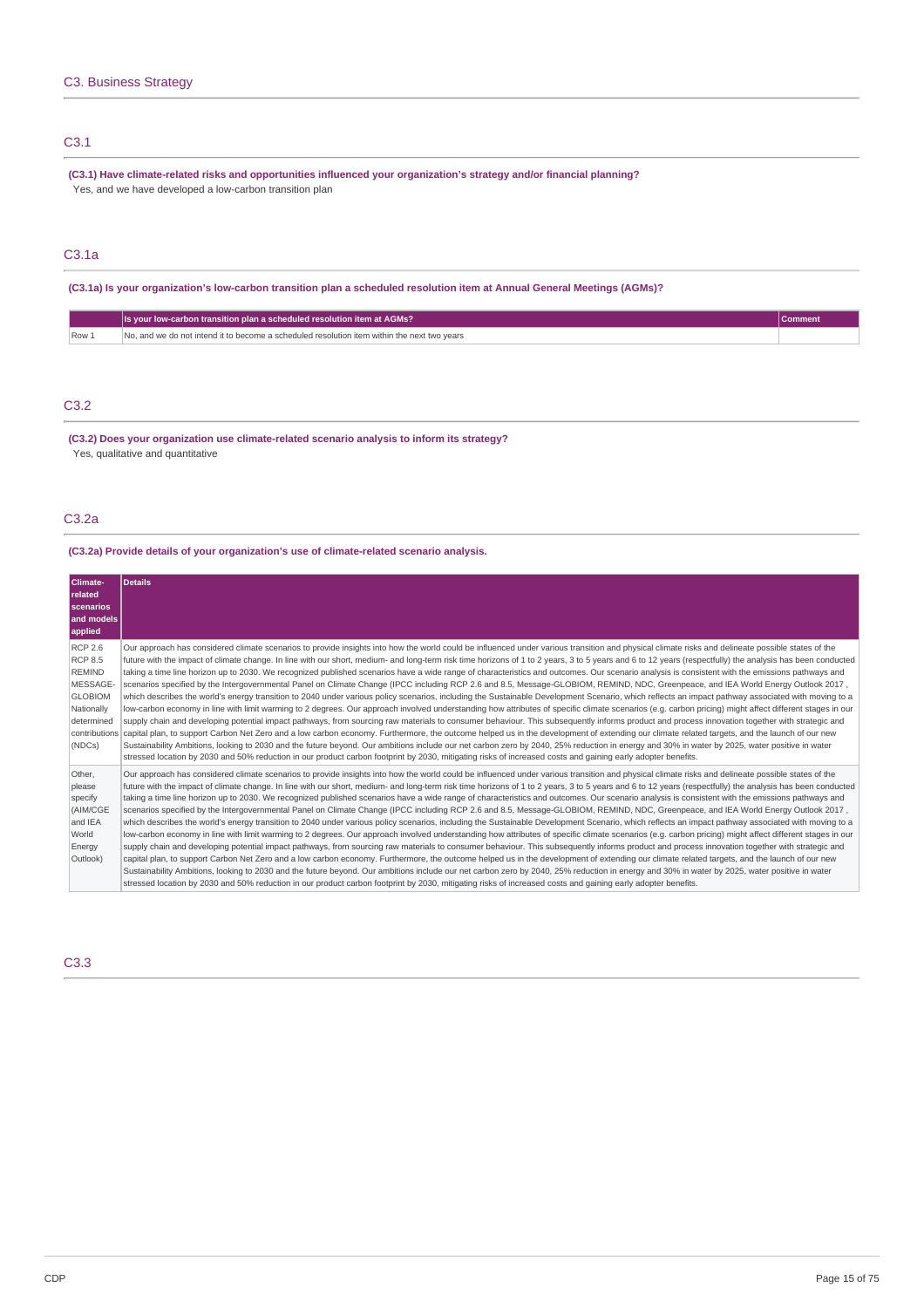## C3.1

**(C3.1) Have climate-related risks and opportunities influenced your organization's strategy and/or financial planning?** Yes, and we have developed a low-carbon transition plan

## C3.1a

(C3.1a) Is your organization's low-carbon transition plan a scheduled resolution item at Annual General Meetings (AGMs)?

|      | Is your low-carbon transition plan a scheduled resolution item at AGMs?                     |  |
|------|---------------------------------------------------------------------------------------------|--|
| Row: | No, and we do not intend it to become a scheduled resolution item within the next two vears |  |

## C3.2

**(C3.2) Does your organization use climate-related scenario analysis to inform its strategy?** Yes, qualitative and quantitative

## C3.2a

## **(C3.2a) Provide details of your organization's use of climate-related scenario analysis.**

| Climate-<br>related<br>scenarios<br>and models<br>applied                                                                              | <b>Details</b>                                                                                                                                                                                                                                                                                                                                                                                                                                                                                                                                                                                                                                                                                                                                                                                                                                                                                                                                                                                                                                                                                                                                                                                                                                                                                                                                                                                                                                                                                                                                                                                                                                                                                                                                                                                                                                                                                                                                                                              |
|----------------------------------------------------------------------------------------------------------------------------------------|---------------------------------------------------------------------------------------------------------------------------------------------------------------------------------------------------------------------------------------------------------------------------------------------------------------------------------------------------------------------------------------------------------------------------------------------------------------------------------------------------------------------------------------------------------------------------------------------------------------------------------------------------------------------------------------------------------------------------------------------------------------------------------------------------------------------------------------------------------------------------------------------------------------------------------------------------------------------------------------------------------------------------------------------------------------------------------------------------------------------------------------------------------------------------------------------------------------------------------------------------------------------------------------------------------------------------------------------------------------------------------------------------------------------------------------------------------------------------------------------------------------------------------------------------------------------------------------------------------------------------------------------------------------------------------------------------------------------------------------------------------------------------------------------------------------------------------------------------------------------------------------------------------------------------------------------------------------------------------------------|
| <b>RCP 2.6</b><br><b>RCP 8.5</b><br><b>REMIND</b><br>MESSAGE-<br><b>GLOBIOM</b><br>Nationally<br>determined<br>contributions<br>(NDCs) | Our approach has considered climate scenarios to provide insights into how the world could be influenced under various transition and physical climate risks and delineate possible states of the<br>future with the impact of climate change. In line with our short, medium- and long-term risk time horizons of 1 to 2 years, 3 to 5 years and 6 to 12 years (respectfully) the analysis has been conducted<br>taking a time line horizon up to 2030. We recognized published scenarios have a wide range of characteristics and outcomes. Our scenario analysis is consistent with the emissions pathways and<br>scenarios specified by the Intergovernmental Panel on Climate Change (IPCC including RCP 2.6 and 8.5, Message-GLOBIOM, REMIND, NDC, Greenpeace, and IEA World Energy Outlook 2017,<br>which describes the world's energy transition to 2040 under various policy scenarios, including the Sustainable Development Scenario, which reflects an impact pathway associated with moving to a<br>low-carbon economy in line with limit warming to 2 degrees. Our approach involved understanding how attributes of specific climate scenarios (e.g. carbon pricing) might affect different stages in our<br>supply chain and developing potential impact pathways, from sourcing raw materials to consumer behaviour. This subsequently informs product and process innovation together with strategic and<br>capital plan, to support Carbon Net Zero and a low carbon economy. Furthermore, the outcome helped us in the development of extending our climate related targets, and the launch of our new<br>Sustainability Ambitions, looking to 2030 and the future beyond. Our ambitions include our net carbon zero by 2040, 25% reduction in energy and 30% in water by 2025, water positive in water<br>stressed location by 2030 and 50% reduction in our product carbon footprint by 2030, mitigating risks of increased costs and gaining early adopter benefits. |
| Other,<br>please<br>specify<br>(AIM/CGE<br>and IEA<br>World<br>Energy<br>Outlook)                                                      | Our approach has considered climate scenarios to provide insights into how the world could be influenced under various transition and physical climate risks and delineate possible states of the<br>future with the impact of climate change. In line with our short, medium- and long-term risk time horizons of 1 to 2 years, 3 to 5 years and 6 to 12 years (respectfully) the analysis has been conducted<br>taking a time line horizon up to 2030. We recognized published scenarios have a wide range of characteristics and outcomes. Our scenario analysis is consistent with the emissions pathways and<br>scenarios specified by the Intergovernmental Panel on Climate Change (IPCC including RCP 2.6 and 8.5, Message-GLOBIOM, REMIND, NDC, Greenpeace, and IEA World Energy Outlook 2017,<br>which describes the world's energy transition to 2040 under various policy scenarios, including the Sustainable Development Scenario, which reflects an impact pathway associated with moving to a<br>low-carbon economy in line with limit warming to 2 degrees. Our approach involved understanding how attributes of specific climate scenarios (e.g. carbon pricing) might affect different stages in our<br>supply chain and developing potential impact pathways, from sourcing raw materials to consumer behaviour. This subsequently informs product and process innovation together with strategic and<br>capital plan, to support Carbon Net Zero and a low carbon economy. Furthermore, the outcome helped us in the development of extending our climate related targets, and the launch of our new<br>Sustainability Ambitions, looking to 2030 and the future beyond. Our ambitions include our net carbon zero by 2040, 25% reduction in energy and 30% in water by 2025, water positive in water<br>stressed location by 2030 and 50% reduction in our product carbon footprint by 2030, mitigating risks of increased costs and gaining early adopter benefits. |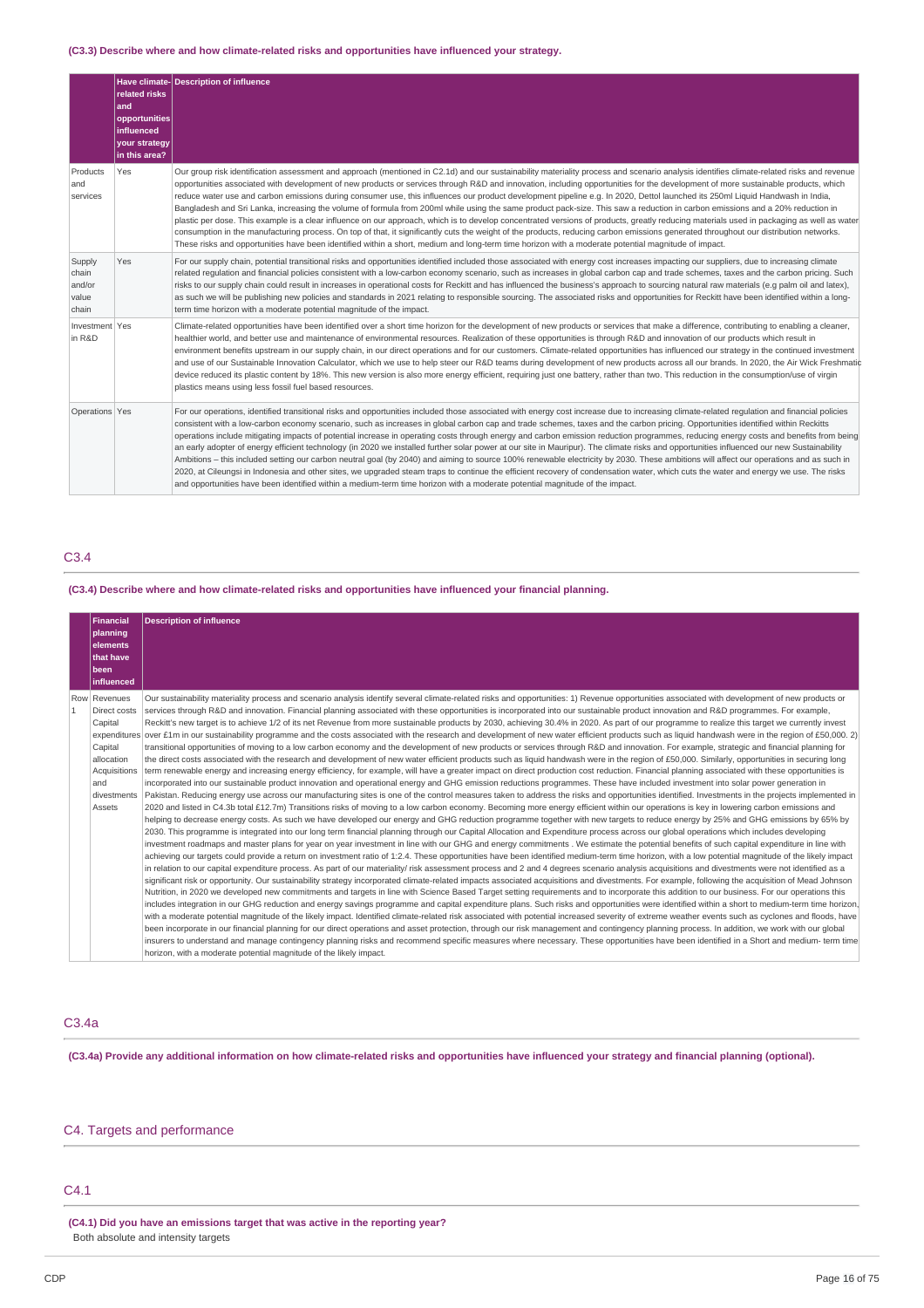## **(C3.3) Describe where and how climate-related risks and opportunities have influenced your strategy.**

|                                             | related risks<br>and<br>opportunities<br><b>influenced</b><br>your strategy<br>in this area? | Have climate- Description of influence                                                                                                                                                                                                                                                                                                                                                                                                                                                                                                                                                                                                                                                                                                                                                                                                                                                                                                                                                                                                                                                                                                                                                                                                                                                       |
|---------------------------------------------|----------------------------------------------------------------------------------------------|----------------------------------------------------------------------------------------------------------------------------------------------------------------------------------------------------------------------------------------------------------------------------------------------------------------------------------------------------------------------------------------------------------------------------------------------------------------------------------------------------------------------------------------------------------------------------------------------------------------------------------------------------------------------------------------------------------------------------------------------------------------------------------------------------------------------------------------------------------------------------------------------------------------------------------------------------------------------------------------------------------------------------------------------------------------------------------------------------------------------------------------------------------------------------------------------------------------------------------------------------------------------------------------------|
| Products<br>and<br>services                 | Yes                                                                                          | Our group risk identification assessment and approach (mentioned in C2.1d) and our sustainability materiality process and scenario analysis identifies climate-related risks and revenue<br>opportunities associated with development of new products or services through R&D and innovation, including opportunities for the development of more sustainable products, which<br>reduce water use and carbon emissions during consumer use, this influences our product development pipeline e.g. In 2020, Dettol launched its 250ml Liquid Handwash in India,<br>Bangladesh and Sri Lanka, increasing the volume of formula from 200ml while using the same product pack-size. This saw a reduction in carbon emissions and a 20% reduction in<br>plastic per dose. This example is a clear influence on our approach, which is to develop concentrated versions of products, greatly reducing materials used in packaging as well as water<br>consumption in the manufacturing process. On top of that, it significantly cuts the weight of the products, reducing carbon emissions generated throughout our distribution networks.<br>These risks and opportunities have been identified within a short, medium and long-term time horizon with a moderate potential magnitude of impact. |
| Supply<br>chain<br>and/or<br>value<br>chain | Yes                                                                                          | For our supply chain, potential transitional risks and opportunities identified included those associated with energy cost increases impacting our suppliers, due to increasing climate<br>related requlation and financial policies consistent with a low-carbon economy scenario, such as increases in global carbon cap and trade schemes, taxes and the carbon pricing. Such<br>risks to our supply chain could result in increases in operational costs for Reckitt and has influenced the business's approach to sourcing natural raw materials (e.g palm oil and latex),<br>as such we will be publishing new policies and standards in 2021 relating to responsible sourcing. The associated risks and opportunities for Reckitt have been identified within a long-<br>term time horizon with a moderate potential magnitude of the impact.                                                                                                                                                                                                                                                                                                                                                                                                                                         |
| Investment Yes<br>in R&D                    |                                                                                              | Climate-related opportunities have been identified over a short time horizon for the development of new products or services that make a difference, contributing to enabling a cleaner,<br>healthier world, and better use and maintenance of environmental resources. Realization of these opportunities is through R&D and innovation of our products which result in<br>environment benefits upstream in our supply chain, in our direct operations and for our customers. Climate-related opportunities has influenced our strategy in the continued investment<br>and use of our Sustainable Innovation Calculator, which we use to help steer our R&D teams during development of new products across all our brands. In 2020, the Air Wick Freshmatic<br>device reduced its plastic content by 18%. This new version is also more energy efficient, requiring just one battery, rather than two. This reduction in the consumption/use of virgin<br>plastics means using less fossil fuel based resources.                                                                                                                                                                                                                                                                           |
| Operations Yes                              |                                                                                              | For our operations, identified transitional risks and opportunities included those associated with energy cost increase due to increasing climate-related regulation and financial policies<br>consistent with a low-carbon economy scenario, such as increases in global carbon cap and trade schemes, taxes and the carbon pricing. Opportunities identified within Reckitts<br>operations include mitigating impacts of potential increase in operating costs through energy and carbon emission reduction programmes, reducing energy costs and benefits from being<br>an early adopter of energy efficient technology (in 2020 we installed further solar power at our site in Mauripur). The climate risks and opportunities influenced our new Sustainability<br>Ambitions - this included setting our carbon neutral goal (by 2040) and aiming to source 100% renewable electricity by 2030. These ambitions will affect our operations and as such in<br>2020, at Cileungsi in Indonesia and other sites, we upgraded steam traps to continue the efficient recovery of condensation water, which cuts the water and energy we use. The risks<br>and opportunities have been identified within a medium-term time horizon with a moderate potential magnitude of the impact.        |

## C3.4

## **(C3.4) Describe where and how climate-related risks and opportunities have influenced your financial planning.**

|                                                                                                                                                                                        | <b>Financial</b>                                                                                                                                                                                   | <b>Description of influence</b>                                                                                                                                                                            |  |  |  |
|----------------------------------------------------------------------------------------------------------------------------------------------------------------------------------------|----------------------------------------------------------------------------------------------------------------------------------------------------------------------------------------------------|------------------------------------------------------------------------------------------------------------------------------------------------------------------------------------------------------------|--|--|--|
|                                                                                                                                                                                        | planning                                                                                                                                                                                           |                                                                                                                                                                                                            |  |  |  |
|                                                                                                                                                                                        | elements                                                                                                                                                                                           |                                                                                                                                                                                                            |  |  |  |
|                                                                                                                                                                                        | that have                                                                                                                                                                                          |                                                                                                                                                                                                            |  |  |  |
|                                                                                                                                                                                        | been                                                                                                                                                                                               |                                                                                                                                                                                                            |  |  |  |
|                                                                                                                                                                                        | influenced                                                                                                                                                                                         |                                                                                                                                                                                                            |  |  |  |
|                                                                                                                                                                                        | Row Revenues                                                                                                                                                                                       | Our sustainability materiality process and scenario analysis identify several climate-related risks and opportunities: 1) Revenue opportunities associated with development of new products or             |  |  |  |
|                                                                                                                                                                                        | Direct costs                                                                                                                                                                                       | services through R&D and innovation. Financial planning associated with these opportunities is incorporated into our sustainable product innovation and R&D programmes. For example,                       |  |  |  |
|                                                                                                                                                                                        | Capital                                                                                                                                                                                            | Reckitt's new target is to achieve 1/2 of its net Revenue from more sustainable products by 2030, achieving 30.4% in 2020. As part of our programme to realize this target we currently invest             |  |  |  |
|                                                                                                                                                                                        |                                                                                                                                                                                                    | expenditures over £1m in our sustainability programme and the costs associated with the research and development of new water efficient products such as liquid handwash were in the region of £50,000. 2) |  |  |  |
|                                                                                                                                                                                        | Capital                                                                                                                                                                                            | transitional opportunities of moving to a low carbon economy and the development of new products or services through R&D and innovation. For example, strategic and financial planning for                 |  |  |  |
|                                                                                                                                                                                        | allocation                                                                                                                                                                                         | the direct costs associated with the research and development of new water efficient products such as liquid handwash were in the region of £50,000. Similarly, opportunities in securing long             |  |  |  |
|                                                                                                                                                                                        | Acquisitions                                                                                                                                                                                       | term renewable energy and increasing energy efficiency, for example, will have a greater impact on direct production cost reduction. Financial planning associated with these opportunities is             |  |  |  |
|                                                                                                                                                                                        | and                                                                                                                                                                                                | incorporated into our sustainable product innovation and operational energy and GHG emission reductions programmes. These have included investment into solar power generation in                          |  |  |  |
|                                                                                                                                                                                        | divestments                                                                                                                                                                                        | Pakistan. Reducing energy use across our manufacturing sites is one of the control measures taken to address the risks and opportunities identified. Investments in the projects implemented in            |  |  |  |
|                                                                                                                                                                                        | 2020 and listed in C4.3b total £12.7m) Transitions risks of moving to a low carbon economy. Becoming more energy efficient within our operations is key in lowering carbon emissions and<br>Assets |                                                                                                                                                                                                            |  |  |  |
|                                                                                                                                                                                        |                                                                                                                                                                                                    | helping to decrease energy costs. As such we have developed our energy and GHG reduction programme together with new targets to reduce energy by 25% and GHG emissions by 65% by                           |  |  |  |
| 2030. This programme is integrated into our long term financial planning through our Capital Allocation and Expenditure process across our global operations which includes developing |                                                                                                                                                                                                    |                                                                                                                                                                                                            |  |  |  |
|                                                                                                                                                                                        |                                                                                                                                                                                                    | investment roadmaps and master plans for year on year investment in line with our GHG and energy commitments. We estimate the potential benefits of such capital expenditure in line with                  |  |  |  |
|                                                                                                                                                                                        |                                                                                                                                                                                                    | achieving our targets could provide a return on investment ratio of 1:2.4. These opportunities have been identified medium-term time horizon, with a low potential magnitude of the likely impact          |  |  |  |
|                                                                                                                                                                                        |                                                                                                                                                                                                    | in relation to our capital expenditure process. As part of our materiality/ risk assessment process and 2 and 4 degrees scenario analysis acquisitions and divestments were not identified as a            |  |  |  |
|                                                                                                                                                                                        |                                                                                                                                                                                                    | significant risk or opportunity. Our sustainability strategy incorporated climate-related impacts associated acquisitions and divestments. For example, following the acquisition of Mead Johnson          |  |  |  |
|                                                                                                                                                                                        |                                                                                                                                                                                                    | Nutrition, in 2020 we developed new commitments and targets in line with Science Based Target setting requirements and to incorporate this addition to our business. For our operations this               |  |  |  |
|                                                                                                                                                                                        |                                                                                                                                                                                                    | includes integration in our GHG reduction and energy savings programme and capital expenditure plans. Such risks and opportunities were identified within a short to medium-term time horizon,             |  |  |  |
|                                                                                                                                                                                        |                                                                                                                                                                                                    | with a moderate potential magnitude of the likely impact. Identified climate-related risk associated with potential increased severity of extreme weather events such as cyclones and floods, have         |  |  |  |
|                                                                                                                                                                                        |                                                                                                                                                                                                    | been incorporate in our financial planning for our direct operations and asset protection, through our risk management and contingency planning process. In addition, we work with our global              |  |  |  |
|                                                                                                                                                                                        |                                                                                                                                                                                                    | insurers to understand and manage contingency planning risks and recommend specific measures where necessary. These opportunities have been identified in a Short and medium- term time                    |  |  |  |
|                                                                                                                                                                                        |                                                                                                                                                                                                    | horizon, with a moderate potential magnitude of the likely impact.                                                                                                                                         |  |  |  |

## C3.4a

(C3.4a) Provide any additional information on how climate-related risks and opportunities have influenced your strategy and financial planning (optional).

## C4. Targets and performance

## C4.1

**(C4.1) Did you have an emissions target that was active in the reporting year?** Both absolute and intensity targets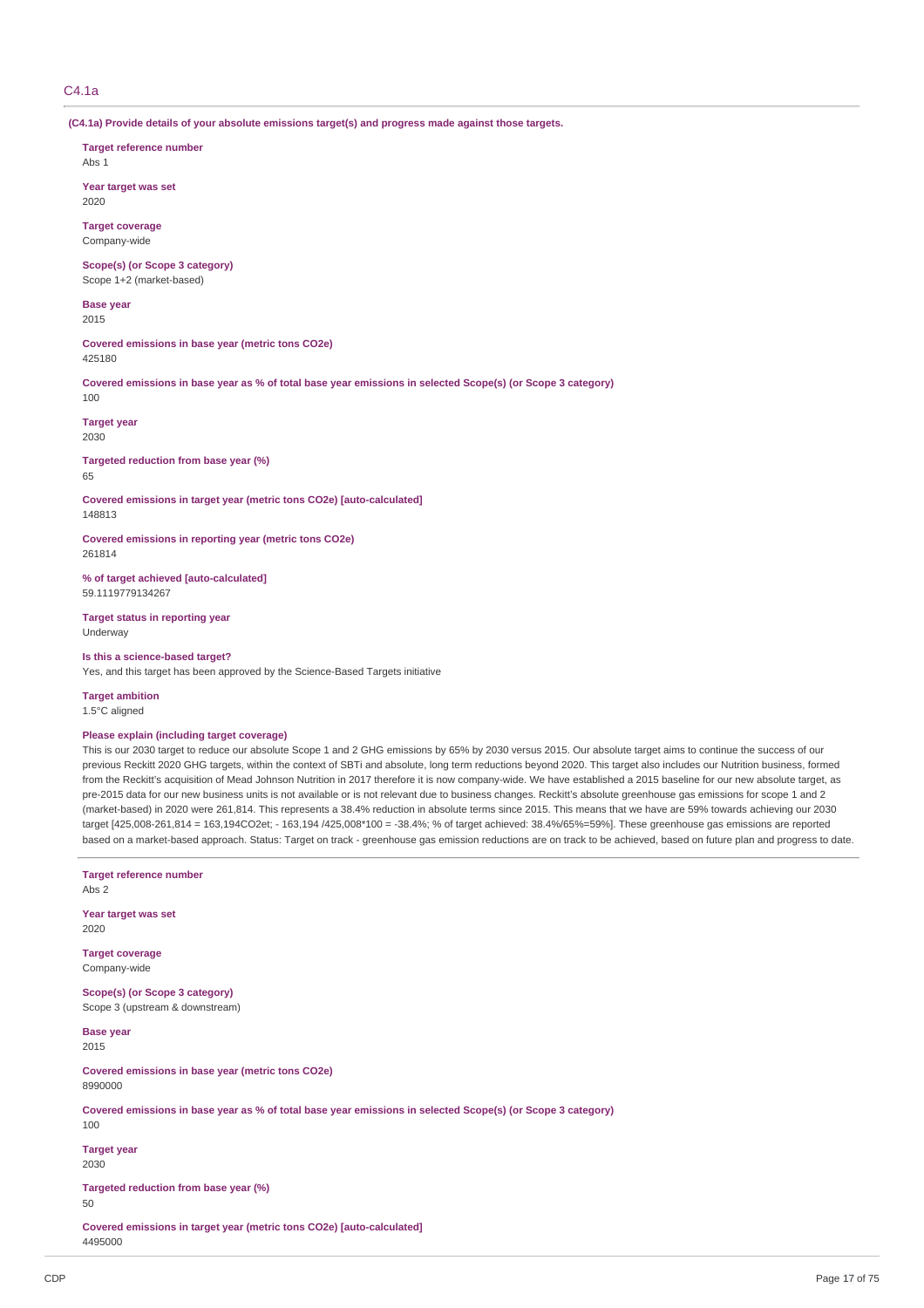## C4.1a

**(C4.1a) Provide details of your absolute emissions target(s) and progress made against those targets.**

**Target reference number**

Abs 1

**Year target was set** 2020

**Target coverage** Company-wide

**Scope(s) (or Scope 3 category)** Scope 1+2 (market-based)

**Base** year 2015

**Covered emissions in base year (metric tons CO2e)** 425180

Covered emissions in base year as % of total base year emissions in selected Scope(s) (or Scope 3 category) 100

**Target year** 2030

**Targeted reduction from base year (%)** 65

**Covered emissions in target year (metric tons CO2e) [auto-calculated]** 148813

**Covered emissions in reporting year (metric tons CO2e)** 261814

**% of target achieved [auto-calculated]** 59.1119779134267

**Target status in reporting year** Underway

**Is this a science-based target?**

Yes, and this target has been approved by the Science-Based Targets initiative

**Target ambition**

1.5°C aligned

### **Please explain (including target coverage)**

This is our 2030 target to reduce our absolute Scope 1 and 2 GHG emissions by 65% by 2030 versus 2015. Our absolute target aims to continue the success of our previous Reckitt 2020 GHG targets, within the context of SBTi and absolute, long term reductions beyond 2020. This target also includes our Nutrition business, formed from the Reckitt's acquisition of Mead Johnson Nutrition in 2017 therefore it is now company-wide. We have established a 2015 baseline for our new absolute target, as pre-2015 data for our new business units is not available or is not relevant due to business changes. Reckitt's absolute greenhouse gas emissions for scope 1 and 2 (market-based) in 2020 were 261,814. This represents a 38.4% reduction in absolute terms since 2015. This means that we have are 59% towards achieving our 2030 target [425,008-261,814 = 163,194CO2et; - 163,194 /425,008\*100 = -38.4%; % of target achieved: 38.4%/65%=59%]. These greenhouse gas emissions are reported based on a market-based approach. Status: Target on track - greenhouse gas emission reductions are on track to be achieved, based on future plan and progress to date.

**Target reference number** Abs 2 **Year target was set** 2020 **Target coverage** Company-wide **Scope(s) (or Scope 3 category)** Scope 3 (upstream & downstream) **Base year** 2015 **Covered emissions in base year (metric tons CO2e)** 8990000 Covered emissions in base year as % of total base year emissions in selected Scope(s) (or Scope 3 category) 100 **Target year** 2030 **Targeted reduction from base year (%)** 50 **Covered emissions in target year (metric tons CO2e) [auto-calculated]** 4495000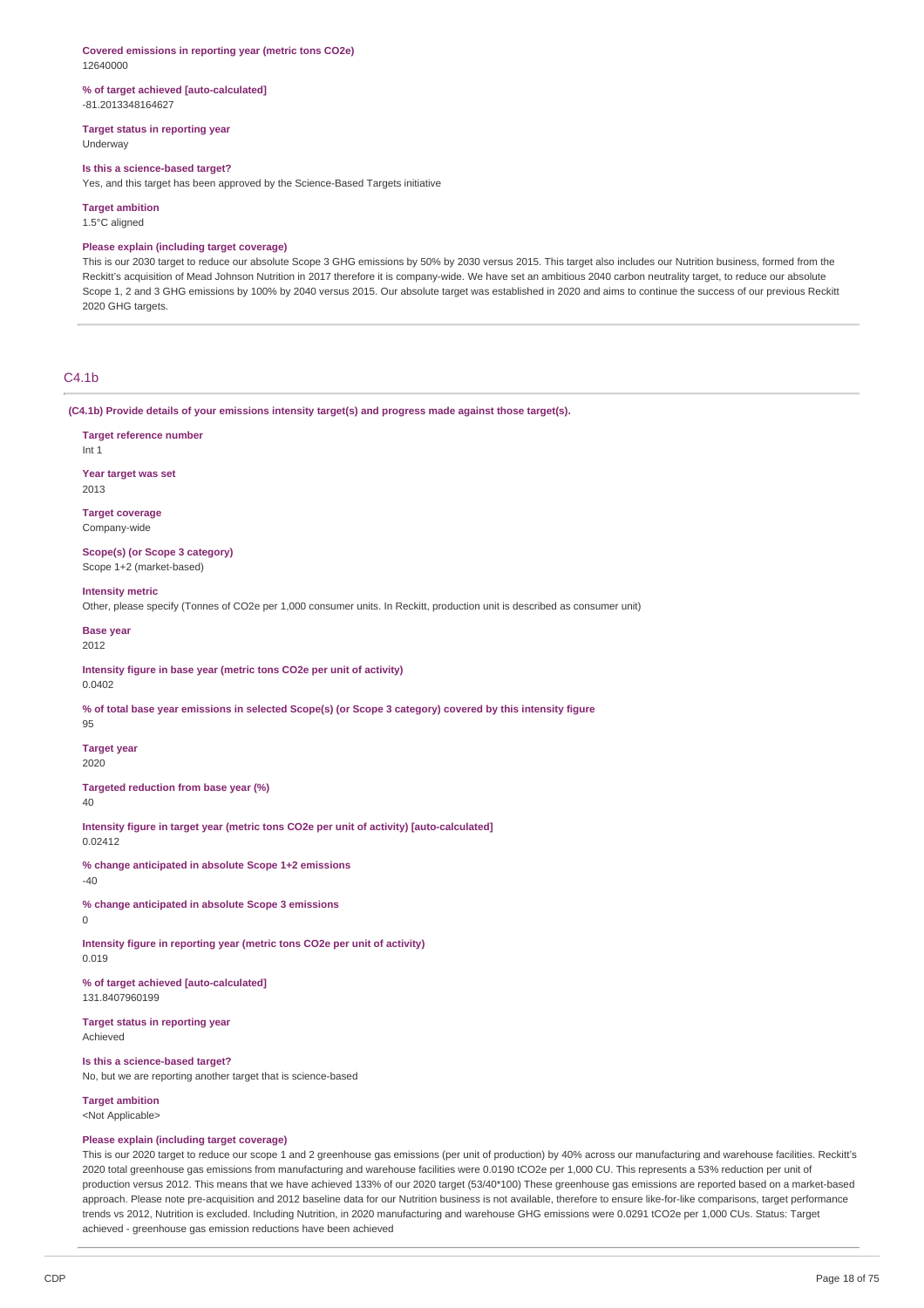#### **Covered emissions in reporting year (metric tons CO2e)** 12640000

#### **% of target achieved [auto-calculated]** -81.2013348164627

**Target status in reporting year** Underway

#### **Is this a science-based target?**

Yes, and this target has been approved by the Science-Based Targets initiative

## **Target ambition**

1.5°C aligned

### **Please explain (including target coverage)**

This is our 2030 target to reduce our absolute Scope 3 GHG emissions by 50% by 2030 versus 2015. This target also includes our Nutrition business, formed from the Reckitt's acquisition of Mead Johnson Nutrition in 2017 therefore it is company-wide. We have set an ambitious 2040 carbon neutrality target, to reduce our absolute Scope 1, 2 and 3 GHG emissions by 100% by 2040 versus 2015. Our absolute target was established in 2020 and aims to continue the success of our previous Reckitt 2020 GHG targets.

## C4.1b

**(C4.1b) Provide details of your emissions intensity target(s) and progress made against those target(s).**

## **Target reference number**

Int 1

**Year target was set** 2013

**Target coverage** Company-wide

**Scope(s) (or Scope 3 category)** Scope 1+2 (market-based)

#### **Intensity metric**

Other, please specify (Tonnes of CO2e per 1,000 consumer units. In Reckitt, production unit is described as consumer unit)

#### **Base year** 2012

**Intensity figure in base year (metric tons CO2e per unit of activity)** 0.0402

% of total base year emissions in selected Scope(s) (or Scope 3 category) covered by this intensity figure

95

**Target year** 2020

**Targeted reduction from base year (%)**

## 40

**Intensity figure in target year (metric tons CO2e per unit of activity) [auto-calculated]** 0.02412

**% change anticipated in absolute Scope 1+2 emissions**

# -40

**% change anticipated in absolute Scope 3 emissions**

## $\theta$

**Intensity figure in reporting year (metric tons CO2e per unit of activity)** 0.019

**% of target achieved [auto-calculated]** 131.8407960199

**Target status in reporting year** Achieved

## **Is this a science-based target?**

No, but we are reporting another target that is science-based

**Target ambition** <Not Applicable>

## **Please explain (including target coverage)**

This is our 2020 target to reduce our scope 1 and 2 greenhouse gas emissions (per unit of production) by 40% across our manufacturing and warehouse facilities. Reckitt's 2020 total greenhouse gas emissions from manufacturing and warehouse facilities were 0.0190 tCO2e per 1,000 CU. This represents a 53% reduction per unit of production versus 2012. This means that we have achieved 133% of our 2020 target (53/40\*100) These greenhouse gas emissions are reported based on a market-based approach. Please note pre-acquisition and 2012 baseline data for our Nutrition business is not available, therefore to ensure like-for-like comparisons, target performance trends vs 2012, Nutrition is excluded. Including Nutrition, in 2020 manufacturing and warehouse GHG emissions were 0.0291 tCO2e per 1,000 CUs. Status: Target achieved - greenhouse gas emission reductions have been achieved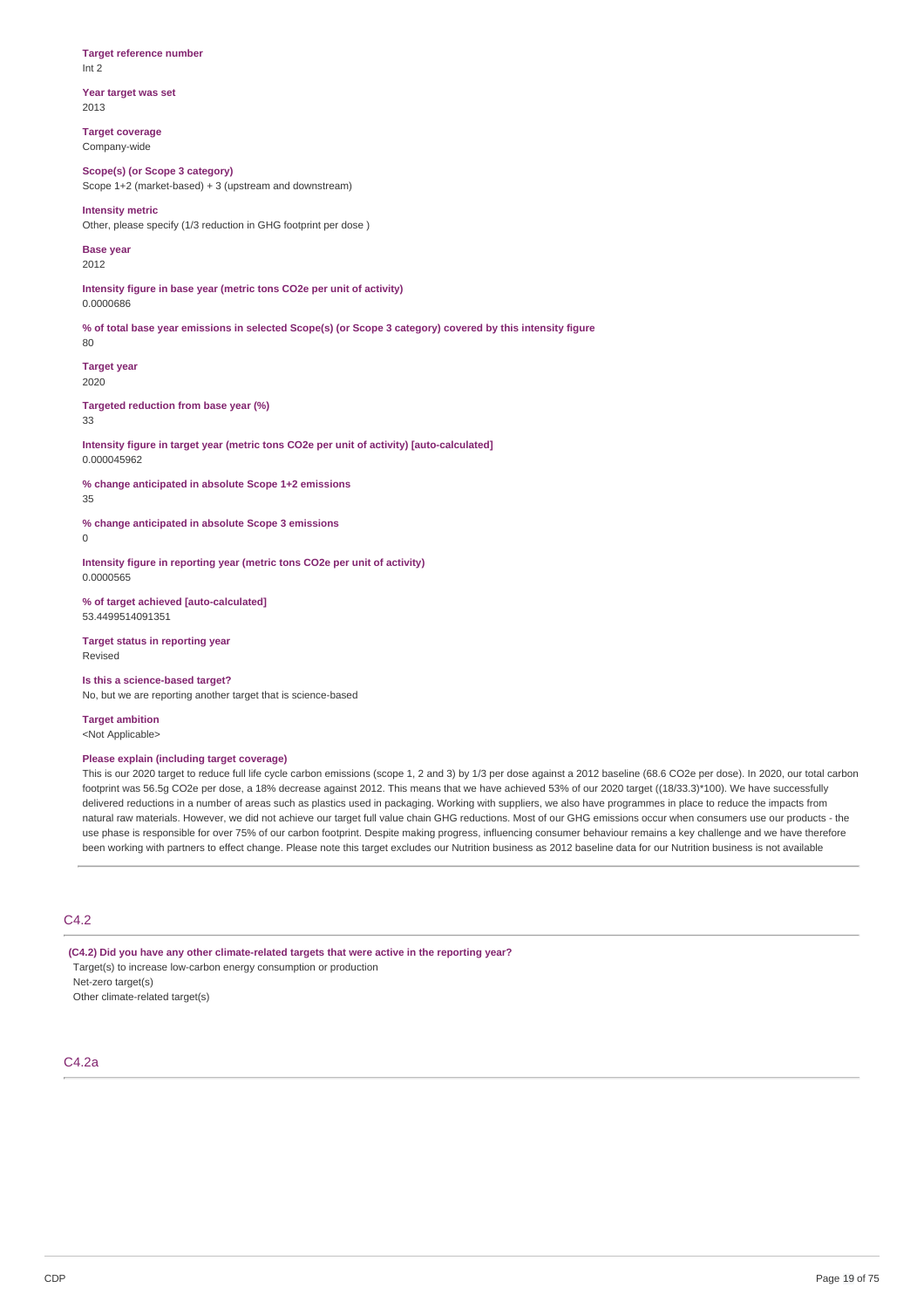## **Target reference number** Int 2

**Year target was set** 2013

**Target coverage** Company-wide

**Scope(s) (or Scope 3 category)** Scope 1+2 (market-based) + 3 (upstream and downstream)

**Intensity metric** Other, please specify (1/3 reduction in GHG footprint per dose )

**Base year** 2012

**Intensity figure in base year (metric tons CO2e per unit of activity)** 0.0000686

% of total base year emissions in selected Scope(s) (or Scope 3 category) covered by this intensity figure  $80$ 

**Target year** 2020

**Targeted reduction from base year (%)** 33

**Intensity figure in target year (metric tons CO2e per unit of activity) [auto-calculated]** 0.000045962

**% change anticipated in absolute Scope 1+2 emissions** 35

**% change anticipated in absolute Scope 3 emissions**  $\theta$ 

**Intensity figure in reporting year (metric tons CO2e per unit of activity)** 0.0000565

**% of target achieved [auto-calculated]** 53.4499514091351

**Target status in reporting year** Revised

**Is this a science-based target?** No, but we are reporting another target that is science-based

**Target ambition** <Not Applicable>

## **Please explain (including target coverage)**

This is our 2020 target to reduce full life cycle carbon emissions (scope 1, 2 and 3) by 1/3 per dose against a 2012 baseline (68.6 CO2e per dose). In 2020, our total carbon footprint was 56.5g CO2e per dose, a 18% decrease against 2012. This means that we have achieved 53% of our 2020 target ((18/33.3)\*100). We have successfully delivered reductions in a number of areas such as plastics used in packaging. Working with suppliers, we also have programmes in place to reduce the impacts from natural raw materials. However, we did not achieve our target full value chain GHG reductions. Most of our GHG emissions occur when consumers use our products - the use phase is responsible for over 75% of our carbon footprint. Despite making progress, influencing consumer behaviour remains a key challenge and we have therefore been working with partners to effect change. Please note this target excludes our Nutrition business as 2012 baseline data for our Nutrition business is not available

## C4.2

**(C4.2) Did you have any other climate-related targets that were active in the reporting year?** Target(s) to increase low-carbon energy consumption or production Net-zero target(s)

Other climate-related target(s)

## C4.2a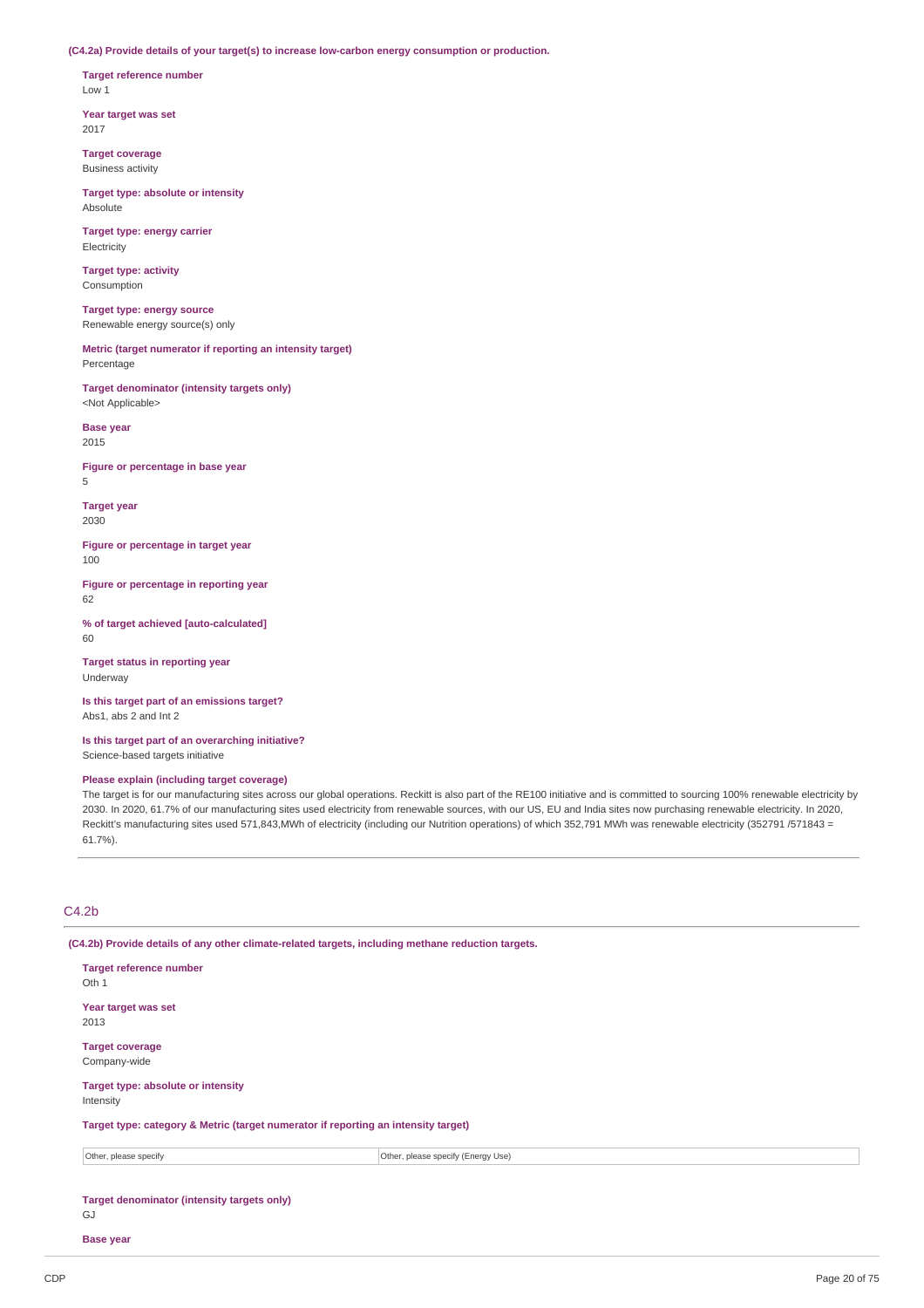**(C4.2a) Provide details of your target(s) to increase low-carbon energy consumption or production.**

**Target reference number** Low 1

**Year target was set** 2017

**Target coverage** Business activity

**Target type: absolute or intensity Absolute** 

**Target type: energy carrier** Electricity

**Target type: activity** Consumption

**Target type: energy source** Renewable energy source(s) only

**Metric (target numerator if reporting an intensity target)** Percentage

**Target denominator (intensity targets only)** <Not Applicable>

**Base year** 2015

**Figure or percentage in base year** 5

**Target year** 2030

**Figure or percentage in target year** 100

**Figure or percentage in reporting year** 62

**% of target achieved [auto-calculated]** 60

**Target status in reporting year** Underway

**Is this target part of an emissions target?** Abs1, abs 2 and Int 2

**Is this target part of an overarching initiative?** Science-based targets initiative

## **Please explain (including target coverage)**

The target is for our manufacturing sites across our global operations. Reckitt is also part of the RE100 initiative and is committed to sourcing 100% renewable electricity by 2030. In 2020, 61.7% of our manufacturing sites used electricity from renewable sources, with our US, EU and India sites now purchasing renewable electricity. In 2020, Reckitt's manufacturing sites used 571,843,MWh of electricity (including our Nutrition operations) of which 352,791 MWh was renewable electricity (352791 /571843 = 61.7%).

## C4.2b

**(C4.2b) Provide details of any other climate-related targets, including methane reduction targets.**

| <b>Target reference number</b><br>Oth 1                                            |                                    |  |  |
|------------------------------------------------------------------------------------|------------------------------------|--|--|
| Year target was set<br>2013                                                        |                                    |  |  |
| <b>Target coverage</b><br>Company-wide                                             |                                    |  |  |
| Target type: absolute or intensity<br>Intensity                                    |                                    |  |  |
| Target type: category & Metric (target numerator if reporting an intensity target) |                                    |  |  |
| Other, please specify                                                              | Other, please specify (Energy Use) |  |  |
| <b>Target denominator (intensity targets only)</b><br>GJ                           |                                    |  |  |

**Base year**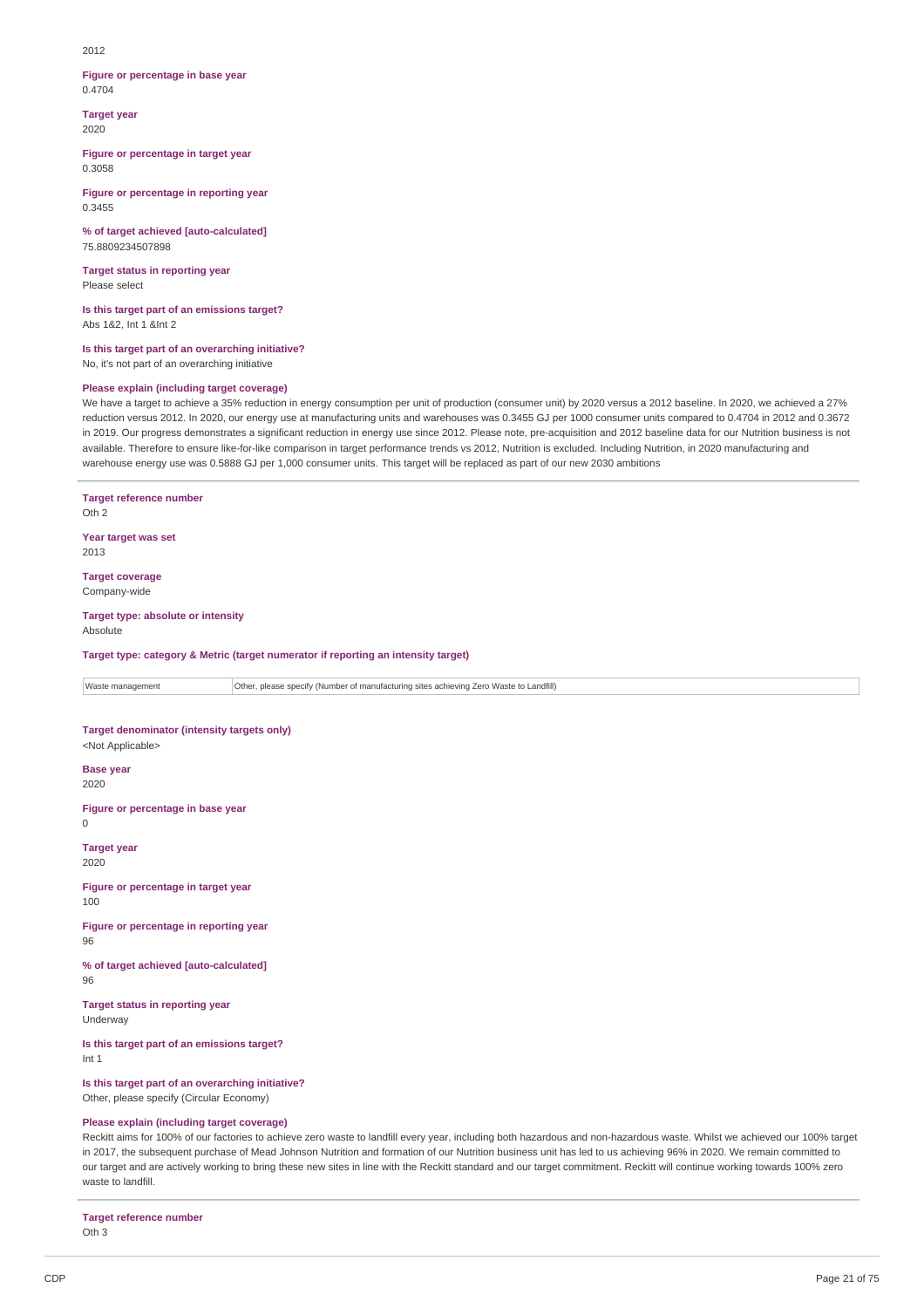#### $2012$

#### **Figure or percentage in base year** 0.4704

**Target year** 2020

**Figure or percentage in target year** 0.3058

**Figure or percentage in reporting year** 0.3455

**% of target achieved [auto-calculated]** 75.8809234507898

**Target status in reporting year** Please select

**Is this target part of an emissions target?** Abs 1&2, Int 1 &Int 2

**Is this target part of an overarching initiative?** No, it's not part of an overarching initiative

## **Please explain (including target coverage)**

We have a target to achieve a 35% reduction in energy consumption per unit of production (consumer unit) by 2020 versus a 2012 baseline. In 2020, we achieved a 27% reduction versus 2012. In 2020, our energy use at manufacturing units and warehouses was 0.3455 GJ per 1000 consumer units compared to 0.4704 in 2012 and 0.3672 in 2019. Our progress demonstrates a significant reduction in energy use since 2012. Please note, pre-acquisition and 2012 baseline data for our Nutrition business is not available. Therefore to ensure like-for-like comparison in target performance trends vs 2012, Nutrition is excluded. Including Nutrition, in 2020 manufacturing and warehouse energy use was 0.5888 GJ per 1,000 consumer units. This target will be replaced as part of our new 2030 ambitions

**Target reference number** Oth 2

**Year target was set** 2013

**Target coverage** Company-wide

#### **Target type: absolute or intensity** Absolute

**Target type: category & Metric (target numerator if reporting an intensity target)**

Waste management Other, please specify (Number of manufacturing sites achieving Zero Waste to Landfill)

## **Target denominator (intensity targets only)**

<Not Applicable>

**Base year** 2020

**Figure or percentage in base year**  $\Omega$ 

**Target year** 2020

**Figure or percentage in target year** 100

**Figure or percentage in reporting year** 96

**% of target achieved [auto-calculated]** 96

**Target status in reporting year** Underway

**Is this target part of an emissions target?** Int 1

**Is this target part of an overarching initiative?**

Other, please specify (Circular Economy)

### **Please explain (including target coverage)**

Reckitt aims for 100% of our factories to achieve zero waste to landfill every year, including both hazardous and non-hazardous waste. Whilst we achieved our 100% target in 2017, the subsequent purchase of Mead Johnson Nutrition and formation of our Nutrition business unit has led to us achieving 96% in 2020. We remain committed to our target and are actively working to bring these new sites in line with the Reckitt standard and our target commitment. Reckitt will continue working towards 100% zero waste to landfill

**Target reference number** Oth 3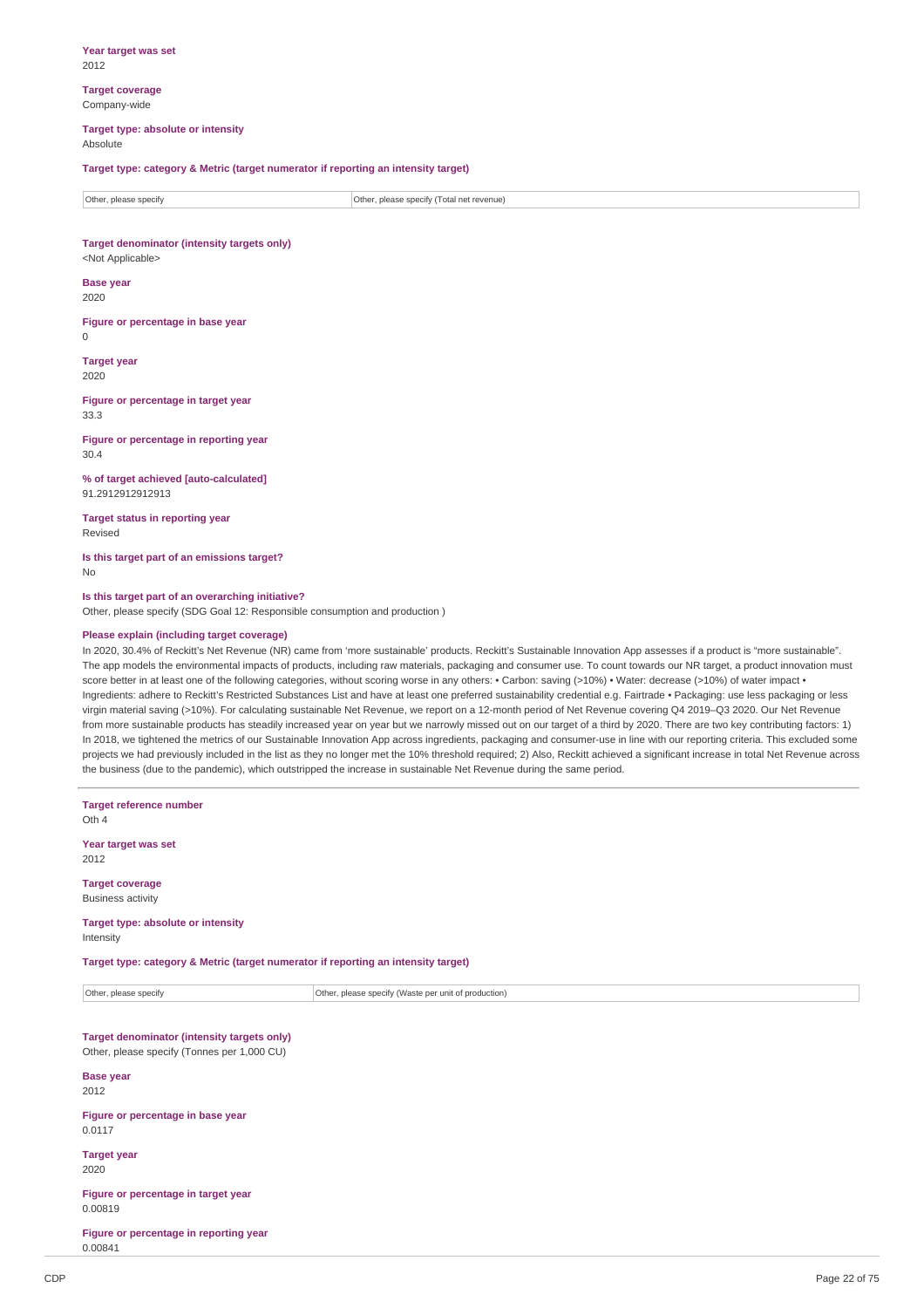**Year target was set** 2012

**Target coverage** Company-wide

#### **Target type: absolute or intensity** Absolute

**Target type: category & Metric (target numerator if reporting an intensity target)**

| Other, please specify | Other, please specify (<br>(Total net revenue) |
|-----------------------|------------------------------------------------|

**Target denominator (intensity targets only)** <Not Applicable>

**Base year** 2020

**Figure or percentage in base year**  $\Omega$ 

**Target year** 2020

**Figure or percentage in target year** 33.3

**Figure or percentage in reporting year** 30.4

**% of target achieved [auto-calculated]** 91.2912912912913

**Target status in reporting year** Revised

**Is this target part of an emissions target?** No

**Is this target part of an overarching initiative?** Other, please specify (SDG Goal 12: Responsible consumption and production )

## **Please explain (including target coverage)**

In 2020, 30.4% of Reckitt's Net Revenue (NR) came from 'more sustainable' products. Reckitt's Sustainable Innovation App assesses if a product is "more sustainable". The app models the environmental impacts of products, including raw materials, packaging and consumer use. To count towards our NR target, a product innovation must score better in at least one of the following categories, without scoring worse in any others: • Carbon: saving (>10%) • Water: decrease (>10%) of water impact • Ingredients: adhere to Reckitt's Restricted Substances List and have at least one preferred sustainability credential e.g. Fairtrade • Packaging: use less packaging or less virgin material saving (>10%). For calculating sustainable Net Revenue, we report on a 12-month period of Net Revenue covering Q4 2019–Q3 2020. Our Net Revenue from more sustainable products has steadily increased year on year but we narrowly missed out on our target of a third by 2020. There are two key contributing factors: 1) In 2018, we tightened the metrics of our Sustainable Innovation App across ingredients, packaging and consumer-use in line with our reporting criteria. This excluded some projects we had previously included in the list as they no longer met the 10% threshold required; 2) Also, Reckitt achieved a significant increase in total Net Revenue across the business (due to the pandemic), which outstripped the increase in sustainable Net Revenue during the same period.

| <b>Target reference number</b><br>Oth 4                                                    |                                                      |  |  |
|--------------------------------------------------------------------------------------------|------------------------------------------------------|--|--|
| Year target was set<br>2012                                                                |                                                      |  |  |
| <b>Target coverage</b><br><b>Business activity</b>                                         |                                                      |  |  |
| Target type: absolute or intensity<br>Intensity                                            |                                                      |  |  |
| Target type: category & Metric (target numerator if reporting an intensity target)         |                                                      |  |  |
| Other, please specify                                                                      | Other, please specify (Waste per unit of production) |  |  |
| Target denominator (intensity targets only)<br>Other, please specify (Tonnes per 1,000 CU) |                                                      |  |  |
| <b>Base year</b><br>2012                                                                   |                                                      |  |  |
| Figure or percentage in base year<br>0.0117                                                |                                                      |  |  |
| <b>Target year</b><br>2020                                                                 |                                                      |  |  |
| Figure or percentage in target year<br>0.00819                                             |                                                      |  |  |
| Figure or percentage in reporting year<br>0.00841                                          |                                                      |  |  |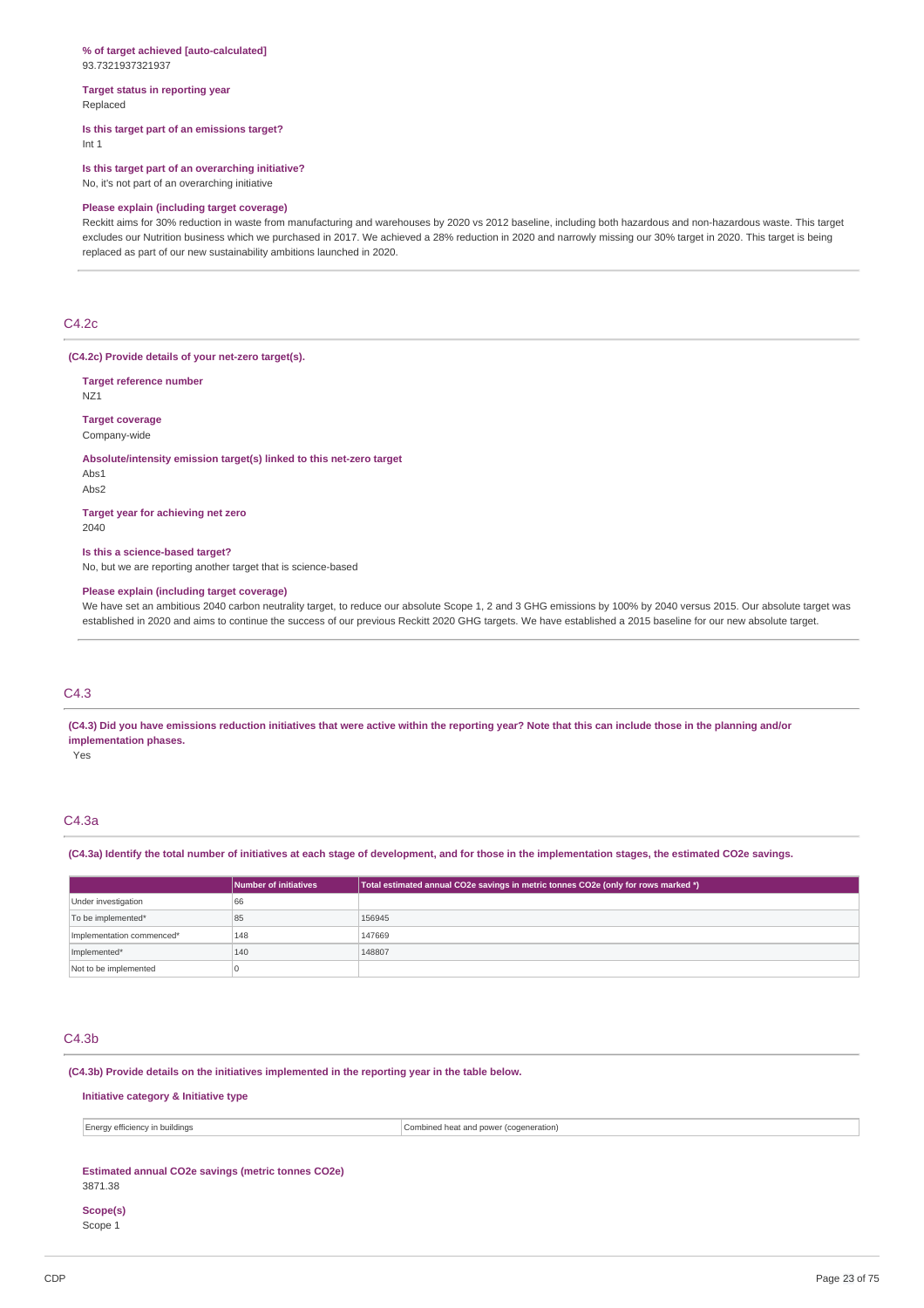#### **% of target achieved [auto-calculated]** 93.7321937321937

**Target status in reporting year** Replaced

## **Is this target part of an emissions target?**

Int 1

**Is this target part of an overarching initiative?** No, it's not part of an overarching initiative

### **Please explain (including target coverage)**

Reckitt aims for 30% reduction in waste from manufacturing and warehouses by 2020 vs 2012 baseline, including both hazardous and non-hazardous waste. This target excludes our Nutrition business which we purchased in 2017. We achieved a 28% reduction in 2020 and narrowly missing our 30% target in 2020. This target is being replaced as part of our new sustainability ambitions launched in 2020.

## C4.2c

#### **(C4.2c) Provide details of your net-zero target(s).**

**Target reference number**

NZ1

## **Target coverage**

Company-wide

#### **Absolute/intensity emission target(s) linked to this net-zero target**

Abs1

## Abs2

**Target year for achieving net zero** 2040

#### **Is this a science-based target?**

No, but we are reporting another target that is science-based

#### **Please explain (including target coverage)**

We have set an ambitious 2040 carbon neutrality target, to reduce our absolute Scope 1, 2 and 3 GHG emissions by 100% by 2040 versus 2015. Our absolute target was established in 2020 and aims to continue the success of our previous Reckitt 2020 GHG targets. We have established a 2015 baseline for our new absolute target.

## C4.3

(C4.3) Did you have emissions reduction initiatives that were active within the reporting year? Note that this can include those in the planning and/or **implementation phases.**

Yes

## C4.3a

(C4.3a) Identify the total number of initiatives at each stage of development, and for those in the implementation stages, the estimated CO2e savings.

|                           | Number of initiatives | Total estimated annual CO2e savings in metric tonnes CO2e (only for rows marked *) |
|---------------------------|-----------------------|------------------------------------------------------------------------------------|
| Under investigation       | 66                    |                                                                                    |
| To be implemented*        | 85                    | 156945                                                                             |
| Implementation commenced* | 148                   | 147669                                                                             |
| Implemented*              | 140                   | 148807                                                                             |
| Not to be implemented     |                       |                                                                                    |

## C4.3b

**(C4.3b) Provide details on the initiatives implemented in the reporting year in the table below.**

## **Initiative category & Initiative type**

| <b>Energy efficiency</b><br>' in buildinas | Combined heat and nowe.<br>eration)<br>ccogen |
|--------------------------------------------|-----------------------------------------------|
|--------------------------------------------|-----------------------------------------------|

### **Estimated annual CO2e savings (metric tonnes CO2e)**

3871.38

## **Scope(s)**

Scope 1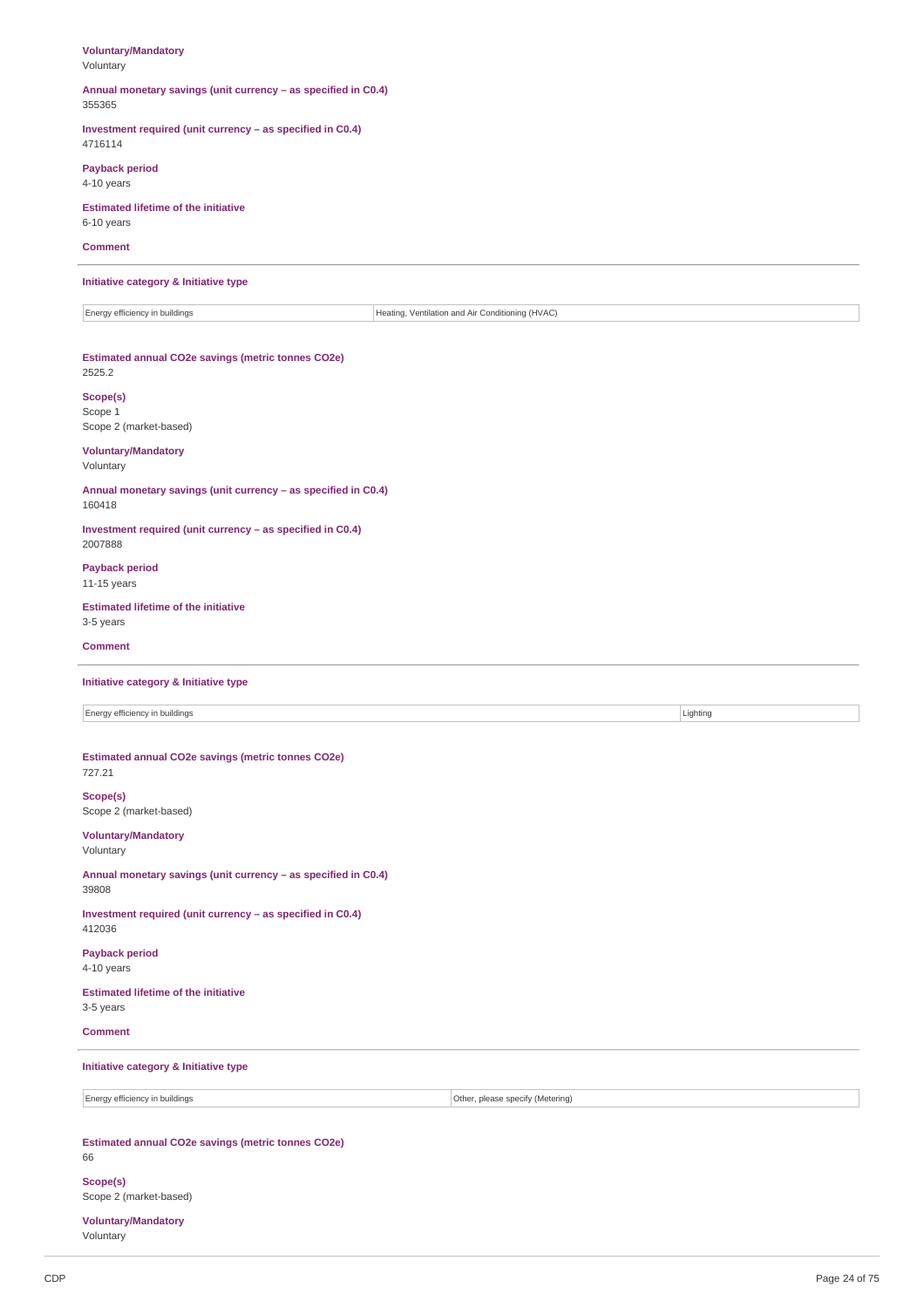## **Voluntary/Mandatory**

Voluntary

#### **Annual monetary savings (unit currency – as specified in C0.4)** 355365

**Investment required (unit currency – as specified in C0.4)** 4716114

**Payback period**

4-10 years

## **Estimated lifetime of the initiative**

6-10 years

## **Comment**

**Initiative category & Initiative type**

Energy efficiency in buildings **Heating, Ventilation and Air Conditioning (HVAC)** 

## **Estimated annual CO2e savings (metric tonnes CO2e)**

2525.2

## **Scope(s)**

Scope 1 Scope 2 (market-based)

## **Voluntary/Mandatory**

Voluntary

**Annual monetary savings (unit currency – as specified in C0.4)** 160418

**Investment required (unit currency – as specified in C0.4)** 2007888

**Payback period** 11-15 years

## **Estimated lifetime of the initiative** 3-5 years

**Comment**

## **Initiative category & Initiative type**

Energy efficiency in buildings **Lighting** Lighting **Lighting** 

## **Estimated annual CO2e savings (metric tonnes CO2e)**

727.21 **Scope(s)** Scope 2 (market-based)

## **Voluntary/Mandatory**

Voluntary

## **Annual monetary savings (unit currency – as specified in C0.4)** 39808

**Investment required (unit currency – as specified in C0.4)** 412036

**Payback period** 4-10 years

**Estimated lifetime of the initiative** 3-5 years

### **Comment**

## **Initiative category & Initiative type**

Energy efficiency in buildings **Other, please specify (Metering)** Other, please specify (Metering)

#### **Estimated annual CO2e savings (metric tonnes CO2e)** 66

**Scope(s)** Scope 2 (market-based)

**Voluntary/Mandatory** Voluntary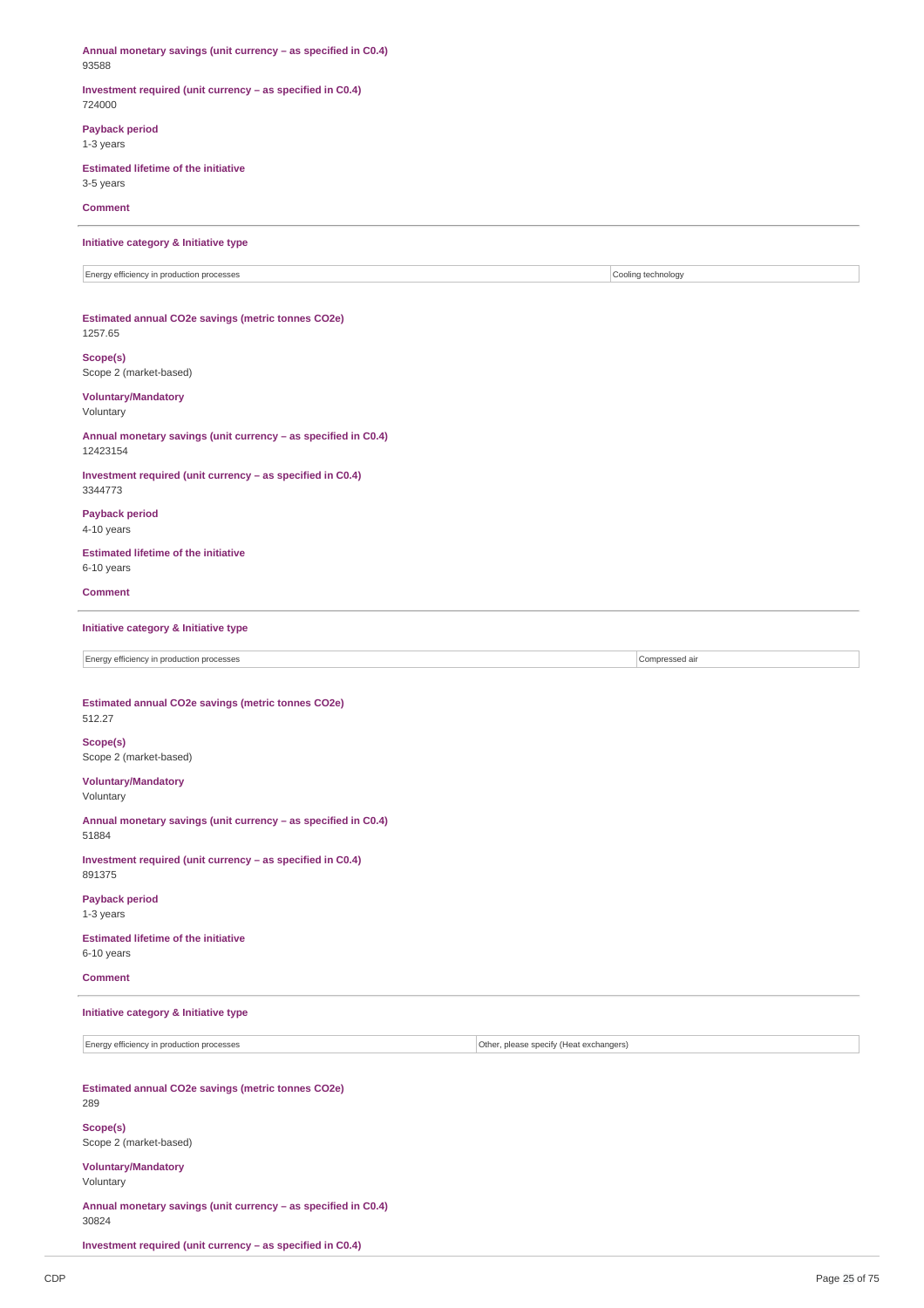**Annual monetary savings (unit currency – as specified in C0.4)** 93588 **Investment required (unit currency – as specified in C0.4)** 724000 **Payback period** 1-3 years **Estimated lifetime of the initiative** 3-5 years **Comment Initiative category & Initiative type** Energy efficiency in production processes Cooling technology **Estimated annual CO2e savings (metric tonnes CO2e)** 1257.65 **Scope(s)** Scope 2 (market-based) **Voluntary/Mandatory** Voluntary **Annual monetary savings (unit currency – as specified in C0.4)** 12423154 **Investment required (unit currency – as specified in C0.4)** 3344773 **Payback period** 4-10 years **Estimated lifetime of the initiative** 6-10 years **Comment Initiative category & Initiative type** Energy efficiency in production processes Compressed air **Estimated annual CO2e savings (metric tonnes CO2e)** 512.27 **Scope(s)** Scope 2 (market-based) **Voluntary/Mandatory** Voluntary **Annual monetary savings (unit currency – as specified in C0.4)** 51884 **Investment required (unit currency – as specified in C0.4)** 891375 **Payback period** 1-3 years **Estimated lifetime of the initiative** 6-10 years **Comment Initiative category & Initiative type** Energy efficiency in production processes **Other and COSE CONFINENTIAL CONFINENTIAL CONFINENTIAL CONFINENTIAL CONFINENTIAL CONFIDENTIAL CONFIDENTIAL CONFIDENTIAL CONFIDENTIAL CONFIDENTIAL CONFIDENTIAL CONFIDENTIAL CONFIDEN Estimated annual CO2e savings (metric tonnes CO2e)** 289 **Scope(s)** Scope 2 (market-based) **Voluntary/Mandatory** Voluntary **Annual monetary savings (unit currency – as specified in C0.4)**

30824

**Investment required (unit currency – as specified in C0.4)**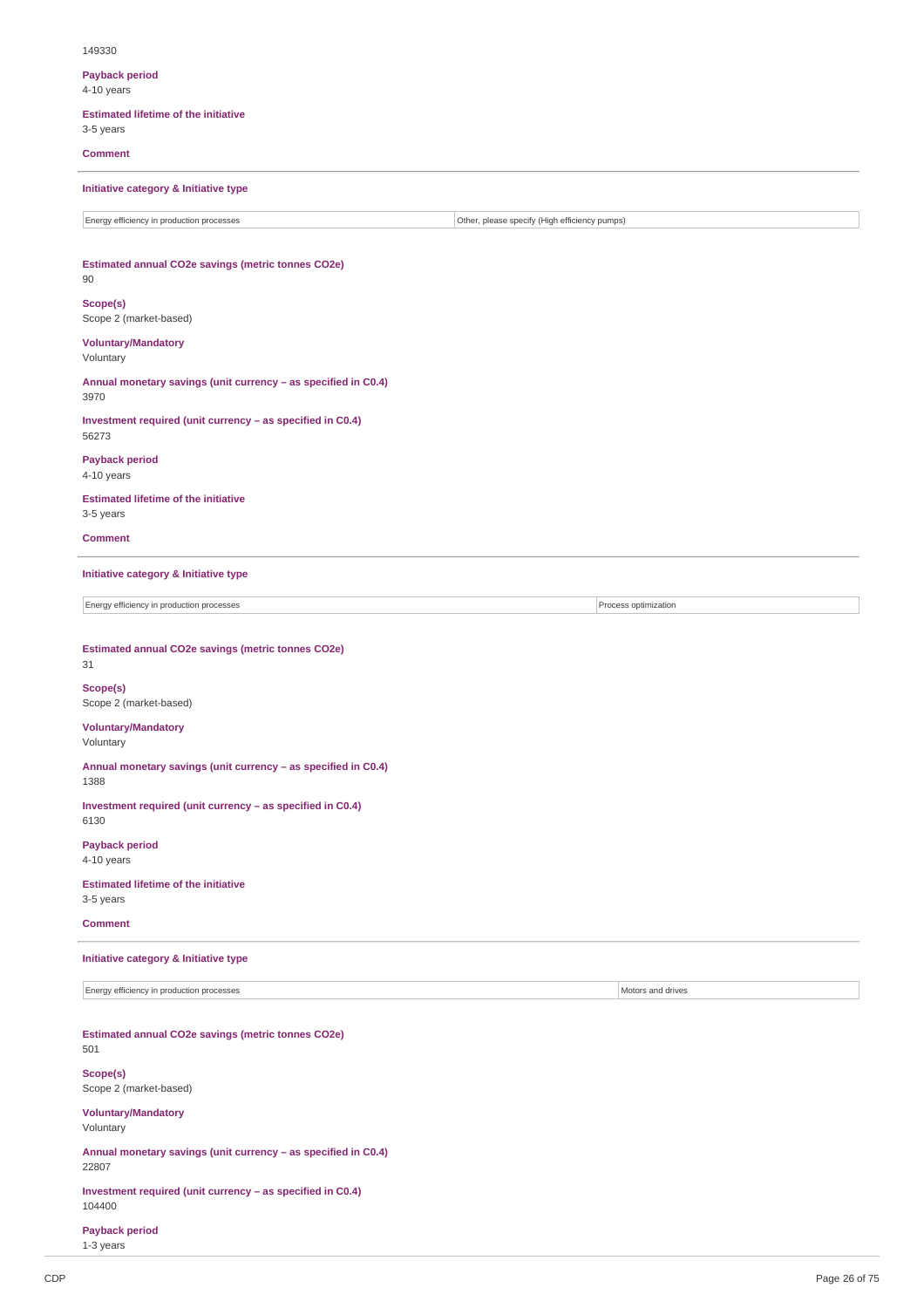#### 149330

**Payback period**

4-10 years

## **Estimated lifetime of the initiative**

3-5 years

**Comment**

## **Initiative category & Initiative type**

## **Estimated annual CO2e savings (metric tonnes CO2e)**

## 90

**Scope(s)** Scope 2 (market-based)

### **Voluntary/Mandatory**

Voluntary

**Annual monetary savings (unit currency – as specified in C0.4)** 3970

**Investment required (unit currency – as specified in C0.4)** 56273

## **Payback period** 4-10 years

## **Estimated lifetime of the initiative** 3-5 years

**Comment**

### **Initiative category & Initiative type**

Energy efficiency in production processes Process optimization

## **Estimated annual CO2e savings (metric tonnes CO2e)**

31 **Scope(s)** Scope 2 (market-based)

## **Voluntary/Mandatory**

Voluntary

**Annual monetary savings (unit currency – as specified in C0.4)** 1388

**Investment required (unit currency – as specified in C0.4)** 6130

**Payback period** 4-10 years

**Estimated lifetime of the initiative** 3-5 years

### **Comment**

## **Initiative category & Initiative type**

Energy efficiency in production processes Motors and drives

**Estimated annual CO2e savings (metric tonnes CO2e)** 501

**Scope(s)** Scope 2 (market-based)

**Voluntary/Mandatory**

Voluntary

**Annual monetary savings (unit currency – as specified in C0.4)** 22807

**Investment required (unit currency – as specified in C0.4)** 104400

**Payback period**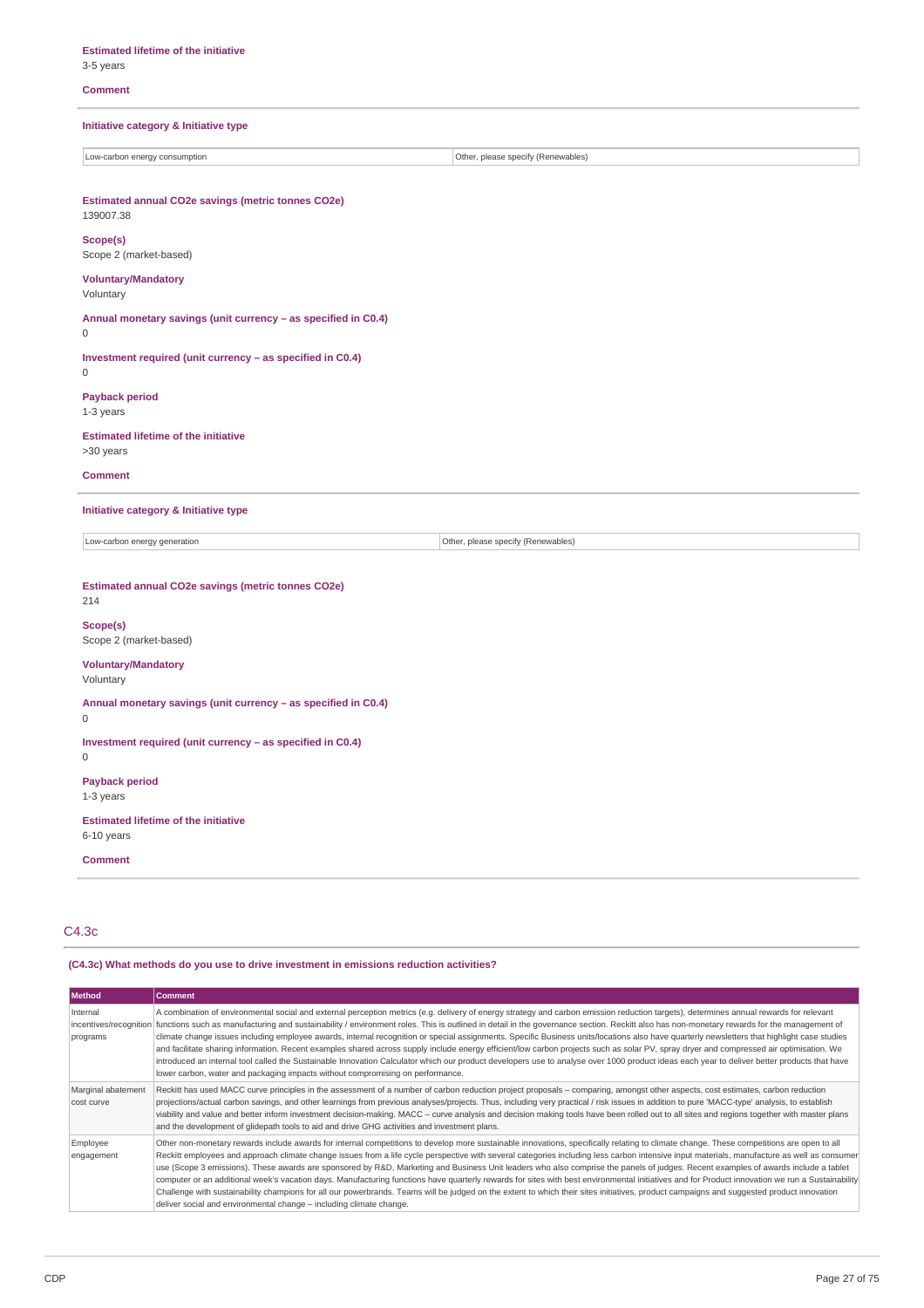## 3-5 years

## **Comment**

## **Initiative category & Initiative type**

Low-carbon energy consumption **COLOGY** CONSULTER THE CONSULTER STATE OF A CONSULTER STATE OF A CONSULTER STATE OF A CONSULTER STATE OF A CONSULTER STATE OF A CONSULTER STATE OF A CONSULTER STATE OF A CONSULTER STATE OF A C

## **Estimated annual CO2e savings (metric tonnes CO2e)** 139007.38 **Scope(s)** Scope 2 (market-based) **Voluntary/Mandatory** Voluntary **Annual monetary savings (unit currency – as specified in C0.4)**  $\overline{0}$ **Investment required (unit currency – as specified in C0.4)**  $\Omega$ **Payback period** 1-3 years **Estimated lifetime of the initiative** >30 years **Comment Initiative category & Initiative type** Low-carbon energy generation **Contract Contract Contract Contract Contract Contract Contract Contract Contract Contract Contract Contract Contract Contract Contract Contract Contract Contract Contract Contract Contract Con Estimated annual CO2e savings (metric tonnes CO2e)** 214 **Scope(s)** Scope 2 (market-based) **Voluntary/Mandatory** Voluntary **Annual monetary savings (unit currency – as specified in C0.4)** 0 **Investment required (unit currency – as specified in C0.4)** 0 **Payback period** 1-3 years **Estimated lifetime of the initiative** 6-10 years **Comment**

## C4.3c

## **(C4.3c) What methods do you use to drive investment in emissions reduction activities?**

| <b>Method</b>                    | <b>Comment</b>                                                                                                                                                                                                                                                                                                                                                                                                                                                                                                                                                                                                                                                                                                                                                                                                                                                                                                                                                                                                                                                                        |
|----------------------------------|---------------------------------------------------------------------------------------------------------------------------------------------------------------------------------------------------------------------------------------------------------------------------------------------------------------------------------------------------------------------------------------------------------------------------------------------------------------------------------------------------------------------------------------------------------------------------------------------------------------------------------------------------------------------------------------------------------------------------------------------------------------------------------------------------------------------------------------------------------------------------------------------------------------------------------------------------------------------------------------------------------------------------------------------------------------------------------------|
| Internal<br>programs             | A combination of environmental social and external perception metrics (e.g. delivery of energy strategy and carbon emission reduction targets), determines annual rewards for relevant<br>incentives/recognition functions such as manufacturing and sustainability / environment roles. This is outlined in detail in the governance section. Reckitt also has non-monetary rewards for the management of<br>climate change issues including employee awards, internal recognition or special assignments. Specific Business units/locations also have quarterly newsletters that highlight case studies<br>and facilitate sharing information. Recent examples shared across supply include energy efficient/low carbon projects such as solar PV, spray dryer and compressed air optimisation. We<br>introduced an internal tool called the Sustainable Innovation Calculator which our product developers use to analyse over 1000 product ideas each year to deliver better products that have<br>lower carbon, water and packaging impacts without compromising on performance. |
| Marginal abatement<br>cost curve | Reckitt has used MACC curve principles in the assessment of a number of carbon reduction project proposals - comparing, amongst other aspects, cost estimates, carbon reduction<br>projections/actual carbon savings, and other learnings from previous analyses/projects. Thus, including very practical / risk issues in addition to pure 'MACC-type' analysis, to establish<br>viability and value and better inform investment decision-making. MACC – curve analysis and decision making tools have been rolled out to all sites and regions together with master plans<br>and the development of glidepath tools to aid and drive GHG activities and investment plans.                                                                                                                                                                                                                                                                                                                                                                                                          |
| Employee<br>engagement           | Other non-monetary rewards include awards for internal competitions to develop more sustainable innovations, specifically relating to climate change. These competitions are open to all<br>Reckitt employees and approach climate change issues from a life cycle perspective with several categories including less carbon intensive input materials, manufacture as well as consumer<br>use (Scope 3 emissions). These awards are sponsored by R&D, Marketing and Business Unit leaders who also comprise the panels of judges. Recent examples of awards include a tablet<br>computer or an additional week's vacation days. Manufacturing functions have quarterly rewards for sites with best environmental initiatives and for Product innovation we run a Sustainability<br>Challenge with sustainability champions for all our powerbrands. Teams will be judged on the extent to which their sites initiatives, product campaigns and suggested product innovation<br>deliver social and environmental change - including climate change.                                   |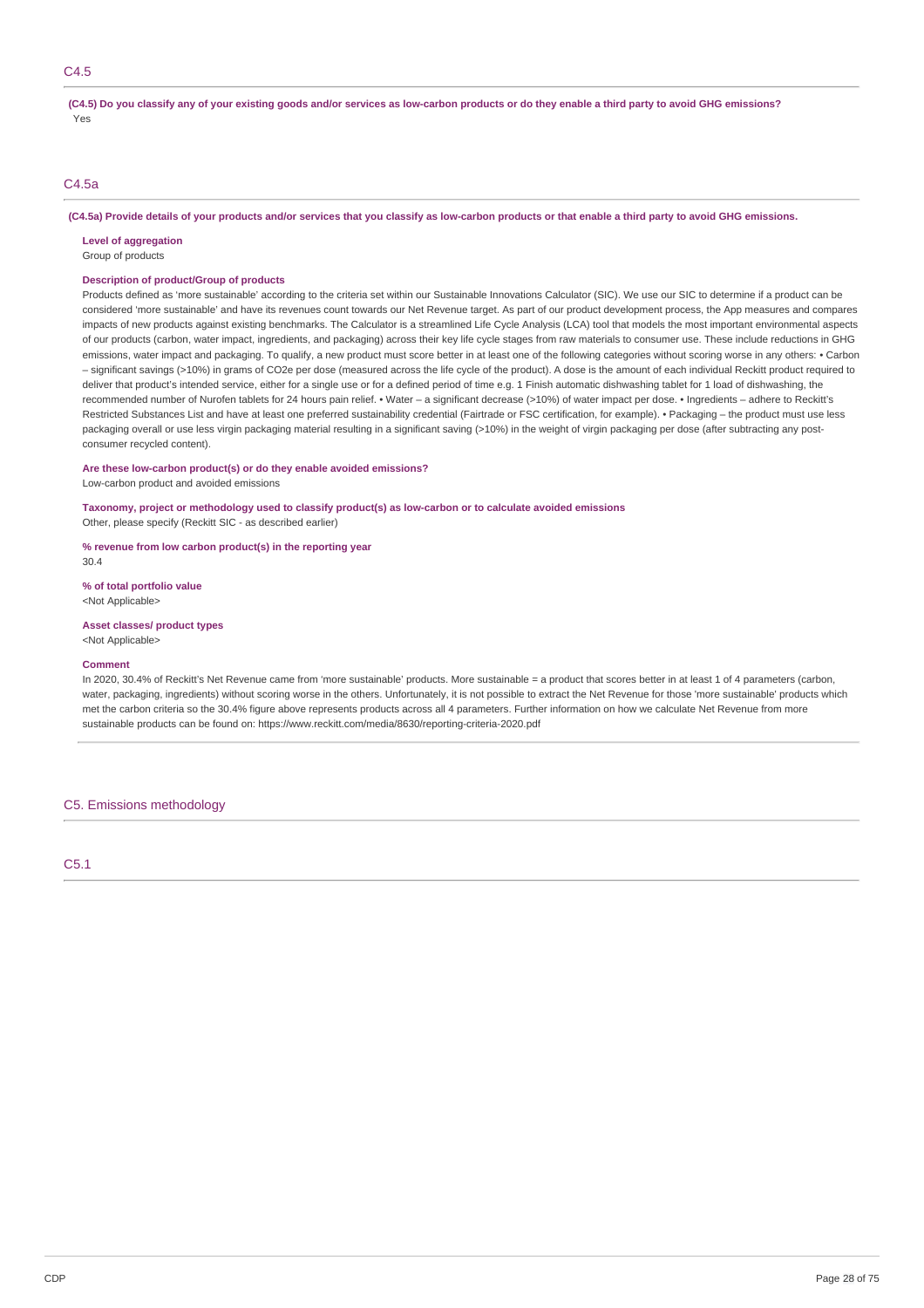(C4.5) Do you classify any of your existing goods and/or services as low-carbon products or do they enable a third party to avoid GHG emissions? Yes

## C4.5a

(C4.5a) Provide details of your products and/or services that you classify as low-carbon products or that enable a third party to avoid GHG emissions.

**Level of aggregation**

## Group of products

## **Description of product/Group of products**

Products defined as 'more sustainable' according to the criteria set within our Sustainable Innovations Calculator (SIC). We use our SIC to determine if a product can be considered 'more sustainable' and have its revenues count towards our Net Revenue target. As part of our product development process, the App measures and compares impacts of new products against existing benchmarks. The Calculator is a streamlined Life Cycle Analysis (LCA) tool that models the most important environmental aspects of our products (carbon, water impact, ingredients, and packaging) across their key life cycle stages from raw materials to consumer use. These include reductions in GHG emissions, water impact and packaging. To qualify, a new product must score better in at least one of the following categories without scoring worse in any others: • Carbon – significant savings (>10%) in grams of CO2e per dose (measured across the life cycle of the product). A dose is the amount of each individual Reckitt product required to deliver that product's intended service, either for a single use or for a defined period of time e.g. 1 Finish automatic dishwashing tablet for 1 load of dishwashing, the recommended number of Nurofen tablets for 24 hours pain relief. • Water – a significant decrease (>10%) of water impact per dose. • Ingredients – adhere to Reckitt's Restricted Substances List and have at least one preferred sustainability credential (Fairtrade or FSC certification, for example). • Packaging – the product must use less packaging overall or use less virgin packaging material resulting in a significant saving (>10%) in the weight of virgin packaging per dose (after subtracting any postconsumer recycled content).

## **Are these low-carbon product(s) or do they enable avoided emissions?**

Low-carbon product and avoided emissions

## **Taxonomy, project or methodology used to classify product(s) as low-carbon or to calculate avoided emissions**

Other, please specify (Reckitt SIC - as described earlier)

**% revenue from low carbon product(s) in the reporting year**

30.4

**% of total portfolio value** <Not Applicable>

## **Asset classes/ product types**

<Not Applicable>

#### **Comment**

In 2020, 30.4% of Reckitt's Net Revenue came from 'more sustainable' products. More sustainable = a product that scores better in at least 1 of 4 parameters (carbon, water, packaging, ingredients) without scoring worse in the others. Unfortunately, it is not possible to extract the Net Revenue for those 'more sustainable' products which met the carbon criteria so the 30.4% figure above represents products across all 4 parameters. Further information on how we calculate Net Revenue from more sustainable products can be found on: https://www.reckitt.com/media/8630/reporting-criteria-2020.pdf

### C5. Emissions methodology

C5.1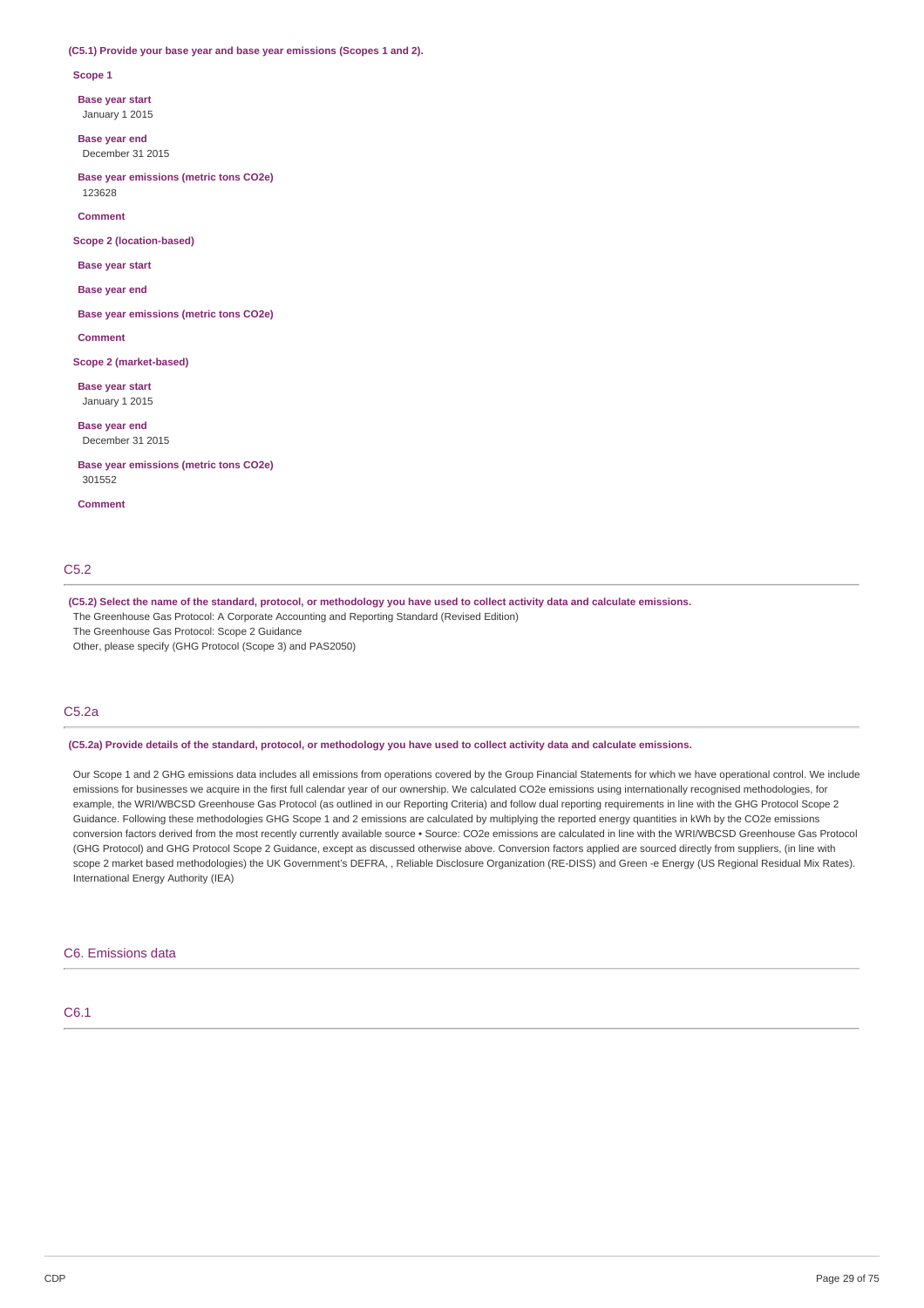#### **(C5.1) Provide your base year and base year emissions (Scopes 1 and 2).**

**Scope 1**

**Base year start**

January 1 2015

**Base year end** December 31 2015

**Base year emissions (metric tons CO2e)** 123628

**Comment**

**Scope 2 (location-based)**

**Base year start**

**Base year end**

**Base year emissions (metric tons CO2e)**

**Comment**

**Scope 2 (market-based)**

**Base year start** January 1 2015

**Base year end** December 31 2015

**Base year emissions (metric tons CO2e)** 301552

**Comment**

## C5.2

(C5.2) Select the name of the standard, protocol, or methodology you have used to collect activity data and calculate emissions.

The Greenhouse Gas Protocol: A Corporate Accounting and Reporting Standard (Revised Edition)

The Greenhouse Gas Protocol: Scope 2 Guidance

Other, please specify (GHG Protocol (Scope 3) and PAS2050)

## C5.2a

(C5.2a) Provide details of the standard, protocol, or methodology you have used to collect activity data and calculate emissions.

Our Scope 1 and 2 GHG emissions data includes all emissions from operations covered by the Group Financial Statements for which we have operational control. We include emissions for businesses we acquire in the first full calendar year of our ownership. We calculated CO2e emissions using internationally recognised methodologies, for example, the WRI/WBCSD Greenhouse Gas Protocol (as outlined in our Reporting Criteria) and follow dual reporting requirements in line with the GHG Protocol Scope 2 Guidance. Following these methodologies GHG Scope 1 and 2 emissions are calculated by multiplying the reported energy quantities in kWh by the CO2e emissions conversion factors derived from the most recently currently available source • Source: CO2e emissions are calculated in line with the WRI/WBCSD Greenhouse Gas Protocol (GHG Protocol) and GHG Protocol Scope 2 Guidance, except as discussed otherwise above. Conversion factors applied are sourced directly from suppliers, (in line with scope 2 market based methodologies) the UK Government's DEFRA, , Reliable Disclosure Organization (RE-DISS) and Green -e Energy (US Regional Residual Mix Rates). International Energy Authority (IEA)

#### C6. Emissions data

C6.1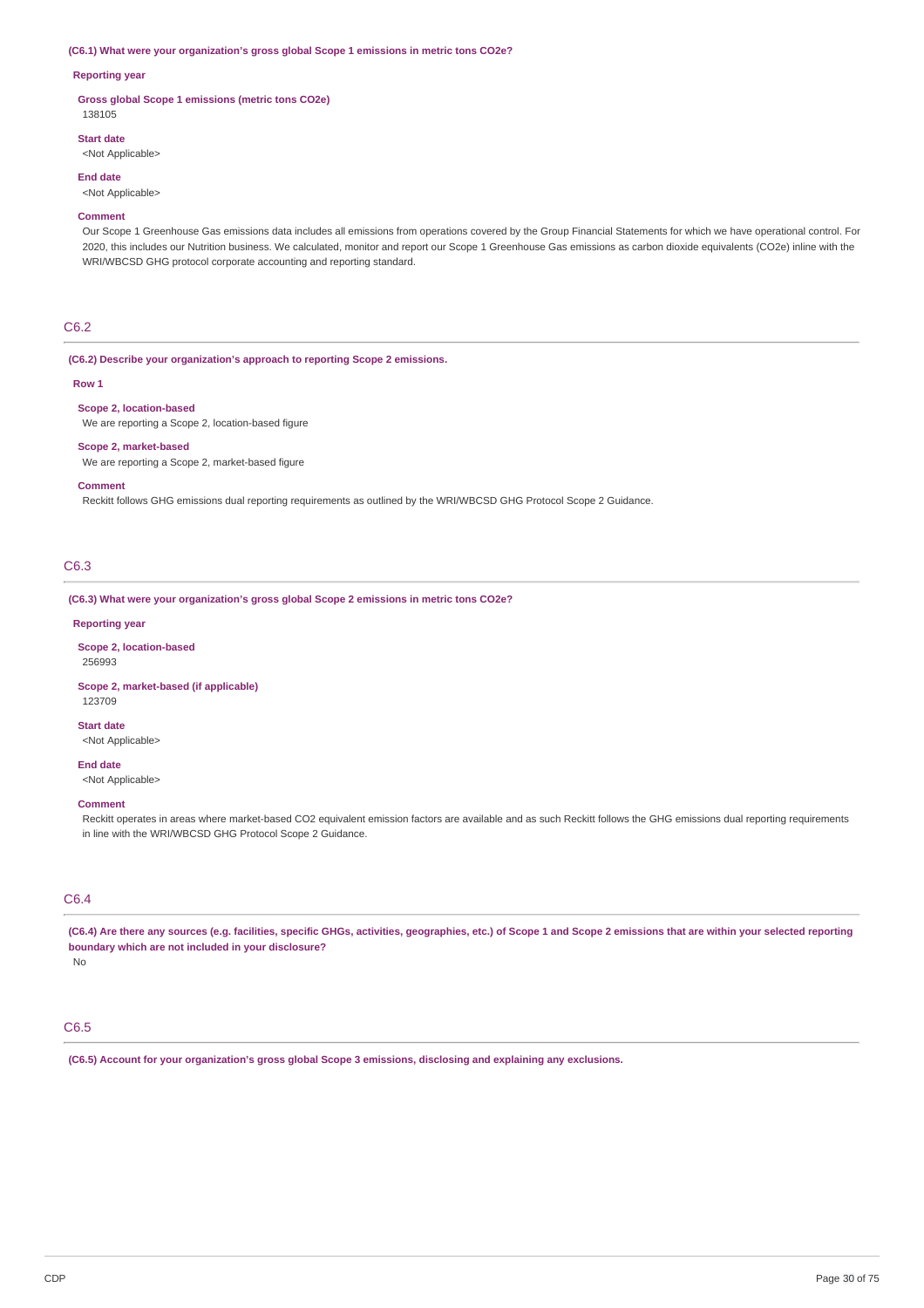#### **(C6.1) What were your organization's gross global Scope 1 emissions in metric tons CO2e?**

## **Reporting year**

**Gross global Scope 1 emissions (metric tons CO2e)** 138105

## **Start date**

<Not Applicable>

### **End date**

<Not Applicable>

#### **Comment**

Our Scope 1 Greenhouse Gas emissions data includes all emissions from operations covered by the Group Financial Statements for which we have operational control. For 2020, this includes our Nutrition business. We calculated, monitor and report our Scope 1 Greenhouse Gas emissions as carbon dioxide equivalents (CO2e) inline with the WRI/WBCSD GHG protocol corporate accounting and reporting standard.

## C6.2

**(C6.2) Describe your organization's approach to reporting Scope 2 emissions.**

### **Row 1**

## **Scope 2, location-based**

We are reporting a Scope 2, location-based figure

#### **Scope 2, market-based**

We are reporting a Scope 2, market-based figure

#### **Comment**

Reckitt follows GHG emissions dual reporting requirements as outlined by the WRI/WBCSD GHG Protocol Scope 2 Guidance.

## C6.3

**(C6.3) What were your organization's gross global Scope 2 emissions in metric tons CO2e?**

### **Reporting year**

**Scope 2, location-based** 256993

## **Scope 2, market-based (if applicable)** 123709

**Start date**

<Not Applicable>

## **End date**

<Not Applicable>

## **Comment**

Reckitt operates in areas where market-based CO2 equivalent emission factors are available and as such Reckitt follows the GHG emissions dual reporting requirements in line with the WRI/WBCSD GHG Protocol Scope 2 Guidance.

## C6.4

(C6.4) Are there any sources (e.g. facilities, specific GHGs, activities, geographies, etc.) of Scope 1 and Scope 2 emissions that are within your selected reporting **boundary which are not included in your disclosure?**

No

## C6.5

**(C6.5) Account for your organization's gross global Scope 3 emissions, disclosing and explaining any exclusions.**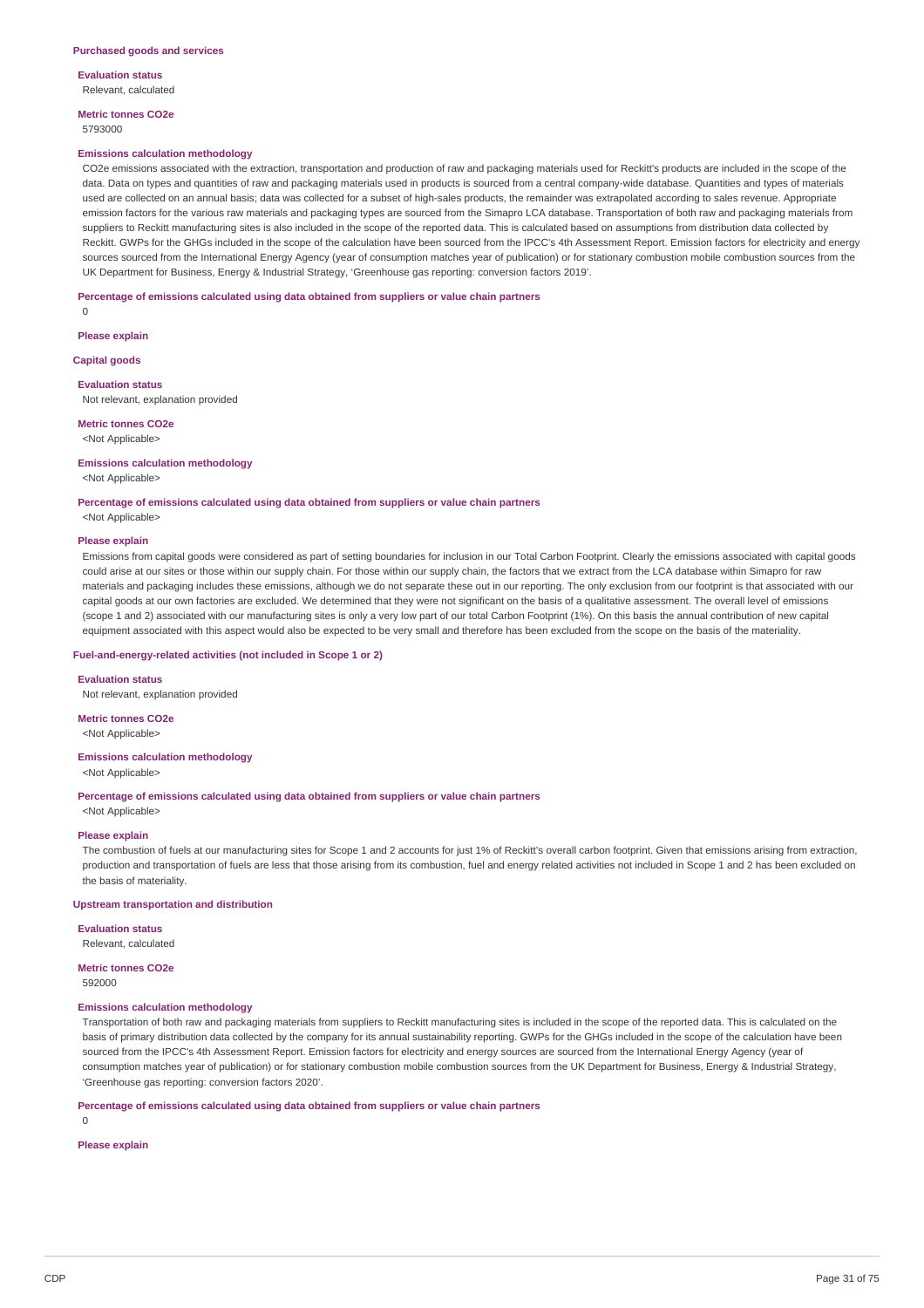**Evaluation status** Relevant, calculated

**Metric tonnes CO2e**

5793000

#### **Emissions calculation methodology**

CO2e emissions associated with the extraction, transportation and production of raw and packaging materials used for Reckitt's products are included in the scope of the data. Data on types and quantities of raw and packaging materials used in products is sourced from a central company-wide database. Quantities and types of materials used are collected on an annual basis; data was collected for a subset of high-sales products, the remainder was extrapolated according to sales revenue. Appropriate emission factors for the various raw materials and packaging types are sourced from the Simapro LCA database. Transportation of both raw and packaging materials from suppliers to Reckitt manufacturing sites is also included in the scope of the reported data. This is calculated based on assumptions from distribution data collected by Reckitt. GWPs for the GHGs included in the scope of the calculation have been sourced from the IPCC's 4th Assessment Report. Emission factors for electricity and energy sources sourced from the International Energy Agency (year of consumption matches year of publication) or for stationary combustion mobile combustion sources from the UK Department for Business, Energy & Industrial Strategy, 'Greenhouse gas reporting: conversion factors 2019'.

**Percentage of emissions calculated using data obtained from suppliers or value chain partners**

 $\Omega$ 

**Please explain**

**Capital goods**

### **Evaluation status**

Not relevant, explanation provided

## **Metric tonnes CO2e**

<Not Applicable>

#### **Emissions calculation methodology**

<Not Applicable>

**Percentage of emissions calculated using data obtained from suppliers or value chain partners** <Not Applicable>

## **Please explain**

Emissions from capital goods were considered as part of setting boundaries for inclusion in our Total Carbon Footprint. Clearly the emissions associated with capital goods could arise at our sites or those within our supply chain. For those within our supply chain, the factors that we extract from the LCA database within Simapro for raw materials and packaging includes these emissions, although we do not separate these out in our reporting. The only exclusion from our footprint is that associated with our capital goods at our own factories are excluded. We determined that they were not significant on the basis of a qualitative assessment. The overall level of emissions (scope 1 and 2) associated with our manufacturing sites is only a very low part of our total Carbon Footprint (1%). On this basis the annual contribution of new capital equipment associated with this aspect would also be expected to be very small and therefore has been excluded from the scope on the basis of the materiality.

## **Fuel-and-energy-related activities (not included in Scope 1 or 2)**

**Evaluation status** Not relevant, explanation provided

**Metric tonnes CO2e** <Not Applicable>

**Emissions calculation methodology** <Not Applicable>

**Percentage of emissions calculated using data obtained from suppliers or value chain partners** <Not Applicable>

#### **Please explain**

The combustion of fuels at our manufacturing sites for Scope 1 and 2 accounts for just 1% of Reckitt's overall carbon footprint. Given that emissions arising from extraction, production and transportation of fuels are less that those arising from its combustion, fuel and energy related activities not included in Scope 1 and 2 has been excluded on the basis of materiality.

#### **Upstream transportation and distribution**

**Evaluation status** Relevant, calculated

## **Metric tonnes CO2e**

592000

### **Emissions calculation methodology**

Transportation of both raw and packaging materials from suppliers to Reckitt manufacturing sites is included in the scope of the reported data. This is calculated on the basis of primary distribution data collected by the company for its annual sustainability reporting. GWPs for the GHGs included in the scope of the calculation have been sourced from the IPCC's 4th Assessment Report. Emission factors for electricity and energy sources are sourced from the International Energy Agency (year of consumption matches year of publication) or for stationary combustion mobile combustion sources from the UK Department for Business, Energy & Industrial Strategy, 'Greenhouse gas reporting: conversion factors 2020'.

#### **Percentage of emissions calculated using data obtained from suppliers or value chain partners**

 $\Omega$ 

## **Please explain**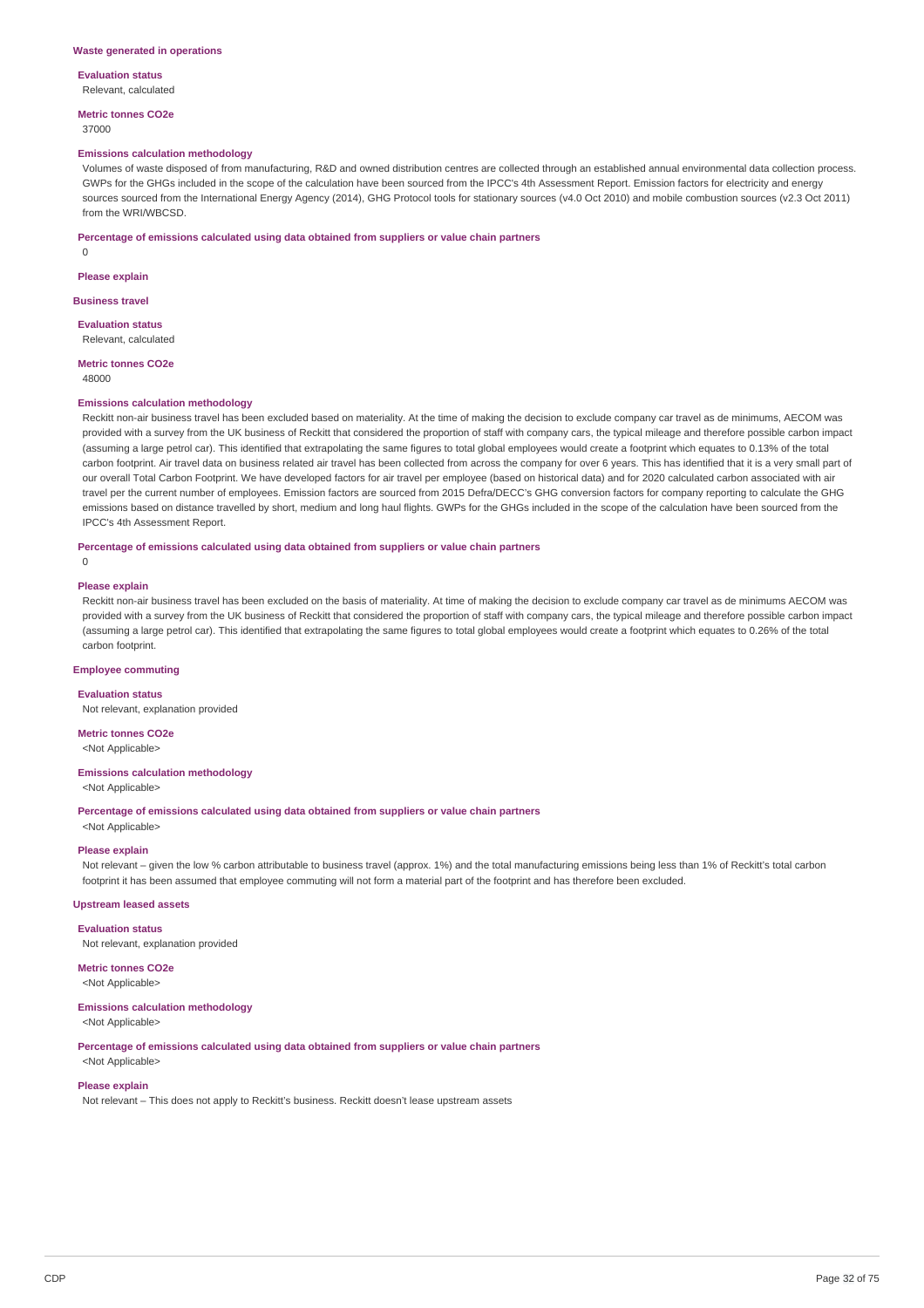**Evaluation status**

Relevant, calculated

**Metric tonnes CO2e** 37000

#### **Emissions calculation methodology**

Volumes of waste disposed of from manufacturing, R&D and owned distribution centres are collected through an established annual environmental data collection process. GWPs for the GHGs included in the scope of the calculation have been sourced from the IPCC's 4th Assessment Report. Emission factors for electricity and energy sources sourced from the International Energy Agency (2014), GHG Protocol tools for stationary sources (v4.0 Oct 2010) and mobile combustion sources (v2.3 Oct 2011) from the WRI/WBCSD.

**Percentage of emissions calculated using data obtained from suppliers or value chain partners**

0

#### **Please explain**

**Business travel**

**Evaluation status** Relevant, calculated

## **Metric tonnes CO2e**

48000

#### **Emissions calculation methodology**

Reckitt non-air business travel has been excluded based on materiality. At the time of making the decision to exclude company car travel as de minimums, AECOM was provided with a survey from the UK business of Reckitt that considered the proportion of staff with company cars, the typical mileage and therefore possible carbon impact (assuming a large petrol car). This identified that extrapolating the same figures to total global employees would create a footprint which equates to 0.13% of the total carbon footprint. Air travel data on business related air travel has been collected from across the company for over 6 years. This has identified that it is a very small part of our overall Total Carbon Footprint. We have developed factors for air travel per employee (based on historical data) and for 2020 calculated carbon associated with air travel per the current number of employees. Emission factors are sourced from 2015 Defra/DECC's GHG conversion factors for company reporting to calculate the GHG emissions based on distance travelled by short, medium and long haul flights. GWPs for the GHGs included in the scope of the calculation have been sourced from the IPCC's 4th Assessment Report.

**Percentage of emissions calculated using data obtained from suppliers or value chain partners**

## $\Omega$

### **Please explain**

Reckitt non-air business travel has been excluded on the basis of materiality. At time of making the decision to exclude company car travel as de minimums AECOM was provided with a survey from the UK business of Reckitt that considered the proportion of staff with company cars, the typical mileage and therefore possible carbon impact (assuming a large petrol car). This identified that extrapolating the same figures to total global employees would create a footprint which equates to 0.26% of the total carbon footprint.

#### **Employee commuting**

## **Evaluation status**

Not relevant, explanation provided

## **Metric tonnes CO2e**

<Not Applicable>

## **Emissions calculation methodology**

<Not Applicable>

**Percentage of emissions calculated using data obtained from suppliers or value chain partners**

<Not Applicable>

#### **Please explain**

Not relevant – given the low % carbon attributable to business travel (approx. 1%) and the total manufacturing emissions being less than 1% of Reckitt's total carbon footprint it has been assumed that employee commuting will not form a material part of the footprint and has therefore been excluded.

## **Upstream leased assets**

**Evaluation status**

Not relevant, explanation provided

**Metric tonnes CO2e** <Not Applicable>

#### **Emissions calculation methodology**

<Not Applicable>

**Percentage of emissions calculated using data obtained from suppliers or value chain partners**

## <Not Applicable> **Please explain**

Not relevant – This does not apply to Reckitt's business. Reckitt doesn't lease upstream assets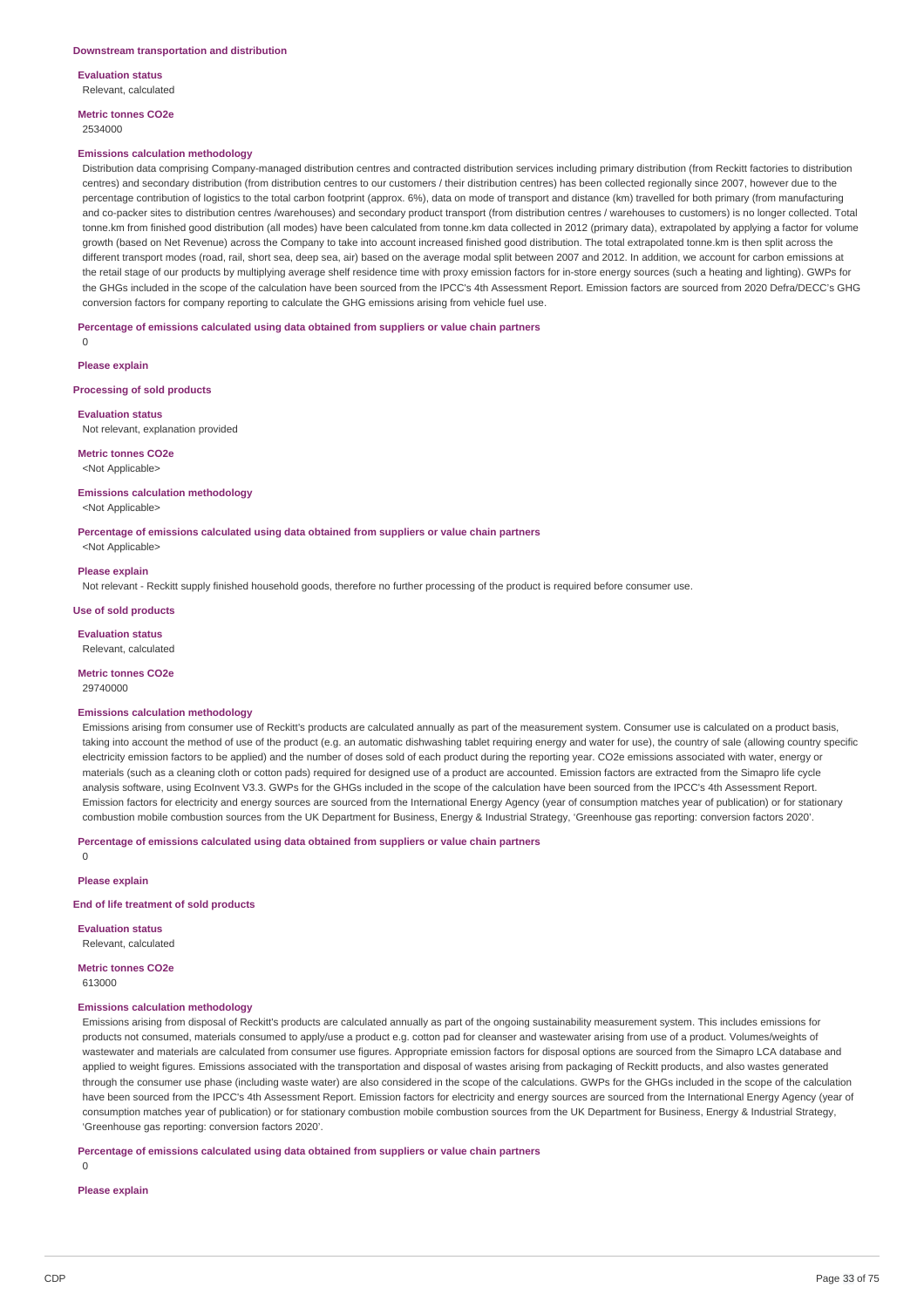**Evaluation status** Relevant, calculated

**Metric tonnes CO2e** 2534000

#### **Emissions calculation methodology**

Distribution data comprising Company-managed distribution centres and contracted distribution services including primary distribution (from Reckitt factories to distribution centres) and secondary distribution (from distribution centres to our customers / their distribution centres) has been collected regionally since 2007, however due to the percentage contribution of logistics to the total carbon footprint (approx. 6%), data on mode of transport and distance (km) travelled for both primary (from manufacturing and co-packer sites to distribution centres /warehouses) and secondary product transport (from distribution centres / warehouses to customers) is no longer collected. Total tonne.km from finished good distribution (all modes) have been calculated from tonne.km data collected in 2012 (primary data), extrapolated by applying a factor for volume growth (based on Net Revenue) across the Company to take into account increased finished good distribution. The total extrapolated tonne.km is then split across the different transport modes (road, rail, short sea, deep sea, air) based on the average modal split between 2007 and 2012. In addition, we account for carbon emissions at the retail stage of our products by multiplying average shelf residence time with proxy emission factors for in-store energy sources (such a heating and lighting). GWPs for the GHGs included in the scope of the calculation have been sourced from the IPCC's 4th Assessment Report. Emission factors are sourced from 2020 Defra/DECC's GHG conversion factors for company reporting to calculate the GHG emissions arising from vehicle fuel use.

**Percentage of emissions calculated using data obtained from suppliers or value chain partners**

 $\Omega$ 

**Please explain**

**Processing of sold products**

**Evaluation status**

Not relevant, explanation provided

**Metric tonnes CO2e** <Not Applicable>

**Emissions calculation methodology**

<Not Applicable>

**Percentage of emissions calculated using data obtained from suppliers or value chain partners**

<Not Applicable>

### **Please explain**

Not relevant - Reckitt supply finished household goods, therefore no further processing of the product is required before consumer use.

**Use of sold products**

**Evaluation status** Relevant, calculated

**Metric tonnes CO2e**

29740000

## **Emissions calculation methodology**

Emissions arising from consumer use of Reckitt's products are calculated annually as part of the measurement system. Consumer use is calculated on a product basis, taking into account the method of use of the product (e.g. an automatic dishwashing tablet requiring energy and water for use), the country of sale (allowing country specific electricity emission factors to be applied) and the number of doses sold of each product during the reporting year. CO2e emissions associated with water, energy or materials (such as a cleaning cloth or cotton pads) required for designed use of a product are accounted. Emission factors are extracted from the Simapro life cycle analysis software, using EcoInvent V3.3. GWPs for the GHGs included in the scope of the calculation have been sourced from the IPCC's 4th Assessment Report. Emission factors for electricity and energy sources are sourced from the International Energy Agency (year of consumption matches year of publication) or for stationary combustion mobile combustion sources from the UK Department for Business, Energy & Industrial Strategy, 'Greenhouse gas reporting: conversion factors 2020'.

**Percentage of emissions calculated using data obtained from suppliers or value chain partners**

 $\Omega$ 

**Please explain**

### **End of life treatment of sold products**

**Evaluation status** Relevant, calculated

**Metric tonnes CO2e** 613000

### **Emissions calculation methodology**

Emissions arising from disposal of Reckitt's products are calculated annually as part of the ongoing sustainability measurement system. This includes emissions for products not consumed, materials consumed to apply/use a product e.g. cotton pad for cleanser and wastewater arising from use of a product. Volumes/weights of wastewater and materials are calculated from consumer use figures. Appropriate emission factors for disposal options are sourced from the Simapro LCA database and applied to weight figures. Emissions associated with the transportation and disposal of wastes arising from packaging of Reckitt products, and also wastes generated through the consumer use phase (including waste water) are also considered in the scope of the calculations. GWPs for the GHGs included in the scope of the calculation have been sourced from the IPCC's 4th Assessment Report. Emission factors for electricity and energy sources are sourced from the International Energy Agency (year of consumption matches year of publication) or for stationary combustion mobile combustion sources from the UK Department for Business, Energy & Industrial Strategy, 'Greenhouse gas reporting: conversion factors 2020'.

**Percentage of emissions calculated using data obtained from suppliers or value chain partners**

 $\Omega$ 

**Please explain**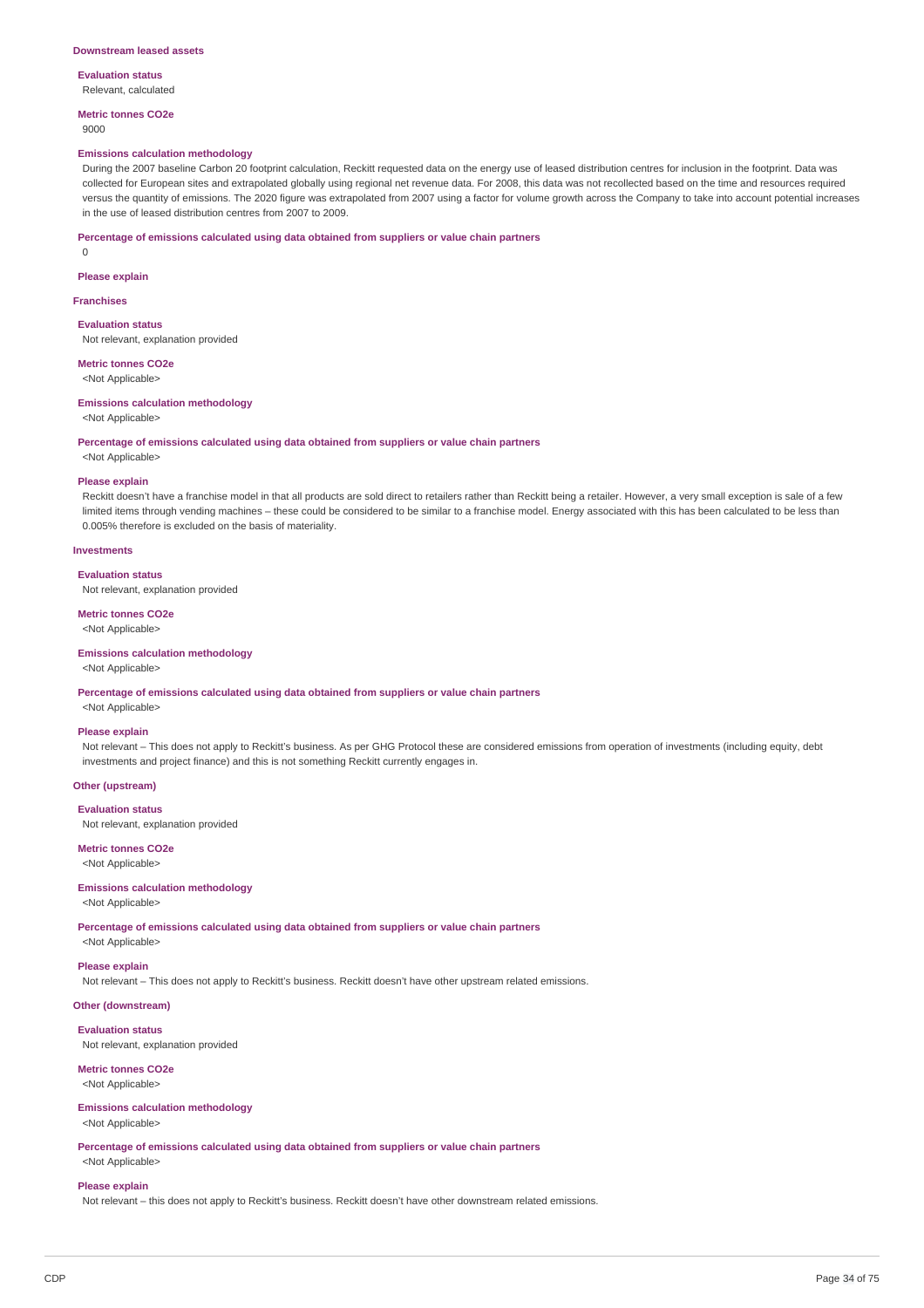#### **Evaluation status** Relevant, calculated

**Metric tonnes CO2e** 9000

### **Emissions calculation methodology**

During the 2007 baseline Carbon 20 footprint calculation, Reckitt requested data on the energy use of leased distribution centres for inclusion in the footprint. Data was collected for European sites and extrapolated globally using regional net revenue data. For 2008, this data was not recollected based on the time and resources required versus the quantity of emissions. The 2020 figure was extrapolated from 2007 using a factor for volume growth across the Company to take into account potential increases in the use of leased distribution centres from 2007 to 2009.

#### **Percentage of emissions calculated using data obtained from suppliers or value chain partners**

0

#### **Please explain**

**Franchises**

## **Evaluation status**

Not relevant, explanation provided

## **Metric tonnes CO2e** <Not Applicable>

## **Emissions calculation methodology** <Not Applicable>

### **Percentage of emissions calculated using data obtained from suppliers or value chain partners** <Not Applicable>

#### **Please explain**

Reckitt doesn't have a franchise model in that all products are sold direct to retailers rather than Reckitt being a retailer. However, a very small exception is sale of a few limited items through vending machines – these could be considered to be similar to a franchise model. Energy associated with this has been calculated to be less than 0.005% therefore is excluded on the basis of materiality.

### **Investments**

### **Evaluation status**

Not relevant, explanation provided

### **Metric tonnes CO2e**

<Not Applicable>

### **Emissions calculation methodology**

<Not Applicable>

**Percentage of emissions calculated using data obtained from suppliers or value chain partners**

## <Not Applicable> **Please explain**

Not relevant – This does not apply to Reckitt's business. As per GHG Protocol these are considered emissions from operation of investments (including equity, debt investments and project finance) and this is not something Reckitt currently engages in.

#### **Other (upstream)**

**Evaluation status** Not relevant, explanation provided

## **Metric tonnes CO2e**

<Not Applicable>

## **Emissions calculation methodology**

<Not Applicable>

**Percentage of emissions calculated using data obtained from suppliers or value chain partners**

## <Not Applicable>

## **Please explain**

Not relevant – This does not apply to Reckitt's business. Reckitt doesn't have other upstream related emissions.

## **Other (downstream)**

**Evaluation status** Not relevant, explanation provided

## **Metric tonnes CO2e**

<Not Applicable>

## **Emissions calculation methodology**

<Not Applicable>

**Percentage of emissions calculated using data obtained from suppliers or value chain partners** <Not Applicable>

## **Please explain**

Not relevant – this does not apply to Reckitt's business. Reckitt doesn't have other downstream related emissions.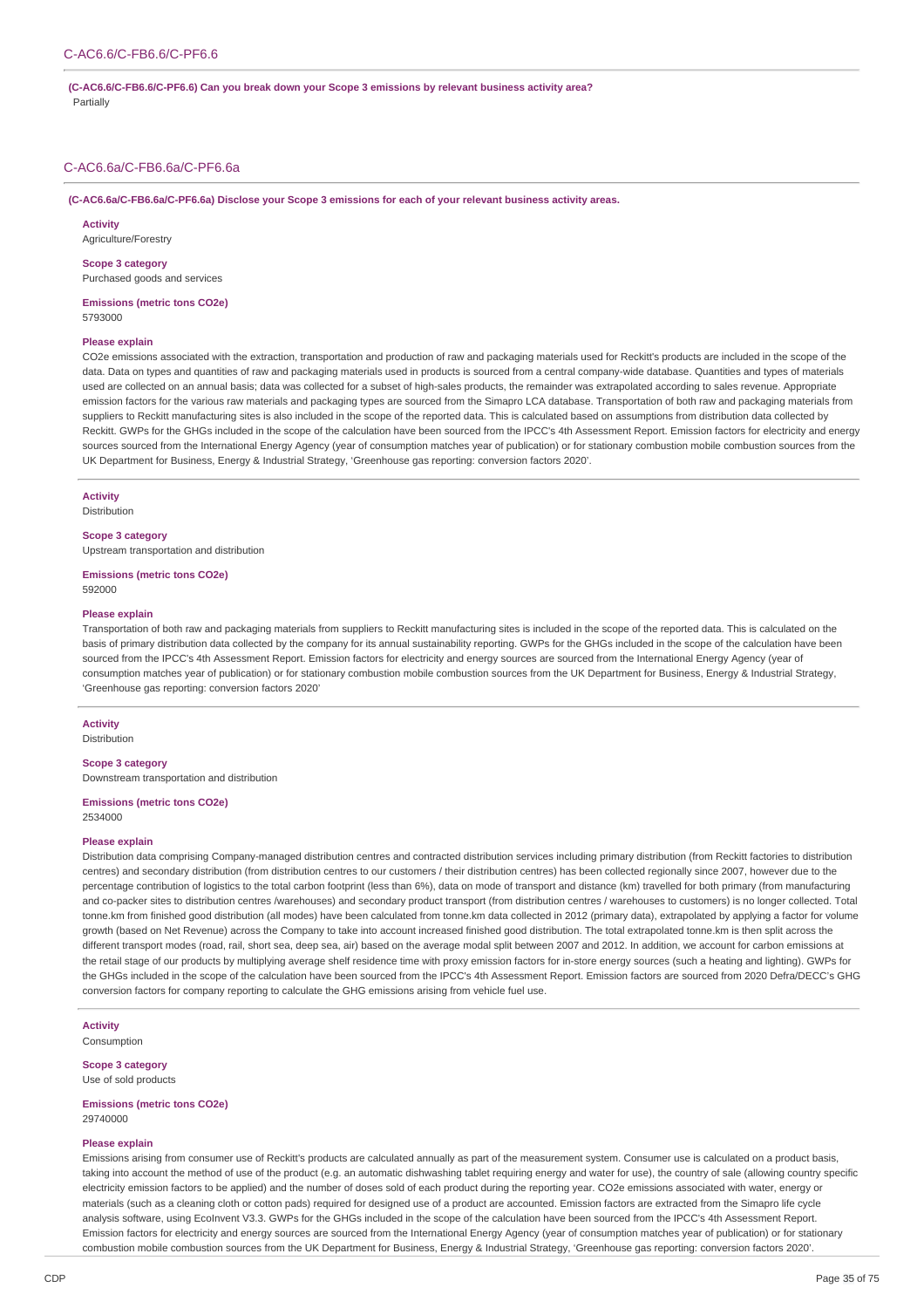#### **(C-AC6.6/C-FB6.6/C-PF6.6) Can you break down your Scope 3 emissions by relevant business activity area?** Partially

## C-AC6.6a/C-FB6.6a/C-PF6.6a

**(C-AC6.6a/C-FB6.6a/C-PF6.6a) Disclose your Scope 3 emissions for each of your relevant business activity areas.**

#### **Activity**

Agriculture/Forestry

#### **Scope 3 category**

Purchased goods and services

**Emissions (metric tons CO2e)** 5793000

#### **Please explain**

CO2e emissions associated with the extraction, transportation and production of raw and packaging materials used for Reckitt's products are included in the scope of the data. Data on types and quantities of raw and packaging materials used in products is sourced from a central company-wide database. Quantities and types of materials used are collected on an annual basis; data was collected for a subset of high-sales products, the remainder was extrapolated according to sales revenue. Appropriate emission factors for the various raw materials and packaging types are sourced from the Simapro LCA database. Transportation of both raw and packaging materials from suppliers to Reckitt manufacturing sites is also included in the scope of the reported data. This is calculated based on assumptions from distribution data collected by Reckitt. GWPs for the GHGs included in the scope of the calculation have been sourced from the IPCC's 4th Assessment Report. Emission factors for electricity and energy sources sourced from the International Energy Agency (year of consumption matches year of publication) or for stationary combustion mobile combustion sources from the UK Department for Business, Energy & Industrial Strategy, 'Greenhouse gas reporting: conversion factors 2020'.

## **Activity**

Distribution

## **Scope 3 category**

Upstream transportation and distribution

**Emissions (metric tons CO2e)** 592000

#### **Please explain**

Transportation of both raw and packaging materials from suppliers to Reckitt manufacturing sites is included in the scope of the reported data. This is calculated on the basis of primary distribution data collected by the company for its annual sustainability reporting. GWPs for the GHGs included in the scope of the calculation have been sourced from the IPCC's 4th Assessment Report. Emission factors for electricity and energy sources are sourced from the International Energy Agency (year of consumption matches year of publication) or for stationary combustion mobile combustion sources from the UK Department for Business, Energy & Industrial Strategy, 'Greenhouse gas reporting: conversion factors 2020'

## **Activity**

**Distribution** 

## **Scope 3 category**

Downstream transportation and distribution

**Emissions (metric tons CO2e)**

2534000

## **Please explain**

Distribution data comprising Company-managed distribution centres and contracted distribution services including primary distribution (from Reckitt factories to distribution centres) and secondary distribution (from distribution centres to our customers / their distribution centres) has been collected regionally since 2007, however due to the percentage contribution of logistics to the total carbon footprint (less than 6%), data on mode of transport and distance (km) travelled for both primary (from manufacturing and co-packer sites to distribution centres /warehouses) and secondary product transport (from distribution centres / warehouses to customers) is no longer collected. Total tonne.km from finished good distribution (all modes) have been calculated from tonne.km data collected in 2012 (primary data), extrapolated by applying a factor for volume growth (based on Net Revenue) across the Company to take into account increased finished good distribution. The total extrapolated tonne.km is then split across the different transport modes (road, rail, short sea, deep sea, air) based on the average modal split between 2007 and 2012. In addition, we account for carbon emissions at the retail stage of our products by multiplying average shelf residence time with proxy emission factors for in-store energy sources (such a heating and lighting). GWPs for the GHGs included in the scope of the calculation have been sourced from the IPCC's 4th Assessment Report. Emission factors are sourced from 2020 Defra/DECC's GHG conversion factors for company reporting to calculate the GHG emissions arising from vehicle fuel use.

**Activity** Consumption

**Scope 3 category**

Use of sold products

**Emissions (metric tons CO2e)** 29740000

## **Please explain**

Emissions arising from consumer use of Reckitt's products are calculated annually as part of the measurement system. Consumer use is calculated on a product basis, taking into account the method of use of the product (e.g. an automatic dishwashing tablet requiring energy and water for use), the country of sale (allowing country specific electricity emission factors to be applied) and the number of doses sold of each product during the reporting year. CO2e emissions associated with water, energy or materials (such as a cleaning cloth or cotton pads) required for designed use of a product are accounted. Emission factors are extracted from the Simapro life cycle analysis software, using EcoInvent V3.3. GWPs for the GHGs included in the scope of the calculation have been sourced from the IPCC's 4th Assessment Report. Emission factors for electricity and energy sources are sourced from the International Energy Agency (year of consumption matches year of publication) or for stationary combustion mobile combustion sources from the UK Department for Business, Energy & Industrial Strategy, 'Greenhouse gas reporting: conversion factors 2020'.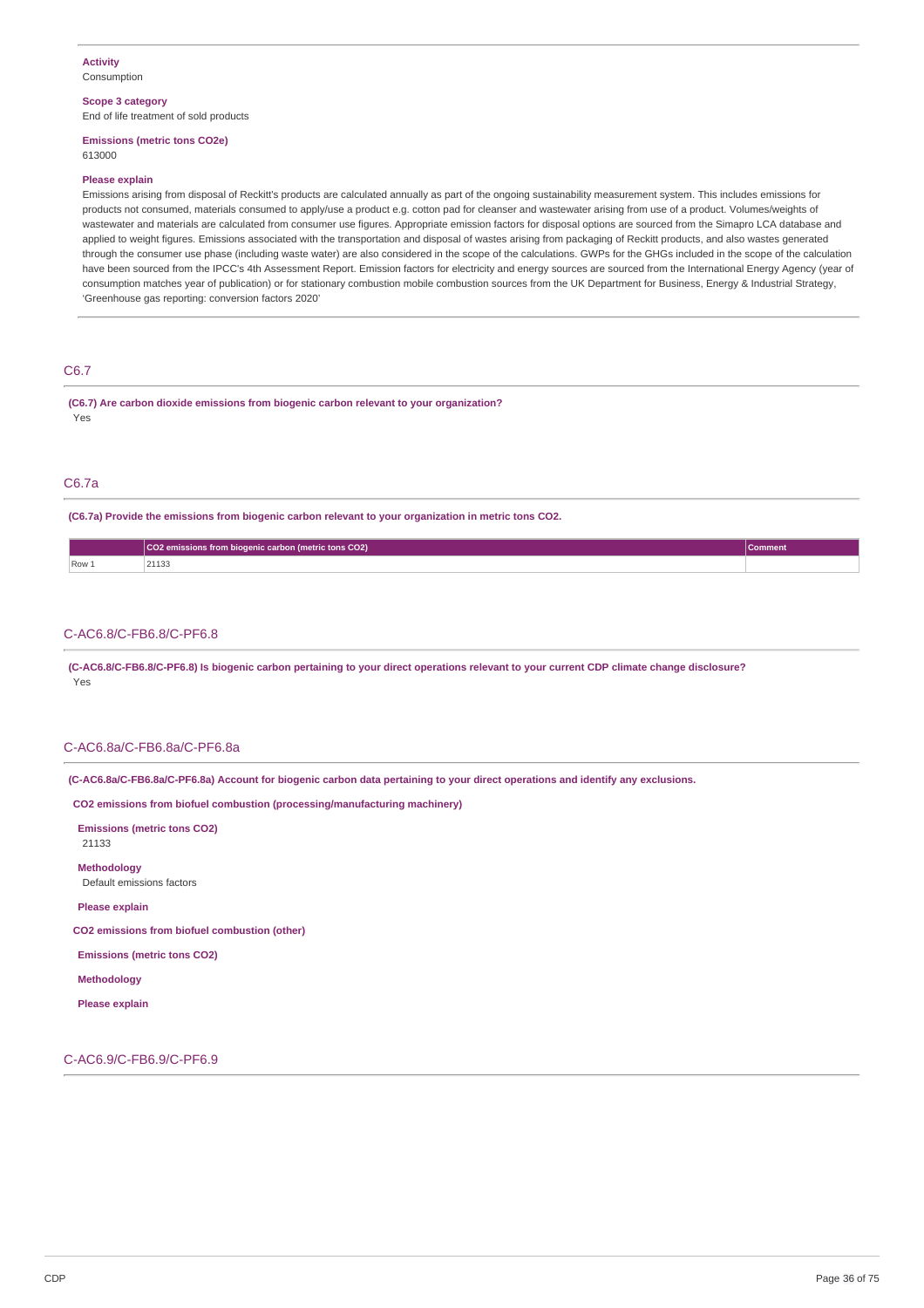## **Scope 3 category**

End of life treatment of sold products

## **Emissions (metric tons CO2e)**

613000

## **Please explain**

Emissions arising from disposal of Reckitt's products are calculated annually as part of the ongoing sustainability measurement system. This includes emissions for products not consumed, materials consumed to apply/use a product e.g. cotton pad for cleanser and wastewater arising from use of a product. Volumes/weights of wastewater and materials are calculated from consumer use figures. Appropriate emission factors for disposal options are sourced from the Simapro LCA database and applied to weight figures. Emissions associated with the transportation and disposal of wastes arising from packaging of Reckitt products, and also wastes generated through the consumer use phase (including waste water) are also considered in the scope of the calculations. GWPs for the GHGs included in the scope of the calculation have been sourced from the IPCC's 4th Assessment Report. Emission factors for electricity and energy sources are sourced from the International Energy Agency (year of consumption matches year of publication) or for stationary combustion mobile combustion sources from the UK Department for Business, Energy & Industrial Strategy, 'Greenhouse gas reporting: conversion factors 2020'

## C6.7

**(C6.7) Are carbon dioxide emissions from biogenic carbon relevant to your organization?** Yes

## C6.7a

**(C6.7a) Provide the emissions from biogenic carbon relevant to your organization in metric tons CO2.**

|     | CO2 emissions from biogenic carbon (metric tons CO2) | Comment |
|-----|------------------------------------------------------|---------|
| Row | 44495                                                |         |

## C-AC6.8/C-FB6.8/C-PF6.8

(C-AC6.8/C-FB6.8/C-PF6.8) Is biogenic carbon pertaining to your direct operations relevant to your current CDP climate change disclosure? Yes

## C-AC6.8a/C-FB6.8a/C-PF6.8a

(C-AC6.8a/C-FB6.8a/C-PF6.8a) Account for biogenic carbon data pertaining to your direct operations and identify any exclusions.

**CO2 emissions from biofuel combustion (processing/manufacturing machinery)**

**Emissions (metric tons CO2)** 21133

**Methodology** Default emissions factors

**Please explain**

**CO2 emissions from biofuel combustion (other)**

**Emissions (metric tons CO2)**

**Methodology**

**Please explain**

C-AC6.9/C-FB6.9/C-PF6.9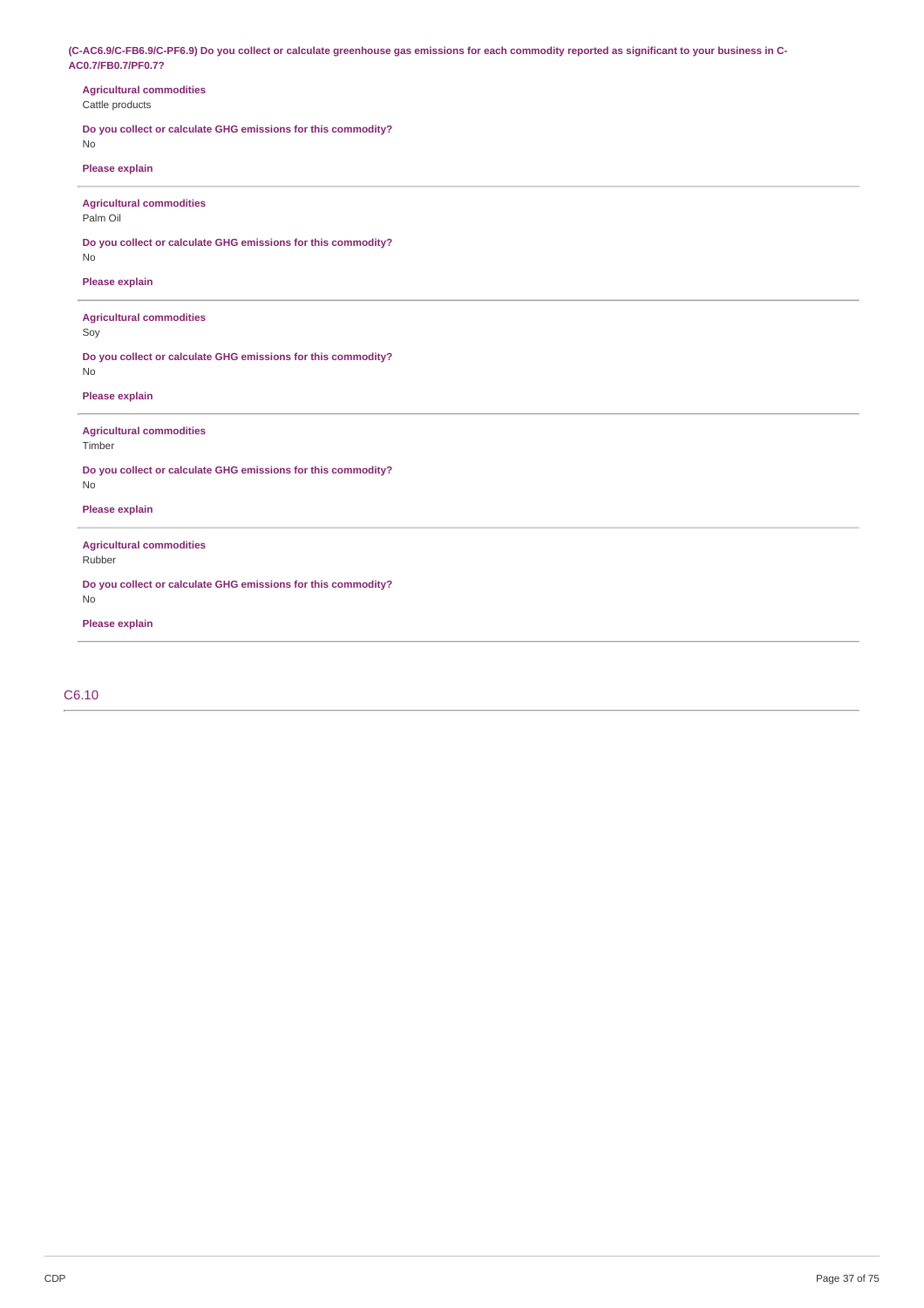(C-AC6.9/C-FB6.9/C-PF6.9) Do you collect or calculate greenhouse gas emissions for each commodity reported as significant to your business in C-**AC0.7/FB0.7/PF0.7?**

| CO. 11 F DO. 11 F FO. 1:                                            |
|---------------------------------------------------------------------|
| <b>Agricultural commodities</b><br>Cattle products                  |
| Do you collect or calculate GHG emissions for this commodity?<br>No |
| Please explain                                                      |
| <b>Agricultural commodities</b><br>Palm Oil                         |
| Do you collect or calculate GHG emissions for this commodity?<br>No |
| Please explain                                                      |
| <b>Agricultural commodities</b><br>Soy                              |
| Do you collect or calculate GHG emissions for this commodity?<br>No |
| Please explain                                                      |
| <b>Agricultural commodities</b><br>Timber                           |
| Do you collect or calculate GHG emissions for this commodity?<br>No |
| Please explain                                                      |
| <b>Agricultural commodities</b><br>Rubber                           |
| Do you collect or calculate GHG emissions for this commodity?<br>No |
| Please explain                                                      |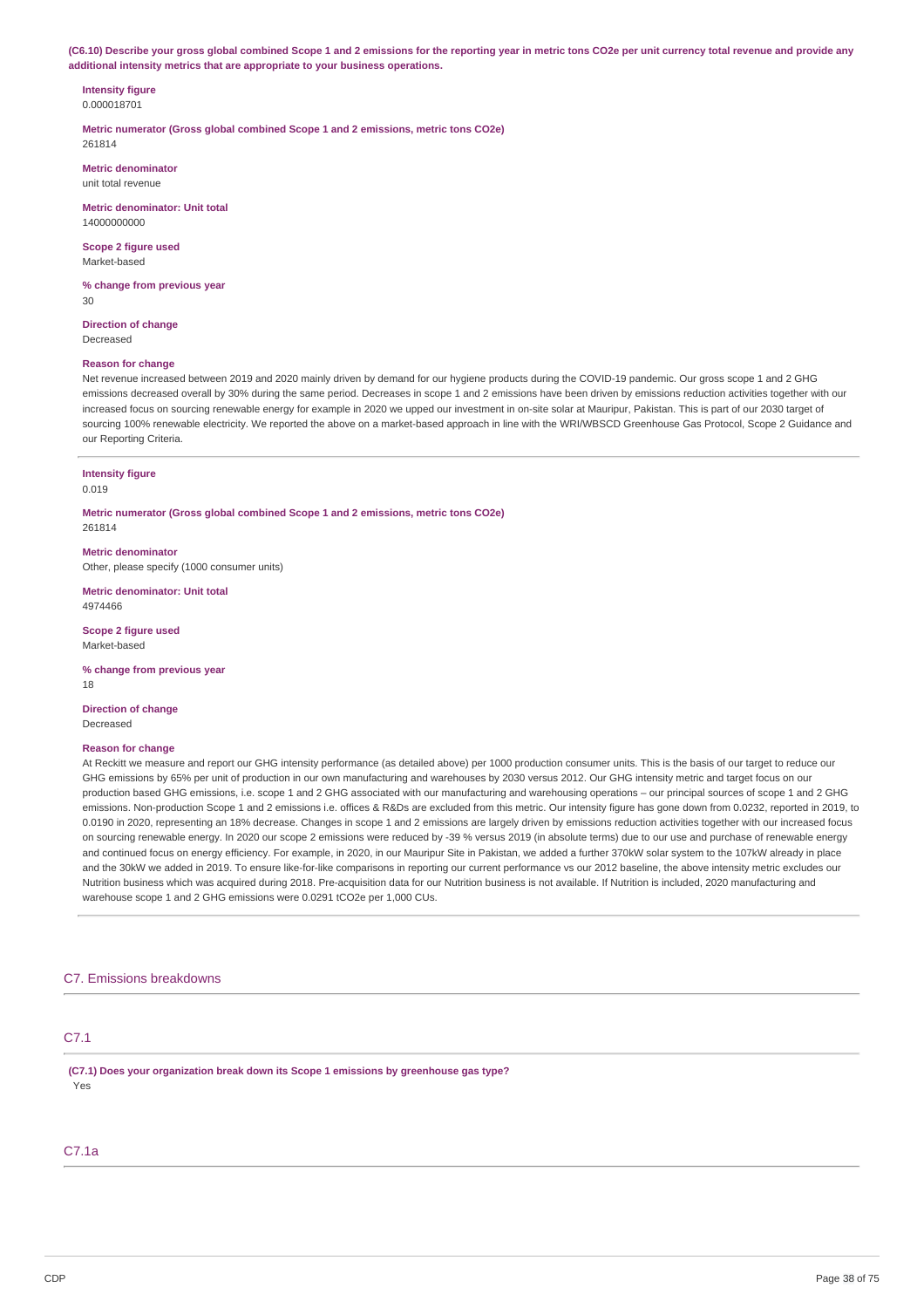(C6.10) Describe your gross global combined Scope 1 and 2 emissions for the reporting year in metric tons CO2e per unit currency total revenue and provide any **additional intensity metrics that are appropriate to your business operations.**

#### **Intensity figure** 0.000018701

**Metric numerator (Gross global combined Scope 1 and 2 emissions, metric tons CO2e)** 261814

**Metric denominator** unit total revenue

**Metric denominator: Unit total** 14000000000

**Scope 2 figure used** Market-based

**% change from previous year** 30

**Direction of change** Decreased

### **Reason for change**

Net revenue increased between 2019 and 2020 mainly driven by demand for our hygiene products during the COVID-19 pandemic. Our gross scope 1 and 2 GHG emissions decreased overall by 30% during the same period. Decreases in scope 1 and 2 emissions have been driven by emissions reduction activities together with our increased focus on sourcing renewable energy for example in 2020 we upped our investment in on-site solar at Mauripur, Pakistan. This is part of our 2030 target of sourcing 100% renewable electricity. We reported the above on a market-based approach in line with the WRI/WBSCD Greenhouse Gas Protocol, Scope 2 Guidance and our Reporting Criteria.

#### **Intensity figure** 0.019

**Metric numerator (Gross global combined Scope 1 and 2 emissions, metric tons CO2e)** 261814

**Metric denominator** Other, please specify (1000 consumer units)

**Metric denominator: Unit total** 4974466

**Scope 2 figure used** Market-based

**% change from previous year** 18

**Direction of change** Decreased

### **Reason for change**

At Reckitt we measure and report our GHG intensity performance (as detailed above) per 1000 production consumer units. This is the basis of our target to reduce our GHG emissions by 65% per unit of production in our own manufacturing and warehouses by 2030 versus 2012. Our GHG intensity metric and target focus on our production based GHG emissions, i.e. scope 1 and 2 GHG associated with our manufacturing and warehousing operations – our principal sources of scope 1 and 2 GHG emissions. Non-production Scope 1 and 2 emissions i.e. offices & R&Ds are excluded from this metric. Our intensity figure has gone down from 0.0232, reported in 2019, to 0.0190 in 2020, representing an 18% decrease. Changes in scope 1 and 2 emissions are largely driven by emissions reduction activities together with our increased focus on sourcing renewable energy. In 2020 our scope 2 emissions were reduced by -39 % versus 2019 (in absolute terms) due to our use and purchase of renewable energy and continued focus on energy efficiency. For example, in 2020, in our Mauripur Site in Pakistan, we added a further 370kW solar system to the 107kW already in place and the 30kW we added in 2019. To ensure like-for-like comparisons in reporting our current performance vs our 2012 baseline, the above intensity metric excludes our Nutrition business which was acquired during 2018. Pre-acquisition data for our Nutrition business is not available. If Nutrition is included, 2020 manufacturing and warehouse scope 1 and 2 GHG emissions were 0.0291 tCO2e per 1,000 CUs.

### C7. Emissions breakdowns

# C7.1

**(C7.1) Does your organization break down its Scope 1 emissions by greenhouse gas type?** Yes

# C7.1a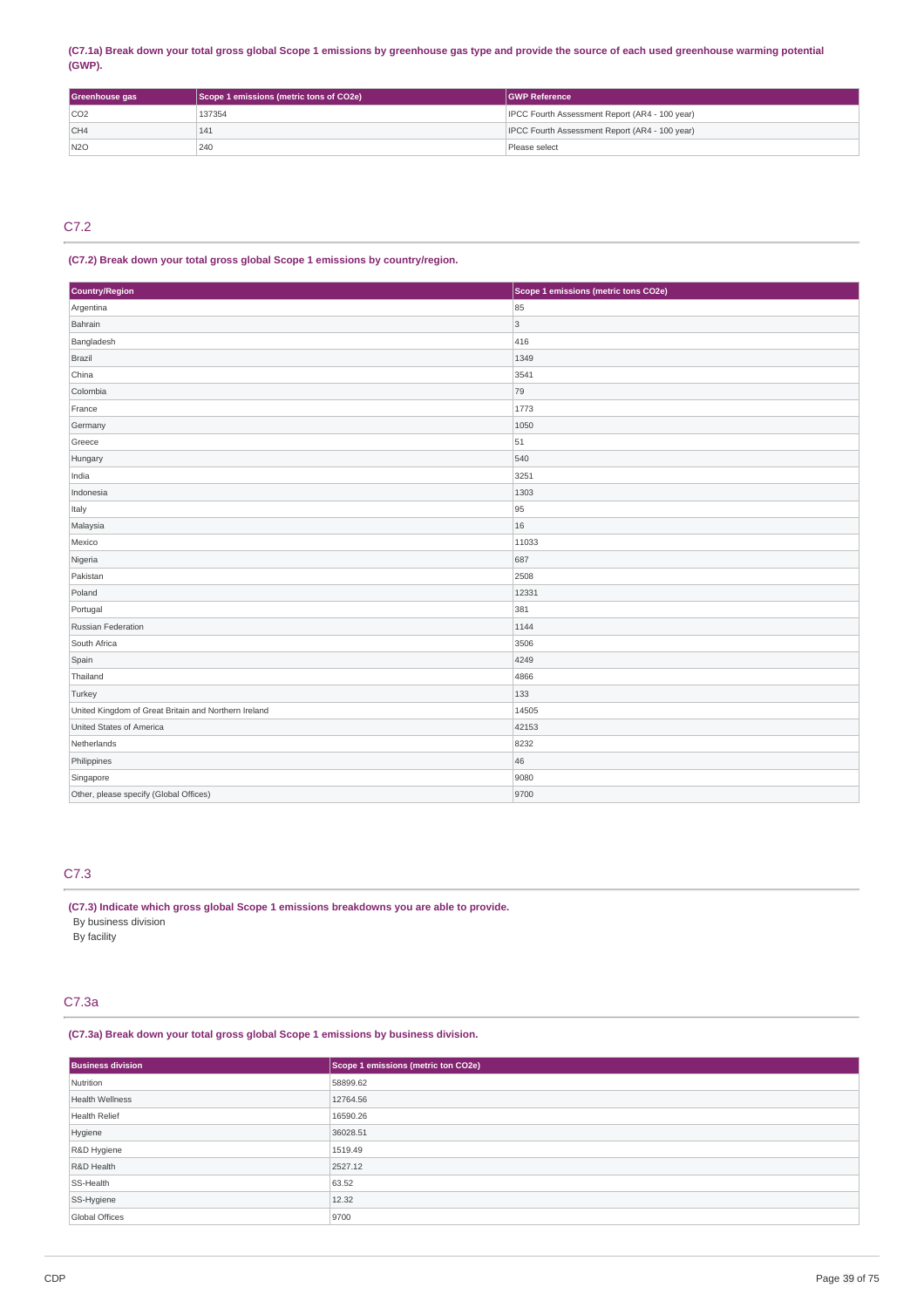# (C7.1a) Break down your total gross global Scope 1 emissions by greenhouse gas type and provide the source of each used greenhouse warming potential **(GWP).**

| Greenhouse gas  | Scope 1 emissions (metric tons of CO2e) | <b>GWP Reference</b>                           |
|-----------------|-----------------------------------------|------------------------------------------------|
| CO <sub>2</sub> | 137354                                  | IPCC Fourth Assessment Report (AR4 - 100 year) |
| CH4             | 141                                     | IPCC Fourth Assessment Report (AR4 - 100 year) |
| N2O             | 240                                     | Please select                                  |

# C7.2

# **(C7.2) Break down your total gross global Scope 1 emissions by country/region.**

| Country/Region                                       | Scope 1 emissions (metric tons CO2e) |
|------------------------------------------------------|--------------------------------------|
| Argentina                                            | 85                                   |
| Bahrain                                              | 3                                    |
| Bangladesh                                           | 416                                  |
| Brazil                                               | 1349                                 |
| China                                                | 3541                                 |
| Colombia                                             | 79                                   |
| France                                               | 1773                                 |
| Germany                                              | 1050                                 |
| Greece                                               | 51                                   |
| Hungary                                              | 540                                  |
| India                                                | 3251                                 |
| Indonesia                                            | 1303                                 |
| Italy                                                | 95                                   |
| Malaysia                                             | 16                                   |
| Mexico                                               | 11033                                |
| Nigeria                                              | 687                                  |
| Pakistan                                             | 2508                                 |
| Poland                                               | 12331                                |
| Portugal                                             | 381                                  |
| Russian Federation                                   | 1144                                 |
| South Africa                                         | 3506                                 |
| Spain                                                | 4249                                 |
| Thailand                                             | 4866                                 |
| Turkey                                               | 133                                  |
| United Kingdom of Great Britain and Northern Ireland | 14505                                |
| United States of America                             | 42153                                |
| Netherlands                                          | 8232                                 |
| Philippines                                          | 46                                   |
| Singapore                                            | 9080                                 |
| Other, please specify (Global Offices)               | 9700                                 |

# C7.3

**(C7.3) Indicate which gross global Scope 1 emissions breakdowns you are able to provide.** By business division By facility

# C7.3a

# **(C7.3a) Break down your total gross global Scope 1 emissions by business division.**

| <b>Business division</b> | Scope 1 emissions (metric ton CO2e) |
|--------------------------|-------------------------------------|
| Nutrition                | 58899.62                            |
| <b>Health Wellness</b>   | 12764.56                            |
| Health Relief            | 16590.26                            |
| Hygiene                  | 36028.51                            |
| R&D Hygiene              | 1519.49                             |
| R&D Health               | 2527.12                             |
| SS-Health                | 63.52                               |
| SS-Hygiene               | 12.32                               |
| Global Offices           | 9700                                |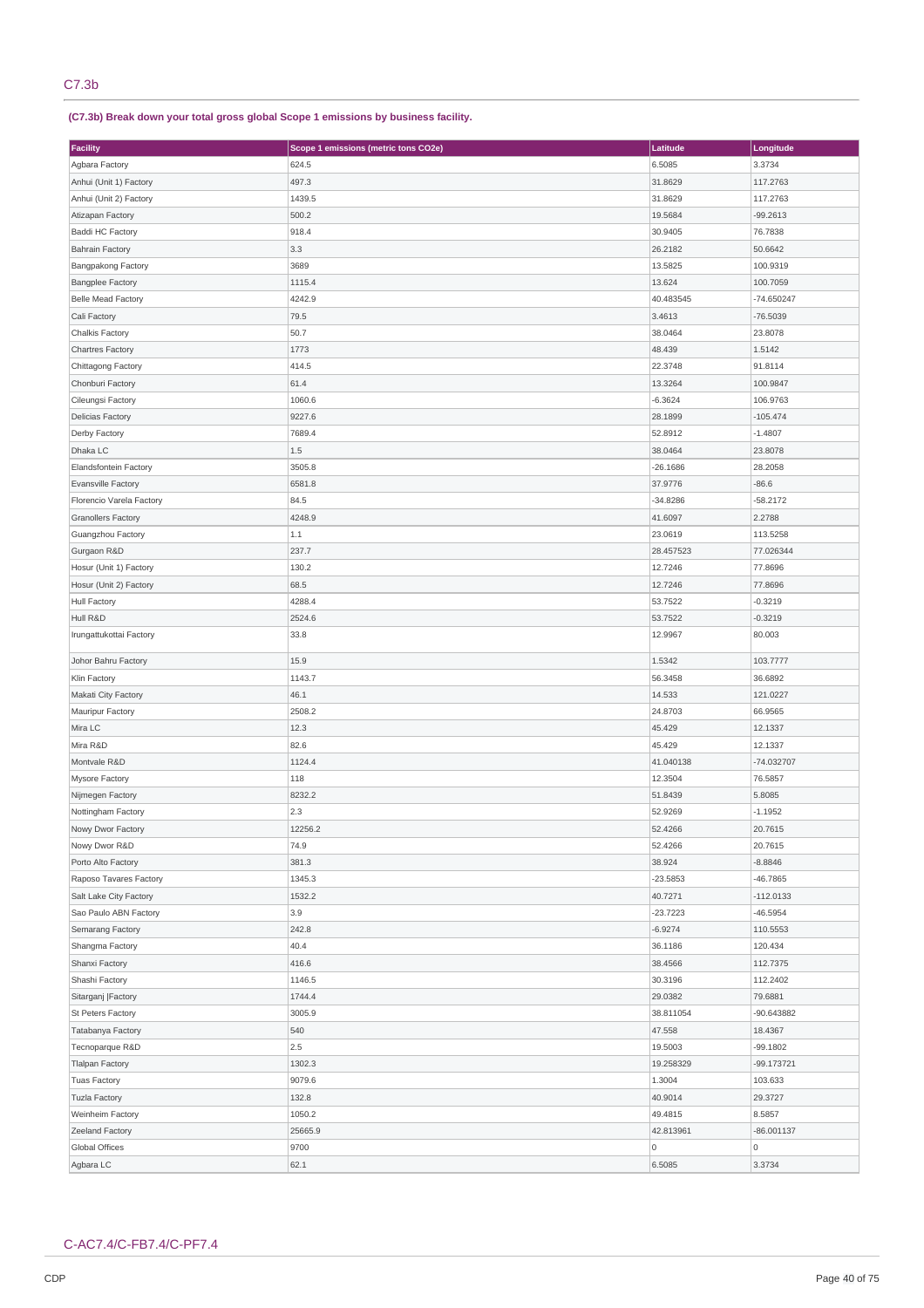**(C7.3b) Break down your total gross global Scope 1 emissions by business facility.**

| Facility                  | Scope 1 emissions (metric tons CO2e) | Latitude   | Longitude    |
|---------------------------|--------------------------------------|------------|--------------|
| Agbara Factory            | 624.5                                | 6.5085     | 3.3734       |
| Anhui (Unit 1) Factory    | 497.3                                | 31.8629    | 117.2763     |
| Anhui (Unit 2) Factory    | 1439.5                               | 31.8629    | 117.2763     |
| Atizapan Factory          | 500.2                                | 19.5684    | $-99.2613$   |
| Baddi HC Factory          | 918.4                                | 30.9405    | 76.7838      |
| <b>Bahrain Factory</b>    | 3.3                                  | 26.2182    | 50.6642      |
| <b>Bangpakong Factory</b> | 3689                                 | 13.5825    | 100.9319     |
| <b>Bangplee Factory</b>   | 1115.4                               | 13.624     | 100.7059     |
| <b>Belle Mead Factory</b> | 4242.9                               | 40.483545  | -74.650247   |
| Cali Factory              | 79.5                                 | 3.4613     | $-76.5039$   |
| Chalkis Factory           | 50.7                                 | 38.0464    | 23.8078      |
| <b>Chartres Factory</b>   | 1773                                 | 48.439     | 1.5142       |
| Chittagong Factory        | 414.5                                | 22.3748    | 91.8114      |
| Chonburi Factory          | 61.4                                 | 13.3264    | 100.9847     |
| Cileungsi Factory         | 1060.6                               | $-6.3624$  | 106.9763     |
| <b>Delicias Factory</b>   | 9227.6                               | 28.1899    | $-105.474$   |
| Derby Factory             | 7689.4                               | 52.8912    | $-1.4807$    |
| Dhaka LC                  | 1.5                                  | 38.0464    | 23.8078      |
| Elandsfontein Factory     | 3505.8                               | $-26.1686$ | 28.2058      |
| <b>Evansville Factory</b> | 6581.8                               | 37.9776    | $-86.6$      |
| Florencio Varela Factory  | 84.5                                 | $-34.8286$ | $-58.2172$   |
| <b>Granollers Factory</b> | 4248.9                               | 41.6097    | 2.2788       |
| Guangzhou Factory         | 1.1                                  | 23.0619    | 113.5258     |
| Gurgaon R&D               | 237.7                                | 28.457523  | 77.026344    |
| Hosur (Unit 1) Factory    | 130.2                                | 12.7246    | 77.8696      |
| Hosur (Unit 2) Factory    | 68.5                                 | 12.7246    | 77.8696      |
| <b>Hull Factory</b>       | 4288.4                               | 53.7522    | $-0.3219$    |
| Hull R&D                  | 2524.6                               | 53.7522    | $-0.3219$    |
| Irungattukottai Factory   | 33.8                                 | 12.9967    | 80.003       |
|                           |                                      |            |              |
| Johor Bahru Factory       | 15.9                                 | 1.5342     | 103.7777     |
| Klin Factory              | 1143.7                               | 56.3458    | 36.6892      |
| Makati City Factory       | 46.1                                 | 14.533     | 121.0227     |
| Mauripur Factory          | 2508.2                               | 24.8703    | 66.9565      |
| Mira LC                   | 12.3                                 | 45.429     | 12.1337      |
| Mira R&D                  | 82.6                                 | 45.429     | 12.1337      |
| Montvale R&D              | 1124.4                               | 41.040138  | -74.032707   |
| Mysore Factory            | 118                                  | 12.3504    | 76.5857      |
| Nijmegen Factory          | 8232.2                               | 51.8439    | 5.8085       |
| Nottingham Factory        | 2.3                                  | 52.9269    | $-1.1952$    |
| Nowy Dwor Factory         | 12256.2                              | 52.4266    | 20.7615      |
| Nowy Dwor R&D             | 74.9                                 | 52.4266    | 20.7615      |
| Porto Alto Factory        | 381.3                                | 38.924     | $-8.8846$    |
| Raposo Tavares Factory    | 1345.3                               | $-23.5853$ | -46.7865     |
| Salt Lake City Factory    | 1532.2                               | 40.7271    | $-112.0133$  |
| Sao Paulo ABN Factory     | 3.9                                  | $-23.7223$ | -46.5954     |
| Semarang Factory          | 242.8                                | $-6.9274$  | 110.5553     |
| Shangma Factory           | 40.4                                 | 36.1186    | 120.434      |
| Shanxi Factory            | 416.6                                | 38.4566    | 112.7375     |
| Shashi Factory            | 1146.5                               | 30.3196    | 112.2402     |
| Sitarganj   Factory       | 1744.4                               | 29.0382    | 79.6881      |
| St Peters Factory         | 3005.9                               | 38.811054  | -90.643882   |
| Tatabanya Factory         | 540                                  | 47.558     | 18.4367      |
| Tecnoparque R&D           | 2.5                                  | 19.5003    | -99.1802     |
| <b>Tlalpan Factory</b>    | 1302.3                               | 19.258329  | -99.173721   |
| <b>Tuas Factory</b>       | 9079.6                               | 1.3004     | 103.633      |
| <b>Tuzla Factory</b>      | 132.8                                | 40.9014    | 29.3727      |
| Weinheim Factory          | 1050.2                               | 49.4815    | 8.5857       |
| <b>Zeeland Factory</b>    | 25665.9                              | 42.813961  | $-86.001137$ |
| Global Offices            | 9700                                 | 0          | $\mathsf 0$  |
| Agbara LC                 | 62.1                                 | 6.5085     | 3.3734       |

# C-AC7.4/C-FB7.4/C-PF7.4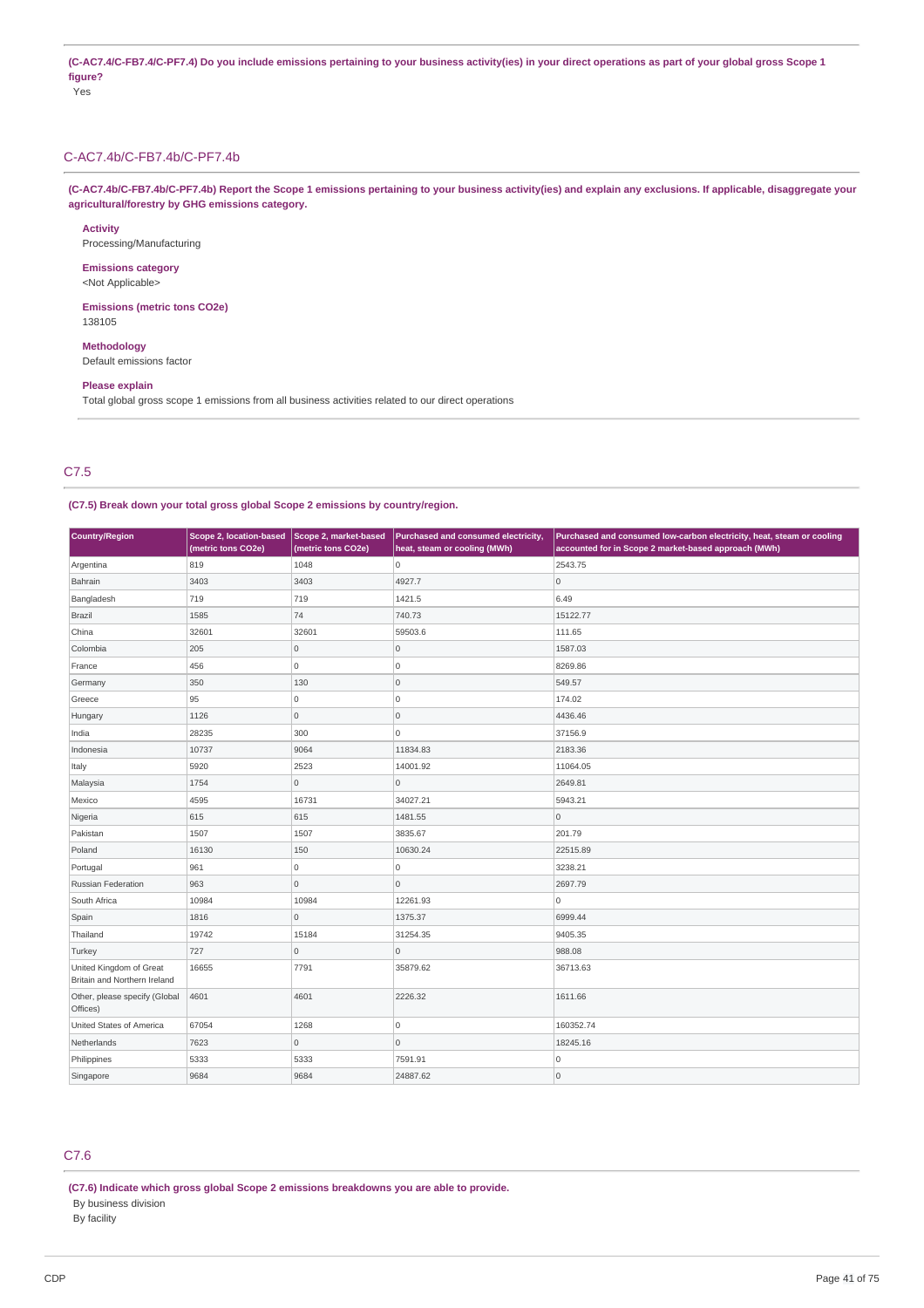(C-AC7.4/C-FB7.4/C-PF7.4) Do you include emissions pertaining to your business activity(ies) in your direct operations as part of your global gross Scope 1 **figure?** Yes

# C-AC7.4b/C-FB7.4b/C-PF7.4b

(C-AC7.4b/C-FB7.4b/C-PF7.4b) Report the Scope 1 emissions pertaining to your business activity(ies) and explain any exclusions. If applicable, disaggregate your **agricultural/forestry by GHG emissions category.**

# **Activity**

Processing/Manufacturing

**Emissions category** <Not Applicable>

**Emissions (metric tons CO2e)** 138105

**Methodology** Default emissions factor

#### **Please explain**

Total global gross scope 1 emissions from all business activities related to our direct operations

# C7.5

### **(C7.5) Break down your total gross global Scope 2 emissions by country/region.**

| Country/Region                                          | Scope 2, location-based<br>(metric tons CO2e) | Scope 2, market-based<br>(metric tons CO2e) | Purchased and consumed electricity,<br>heat, steam or cooling (MWh) | Purchased and consumed low-carbon electricity, heat, steam or cooling<br>accounted for in Scope 2 market-based approach (MWh) |
|---------------------------------------------------------|-----------------------------------------------|---------------------------------------------|---------------------------------------------------------------------|-------------------------------------------------------------------------------------------------------------------------------|
| Argentina                                               | 819                                           | 1048                                        | 0                                                                   | 2543.75                                                                                                                       |
| Bahrain                                                 | 3403                                          | 3403                                        | 4927.7                                                              | $\overline{0}$                                                                                                                |
| Bangladesh                                              | 719                                           | 719                                         | 1421.5                                                              | 6.49                                                                                                                          |
| Brazil                                                  | 1585                                          | 74                                          | 740.73                                                              | 15122.77                                                                                                                      |
| China                                                   | 32601                                         | 32601                                       | 59503.6                                                             | 111.65                                                                                                                        |
| Colombia                                                | 205                                           | $\mathsf{O}\xspace$                         | $\mathsf{O}\xspace$                                                 | 1587.03                                                                                                                       |
| France                                                  | 456                                           | $\circ$                                     | $\mathbf 0$                                                         | 8269.86                                                                                                                       |
| Germany                                                 | 350                                           | 130                                         | $\mathsf{O}\xspace$                                                 | 549.57                                                                                                                        |
| Greece                                                  | 95                                            | $\mathsf{O}\xspace$                         | 0                                                                   | 174.02                                                                                                                        |
| Hungary                                                 | 1126                                          | $\mathsf{O}\xspace$                         | $\mathbf 0$                                                         | 4436.46                                                                                                                       |
| India                                                   | 28235                                         | 300                                         | 0                                                                   | 37156.9                                                                                                                       |
| Indonesia                                               | 10737                                         | 9064                                        | 11834.83                                                            | 2183.36                                                                                                                       |
| Italy                                                   | 5920                                          | 2523                                        | 14001.92                                                            | 11064.05                                                                                                                      |
| Malaysia                                                | 1754                                          | $\mathbf 0$                                 | $\mathbf 0$                                                         | 2649.81                                                                                                                       |
| Mexico                                                  | 4595                                          | 16731                                       | 34027.21                                                            | 5943.21                                                                                                                       |
| Nigeria                                                 | 615                                           | 615                                         | 1481.55                                                             | $\overline{0}$                                                                                                                |
| Pakistan                                                | 1507                                          | 1507                                        | 3835.67                                                             | 201.79                                                                                                                        |
| Poland                                                  | 16130                                         | 150                                         | 10630.24                                                            | 22515.89                                                                                                                      |
| Portugal                                                | 961                                           | $\circ$                                     | 0                                                                   | 3238.21                                                                                                                       |
| Russian Federation                                      | 963                                           | $\circ$                                     | $\mathbf{0}$                                                        | 2697.79                                                                                                                       |
| South Africa                                            | 10984                                         | 10984                                       | 12261.93                                                            | $\overline{0}$                                                                                                                |
| Spain                                                   | 1816                                          | $\circ$                                     | 1375.37                                                             | 6999.44                                                                                                                       |
| Thailand                                                | 19742                                         | 15184                                       | 31254.35                                                            | 9405.35                                                                                                                       |
| Turkey                                                  | 727                                           | $\mathsf{O}\xspace$                         | $\mathsf{O}\xspace$                                                 | 988.08                                                                                                                        |
| United Kingdom of Great<br>Britain and Northern Ireland | 16655                                         | 7791                                        | 35879.62                                                            | 36713.63                                                                                                                      |
| Other, please specify (Global<br>Offices)               | 4601                                          | 4601                                        | 2226.32                                                             | 1611.66                                                                                                                       |
| United States of America                                | 67054                                         | 1268                                        | 0                                                                   | 160352.74                                                                                                                     |
| Netherlands                                             | 7623                                          | $\circ$                                     | $\mathbf{0}$                                                        | 18245.16                                                                                                                      |
| Philippines                                             | 5333                                          | 5333                                        | 7591.91                                                             | $\overline{0}$                                                                                                                |
| Singapore                                               | 9684                                          | 9684                                        | 24887.62                                                            | $\overline{0}$                                                                                                                |

# C7.6

**(C7.6) Indicate which gross global Scope 2 emissions breakdowns you are able to provide.** By business division By facility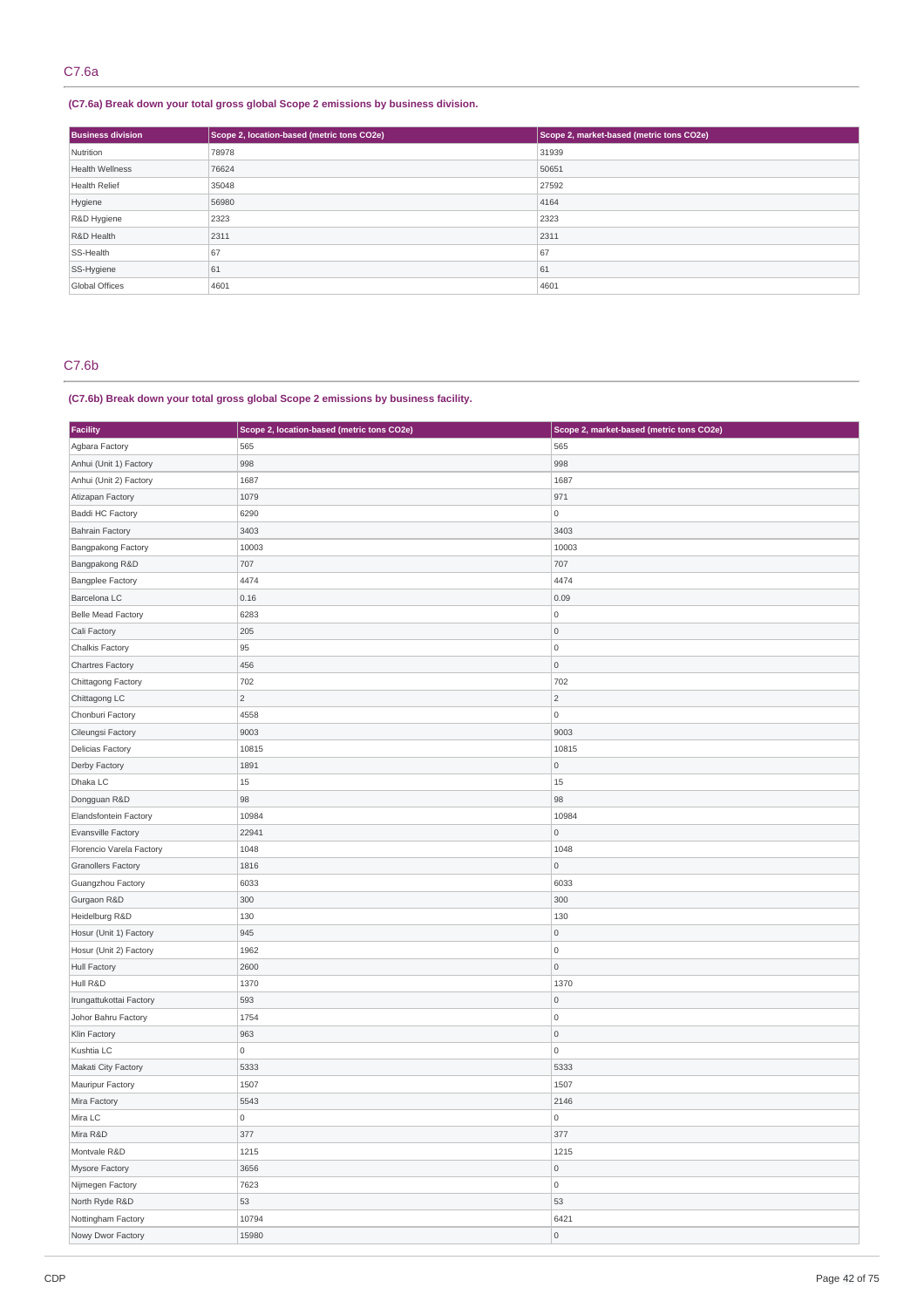# **(C7.6a) Break down your total gross global Scope 2 emissions by business division.**

| <b>Business division</b> | Scope 2, location-based (metric tons CO2e) | Scope 2, market-based (metric tons CO2e) |
|--------------------------|--------------------------------------------|------------------------------------------|
| Nutrition                | 78978                                      | 31939                                    |
| <b>Health Wellness</b>   | 76624                                      | 50651                                    |
| <b>Health Relief</b>     | 35048                                      | 27592                                    |
| Hygiene                  | 56980                                      | 4164                                     |
| R&D Hygiene              | 2323                                       | 2323                                     |
| R&D Health               | 2311                                       | 2311                                     |
| SS-Health                | 67                                         | 67                                       |
| SS-Hygiene               | 61                                         | 61                                       |
| Global Offices           | 4601                                       | 4601                                     |

# C7.6b

# **(C7.6b) Break down your total gross global Scope 2 emissions by business facility.**

| Facility                  | Scope 2, location-based (metric tons CO2e) | Scope 2, market-based (metric tons CO2e) |
|---------------------------|--------------------------------------------|------------------------------------------|
| Agbara Factory            | 565                                        | 565                                      |
| Anhui (Unit 1) Factory    | 998                                        | 998                                      |
| Anhui (Unit 2) Factory    | 1687                                       | 1687                                     |
| Atizapan Factory          | 1079                                       | 971                                      |
| <b>Baddi HC Factory</b>   | 6290                                       | 0                                        |
| <b>Bahrain Factory</b>    | 3403                                       | 3403                                     |
| <b>Bangpakong Factory</b> | 10003                                      | 10003                                    |
| Bangpakong R&D            | 707                                        | 707                                      |
| <b>Bangplee Factory</b>   | 4474                                       | 4474                                     |
| Barcelona LC              | 0.16                                       | 0.09                                     |
| <b>Belle Mead Factory</b> | 6283                                       | $\mathsf{O}\xspace$                      |
| Cali Factory              | 205                                        | $\mathsf{O}\xspace$                      |
| <b>Chalkis Factory</b>    | 95                                         | $\mathsf{O}\xspace$                      |
| Chartres Factory          | 456                                        | $\mathsf{O}\xspace$                      |
| Chittagong Factory        | 702                                        | 702                                      |
| Chittagong LC             | $\overline{c}$                             | $\sqrt{2}$                               |
| Chonburi Factory          | 4558                                       | $\mathsf 0$                              |
| Cileungsi Factory         | 9003                                       | 9003                                     |
| <b>Delicias Factory</b>   | 10815                                      | 10815                                    |
| Derby Factory             | 1891                                       | $\mathsf{O}\xspace$                      |
| Dhaka LC                  | 15                                         | 15                                       |
| Dongguan R&D              | 98                                         | 98                                       |
| Elandsfontein Factory     | 10984                                      | 10984                                    |
| Evansville Factory        | 22941                                      | $\mathsf{O}\xspace$                      |
| Florencio Varela Factory  | 1048                                       | 1048                                     |
| <b>Granollers Factory</b> | 1816                                       | $\mathsf{O}\xspace$                      |
| Guangzhou Factory         | 6033                                       | 6033                                     |
| Gurgaon R&D               | 300                                        | 300                                      |
| Heidelburg R&D            | 130                                        | 130                                      |
| Hosur (Unit 1) Factory    | 945                                        | $\mathsf{O}\xspace$                      |
| Hosur (Unit 2) Factory    | 1962                                       | $\mathsf{O}\xspace$                      |
| <b>Hull Factory</b>       | 2600                                       | $\mathsf{O}\xspace$                      |
| Hull R&D                  | 1370                                       | 1370                                     |
| Irungattukottai Factory   | 593                                        | $\mathsf{O}\xspace$                      |
| Johor Bahru Factory       | 1754                                       | $\mathsf{O}\xspace$                      |
| Klin Factory              | 963                                        | $\mathsf{O}\xspace$                      |
| Kushtia LC                | 0                                          | $\mathsf{O}\xspace$                      |
| Makati City Factory       | 5333                                       | 5333                                     |
| Mauripur Factory          | 1507                                       | 1507                                     |
| Mira Factory              | 5543                                       | 2146                                     |
| Mira LC                   | 0                                          | 0                                        |
| Mira R&D                  | 377                                        | 377                                      |
| Montvale R&D              | 1215                                       | 1215                                     |
| Mysore Factory            | 3656                                       | $\mathsf{O}\xspace$                      |
| Nijmegen Factory          | 7623                                       | $\mathsf{O}\xspace$                      |
| North Ryde R&D            | 53                                         | 53                                       |
| Nottingham Factory        | 10794                                      | 6421                                     |
| Nowy Dwor Factory         | 15980                                      | $\mathsf{O}\xspace$                      |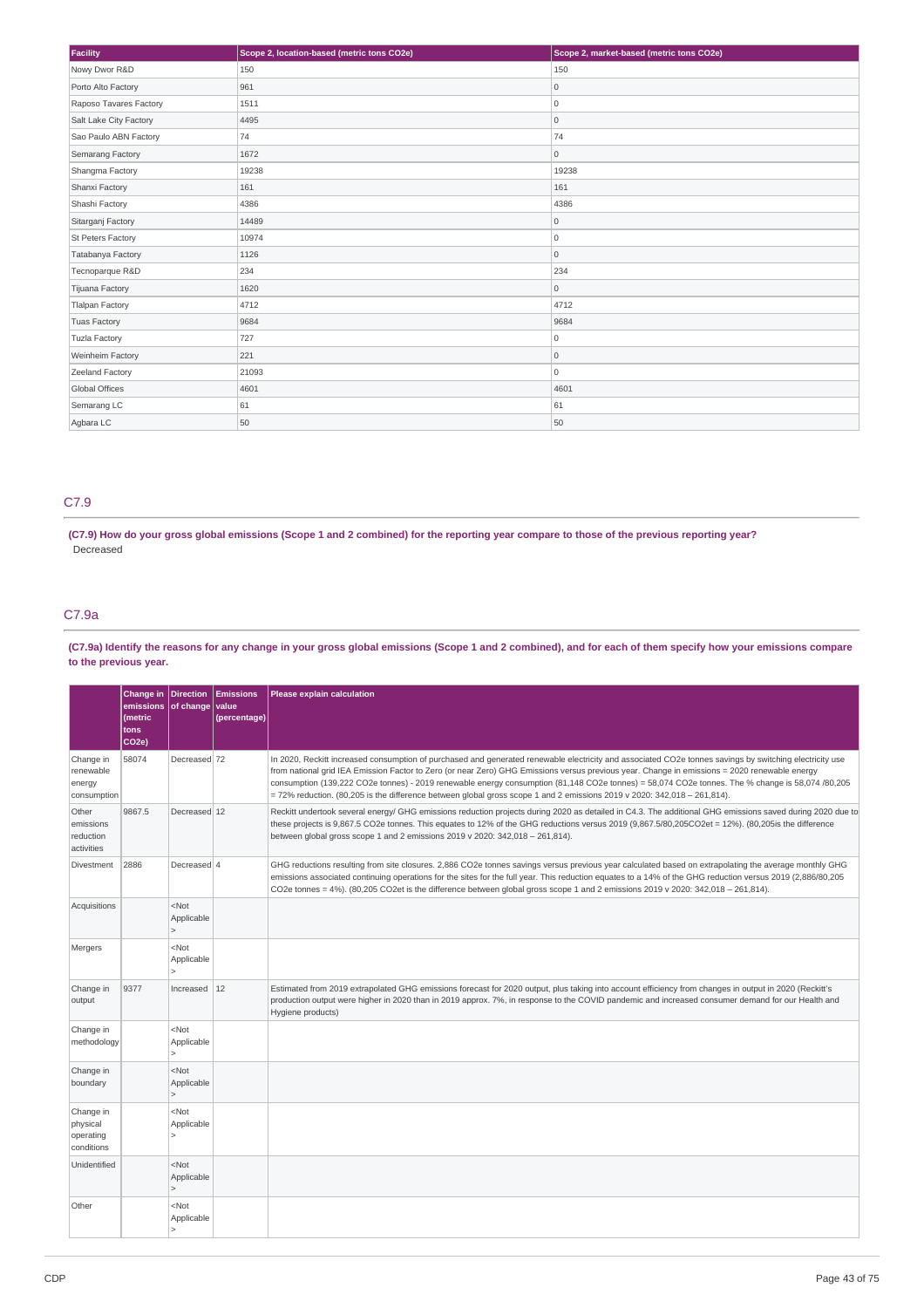| Facility               | Scope 2, location-based (metric tons CO2e) | Scope 2, market-based (metric tons CO2e) |
|------------------------|--------------------------------------------|------------------------------------------|
| Nowy Dwor R&D          | 150                                        | 150                                      |
| Porto Alto Factory     | 961                                        | 0                                        |
| Raposo Tavares Factory | 1511                                       | 0                                        |
| Salt Lake City Factory | 4495                                       | 0                                        |
| Sao Paulo ABN Factory  | 74                                         | 74                                       |
| Semarang Factory       | 1672                                       | 0                                        |
| Shangma Factory        | 19238                                      | 19238                                    |
| Shanxi Factory         | 161                                        | 161                                      |
| Shashi Factory         | 4386                                       | 4386                                     |
| Sitarganj Factory      | 14489                                      | 0                                        |
| St Peters Factory      | 10974                                      | 0                                        |
| Tatabanya Factory      | 1126                                       | 0                                        |
| Tecnoparque R&D        | 234                                        | 234                                      |
| Tijuana Factory        | 1620                                       | 0                                        |
| <b>Tlalpan Factory</b> | 4712                                       | 4712                                     |
| <b>Tuas Factory</b>    | 9684                                       | 9684                                     |
| <b>Tuzla Factory</b>   | 727                                        | 0                                        |
| Weinheim Factory       | 221                                        | $\circ$                                  |
| Zeeland Factory        | 21093                                      | 0                                        |
| <b>Global Offices</b>  | 4601                                       | 4601                                     |
| Semarang LC            | 61                                         | 61                                       |
| Agbara LC              | 50                                         | 50                                       |

# C7.9

(C7.9) How do your gross global emissions (Scope 1 and 2 combined) for the reporting year compare to those of the previous reporting year? Decreased

# C7.9a

(C7.9a) Identify the reasons for any change in your gross global emissions (Scope 1 and 2 combined), and for each of them specify how your emissions compare **to the previous year.**

|                                                  | Change in   Direction   Emissions<br>emissions of change value<br>(metric<br>tons<br>CO <sub>2e</sub> ) |                                       | (percentage) | Please explain calculation                                                                                                                                                                                                                                                                                                                                                                                                                                                                                                                                                                 |
|--------------------------------------------------|---------------------------------------------------------------------------------------------------------|---------------------------------------|--------------|--------------------------------------------------------------------------------------------------------------------------------------------------------------------------------------------------------------------------------------------------------------------------------------------------------------------------------------------------------------------------------------------------------------------------------------------------------------------------------------------------------------------------------------------------------------------------------------------|
| Change in<br>renewable<br>energy<br>consumption  | 58074                                                                                                   | Decreased 72                          |              | In 2020, Reckitt increased consumption of purchased and generated renewable electricity and associated CO2e tonnes savings by switching electricity use<br>from national grid IEA Emission Factor to Zero (or near Zero) GHG Emissions versus previous year. Change in emissions = 2020 renewable energy<br>consumption (139,222 CO2e tonnes) - 2019 renewable energy consumption (81,148 CO2e tonnes) = 58,074 CO2e tonnes. The % change is 58,074 /80,205<br>$= 72\%$ reduction. (80,205 is the difference between global gross scope 1 and 2 emissions 2019 v 2020: 342,018 - 261,814). |
| Other<br>emissions<br>reduction<br>activities    | 9867.5                                                                                                  | Decreased 12                          |              | Reckitt undertook several energy/ GHG emissions reduction projects during 2020 as detailed in C4.3. The additional GHG emissions saved during 2020 due to<br>these projects is 9,867.5 CO2e tonnes. This equates to 12% of the GHG reductions versus 2019 (9,867.5/80,205CO2et = 12%). (80,205is the difference<br>between global gross scope 1 and 2 emissions 2019 v 2020: 342,018 - 261,814).                                                                                                                                                                                           |
| Divestment                                       | 2886                                                                                                    | Decreased 4                           |              | GHG reductions resulting from site closures. 2,886 CO2e tonnes savings versus previous year calculated based on extrapolating the average monthly GHG<br>emissions associated continuing operations for the sites for the full year. This reduction equates to a 14% of the GHG reduction versus 2019 (2,886/80,205<br>CO2e tonnes = $4\%$ ). (80,205 CO2et is the difference between global gross scope 1 and 2 emissions 2019 v 2020: 342,018 - 261,814).                                                                                                                                |
| Acquisitions                                     |                                                                                                         | $<$ Not<br>Applicable<br>$\geq$       |              |                                                                                                                                                                                                                                                                                                                                                                                                                                                                                                                                                                                            |
| Mergers                                          |                                                                                                         | $<$ Not<br>Applicable<br>$\geq$       |              |                                                                                                                                                                                                                                                                                                                                                                                                                                                                                                                                                                                            |
| Change in<br>output                              | 9377                                                                                                    | Increased $12$                        |              | Estimated from 2019 extrapolated GHG emissions forecast for 2020 output, plus taking into account efficiency from changes in output in 2020 (Reckitt's<br>production output were higher in 2020 than in 2019 approx. 7%, in response to the COVID pandemic and increased consumer demand for our Health and<br>Hygiene products)                                                                                                                                                                                                                                                           |
| Change in<br>methodology                         |                                                                                                         | $<$ Not<br>Applicable                 |              |                                                                                                                                                                                                                                                                                                                                                                                                                                                                                                                                                                                            |
| Change in<br>boundary                            |                                                                                                         | $<$ Not<br>Applicable<br>$\geq$       |              |                                                                                                                                                                                                                                                                                                                                                                                                                                                                                                                                                                                            |
| Change in<br>physical<br>operating<br>conditions |                                                                                                         | $<$ Not<br>Applicable<br>$\mathbf{r}$ |              |                                                                                                                                                                                                                                                                                                                                                                                                                                                                                                                                                                                            |
| Unidentified                                     |                                                                                                         | $<$ Not<br>Applicable                 |              |                                                                                                                                                                                                                                                                                                                                                                                                                                                                                                                                                                                            |
| Other                                            |                                                                                                         | $<$ Not<br>Applicable                 |              |                                                                                                                                                                                                                                                                                                                                                                                                                                                                                                                                                                                            |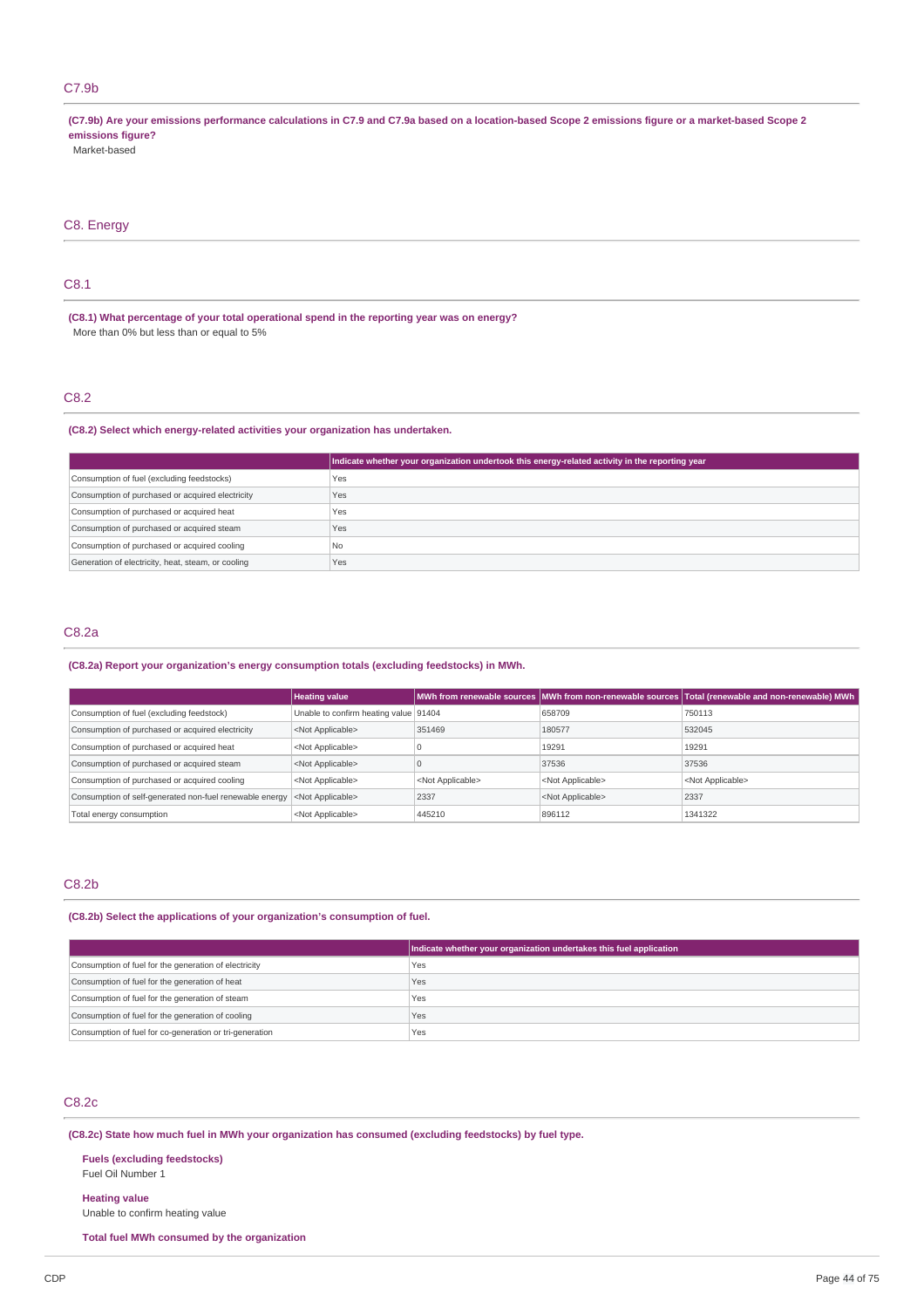# C7.9b

(C7.9b) Are your emissions performance calculations in C7.9 and C7.9a based on a location-based Scope 2 emissions figure or a market-based Scope 2 **emissions figure?** Market-based

# C8. Energy

# C8.1

**(C8.1) What percentage of your total operational spend in the reporting year was on energy?** More than 0% but less than or equal to 5%

# C8.2

# **(C8.2) Select which energy-related activities your organization has undertaken.**

|                                                    | Indicate whether your organization undertook this energy-related activity in the reporting year |
|----------------------------------------------------|-------------------------------------------------------------------------------------------------|
| Consumption of fuel (excluding feedstocks)         | Yes                                                                                             |
| Consumption of purchased or acquired electricity   | Yes                                                                                             |
| Consumption of purchased or acquired heat          | Yes                                                                                             |
| Consumption of purchased or acquired steam         | Yes                                                                                             |
| Consumption of purchased or acquired cooling       | <b>No</b>                                                                                       |
| Generation of electricity, heat, steam, or cooling | Yes                                                                                             |

# C8.2a

# **(C8.2a) Report your organization's energy consumption totals (excluding feedstocks) in MWh.**

|                                                         | <b>Heating value</b>                  |                           |                           | MWh from renewable sources MWh from non-renewable sources Total (renewable and non-renewable) MWh |
|---------------------------------------------------------|---------------------------------------|---------------------------|---------------------------|---------------------------------------------------------------------------------------------------|
| Consumption of fuel (excluding feedstock)               | Unable to confirm heating value 91404 |                           | 658709                    | 750113                                                                                            |
| Consumption of purchased or acquired electricity        | <not applicable=""></not>             | 351469                    | 180577                    | 532045                                                                                            |
| Consumption of purchased or acquired heat               | <not applicable=""></not>             |                           | 19291                     | 19291                                                                                             |
| Consumption of purchased or acquired steam              | <not applicable=""></not>             |                           | 37536                     | 37536                                                                                             |
| Consumption of purchased or acquired cooling            | <not applicable=""></not>             | <not applicable=""></not> | <not applicable=""></not> | <not applicable=""></not>                                                                         |
| Consumption of self-generated non-fuel renewable energy | <not applicable=""></not>             | 2337                      | <not applicable=""></not> | 2337                                                                                              |
| Total energy consumption                                | <not applicable=""></not>             | 445210                    | 896112                    | 1341322                                                                                           |

# C8.2b

### **(C8.2b) Select the applications of your organization's consumption of fuel.**

|                                                         | Indicate whether your organization undertakes this fuel application |
|---------------------------------------------------------|---------------------------------------------------------------------|
| Consumption of fuel for the generation of electricity   | Yes                                                                 |
| Consumption of fuel for the generation of heat          | Yes                                                                 |
| Consumption of fuel for the generation of steam         | Yes                                                                 |
| Consumption of fuel for the generation of cooling       | Yes                                                                 |
| Consumption of fuel for co-generation or tri-generation | Yes                                                                 |

# C8.2c

# **(C8.2c) State how much fuel in MWh your organization has consumed (excluding feedstocks) by fuel type.**

#### **Fuels (excluding feedstocks)** Fuel Oil Number 1

# **Heating value**

Unable to confirm heating value

**Total fuel MWh consumed by the organization**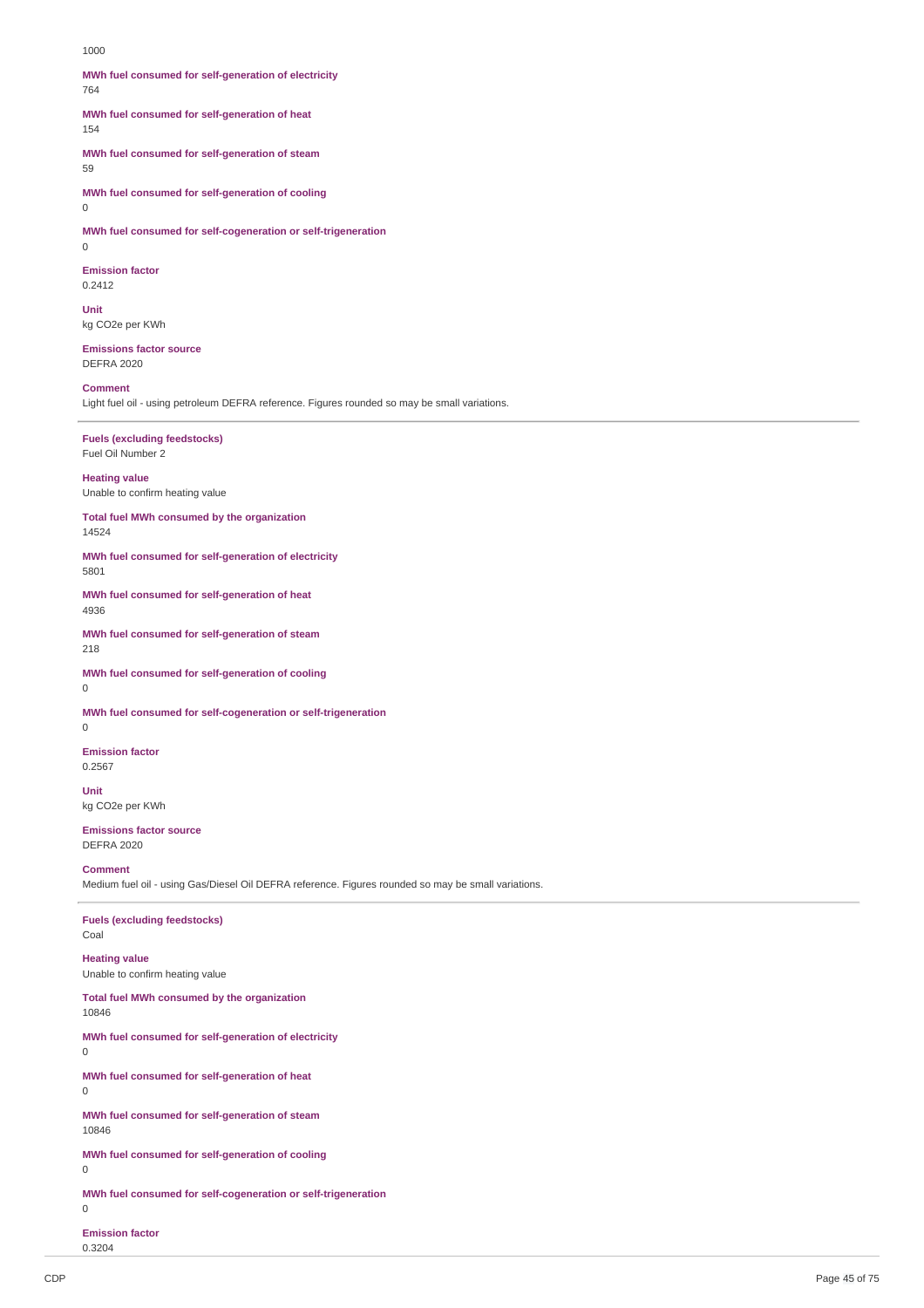1000

**MWh fuel consumed for self-generation of electricity** 764

**MWh fuel consumed for self-generation of heat**

154

**MWh fuel consumed for self-generation of steam**

59

**MWh fuel consumed for self-generation of cooling**

 $\Omega$ 

**MWh fuel consumed for self-cogeneration or self-trigeneration**  $\Omega$ 

**Emission factor** 0.2412

**Unit** kg CO2e per KWh

**Emissions factor source** DEFRA 2020

**Comment**

Light fuel oil - using petroleum DEFRA reference. Figures rounded so may be small variations.

# **Fuels (excluding feedstocks)**

Fuel Oil Number 2

### **Heating value**

Unable to confirm heating value

**Total fuel MWh consumed by the organization** 14524

**MWh fuel consumed for self-generation of electricity** 5801

**MWh fuel consumed for self-generation of heat** 4936

**MWh fuel consumed for self-generation of steam** 218

**MWh fuel consumed for self-generation of cooling**  $\Omega$ 

**MWh fuel consumed for self-cogeneration or self-trigeneration**

0

**Emission factor** 0.2567

**Unit** kg CO2e per KWh

**Emissions factor source** DEFRA 2020

**Comment**

Medium fuel oil - using Gas/Diesel Oil DEFRA reference. Figures rounded so may be small variations.

**Fuels (excluding feedstocks)** Coal

# **Heating value** Unable to confirm heating value

**Total fuel MWh consumed by the organization** 10846

 $\Omega$ 

**MWh fuel consumed for self-generation of electricity**

**MWh fuel consumed for self-generation of heat** 0

**MWh fuel consumed for self-generation of steam** 10846

**MWh fuel consumed for self-generation of cooling** 0

**MWh fuel consumed for self-cogeneration or self-trigeneration**

 $\Omega$ 

**Emission factor** 0.3204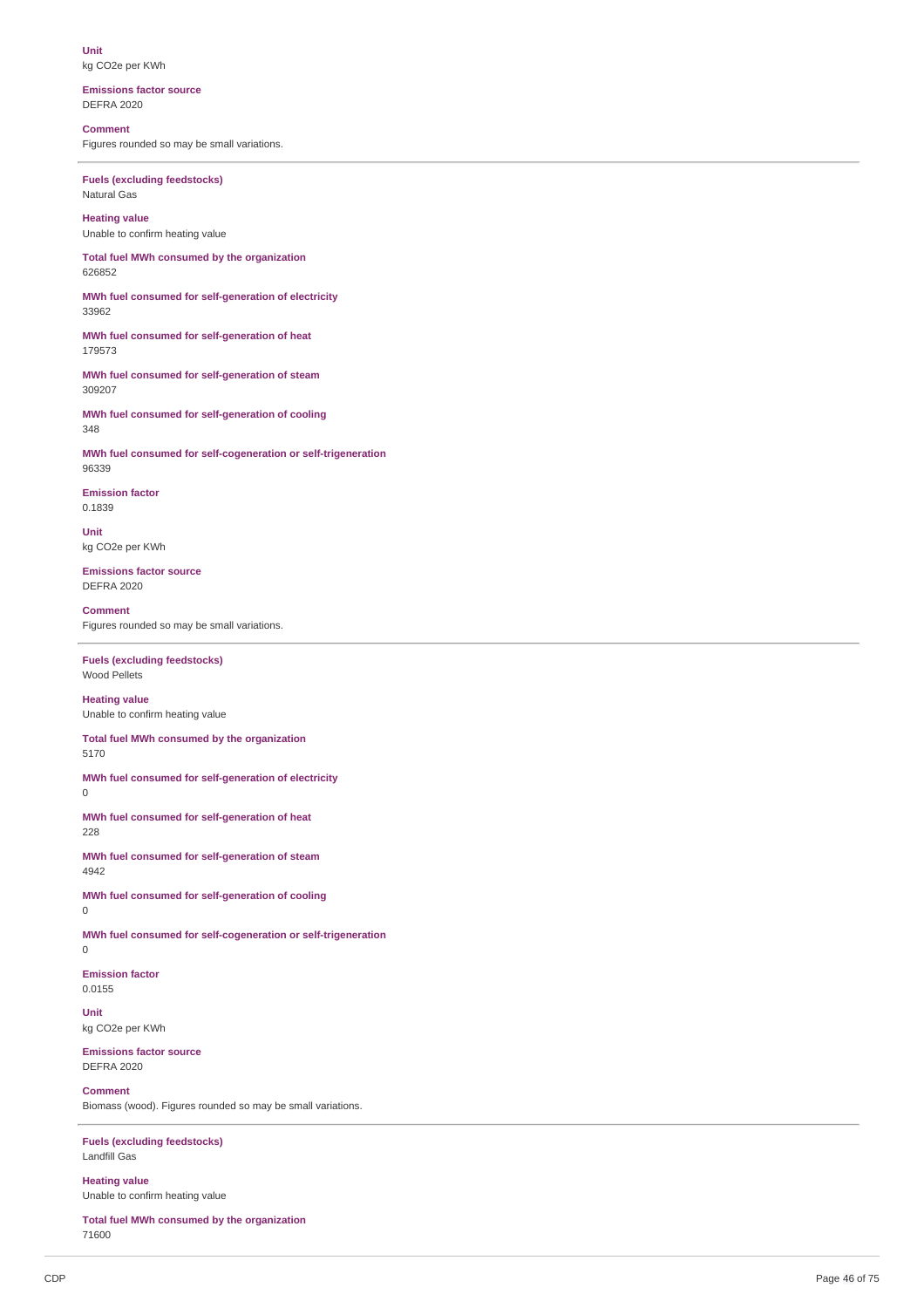**Unit** kg CO2e per KWh

**Emissions factor source** DEFRA 2020

**Comment** Figures rounded so may be small variations.

**Fuels (excluding feedstocks)** Natural Gas

**Heating value** Unable to confirm heating value

**Total fuel MWh consumed by the organization** 626852

**MWh fuel consumed for self-generation of electricity** 33962

**MWh fuel consumed for self-generation of heat** 179573

**MWh fuel consumed for self-generation of steam** 309207

**MWh fuel consumed for self-generation of cooling** 348

**MWh fuel consumed for self-cogeneration or self-trigeneration** 96339

**Emission factor** 0.1839

**Unit** kg CO2e per KWh

**Emissions factor source** DEFRA 2020

**Comment** Figures rounded so may be small variations.

**Fuels (excluding feedstocks)** Wood Pellets

**Heating value** Unable to confirm heating value

**Total fuel MWh consumed by the organization** 5170

**MWh fuel consumed for self-generation of electricity**

0

**MWh fuel consumed for self-generation of heat** 228

**MWh fuel consumed for self-generation of steam** 4942

**MWh fuel consumed for self-generation of cooling** 0

**MWh fuel consumed for self-cogeneration or self-trigeneration**  $\Omega$ 

**Emission factor** 0.0155

**Unit** kg CO2e per KWh

**Emissions factor source** DEFRA 2020

**Comment**

Biomass (wood). Figures rounded so may be small variations.

**Fuels (excluding feedstocks)** Landfill Gas

**Heating value** Unable to confirm heating value

**Total fuel MWh consumed by the organization** 71600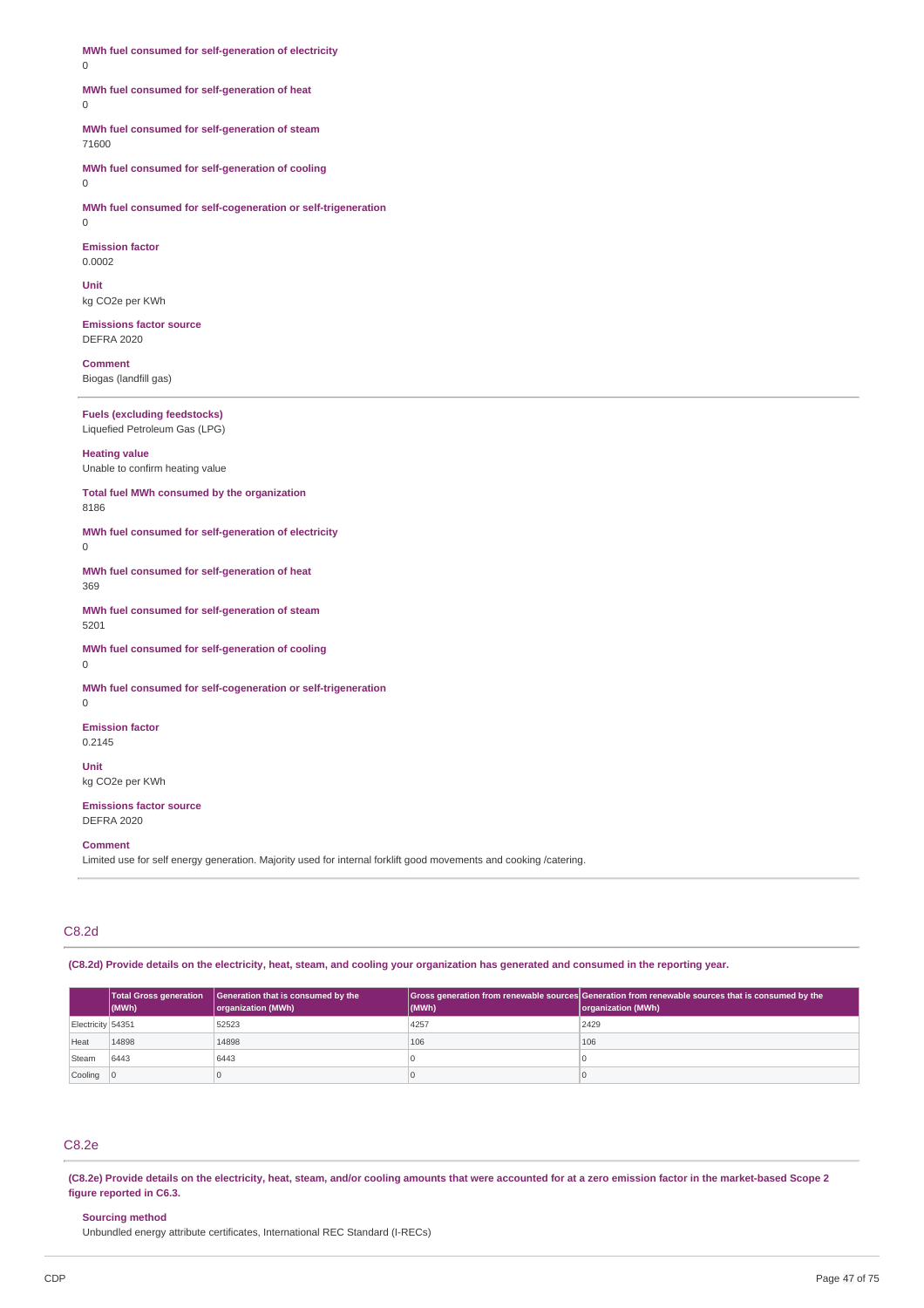**MWh fuel consumed for self-generation of electricity** 0

# **MWh fuel consumed for self-generation of heat**

 $\theta$ 

# **MWh fuel consumed for self-generation of steam** 71600

**MWh fuel consumed for self-generation of cooling**

0

**MWh fuel consumed for self-cogeneration or self-trigeneration** 0

**Emission factor** 0.0002

**Unit** kg CO2e per KWh

**Emissions factor source** DEFRA 2020

**Comment** Biogas (landfill gas)

# **Fuels (excluding feedstocks)** Liquefied Petroleum Gas (LPG)

**Heating value** Unable to confirm heating value

**Total fuel MWh consumed by the organization** 8186

**MWh fuel consumed for self-generation of electricity**  $\Omega$ 

**MWh fuel consumed for self-generation of heat** 369

**MWh fuel consumed for self-generation of steam** 5201

**MWh fuel consumed for self-generation of cooling**  $\Omega$ 

**MWh fuel consumed for self-cogeneration or self-trigeneration**

**Emission factor** 0.2145

**Unit**

 $\Omega$ 

kg CO2e per KWh

**Emissions factor source** DEFRA 2020

**Comment**

Limited use for self energy generation. Majority used for internal forklift good movements and cooking /catering.

# C8.2d

(C8.2d) Provide details on the electricity, heat, steam, and cooling your organization has generated and consumed in the reporting year.

|                   | $ $ (MWh) | Total Gross generation Generation that is consumed by the<br>organization (MWh) | (MWh) | Gross generation from renewable sources Generation from renewable sources that is consumed by the<br>organization (MWh) |
|-------------------|-----------|---------------------------------------------------------------------------------|-------|-------------------------------------------------------------------------------------------------------------------------|
| Electricity 54351 |           | 52523                                                                           | 4257  | 2429                                                                                                                    |
| Heat              | 14898     | 14898                                                                           | 106   | 106                                                                                                                     |
| Steam             | 6443      | 6443                                                                            |       |                                                                                                                         |
| Cooling 0         |           |                                                                                 |       |                                                                                                                         |

# C8.2e

(C8.2e) Provide details on the electricity, heat, steam, and/or cooling amounts that were accounted for at a zero emission factor in the market-based Scope 2 **figure reported in C6.3.**

# **Sourcing method**

Unbundled energy attribute certificates, International REC Standard (I-RECs)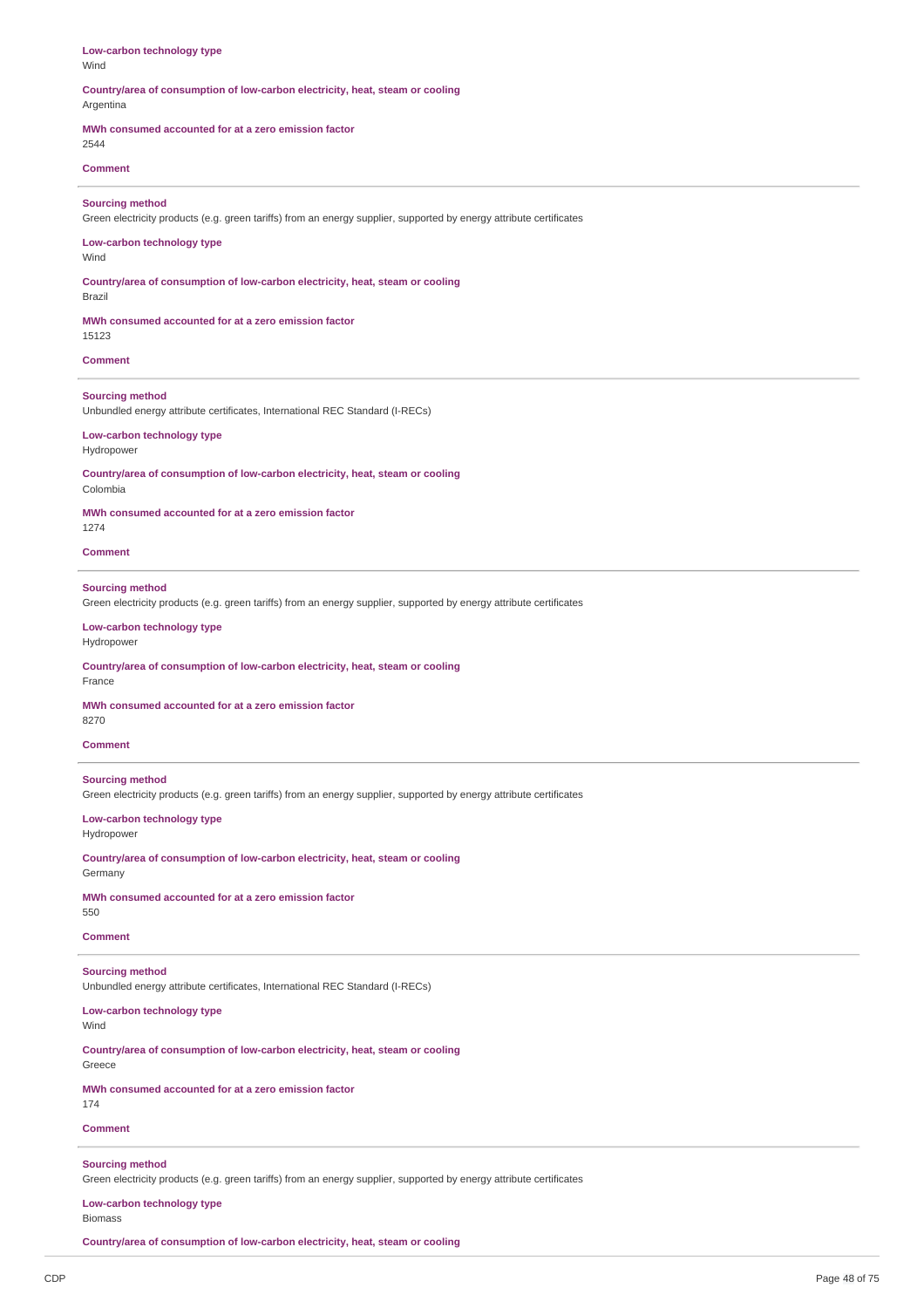| Low-carbon technology type<br>Wind                                                                                                            |
|-----------------------------------------------------------------------------------------------------------------------------------------------|
| Countrylarea of consumption of low-carbon electricity, heat, steam or cooling<br>Argentina                                                    |
| MWh consumed accounted for at a zero emission factor<br>2544                                                                                  |
| <b>Comment</b>                                                                                                                                |
| <b>Sourcing method</b><br>Green electricity products (e.g. green tariffs) from an energy supplier, supported by energy attribute certificates |
| Low-carbon technology type<br>Wind                                                                                                            |
| Countrylarea of consumption of low-carbon electricity, heat, steam or cooling<br>Brazil                                                       |
| MWh consumed accounted for at a zero emission factor<br>15123                                                                                 |
| <b>Comment</b>                                                                                                                                |
| <b>Sourcing method</b><br>Unbundled energy attribute certificates, International REC Standard (I-RECs)                                        |
| Low-carbon technology type<br>Hydropower                                                                                                      |
| Countrylarea of consumption of low-carbon electricity, heat, steam or cooling<br>Colombia                                                     |
| MWh consumed accounted for at a zero emission factor<br>1274                                                                                  |
| <b>Comment</b>                                                                                                                                |
| <b>Sourcing method</b><br>Green electricity products (e.g. green tariffs) from an energy supplier, supported by energy attribute certificates |
| Low-carbon technology type<br>Hydropower                                                                                                      |
| Countrylarea of consumption of low-carbon electricity, heat, steam or cooling<br>France                                                       |
| MWh consumed accounted for at a zero emission factor<br>8270                                                                                  |
| <b>Comment</b>                                                                                                                                |
| <b>Sourcing method</b><br>Green electricity products (e.g. green tariffs) from an energy supplier, supported by energy attribute certificates |
| Low-carbon technology type<br>Hydropower                                                                                                      |
| Country/area of consumption of low-carbon electricity, heat, steam or cooling<br>Germany                                                      |
| MWh consumed accounted for at a zero emission factor<br>550                                                                                   |
| <b>Comment</b>                                                                                                                                |
| <b>Sourcing method</b><br>Unbundled energy attribute certificates, International REC Standard (I-RECs)                                        |
| Low-carbon technology type<br>Wind                                                                                                            |
| Countrylarea of consumption of low-carbon electricity, heat, steam or cooling<br>Greece                                                       |
| MWh consumed accounted for at a zero emission factor<br>174                                                                                   |
| <b>Comment</b>                                                                                                                                |
| <b>Sourcing method</b><br>Green electricity products (e.g. green tariffs) from an energy supplier, supported by energy attribute certificates |
| Low-carbon technology type<br><b>Biomass</b>                                                                                                  |

**Country/area of consumption of low-carbon electricity, heat, steam or cooling**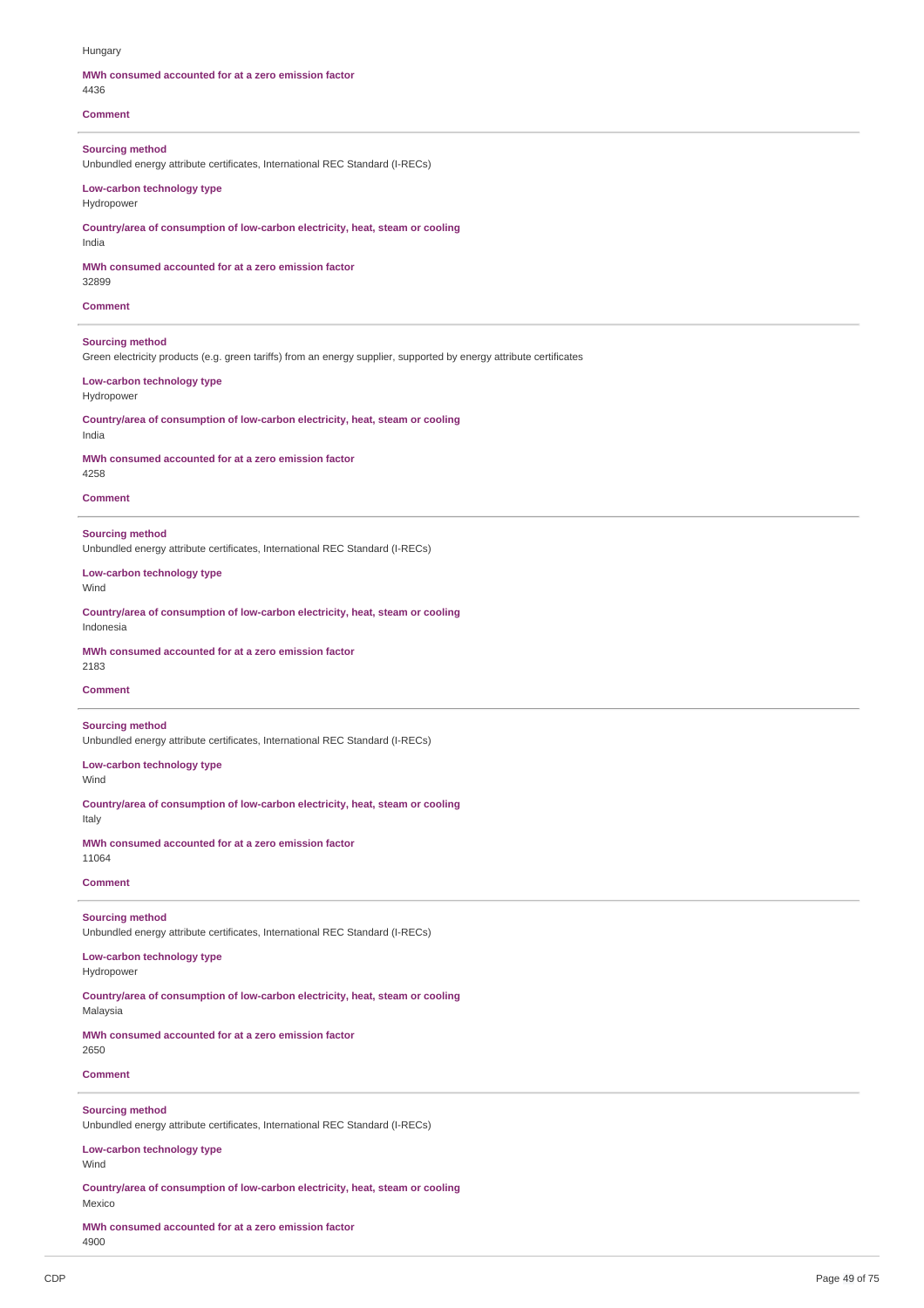#### Hungary

#### **MWh consumed accounted for at a zero emission factor** 4436

**Comment**

**Sourcing method** Unbundled energy attribute certificates, International REC Standard (I-RECs)

# **Low-carbon technology type** Hydropower

**Country/area of consumption of low-carbon electricity, heat, steam or cooling** India

#### **MWh consumed accounted for at a zero emission factor** 32899

**Comment**

**Sourcing method**

Green electricity products (e.g. green tariffs) from an energy supplier, supported by energy attribute certificates

# **Low-carbon technology type** Hydropower

**Country/area of consumption of low-carbon electricity, heat, steam or cooling** India

**MWh consumed accounted for at a zero emission factor** 4258

#### **Comment**

**Sourcing method** Unbundled energy attribute certificates, International REC Standard (I-RECs)

# **Low-carbon technology type** Wind

**Country/area of consumption of low-carbon electricity, heat, steam or cooling** Indonesia

# **MWh consumed accounted for at a zero emission factor**

2183

# **Comment**

# **Sourcing method**

Unbundled energy attribute certificates, International REC Standard (I-RECs)

# **Low-carbon technology type** Wind

**Country/area of consumption of low-carbon electricity, heat, steam or cooling**

**MWh consumed accounted for at a zero emission factor** 11064

# **Comment**

Italy

# **Sourcing method**

Unbundled energy attribute certificates, International REC Standard (I-RECs)

# **Low-carbon technology type**

Hydropower

**Country/area of consumption of low-carbon electricity, heat, steam or cooling** Malaysia

**MWh consumed accounted for at a zero emission factor** 2650

# **Comment**

# **Sourcing method**

Unbundled energy attribute certificates, International REC Standard (I-RECs)

# **Low-carbon technology type**

Wind

**Country/area of consumption of low-carbon electricity, heat, steam or cooling** Mexico

**MWh consumed accounted for at a zero emission factor** 4900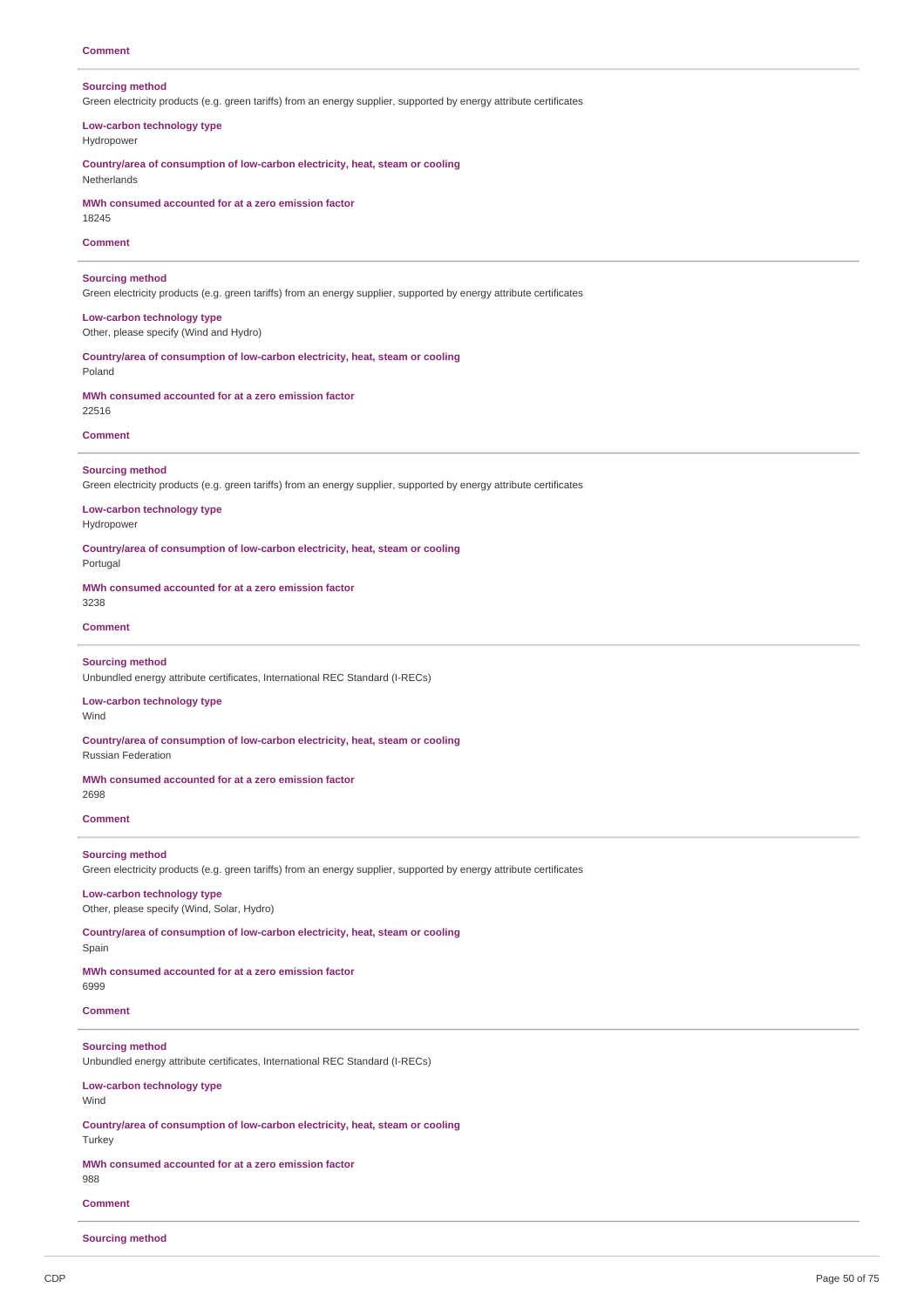### **Sourcing method**

Green electricity products (e.g. green tariffs) from an energy supplier, supported by energy attribute certificates

# **Low-carbon technology type** Hydropower

**Country/area of consumption of low-carbon electricity, heat, steam or cooling** Netherlands

**MWh consumed accounted for at a zero emission factor**

18245

### **Comment**

### **Sourcing method**

Green electricity products (e.g. green tariffs) from an energy supplier, supported by energy attribute certificates

# **Low-carbon technology type** Other, please specify (Wind and Hydro)

**Country/area of consumption of low-carbon electricity, heat, steam or cooling** Poland

# **MWh consumed accounted for at a zero emission factor** 22516

### **Comment**

# **Sourcing method**

Green electricity products (e.g. green tariffs) from an energy supplier, supported by energy attribute certificates

#### **Low-carbon technology type** Hydropower

**Country/area of consumption of low-carbon electricity, heat, steam or cooling**

Portugal

### **MWh consumed accounted for at a zero emission factor**

# 3238

# **Comment**

# **Sourcing method**

Unbundled energy attribute certificates, International REC Standard (I-RECs)

#### **Low-carbon technology type** Wind

**Country/area of consumption of low-carbon electricity, heat, steam or cooling** Russian Federation

#### **MWh consumed accounted for at a zero emission factor** 2698

#### **Comment**

#### **Sourcing method**

Green electricity products (e.g. green tariffs) from an energy supplier, supported by energy attribute certificates

# **Low-carbon technology type** Other, please specify (Wind, Solar, Hydro)

**Country/area of consumption of low-carbon electricity, heat, steam or cooling** Spain

### **MWh consumed accounted for at a zero emission factor**

6999

# **Comment**

# **Sourcing method**

Unbundled energy attribute certificates, International REC Standard (I-RECs)

# **Low-carbon technology type**

**Wind** 

#### **Country/area of consumption of low-carbon electricity, heat, steam or cooling Turkey**

#### **MWh consumed accounted for at a zero emission factor** 988

**Comment**

### **Sourcing method**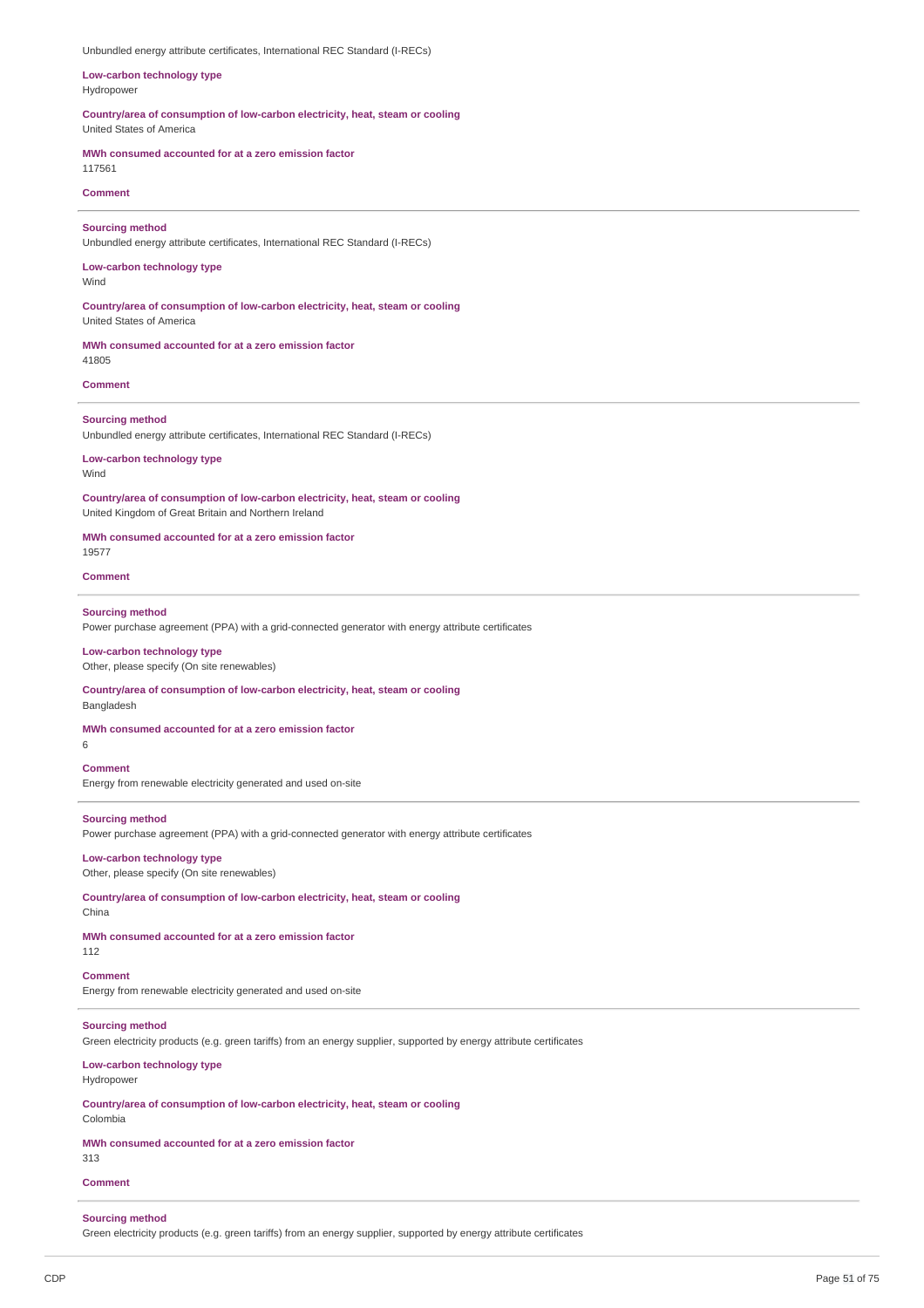Unbundled energy attribute certificates, International REC Standard (I-RECs)

**Low-carbon technology type** Hydropower

**Country/area of consumption of low-carbon electricity, heat, steam or cooling** United States of America

**MWh consumed accounted for at a zero emission factor**

# 117561 **Comment**

#### **Sourcing method**

Unbundled energy attribute certificates, International REC Standard (I-RECs)

### **Low-carbon technology type** Wind

**Country/area of consumption of low-carbon electricity, heat, steam or cooling** United States of America

**MWh consumed accounted for at a zero emission factor** 41805

### **Comment**

#### **Sourcing method**

Unbundled energy attribute certificates, International REC Standard (I-RECs)

**Low-carbon technology type** Wind

**Country/area of consumption of low-carbon electricity, heat, steam or cooling** United Kingdom of Great Britain and Northern Ireland

**MWh consumed accounted for at a zero emission factor** 19577

**Comment**

#### **Sourcing method**

Power purchase agreement (PPA) with a grid-connected generator with energy attribute certificates

# **Low-carbon technology type**

Other, please specify (On site renewables)

**Country/area of consumption of low-carbon electricity, heat, steam or cooling** Bangladesh

#### **MWh consumed accounted for at a zero emission factor**

6

### **Comment**

Energy from renewable electricity generated and used on-site

# **Sourcing method**

Power purchase agreement (PPA) with a grid-connected generator with energy attribute certificates

**Low-carbon technology type** Other, please specify (On site renewables)

**Country/area of consumption of low-carbon electricity, heat, steam or cooling** China

**MWh consumed accounted for at a zero emission factor**

112 **Comment**

Energy from renewable electricity generated and used on-site

# **Sourcing method**

Green electricity products (e.g. green tariffs) from an energy supplier, supported by energy attribute certificates

**Low-carbon technology type** Hydropower

**Country/area of consumption of low-carbon electricity, heat, steam or cooling** Colombia

**MWh consumed accounted for at a zero emission factor**

313

# **Comment**

# **Sourcing method**

Green electricity products (e.g. green tariffs) from an energy supplier, supported by energy attribute certificates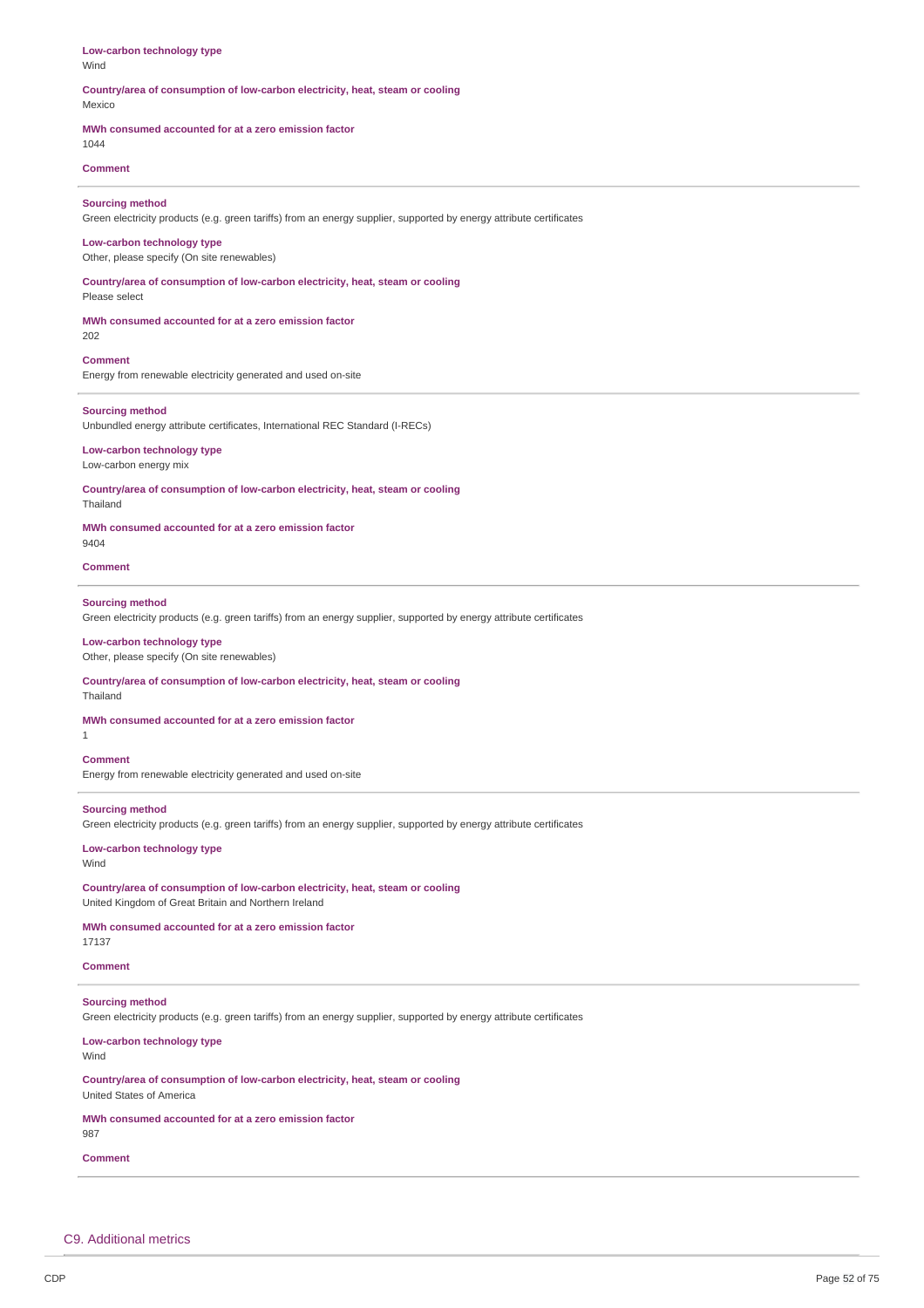**Low-carbon technology type** Wind

#### **Country/area of consumption of low-carbon electricity, heat, steam or cooling** Mexico

#### **MWh consumed accounted for at a zero emission factor**

1044

# **Comment**

#### **Sourcing method**

Green electricity products (e.g. green tariffs) from an energy supplier, supported by energy attribute certificates

# **Low-carbon technology type**

Other, please specify (On site renewables)

**Country/area of consumption of low-carbon electricity, heat, steam or cooling** Please select

# **MWh consumed accounted for at a zero emission factor**

202

# **Comment**

Energy from renewable electricity generated and used on-site

#### **Sourcing method**

Unbundled energy attribute certificates, International REC Standard (I-RECs)

# **Low-carbon technology type**

Low-carbon energy mix

**Country/area of consumption of low-carbon electricity, heat, steam or cooling**

Thailand

**MWh consumed accounted for at a zero emission factor**  $Q$ 404

**Comment**

# **Sourcing method**

Green electricity products (e.g. green tariffs) from an energy supplier, supported by energy attribute certificates

#### **Low-carbon technology type**

Other, please specify (On site renewables)

### **Country/area of consumption of low-carbon electricity, heat, steam or cooling**

Thailand

**MWh consumed accounted for at a zero emission factor**

### **Comment**

1

Energy from renewable electricity generated and used on-site

# **Sourcing method**

Green electricity products (e.g. green tariffs) from an energy supplier, supported by energy attribute certificates

#### **Low-carbon technology type** Wind

**Country/area of consumption of low-carbon electricity, heat, steam or cooling** United Kingdom of Great Britain and Northern Ireland

**MWh consumed accounted for at a zero emission factor**

17137

# **Comment**

# **Sourcing method**

Green electricity products (e.g. green tariffs) from an energy supplier, supported by energy attribute certificates

#### **Low-carbon technology type** Wind

**Country/area of consumption of low-carbon electricity, heat, steam or cooling** United States of America

# **MWh consumed accounted for at a zero emission factor**

987

# **Comment**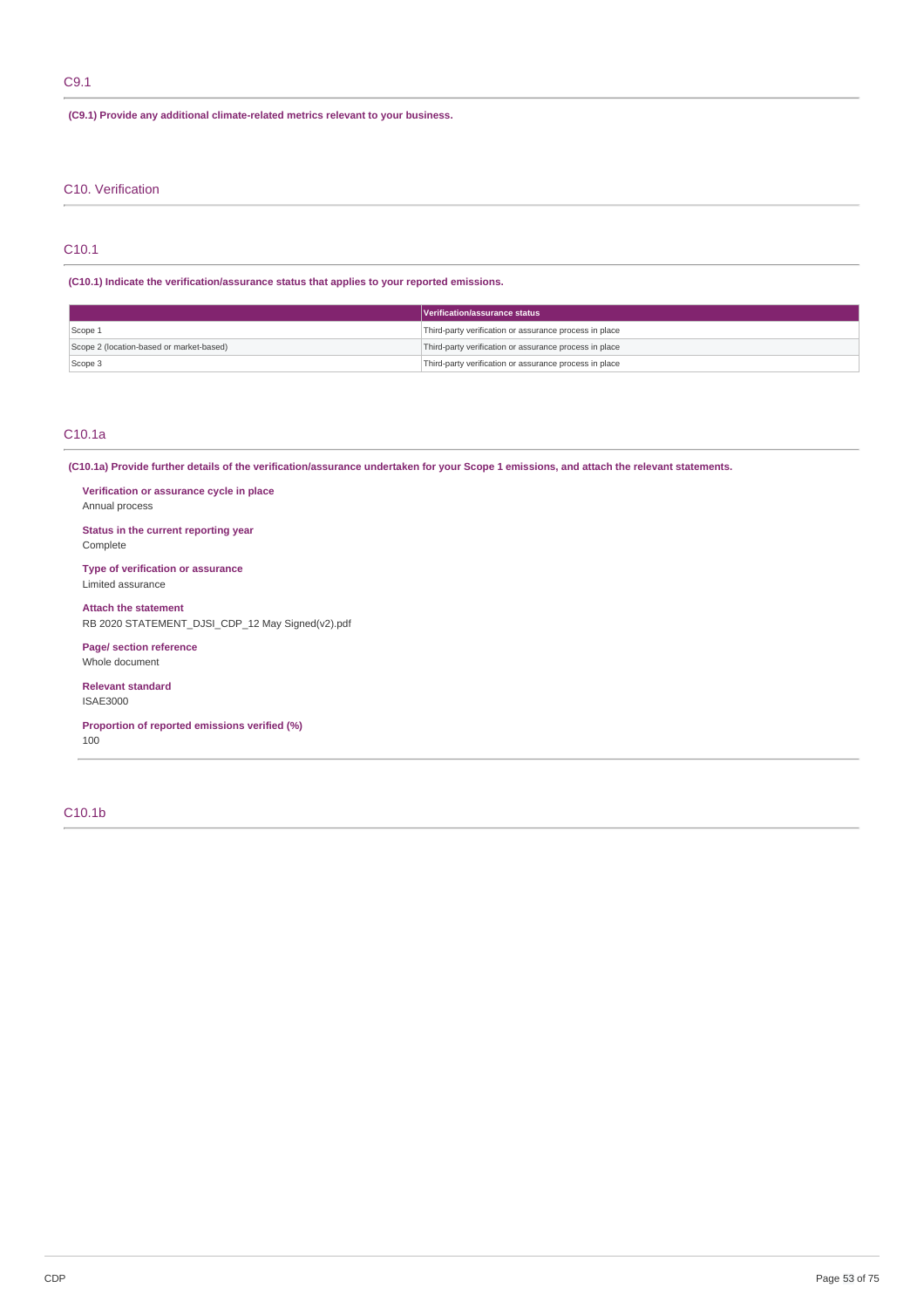# C9.1

**(C9.1) Provide any additional climate-related metrics relevant to your business.**

# C10. Verification

# C10.1

# **(C10.1) Indicate the verification/assurance status that applies to your reported emissions.**

|                                          | Verification/assurance status                          |
|------------------------------------------|--------------------------------------------------------|
| Scope 1                                  | Third-party verification or assurance process in place |
| Scope 2 (location-based or market-based) | Third-party verification or assurance process in place |
| Scope 3                                  | Third-party verification or assurance process in place |

# C10.1a

(C10.1a) Provide further details of the verification/assurance undertaken for your Scope 1 emissions, and attach the relevant statements.

**Verification or assurance cycle in place** Annual process

# **Status in the current reporting year** Complete

**Type of verification or assurance** Limited assurance

**Attach the statement** RB 2020 STATEMENT\_DJSI\_CDP\_12 May Signed(v2).pdf

**Page/ section reference** Whole document

**Relevant standard** ISAE3000

**Proportion of reported emissions verified (%)**

100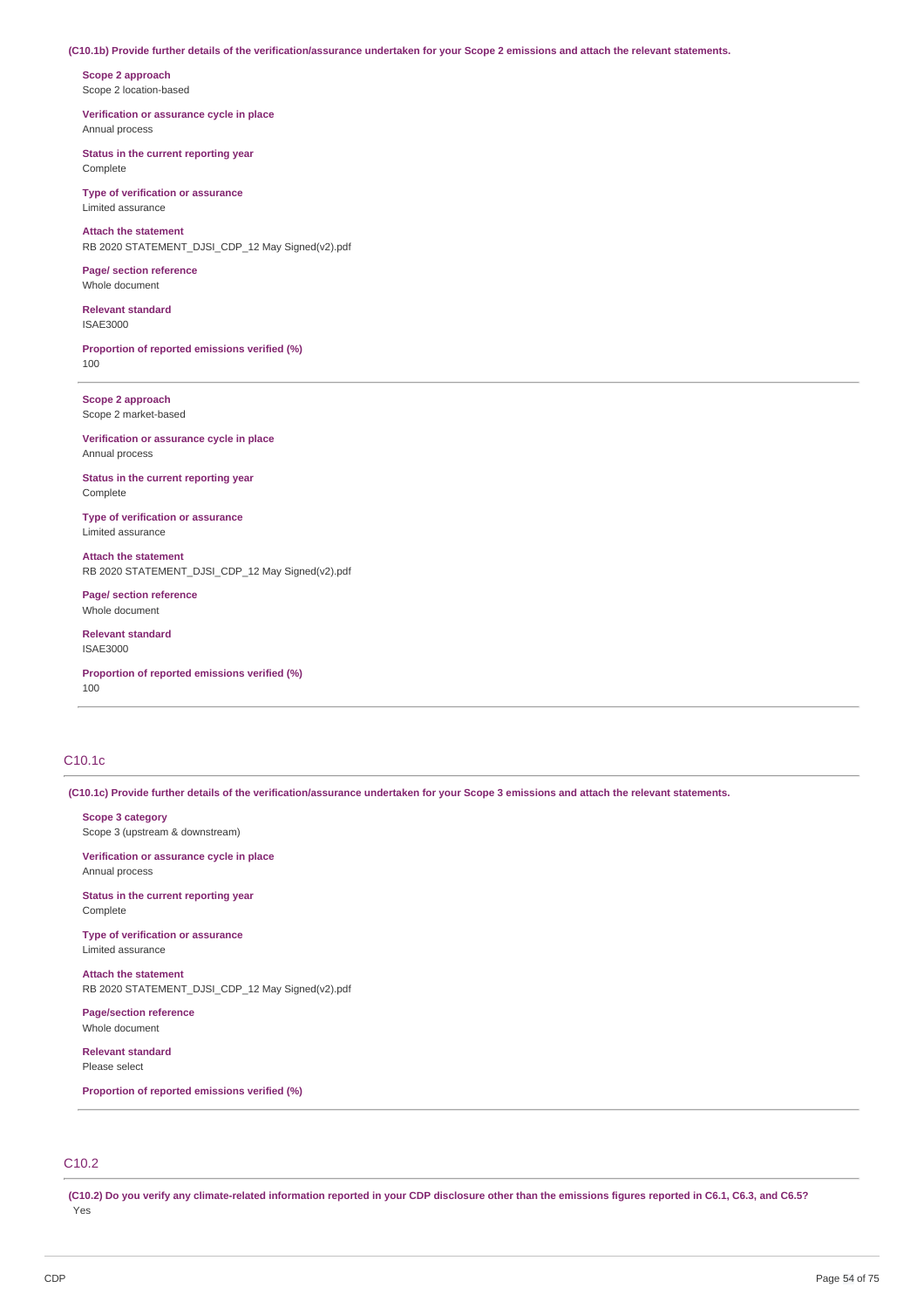### (C10.1b) Provide further details of the verification/assurance undertaken for your Scope 2 emissions and attach the relevant statements.

**Scope 2 approach** Scope 2 location-based

**Verification or assurance cycle in place** Annual process

**Status in the current reporting year** Complete

**Type of verification or assurance** Limited assurance

**Attach the statement** RB 2020 STATEMENT\_DJSI\_CDP\_12 May Signed(v2).pdf

**Page/ section reference** Whole document

**Relevant standard**

ISAE3000

**Proportion of reported emissions verified (%)** 100

**Scope 2 approach** Scope 2 market-based

**Verification or assurance cycle in place** Annual process

**Status in the current reporting year** Complete

**Type of verification or assurance** Limited assurance

**Attach the statement** RB 2020 STATEMENT\_DJSI\_CDP\_12 May Signed(v2).pdf

**Page/ section reference** Whole document

**Relevant standard** ISAE3000

**Proportion of reported emissions verified (%)** 100

# C10.1c

(C10.1c) Provide further details of the verification/assurance undertaken for your Scope 3 emissions and attach the relevant statements.

**Scope 3 category** Scope 3 (upstream & downstream)

**Verification or assurance cycle in place** Annual process

**Status in the current reporting year** Complete

**Type of verification or assurance** Limited assurance

**Attach the statement** RB 2020 STATEMENT\_DJSI\_CDP\_12 May Signed(v2).pdf

**Page/section reference** Whole document

**Relevant standard** Please select

**Proportion of reported emissions verified (%)**

# C10.2

(C10.2) Do you verify any climate-related information reported in your CDP disclosure other than the emissions figures reported in C6.1, C6.3, and C6.5? Yes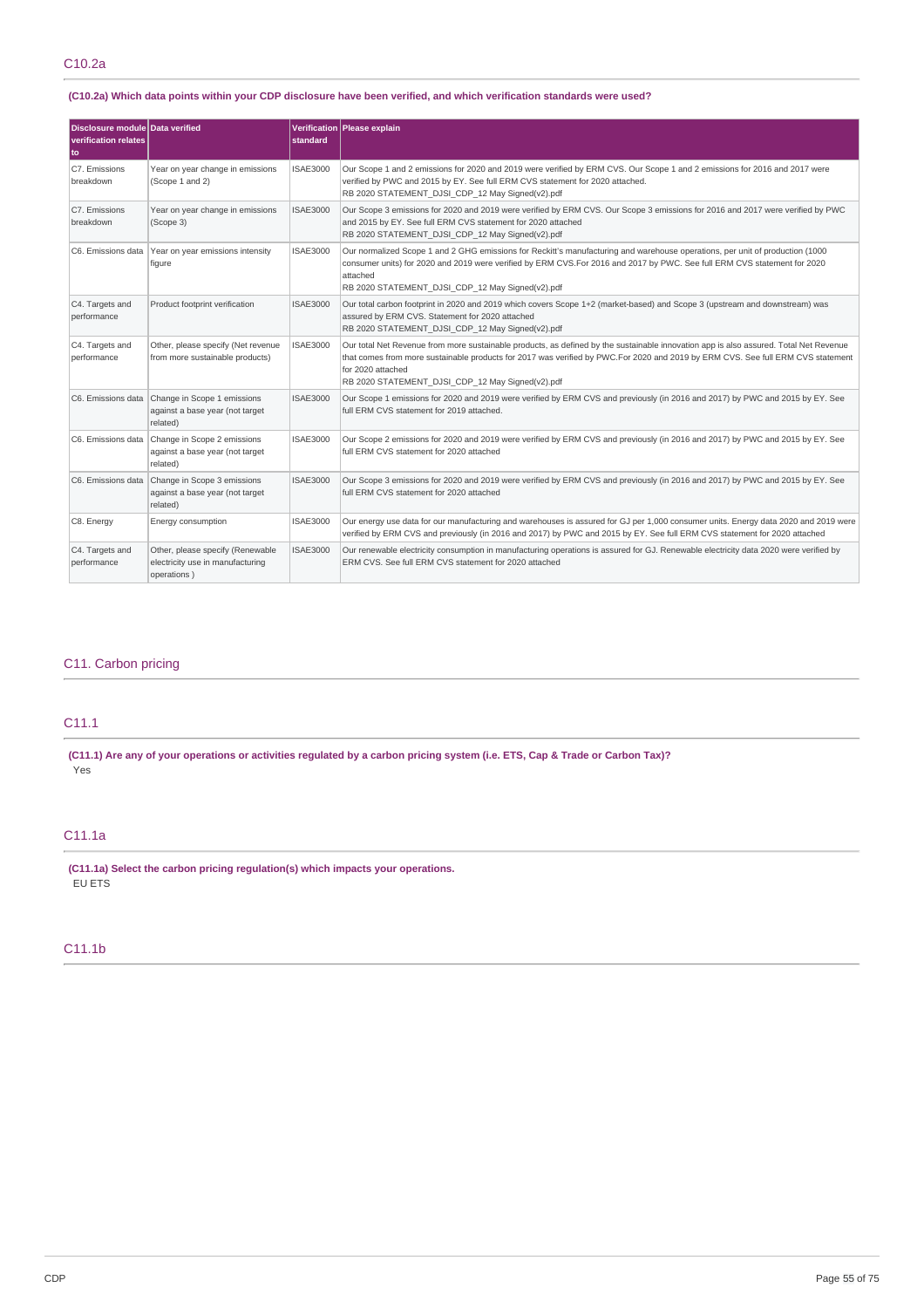# (C10.2a) Which data points within your CDP disclosure have been verified, and which verification standards were used?

| Disclosure module Data verified<br><b>verification relates</b><br>to |                                                                                               | standard        | Verification Please explain                                                                                                                                                                                                                                                                                                                       |
|----------------------------------------------------------------------|-----------------------------------------------------------------------------------------------|-----------------|---------------------------------------------------------------------------------------------------------------------------------------------------------------------------------------------------------------------------------------------------------------------------------------------------------------------------------------------------|
| C7. Emissions<br>breakdown                                           | Year on year change in emissions<br>(Scope 1 and 2)                                           | <b>ISAE3000</b> | Our Scope 1 and 2 emissions for 2020 and 2019 were verified by ERM CVS. Our Scope 1 and 2 emissions for 2016 and 2017 were<br>verified by PWC and 2015 by EY. See full ERM CVS statement for 2020 attached.<br>RB 2020 STATEMENT DJSI CDP 12 May Signed(v2).pdf                                                                                   |
| C7. Emissions<br>breakdown                                           | Year on year change in emissions<br>(Scope 3)                                                 | <b>ISAE3000</b> | Our Scope 3 emissions for 2020 and 2019 were verified by ERM CVS. Our Scope 3 emissions for 2016 and 2017 were verified by PWC<br>and 2015 by EY. See full ERM CVS statement for 2020 attached<br>RB 2020 STATEMENT DJSI CDP 12 May Signed(v2).pdf                                                                                                |
|                                                                      | C6. Emissions data Year on year emissions intensity<br>figure                                 | <b>ISAE3000</b> | Our normalized Scope 1 and 2 GHG emissions for Reckitt's manufacturing and warehouse operations, per unit of production (1000<br>consumer units) for 2020 and 2019 were verified by ERM CVS.For 2016 and 2017 by PWC. See full ERM CVS statement for 2020<br>attached<br>RB 2020 STATEMENT DJSI CDP 12 May Signed(v2).pdf                         |
| C4. Targets and<br>performance                                       | Product footprint verification                                                                | <b>ISAE3000</b> | Our total carbon footprint in 2020 and 2019 which covers Scope 1+2 (market-based) and Scope 3 (upstream and downstream) was<br>assured by ERM CVS. Statement for 2020 attached<br>RB 2020 STATEMENT DJSI CDP 12 May Signed(v2).pdf                                                                                                                |
| C4. Targets and<br>performance                                       | Other, please specify (Net revenue<br>from more sustainable products)                         | <b>ISAE3000</b> | Our total Net Revenue from more sustainable products, as defined by the sustainable innovation app is also assured. Total Net Revenue<br>that comes from more sustainable products for 2017 was verified by PWC.For 2020 and 2019 by ERM CVS. See full ERM CVS statement<br>for 2020 attached<br>RB 2020 STATEMENT DJSI CDP 12 May Signed(v2).pdf |
|                                                                      | C6. Emissions data Change in Scope 1 emissions<br>against a base year (not target<br>related) | <b>ISAE3000</b> | Our Scope 1 emissions for 2020 and 2019 were verified by ERM CVS and previously (in 2016 and 2017) by PWC and 2015 by EY. See<br>full ERM CVS statement for 2019 attached.                                                                                                                                                                        |
| C6. Emissions data                                                   | Change in Scope 2 emissions<br>against a base year (not target<br>related)                    | <b>ISAE3000</b> | Our Scope 2 emissions for 2020 and 2019 were verified by ERM CVS and previously (in 2016 and 2017) by PWC and 2015 by EY. See<br>full ERM CVS statement for 2020 attached                                                                                                                                                                         |
| C6. Emissions data                                                   | Change in Scope 3 emissions<br>against a base year (not target<br>related)                    | <b>ISAE3000</b> | Our Scope 3 emissions for 2020 and 2019 were verified by ERM CVS and previously (in 2016 and 2017) by PWC and 2015 by EY. See<br>full ERM CVS statement for 2020 attached                                                                                                                                                                         |
| C8. Energy                                                           | Energy consumption                                                                            | <b>ISAE3000</b> | Our energy use data for our manufacturing and warehouses is assured for GJ per 1,000 consumer units. Energy data 2020 and 2019 were<br>verified by ERM CVS and previously (in 2016 and 2017) by PWC and 2015 by EY. See full ERM CVS statement for 2020 attached                                                                                  |
| C4. Targets and<br>performance                                       | Other, please specify (Renewable<br>electricity use in manufacturing<br>operations)           | <b>ISAE3000</b> | Our renewable electricity consumption in manufacturing operations is assured for GJ. Renewable electricity data 2020 were verified by<br>ERM CVS. See full ERM CVS statement for 2020 attached                                                                                                                                                    |

# C11. Carbon pricing

# C11.1

(C11.1) Are any of your operations or activities regulated by a carbon pricing system (i.e. ETS, Cap & Trade or Carbon Tax)? Yes

# C11.1a

**(C11.1a) Select the carbon pricing regulation(s) which impacts your operations.** EU ETS

# C11.1b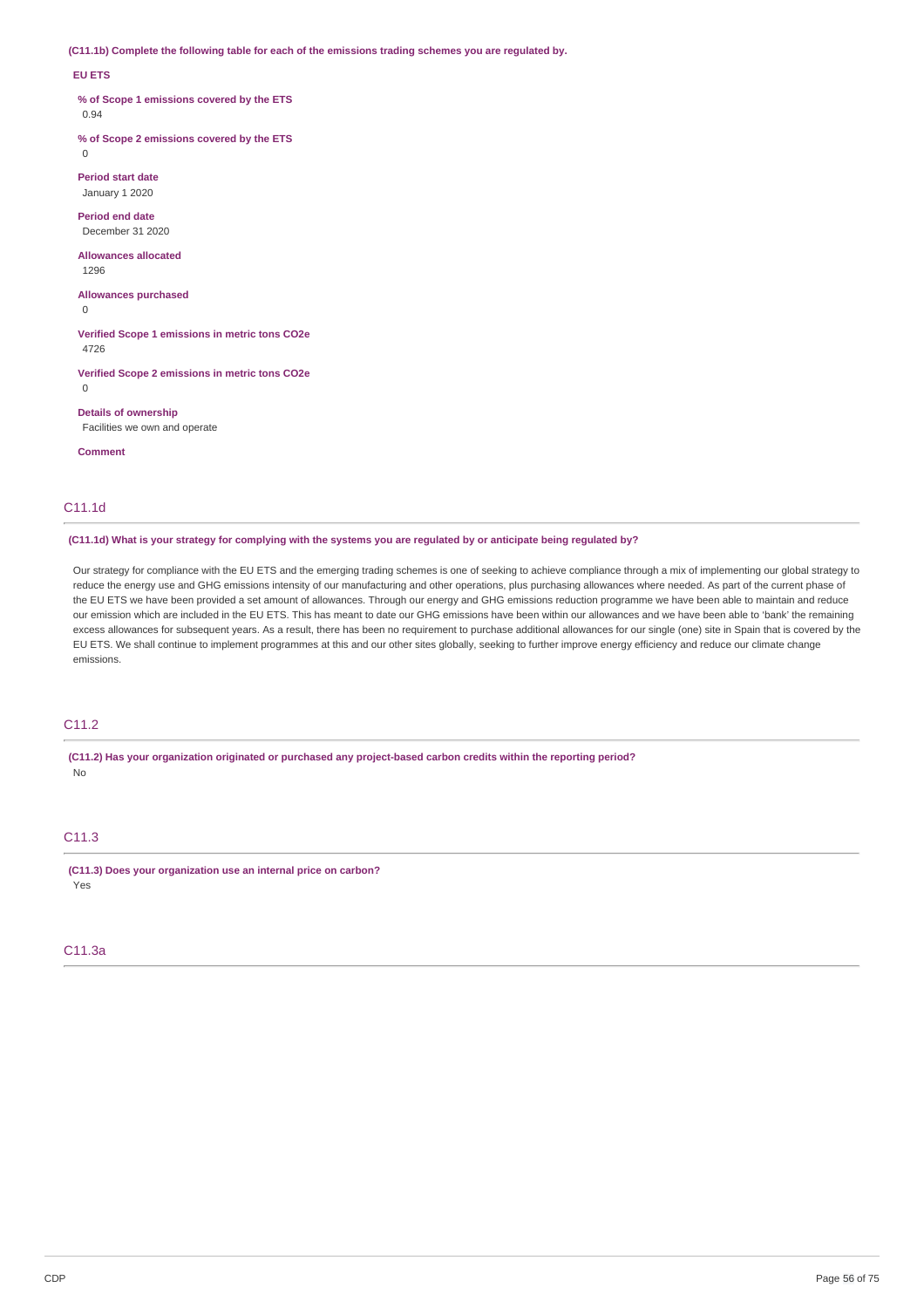**(C11.1b) Complete the following table for each of the emissions trading schemes you are regulated by.**

### **EU ETS**

**% of Scope 1 emissions covered by the ETS**

0.94

**% of Scope 2 emissions covered by the ETS**  $\Omega$ 

**Period start date** January 1 2020

**Period end date** December 31 2020

**Allowances allocated** 1296

**Allowances purchased**

 $\Omega$ 

**Verified Scope 1 emissions in metric tons CO2e** 4726

**Verified Scope 2 emissions in metric tons CO2e** 0

**Details of ownership** Facilities we own and operate

**Comment**

# C11.1d

(C11.1d) What is your strategy for complying with the systems you are regulated by or anticipate being regulated by?

Our strategy for compliance with the EU ETS and the emerging trading schemes is one of seeking to achieve compliance through a mix of implementing our global strategy to reduce the energy use and GHG emissions intensity of our manufacturing and other operations, plus purchasing allowances where needed. As part of the current phase of the EU ETS we have been provided a set amount of allowances. Through our energy and GHG emissions reduction programme we have been able to maintain and reduce our emission which are included in the EU ETS. This has meant to date our GHG emissions have been within our allowances and we have been able to 'bank' the remaining excess allowances for subsequent years. As a result, there has been no requirement to purchase additional allowances for our single (one) site in Spain that is covered by the EU ETS. We shall continue to implement programmes at this and our other sites globally, seeking to further improve energy efficiency and reduce our climate change emissions.

# C11.2

**(C11.2) Has your organization originated or purchased any project-based carbon credits within the reporting period?** No

# C11.3

**(C11.3) Does your organization use an internal price on carbon?** Yes

# C11.3a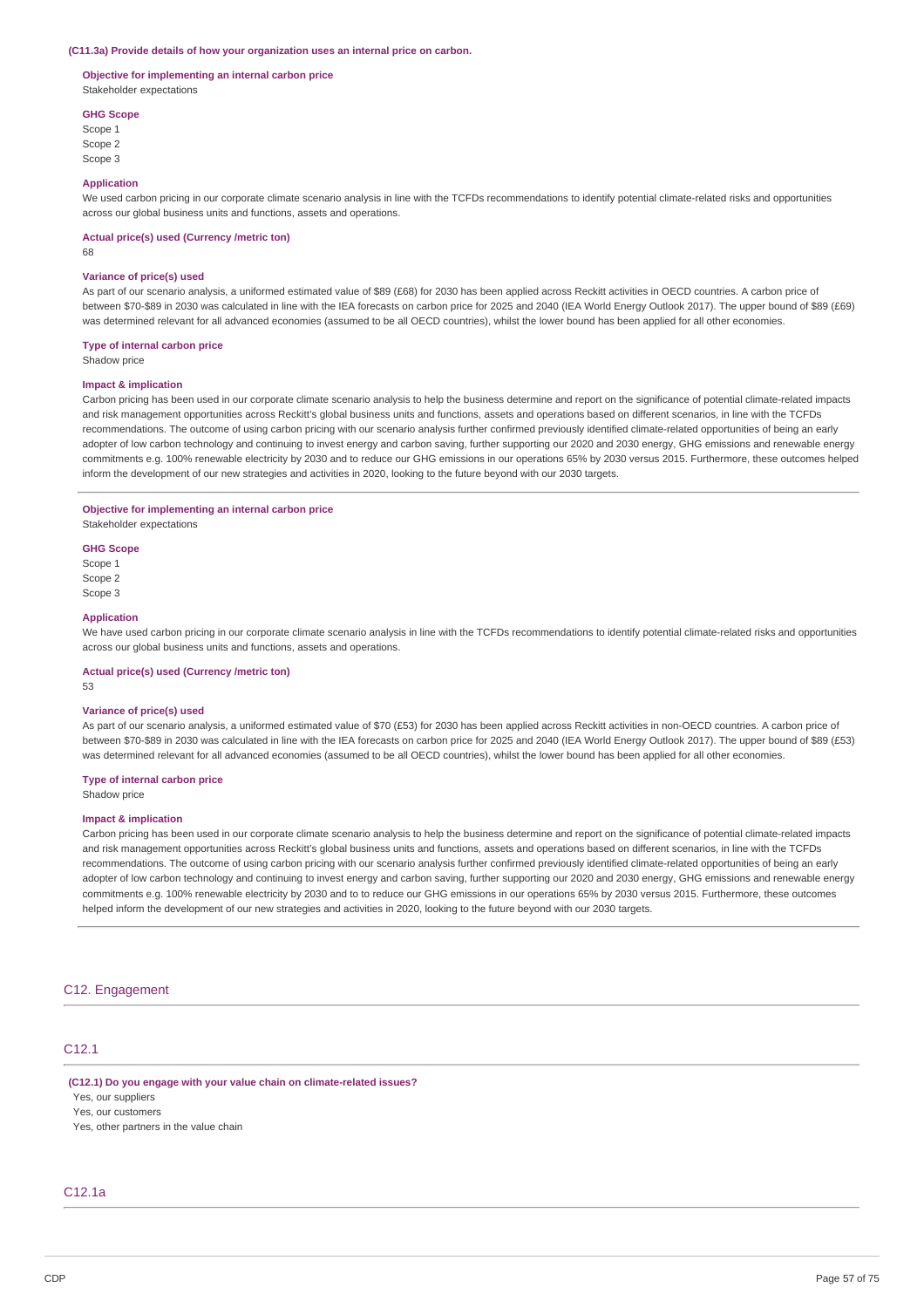#### **(C11.3a) Provide details of how your organization uses an internal price on carbon.**

### **Objective for implementing an internal carbon price** Stakeholder expectations

# **GHG Scope**

Scope 1 Scope 2 Scope 3

#### **Application**

We used carbon pricing in our corporate climate scenario analysis in line with the TCFDs recommendations to identify potential climate-related risks and opportunities across our global business units and functions, assets and operations.

#### **Actual price(s) used (Currency /metric ton)**

68

#### **Variance of price(s) used**

As part of our scenario analysis, a uniformed estimated value of \$89 (£68) for 2030 has been applied across Reckitt activities in OECD countries. A carbon price of between \$70-\$89 in 2030 was calculated in line with the IEA forecasts on carbon price for 2025 and 2040 (IEA World Energy Outlook 2017). The upper bound of \$89 (£69) was determined relevant for all advanced economies (assumed to be all OECD countries), whilst the lower bound has been applied for all other economies.

#### **Type of internal carbon price**

Shadow price

### **Impact & implication**

Carbon pricing has been used in our corporate climate scenario analysis to help the business determine and report on the significance of potential climate-related impacts and risk management opportunities across Reckitt's global business units and functions, assets and operations based on different scenarios, in line with the TCFDs recommendations. The outcome of using carbon pricing with our scenario analysis further confirmed previously identified climate-related opportunities of being an early adopter of low carbon technology and continuing to invest energy and carbon saving, further supporting our 2020 and 2030 energy, GHG emissions and renewable energy commitments e.g. 100% renewable electricity by 2030 and to reduce our GHG emissions in our operations 65% by 2030 versus 2015. Furthermore, these outcomes helped inform the development of our new strategies and activities in 2020, looking to the future beyond with our 2030 targets.

### **Objective for implementing an internal carbon price**

Stakeholder expectations

#### **GHG Scope**

Scope 1 Scope 2 Scope 3

#### **Application**

We have used carbon pricing in our corporate climate scenario analysis in line with the TCFDs recommendations to identify potential climate-related risks and opportunities across our global business units and functions, assets and operations.

# **Actual price(s) used (Currency /metric ton)**

53

### **Variance of price(s) used**

As part of our scenario analysis, a uniformed estimated value of \$70 (£53) for 2030 has been applied across Reckitt activities in non-OECD countries. A carbon price of between \$70-\$89 in 2030 was calculated in line with the IEA forecasts on carbon price for 2025 and 2040 (IEA World Energy Outlook 2017). The upper bound of \$89 (£53) was determined relevant for all advanced economies (assumed to be all OECD countries), whilst the lower bound has been applied for all other economies.

# **Type of internal carbon price**

Shadow price

### **Impact & implication**

Carbon pricing has been used in our corporate climate scenario analysis to help the business determine and report on the significance of potential climate-related impacts and risk management opportunities across Reckitt's global business units and functions, assets and operations based on different scenarios, in line with the TCFDs recommendations. The outcome of using carbon pricing with our scenario analysis further confirmed previously identified climate-related opportunities of being an early adopter of low carbon technology and continuing to invest energy and carbon saving, further supporting our 2020 and 2030 energy, GHG emissions and renewable energy commitments e.g. 100% renewable electricity by 2030 and to to reduce our GHG emissions in our operations 65% by 2030 versus 2015. Furthermore, these outcomes helped inform the development of our new strategies and activities in 2020, looking to the future beyond with our 2030 targets.

# C12. Engagement

# C<sub>12</sub>.1

# **(C12.1) Do you engage with your value chain on climate-related issues?**

Yes, our suppliers

Yes, our customers

Yes, other partners in the value chain

# C12.1a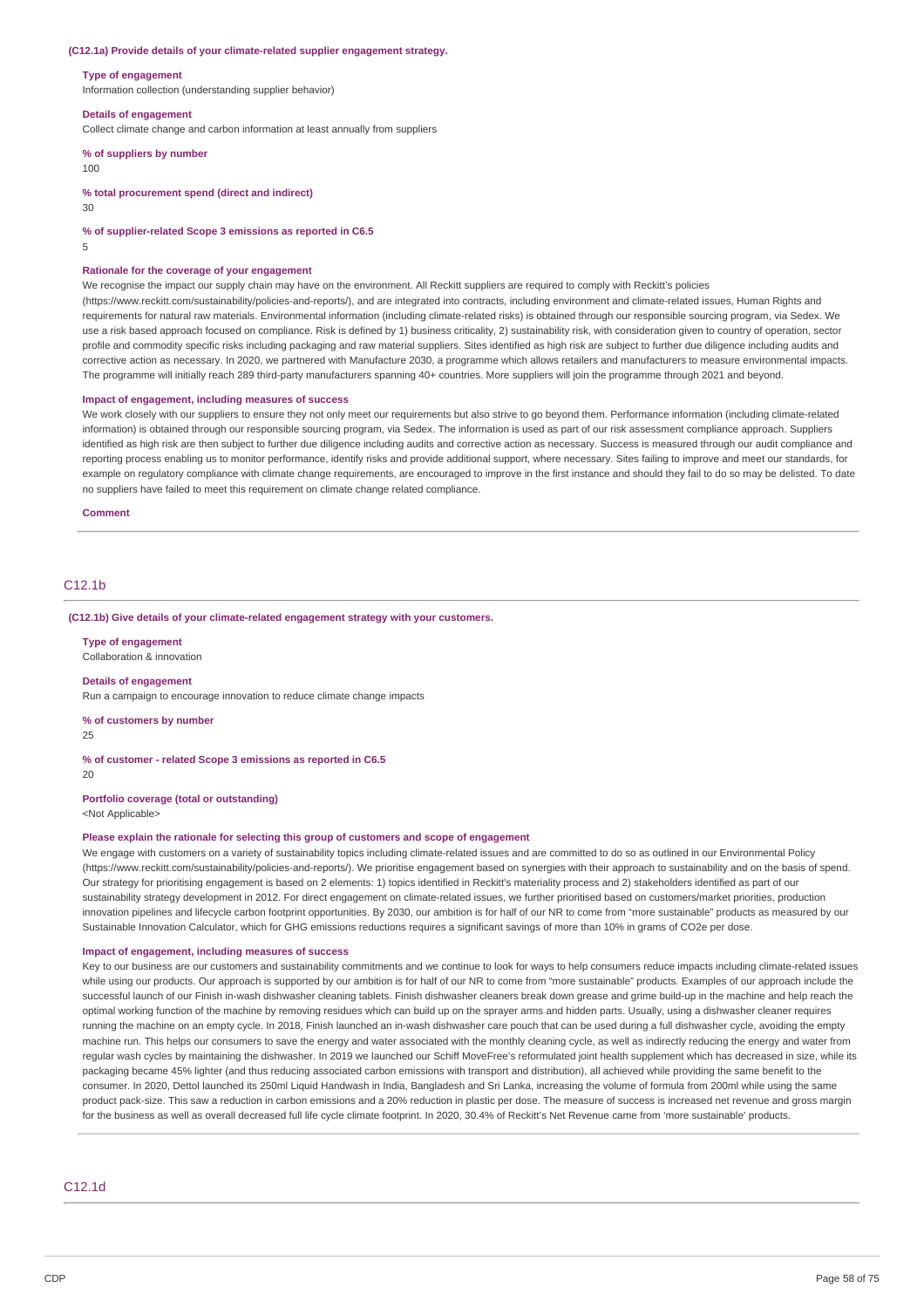#### **(C12.1a) Provide details of your climate-related supplier engagement strategy.**

#### **Type of engagement**

Information collection (understanding supplier behavior)

#### **Details of engagement**

Collect climate change and carbon information at least annually from suppliers

# **% of suppliers by number**

100

**% total procurement spend (direct and indirect)**

30

**% of supplier-related Scope 3 emissions as reported in C6.5**

5

#### **Rationale for the coverage of your engagement**

We recognise the impact our supply chain may have on the environment. All Reckitt suppliers are required to comply with Reckitt's policies

(https://www.reckitt.com/sustainability/policies-and-reports/), and are integrated into contracts, including environment and climate-related issues, Human Rights and requirements for natural raw materials. Environmental information (including climate-related risks) is obtained through our responsible sourcing program, via Sedex. We use a risk based approach focused on compliance. Risk is defined by 1) business criticality, 2) sustainability risk, with consideration given to country of operation, sector profile and commodity specific risks including packaging and raw material suppliers. Sites identified as high risk are subject to further due diligence including audits and corrective action as necessary. In 2020, we partnered with Manufacture 2030, a programme which allows retailers and manufacturers to measure environmental impacts. The programme will initially reach 289 third-party manufacturers spanning 40+ countries. More suppliers will join the programme through 2021 and beyond.

### **Impact of engagement, including measures of success**

We work closely with our suppliers to ensure they not only meet our requirements but also strive to go beyond them. Performance information (including climate-related information) is obtained through our responsible sourcing program, via Sedex. The information is used as part of our risk assessment compliance approach. Suppliers identified as high risk are then subject to further due diligence including audits and corrective action as necessary. Success is measured through our audit compliance and reporting process enabling us to monitor performance, identify risks and provide additional support, where necessary. Sites failing to improve and meet our standards, for example on regulatory compliance with climate change requirements, are encouraged to improve in the first instance and should they fail to do so may be delisted. To date no suppliers have failed to meet this requirement on climate change related compliance.

**Comment**

# C<sub>12</sub>.1<sub>b</sub>

#### **(C12.1b) Give details of your climate-related engagement strategy with your customers.**

**Type of engagement**

Collaboration & innovation

#### **Details of engagement**

Run a campaign to encourage innovation to reduce climate change impacts

**% of customers by number**

 $25$ 

### **% of customer - related Scope 3 emissions as reported in C6.5**

 $20$ 

**Portfolio coverage (total or outstanding)**

<Not Applicable>

#### **Please explain the rationale for selecting this group of customers and scope of engagement**

We engage with customers on a variety of sustainability topics including climate-related issues and are committed to do so as outlined in our Environmental Policy (https://www.reckitt.com/sustainability/policies-and-reports/). We prioritise engagement based on synergies with their approach to sustainability and on the basis of spend. Our strategy for prioritising engagement is based on 2 elements: 1) topics identified in Reckitt's materiality process and 2) stakeholders identified as part of our sustainability strategy development in 2012. For direct engagement on climate-related issues, we further prioritised based on customers/market priorities, production innovation pipelines and lifecycle carbon footprint opportunities. By 2030, our ambition is for half of our NR to come from "more sustainable" products as measured by our Sustainable Innovation Calculator, which for GHG emissions reductions requires a significant savings of more than 10% in grams of CO2e per dose.

#### **Impact of engagement, including measures of success**

Key to our business are our customers and sustainability commitments and we continue to look for ways to help consumers reduce impacts including climate-related issues while using our products. Our approach is supported by our ambition is for half of our NR to come from "more sustainable" products. Examples of our approach include the successful launch of our Finish in-wash dishwasher cleaning tablets. Finish dishwasher cleaners break down grease and grime build-up in the machine and help reach the optimal working function of the machine by removing residues which can build up on the sprayer arms and hidden parts. Usually, using a dishwasher cleaner requires running the machine on an empty cycle. In 2018, Finish launched an in-wash dishwasher care pouch that can be used during a full dishwasher cycle, avoiding the empty machine run. This helps our consumers to save the energy and water associated with the monthly cleaning cycle, as well as indirectly reducing the energy and water from regular wash cycles by maintaining the dishwasher. In 2019 we launched our Schiff MoveFree's reformulated joint health supplement which has decreased in size, while its packaging became 45% lighter (and thus reducing associated carbon emissions with transport and distribution), all achieved while providing the same benefit to the consumer. In 2020, Dettol launched its 250ml Liquid Handwash in India, Bangladesh and Sri Lanka, increasing the volume of formula from 200ml while using the same product pack-size. This saw a reduction in carbon emissions and a 20% reduction in plastic per dose. The measure of success is increased net revenue and gross margin for the business as well as overall decreased full life cycle climate footprint. In 2020, 30.4% of Reckitt's Net Revenue came from 'more sustainable' products

C12.1d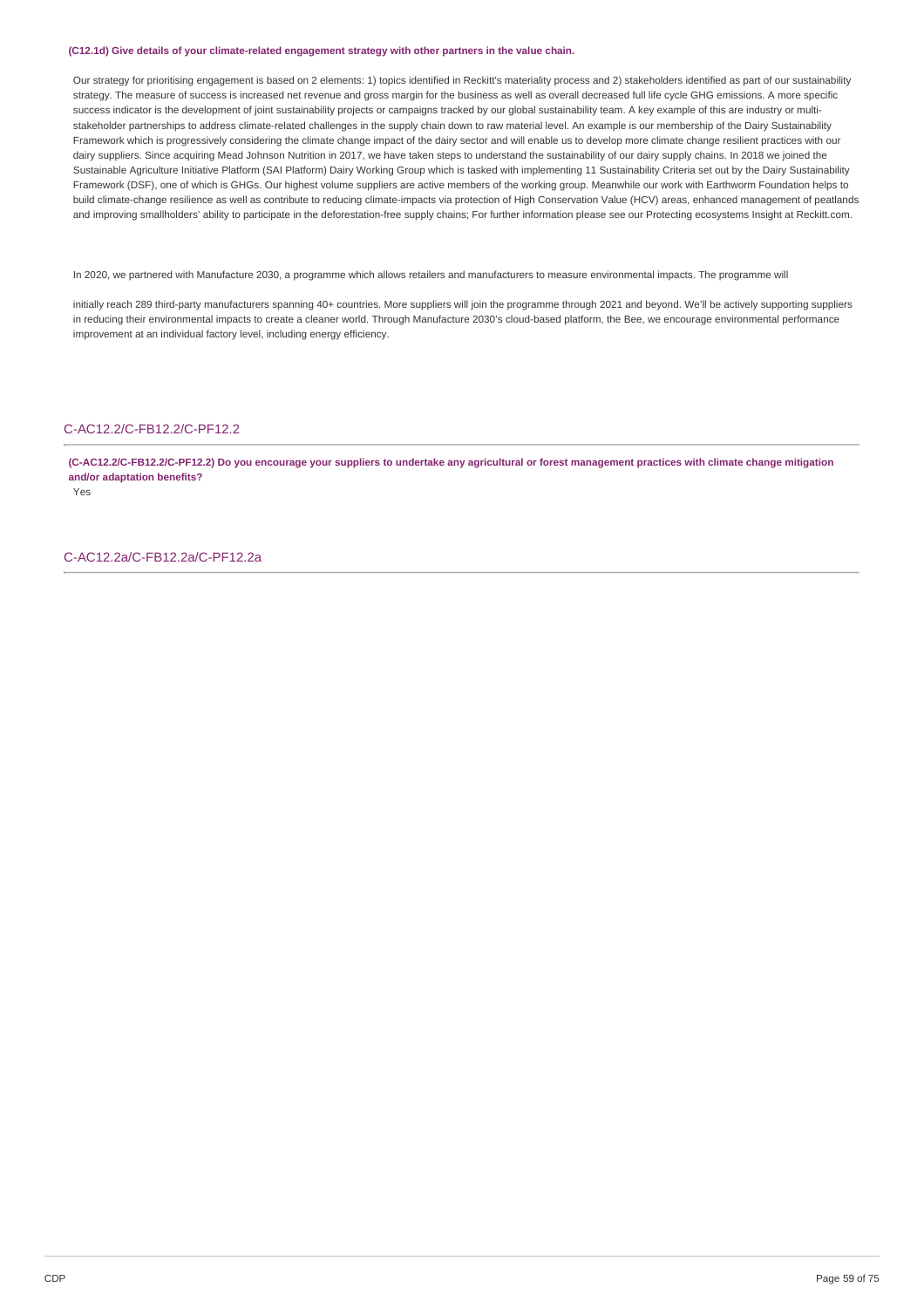### **(C12.1d) Give details of your climate-related engagement strategy with other partners in the value chain.**

Our strategy for prioritising engagement is based on 2 elements: 1) topics identified in Reckitt's materiality process and 2) stakeholders identified as part of our sustainability strategy. The measure of success is increased net revenue and gross margin for the business as well as overall decreased full life cycle GHG emissions. A more specific success indicator is the development of joint sustainability projects or campaigns tracked by our global sustainability team. A key example of this are industry or multistakeholder partnerships to address climate-related challenges in the supply chain down to raw material level. An example is our membership of the Dairy Sustainability Framework which is progressively considering the climate change impact of the dairy sector and will enable us to develop more climate change resilient practices with our dairy suppliers. Since acquiring Mead Johnson Nutrition in 2017, we have taken steps to understand the sustainability of our dairy supply chains. In 2018 we joined the Sustainable Agriculture Initiative Platform (SAI Platform) Dairy Working Group which is tasked with implementing 11 Sustainability Criteria set out by the Dairy Sustainability Framework (DSF), one of which is GHGs. Our highest volume suppliers are active members of the working group. Meanwhile our work with Earthworm Foundation helps to build climate-change resilience as well as contribute to reducing climate-impacts via protection of High Conservation Value (HCV) areas, enhanced management of peatlands and improving smallholders' ability to participate in the deforestation-free supply chains; For further information please see our Protecting ecosystems Insight at Reckitt.com.

In 2020, we partnered with Manufacture 2030, a programme which allows retailers and manufacturers to measure environmental impacts. The programme will

initially reach 289 third-party manufacturers spanning 40+ countries. More suppliers will join the programme through 2021 and beyond. We'll be actively supporting suppliers in reducing their environmental impacts to create a cleaner world. Through Manufacture 2030's cloud-based platform, the Bee, we encourage environmental performance improvement at an individual factory level, including energy efficiency.

### C-AC12.2/C-FB12.2/C-PF12.2

(C-AC12.2/C-FB12.2/C-PF12.2) Do you encourage your suppliers to undertake any agricultural or forest management practices with climate change mitigation **and/or adaptation benefits?**

Yes

C-AC12.2a/C-FB12.2a/C-PF12.2a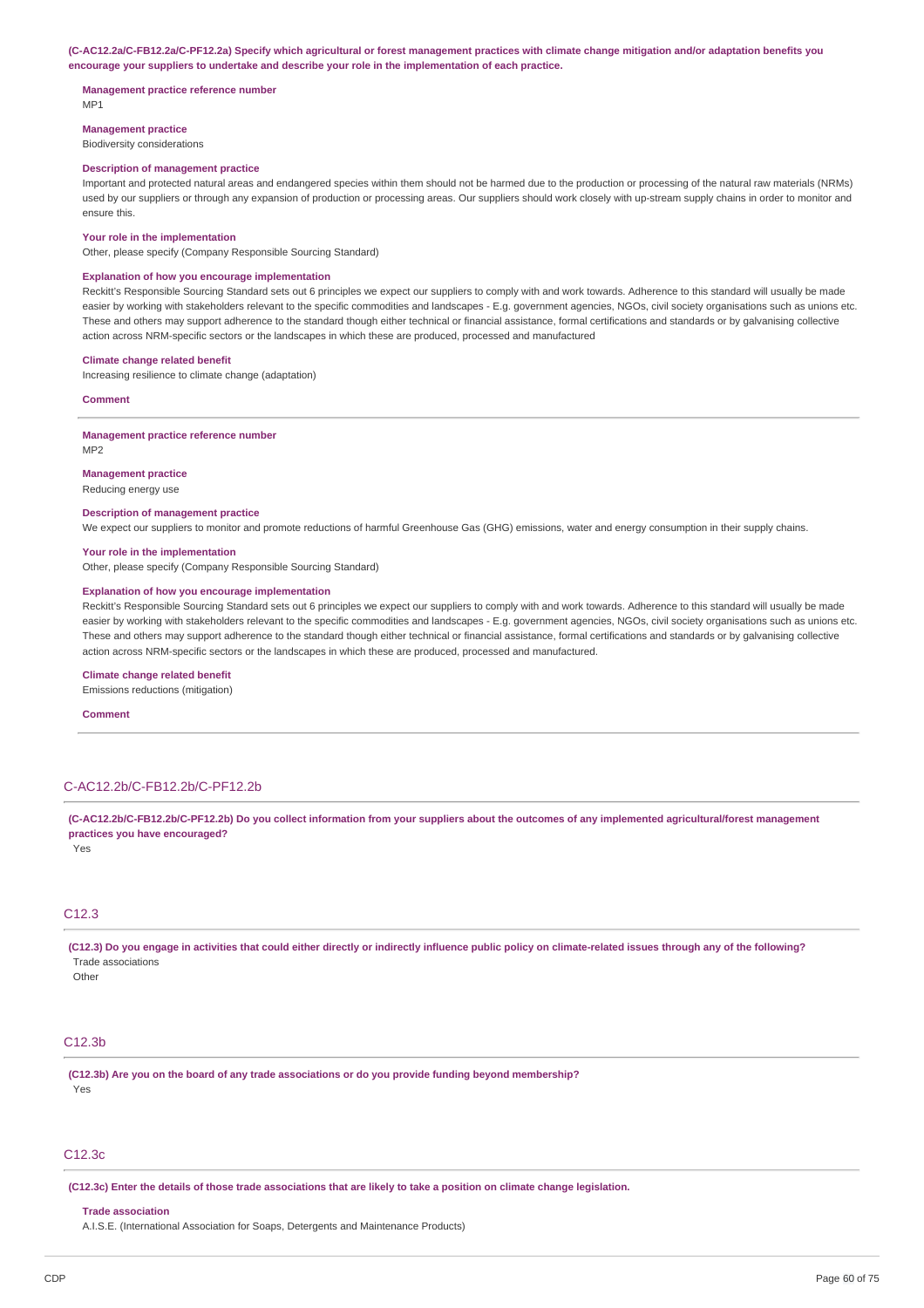#### (C-AC12.2a/C-FB12.2a/C-PF12.2a) Specify which agricultural or forest management practices with climate change mitigation and/or adaptation benefits you **encourage your suppliers to undertake and describe your role in the implementation of each practice.**

# **Management practice reference number**

MP1

**Management practice** Biodiversity considerations

# **Description of management practice**

Important and protected natural areas and endangered species within them should not be harmed due to the production or processing of the natural raw materials (NRMs) used by our suppliers or through any expansion of production or processing areas. Our suppliers should work closely with up-stream supply chains in order to monitor and ensure this.

#### **Your role in the implementation**

Other, please specify (Company Responsible Sourcing Standard)

# **Explanation of how you encourage implementation**

Reckitt's Responsible Sourcing Standard sets out 6 principles we expect our suppliers to comply with and work towards. Adherence to this standard will usually be made easier by working with stakeholders relevant to the specific commodities and landscapes - E.g. government agencies, NGOs, civil society organisations such as unions etc. These and others may support adherence to the standard though either technical or financial assistance, formal certifications and standards or by galvanising collective action across NRM-specific sectors or the landscapes in which these are produced, processed and manufactured

#### **Climate change related benefit**

Increasing resilience to climate change (adaptation)

**Comment**

### **Management practice reference number**

M<sub>P2</sub>

### **Management practice**

Reducing energy use

#### **Description of management practice**

We expect our suppliers to monitor and promote reductions of harmful Greenhouse Gas (GHG) emissions, water and energy consumption in their supply chains.

#### **Your role in the implementation**

Other, please specify (Company Responsible Sourcing Standard)

#### **Explanation of how you encourage implementation**

Reckitt's Responsible Sourcing Standard sets out 6 principles we expect our suppliers to comply with and work towards. Adherence to this standard will usually be made easier by working with stakeholders relevant to the specific commodities and landscapes - E.g. government agencies, NGOs, civil society organisations such as unions etc. These and others may support adherence to the standard though either technical or financial assistance, formal certifications and standards or by galvanising collective action across NRM-specific sectors or the landscapes in which these are produced, processed and manufactured.

#### **Climate change related benefit**

Emissions reductions (mitigation)

#### **Comment**

# C-AC12.2b/C-FB12.2b/C-PF12.2b

(C-AC12.2b/C-FB12.2b/C-PF12.2b) Do you collect information from your suppliers about the outcomes of any implemented agricultural/forest management **practices you have encouraged?**

Yes

# $C12.3$

(C12.3) Do you engage in activities that could either directly or indirectly influence public policy on climate-related issues through any of the following? Trade associations

**Other** 

# C12.3b

**(C12.3b) Are you on the board of any trade associations or do you provide funding beyond membership?** Yes

### C12.3c

(C12.3c) Enter the details of those trade associations that are likely to take a position on climate change legislation.

### **Trade association**

A.I.S.E. (International Association for Soaps, Detergents and Maintenance Products)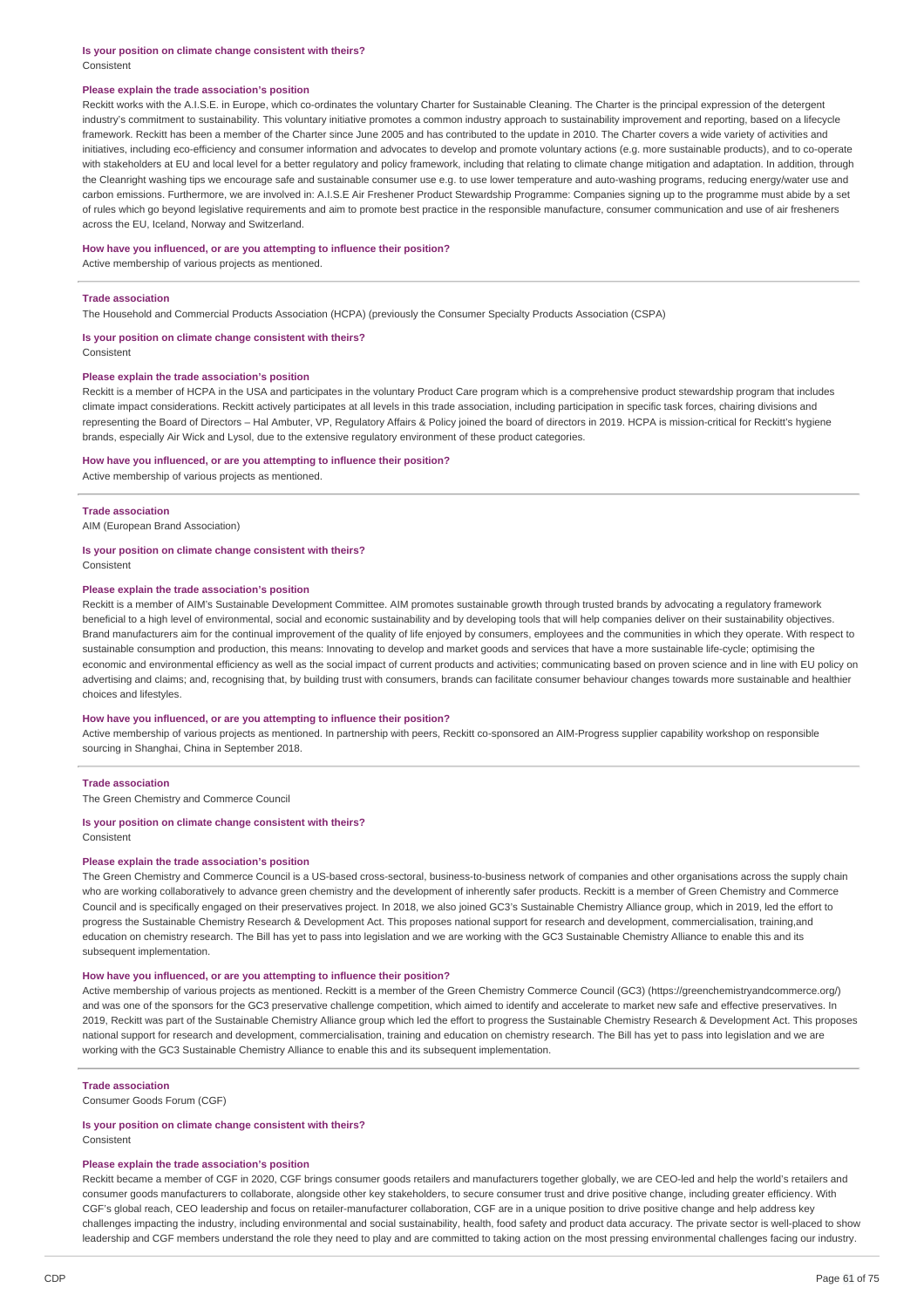### **Is your position on climate change consistent with theirs?** Consistent

#### **Please explain the trade association's position**

Reckitt works with the A.I.S.E. in Europe, which co-ordinates the voluntary Charter for Sustainable Cleaning. The Charter is the principal expression of the detergent industry's commitment to sustainability. This voluntary initiative promotes a common industry approach to sustainability improvement and reporting, based on a lifecycle framework. Reckitt has been a member of the Charter since June 2005 and has contributed to the update in 2010. The Charter covers a wide variety of activities and initiatives, including eco-efficiency and consumer information and advocates to develop and promote voluntary actions (e.g. more sustainable products), and to co-operate with stakeholders at EU and local level for a better regulatory and policy framework, including that relating to climate change mitigation and adaptation. In addition, through the Cleanright washing tips we encourage safe and sustainable consumer use e.g. to use lower temperature and auto-washing programs, reducing energy/water use and carbon emissions. Furthermore, we are involved in: A.I.S.E Air Freshener Product Stewardship Programme: Companies signing up to the programme must abide by a set of rules which go beyond legislative requirements and aim to promote best practice in the responsible manufacture, consumer communication and use of air fresheners across the EU, Iceland, Norway and Switzerland.

**How have you influenced, or are you attempting to influence their position?**

Active membership of various projects as mentioned.

#### **Trade association**

The Household and Commercial Products Association (HCPA) (previously the Consumer Specialty Products Association (CSPA)

**Is your position on climate change consistent with theirs?** Consistent

#### **Please explain the trade association's position**

Reckitt is a member of HCPA in the USA and participates in the voluntary Product Care program which is a comprehensive product stewardship program that includes climate impact considerations. Reckitt actively participates at all levels in this trade association, including participation in specific task forces, chairing divisions and representing the Board of Directors – Hal Ambuter, VP, Regulatory Affairs & Policy joined the board of directors in 2019. HCPA is mission-critical for Reckitt's hygiene brands, especially Air Wick and Lysol, due to the extensive regulatory environment of these product categories.

#### **How have you influenced, or are you attempting to influence their position?**

Active membership of various projects as mentioned.

#### **Trade association**

AIM (European Brand Association)

# **Is your position on climate change consistent with theirs?**

Consistent

# **Please explain the trade association's position**

Reckitt is a member of AIM's Sustainable Development Committee. AIM promotes sustainable growth through trusted brands by advocating a regulatory framework beneficial to a high level of environmental, social and economic sustainability and by developing tools that will help companies deliver on their sustainability objectives. Brand manufacturers aim for the continual improvement of the quality of life enjoyed by consumers, employees and the communities in which they operate. With respect to sustainable consumption and production, this means: Innovating to develop and market goods and services that have a more sustainable life-cycle; optimising the economic and environmental efficiency as well as the social impact of current products and activities; communicating based on proven science and in line with EU policy on advertising and claims; and, recognising that, by building trust with consumers, brands can facilitate consumer behaviour changes towards more sustainable and healthier choices and lifestyles.

#### **How have you influenced, or are you attempting to influence their position?**

Active membership of various projects as mentioned. In partnership with peers, Reckitt co-sponsored an AIM-Progress supplier capability workshop on responsible sourcing in Shanghai, China in September 2018.

#### **Trade association**

The Green Chemistry and Commerce Council

### **Is your position on climate change consistent with theirs?**

Consistent

#### **Please explain the trade association's position**

The Green Chemistry and Commerce Council is a US-based cross-sectoral, business-to-business network of companies and other organisations across the supply chain who are working collaboratively to advance green chemistry and the development of inherently safer products. Reckitt is a member of Green Chemistry and Commerce Council and is specifically engaged on their preservatives project. In 2018, we also joined GC3's Sustainable Chemistry Alliance group, which in 2019, led the effort to progress the Sustainable Chemistry Research & Development Act. This proposes national support for research and development, commercialisation, training,and education on chemistry research. The Bill has yet to pass into legislation and we are working with the GC3 Sustainable Chemistry Alliance to enable this and its subsequent implementation.

### **How have you influenced, or are you attempting to influence their position?**

Active membership of various projects as mentioned. Reckitt is a member of the Green Chemistry Commerce Council (GC3) (https://greenchemistryandcommerce.org/) and was one of the sponsors for the GC3 preservative challenge competition, which aimed to identify and accelerate to market new safe and effective preservatives. In 2019, Reckitt was part of the Sustainable Chemistry Alliance group which led the effort to progress the Sustainable Chemistry Research & Development Act. This proposes national support for research and development, commercialisation, training and education on chemistry research. The Bill has yet to pass into legislation and we are working with the GC3 Sustainable Chemistry Alliance to enable this and its subsequent implementation.

### **Trade association**

Consumer Goods Forum (CGF)

#### **Is your position on climate change consistent with theirs?**

**Consistent** 

# **Please explain the trade association's position**

Reckitt became a member of CGF in 2020, CGF brings consumer goods retailers and manufacturers together globally, we are CEO-led and help the world's retailers and consumer goods manufacturers to collaborate, alongside other key stakeholders, to secure consumer trust and drive positive change, including greater efficiency. With CGF's global reach, CEO leadership and focus on retailer-manufacturer collaboration, CGF are in a unique position to drive positive change and help address key challenges impacting the industry, including environmental and social sustainability, health, food safety and product data accuracy. The private sector is well-placed to show leadership and CGF members understand the role they need to play and are committed to taking action on the most pressing environmental challenges facing our industry.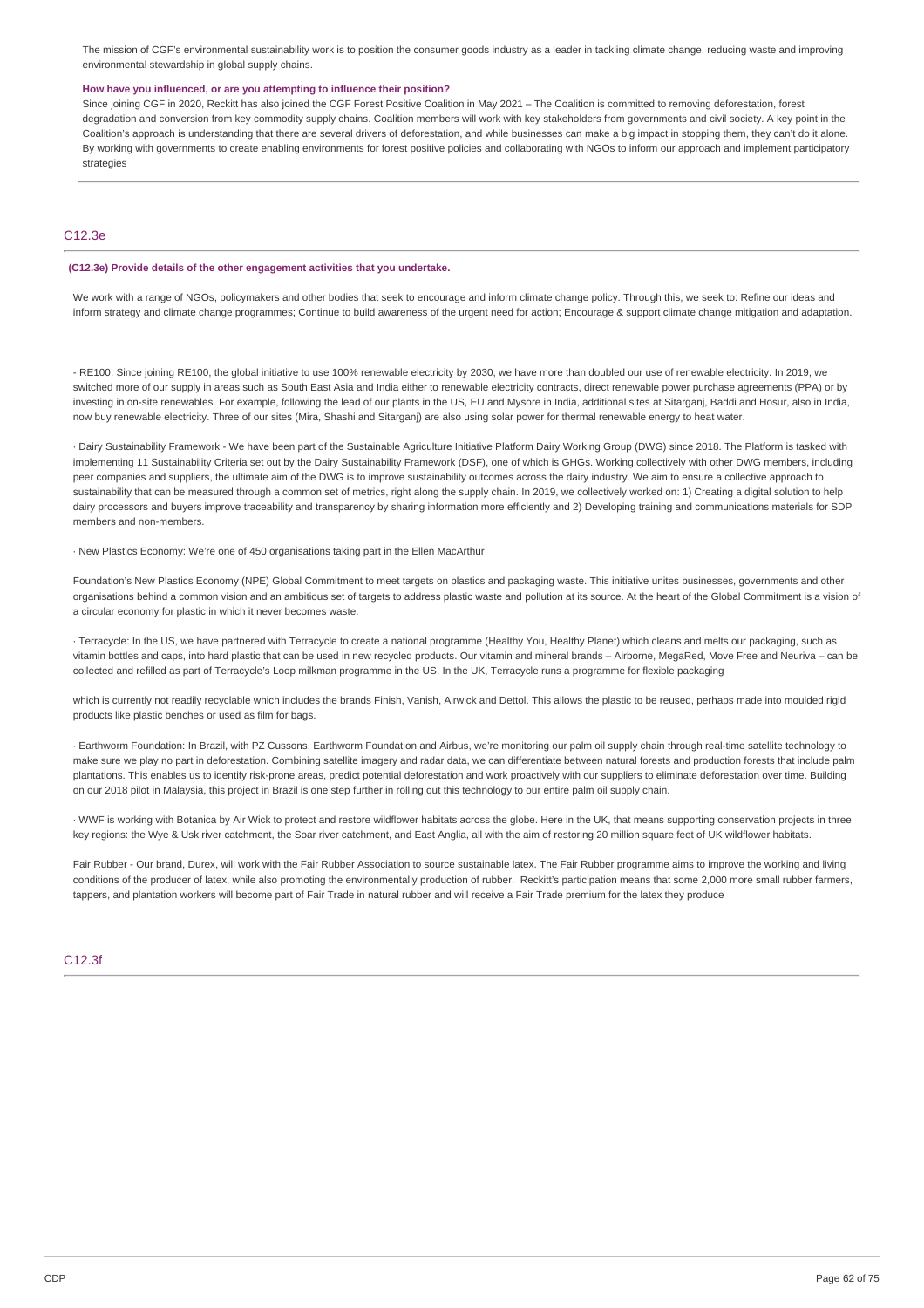The mission of CGF's environmental sustainability work is to position the consumer goods industry as a leader in tackling climate change, reducing waste and improving environmental stewardship in global supply chains.

### **How have you influenced, or are you attempting to influence their position?**

Since joining CGF in 2020, Reckitt has also joined the CGF Forest Positive Coalition in May 2021 – The Coalition is committed to removing deforestation, forest degradation and conversion from key commodity supply chains. Coalition members will work with key stakeholders from governments and civil society. A key point in the Coalition's approach is understanding that there are several drivers of deforestation, and while businesses can make a big impact in stopping them, they can't do it alone. By working with governments to create enabling environments for forest positive policies and collaborating with NGOs to inform our approach and implement participatory strategies

# C12.3e

### **(C12.3e) Provide details of the other engagement activities that you undertake.**

We work with a range of NGOs, policymakers and other bodies that seek to encourage and inform climate change policy. Through this, we seek to: Refine our ideas and inform strategy and climate change programmes; Continue to build awareness of the urgent need for action; Encourage & support climate change mitigation and adaptation.

- RE100: Since joining RE100, the global initiative to use 100% renewable electricity by 2030, we have more than doubled our use of renewable electricity. In 2019, we switched more of our supply in areas such as South East Asia and India either to renewable electricity contracts, direct renewable power purchase agreements (PPA) or by investing in on-site renewables. For example, following the lead of our plants in the US. EU and Mysore in India, additional sites at Sitargani, Baddi and Hosur, also in India, now buy renewable electricity. Three of our sites (Mira, Shashi and Sitarganj) are also using solar power for thermal renewable energy to heat water.

· Dairy Sustainability Framework - We have been part of the Sustainable Agriculture Initiative Platform Dairy Working Group (DWG) since 2018. The Platform is tasked with implementing 11 Sustainability Criteria set out by the Dairy Sustainability Framework (DSF), one of which is GHGs. Working collectively with other DWG members, including peer companies and suppliers, the ultimate aim of the DWG is to improve sustainability outcomes across the dairy industry. We aim to ensure a collective approach to sustainability that can be measured through a common set of metrics, right along the supply chain. In 2019, we collectively worked on: 1) Creating a digital solution to help dairy processors and buyers improve traceability and transparency by sharing information more efficiently and 2) Developing training and communications materials for SDP members and non-members.

· New Plastics Economy: We're one of 450 organisations taking part in the Ellen MacArthur

Foundation's New Plastics Economy (NPE) Global Commitment to meet targets on plastics and packaging waste. This initiative unites businesses, governments and other organisations behind a common vision and an ambitious set of targets to address plastic waste and pollution at its source. At the heart of the Global Commitment is a vision of a circular economy for plastic in which it never becomes waste.

· Terracycle: In the US, we have partnered with Terracycle to create a national programme (Healthy You, Healthy Planet) which cleans and melts our packaging, such as vitamin bottles and caps, into hard plastic that can be used in new recycled products. Our vitamin and mineral brands – Airborne, MegaRed, Move Free and Neuriva – can be collected and refilled as part of Terracycle's Loop milkman programme in the US. In the UK, Terracycle runs a programme for flexible packaging

which is currently not readily recyclable which includes the brands Finish, Vanish, Airwick and Dettol. This allows the plastic to be reused, perhaps made into moulded rigid products like plastic benches or used as film for bags.

· Earthworm Foundation: In Brazil, with PZ Cussons, Earthworm Foundation and Airbus, we're monitoring our palm oil supply chain through real-time satellite technology to make sure we play no part in deforestation. Combining satellite imagery and radar data, we can differentiate between natural forests and production forests that include palm plantations. This enables us to identify risk-prone areas, predict potential deforestation and work proactively with our suppliers to eliminate deforestation over time. Building on our 2018 pilot in Malaysia, this project in Brazil is one step further in rolling out this technology to our entire palm oil supply chain.

· WWF is working with Botanica by Air Wick to protect and restore wildflower habitats across the globe. Here in the UK, that means supporting conservation projects in three key regions: the Wye & Usk river catchment, the Soar river catchment, and East Anglia, all with the aim of restoring 20 million square feet of UK wildflower habitats.

Fair Rubber - Our brand. Durex. will work with the Fair Rubber Association to source sustainable latex. The Fair Rubber programme aims to improve the working and living conditions of the producer of latex, while also promoting the environmentally production of rubber. Reckitt's participation means that some 2,000 more small rubber farmers, tappers, and plantation workers will become part of Fair Trade in natural rubber and will receive a Fair Trade premium for the latex they produce

# C12.3f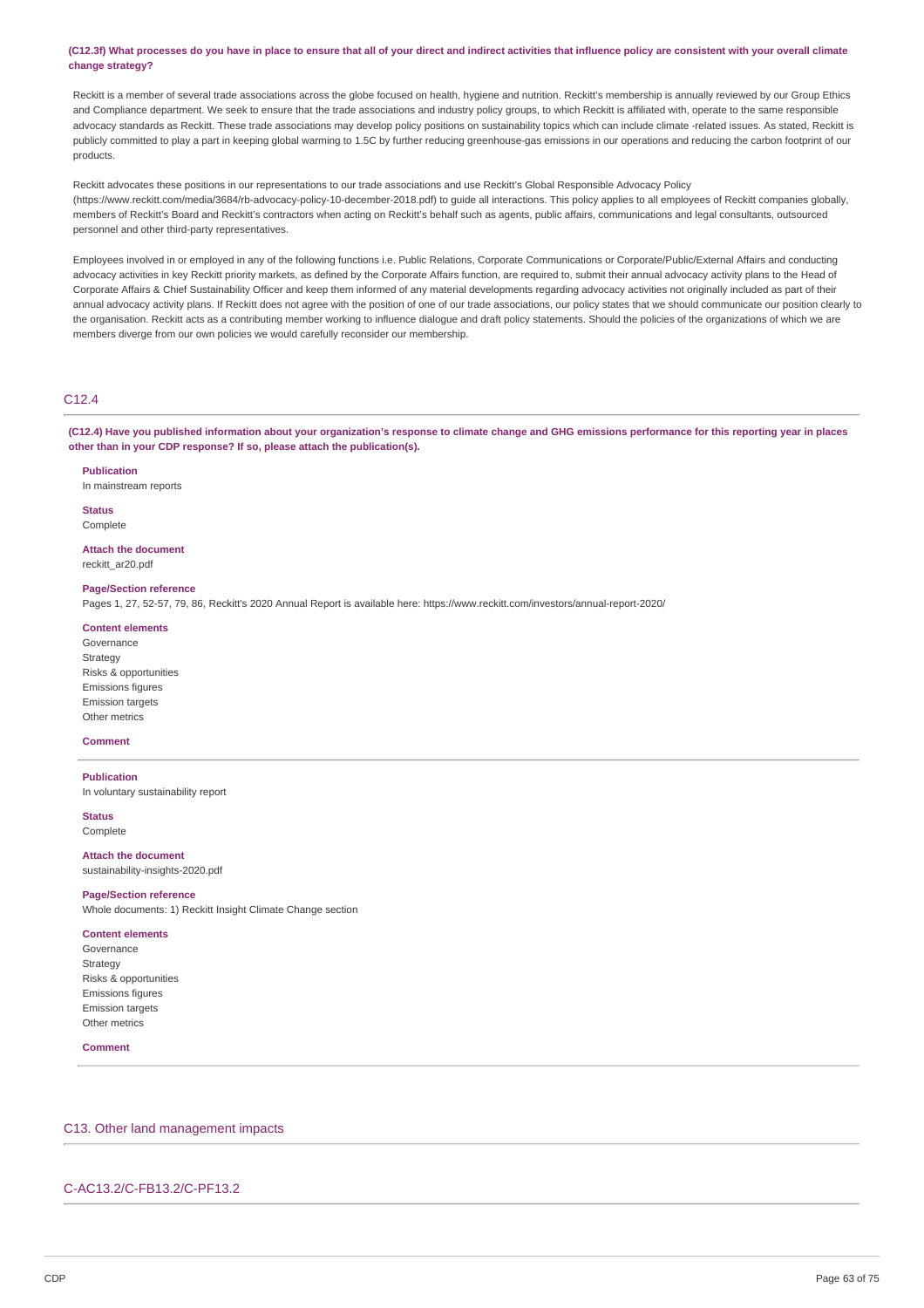### (C12.3f) What processes do you have in place to ensure that all of your direct and indirect activities that influence policy are consistent with your overall climate **change strategy?**

Reckitt is a member of several trade associations across the globe focused on health, hygiene and nutrition. Reckitt's membership is annually reviewed by our Group Ethics and Compliance department. We seek to ensure that the trade associations and industry policy groups, to which Reckitt is affiliated with, operate to the same responsible advocacy standards as Reckitt. These trade associations may develop policy positions on sustainability topics which can include climate -related issues. As stated, Reckitt is publicly committed to play a part in keeping global warming to 1.5C by further reducing greenhouse-gas emissions in our operations and reducing the carbon footprint of our products.

Reckitt advocates these positions in our representations to our trade associations and use Reckitt's Global Responsible Advocacy Policy (https://www.reckitt.com/media/3684/rb-advocacy-policy-10-december-2018.pdf) to guide all interactions. This policy applies to all employees of Reckitt companies globally, members of Reckitt's Board and Reckitt's contractors when acting on Reckitt's behalf such as agents, public affairs, communications and legal consultants, outsourced personnel and other third-party representatives.

Employees involved in or employed in any of the following functions i.e. Public Relations, Corporate Communications or Corporate/Public/External Affairs and conducting advocacy activities in key Reckitt priority markets, as defined by the Corporate Affairs function, are required to, submit their annual advocacy activity plans to the Head of Corporate Affairs & Chief Sustainability Officer and keep them informed of any material developments regarding advocacy activities not originally included as part of their annual advocacy activity plans. If Reckitt does not agree with the position of one of our trade associations, our policy states that we should communicate our position clearly to the organisation. Reckitt acts as a contributing member working to influence dialogue and draft policy statements. Should the policies of the organizations of which we are members diverge from our own policies we would carefully reconsider our membership.

# C12.4

(C12.4) Have you published information about your organization's response to climate change and GHG emissions performance for this reporting year in places **other than in your CDP response? If so, please attach the publication(s).**

**Publication** In mainstream reports

# **Status**

Complete

**Attach the document** reckitt\_ar20.pdf

### **Page/Section reference**

Pages 1, 27, 52-57, 79, 86, Reckitt's 2020 Annual Report is available here: https://www.reckitt.com/investors/annual-report-2020/

# **Content elements**

Governance **Strategy** Risks & opportunities Emissions figures Emission targets Other metrics

# **Comment**

# **Publication**

In voluntary sustainability report

**Status** Complete

# **Attach the document**

sustainability-insights-2020.pdf

### **Page/Section reference**

Whole documents: 1) Reckitt Insight Climate Change section

#### **Content elements**

Governance Strategy Risks & opportunities Emissions figures Emission targets Other metrics

#### **Comment**

# C13. Other land management impacts

# C-AC13.2/C-FB13.2/C-PF13.2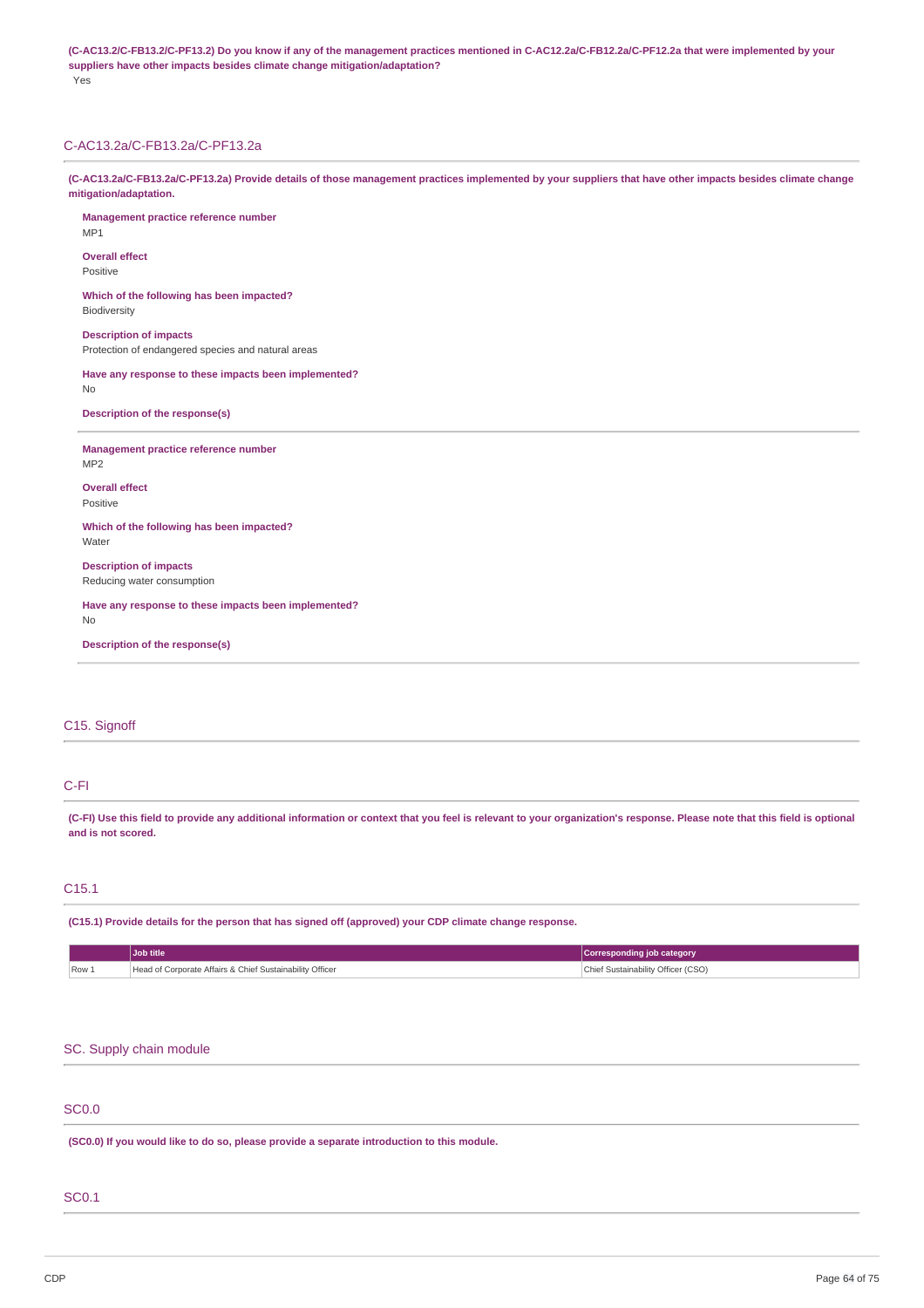(C-AC13.2/C-FB13.2/C-PF13.2) Do you know if any of the management practices mentioned in C-AC12.2a/C-FB12.2a/C-PF12.2a that were implemented by your **suppliers have other impacts besides climate change mitigation/adaptation?** Yes

# C-AC13.2a/C-FB13.2a/C-PF13.2a

(C-AC13.2a/C-FB13.2a/C-PF13.2a) Provide details of those management practices implemented by your suppliers that have other impacts besides climate change **mitigation/adaptation.**

**Management practice reference number** MP1 **Overall effect** Positive **Which of the following has been impacted? Biodiversity Description of impacts** Protection of endangered species and natural areas **Have any response to these impacts been implemented?** No **Description of the response(s) Management practice reference number** MP2 **Overall effect** Positive **Which of the following has been impacted? Water Description of impacts** Reducing water consumption **Have any response to these impacts been implemented?** No **Description of the response(s)**

# C15. Signoff

# C-FI

(C-FI) Use this field to provide any additional information or context that you feel is relevant to your organization's response. Please note that this field is optional **and is not scored.**

# C15.1

**(C15.1) Provide details for the person that has signed off (approved) your CDP climate change response.**

|       | Job title                                                | Corresponding job category         |
|-------|----------------------------------------------------------|------------------------------------|
| Row 1 | Head of Corporate Affairs & Chief Sustainability Officer | Chief Sustainability Officer (CSO) |

### SC. Supply chain module

# SC0.0

**(SC0.0) If you would like to do so, please provide a separate introduction to this module.**

# SC0.1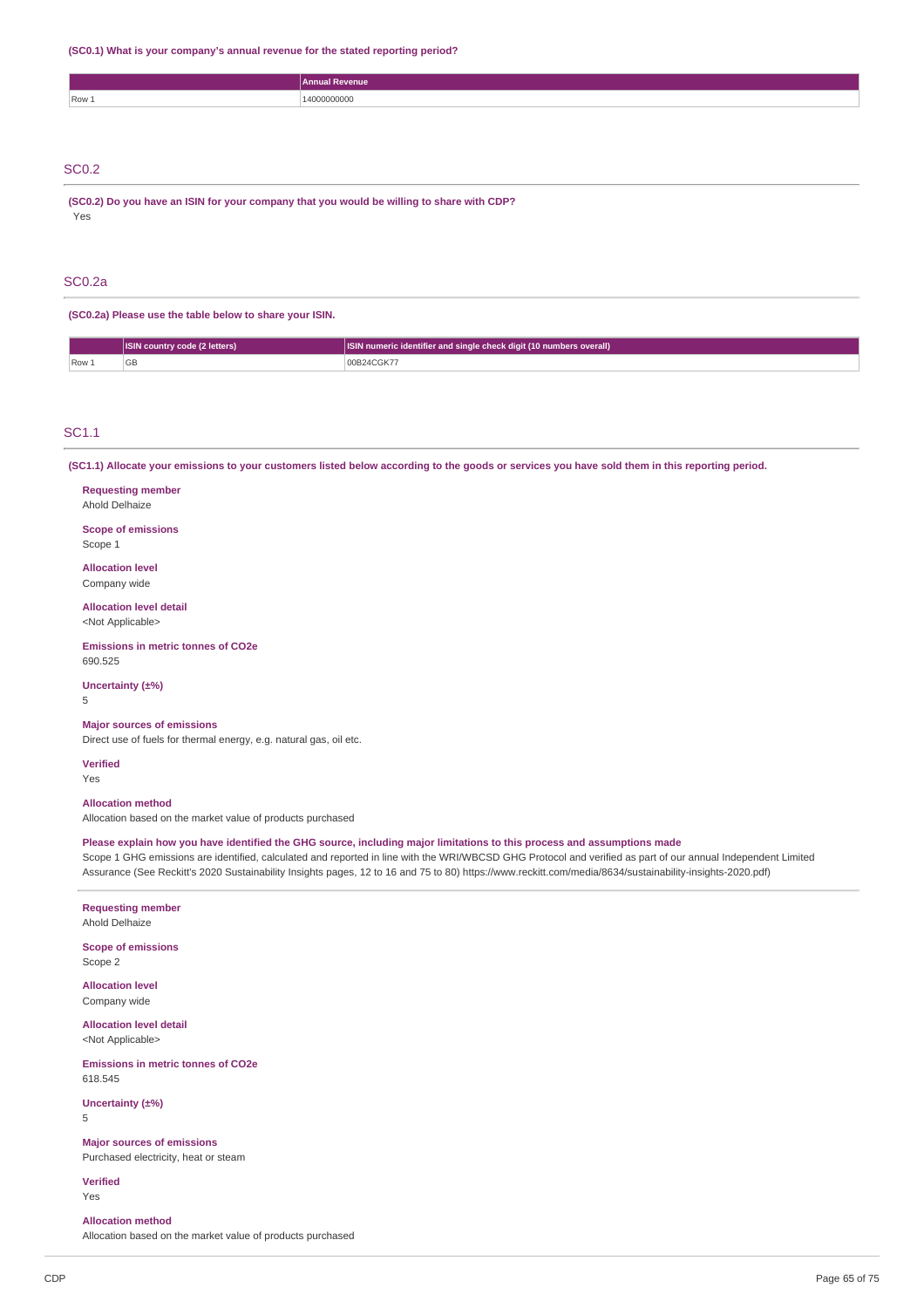**(SC0.1) What is your company's annual revenue for the stated reporting period?**

|              | Annual Revenue |
|--------------|----------------|
| Row 1        | 14000000000    |
|              |                |
|              |                |
|              |                |
| <b>SC0.2</b> |                |

**(SC0.2) Do you have an ISIN for your company that you would be willing to share with CDP?** Yes

# SC0.2a

**(SC0.2a) Please use the table below to share your ISIN.**

| $\cap$ |     | ISIN country code (2 letters) | <b>ISIN numeric identifier and single check digit (10 numbers overall)</b> |
|--------|-----|-------------------------------|----------------------------------------------------------------------------|
|        | Row | ுப                            | 4CGK7                                                                      |

### SC1.1

(SC1.1) Allocate your emissions to your customers listed below according to the goods or services you have sold them in this reporting period.

**Requesting member** Ahold Delhaize **Scope of emissions**

Scope 1

**Allocation level** Company wide

**Allocation level detail** <Not Applicable>

**Emissions in metric tonnes of CO2e** 690.525

**Uncertainty (±%)**

5

#### **Major sources of emissions**

Direct use of fuels for thermal energy, e.g. natural gas, oil etc.

**Verified**

Yes

# **Allocation method**

Allocation based on the market value of products purchased

Please explain how you have identified the GHG source, including major limitations to this process and assumptions made

Scope 1 GHG emissions are identified, calculated and reported in line with the WRI/WBCSD GHG Protocol and verified as part of our annual Independent Limited Assurance (See Reckitt's 2020 Sustainability Insights pages, 12 to 16 and 75 to 80) https://www.reckitt.com/media/8634/sustainability-insights-2020.pdf)

# **Requesting member**

Ahold Delhaize

# **Scope of emissions** Scope 2

**Allocation level** Company wide

**Allocation level detail** <Not Applicable>

**Emissions in metric tonnes of CO2e** 618.545

**Uncertainty (±%)** 5

**Major sources of emissions**

Purchased electricity, heat or steam

**Verified** Yes

### **Allocation method**

Allocation based on the market value of products purchased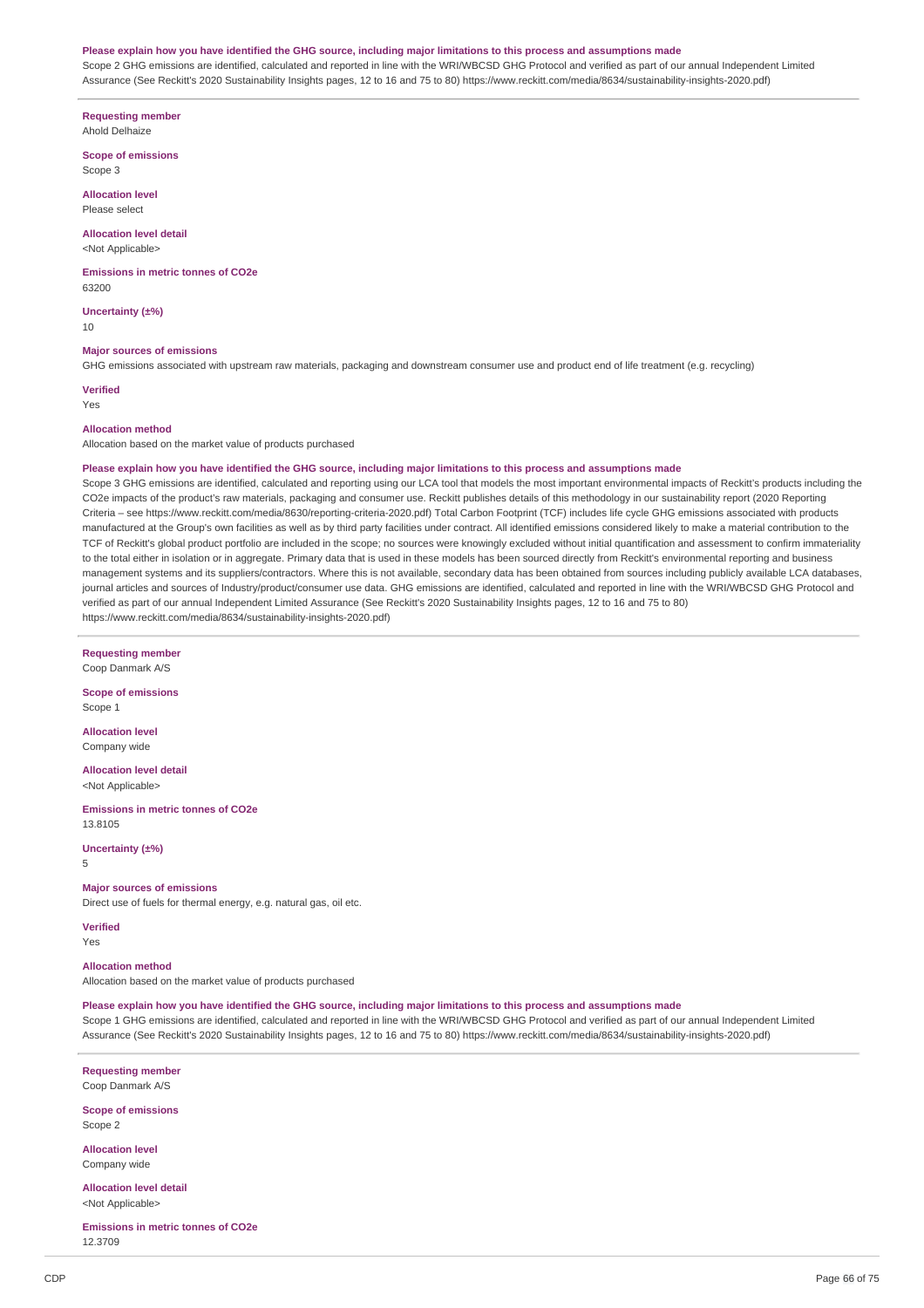#### Please explain how you have identified the GHG source, including major limitations to this process and assumptions made

Scope 2 GHG emissions are identified, calculated and reported in line with the WRI/WBCSD GHG Protocol and verified as part of our annual Independent Limited Assurance (See Reckitt's 2020 Sustainability Insights pages, 12 to 16 and 75 to 80) https://www.reckitt.com/media/8634/sustainability-insights-2020.pdf)

**Requesting member** Ahold Delhaize

**Scope of emissions**

Scope 3

**Allocation level** Please select

**Allocation level detail**

<Not Applicable>

**Emissions in metric tonnes of CO2e** 63200

**Uncertainty (±%)** 10

**Major sources of emissions**

GHG emissions associated with upstream raw materials, packaging and downstream consumer use and product end of life treatment (e.g. recycling)

**Verified** Yes

#### **Allocation method**

Allocation based on the market value of products purchased

#### Please explain how you have identified the GHG source, including major limitations to this process and assumptions made

Scope 3 GHG emissions are identified, calculated and reporting using our LCA tool that models the most important environmental impacts of Reckitt's products including the CO2e impacts of the product's raw materials, packaging and consumer use. Reckitt publishes details of this methodology in our sustainability report (2020 Reporting Criteria – see https://www.reckitt.com/media/8630/reporting-criteria-2020.pdf) Total Carbon Footprint (TCF) includes life cycle GHG emissions associated with products manufactured at the Group's own facilities as well as by third party facilities under contract. All identified emissions considered likely to make a material contribution to the TCF of Reckitt's global product portfolio are included in the scope; no sources were knowingly excluded without initial quantification and assessment to confirm immateriality to the total either in isolation or in aggregate. Primary data that is used in these models has been sourced directly from Reckitt's environmental reporting and business management systems and its suppliers/contractors. Where this is not available, secondary data has been obtained from sources including publicly available LCA databases, journal articles and sources of Industry/product/consumer use data. GHG emissions are identified, calculated and reported in line with the WRI/WBCSD GHG Protocol and verified as part of our annual Independent Limited Assurance (See Reckitt's 2020 Sustainability Insights pages, 12 to 16 and 75 to 80) https://www.reckitt.com/media/8634/sustainability-insights-2020.pdf)

**Requesting member**

Coop Danmark A/S

**Scope of emissions** Scope 1

**Allocation level** Company wide

**Allocation level detail** <Not Applicable>

**Emissions in metric tonnes of CO2e** 13.8105

**Uncertainty (±%)**

# 5

**Major sources of emissions**

Direct use of fuels for thermal energy, e.g. natural gas, oil etc.

**Verified**

Yes

### **Allocation method**

Allocation based on the market value of products purchased

Please explain how you have identified the GHG source, including major limitations to this process and assumptions made

Scope 1 GHG emissions are identified, calculated and reported in line with the WRI/WBCSD GHG Protocol and verified as part of our annual Independent Limited Assurance (See Reckitt's 2020 Sustainability Insights pages, 12 to 16 and 75 to 80) https://www.reckitt.com/media/8634/sustainability-insights-2020.pdf)

**Requesting member** Coop Danmark A/S

**Scope of emissions** Scope 2

**Allocation level** Company wide

**Allocation level detail** <Not Applicable>

**Emissions in metric tonnes of CO2e** 12.3709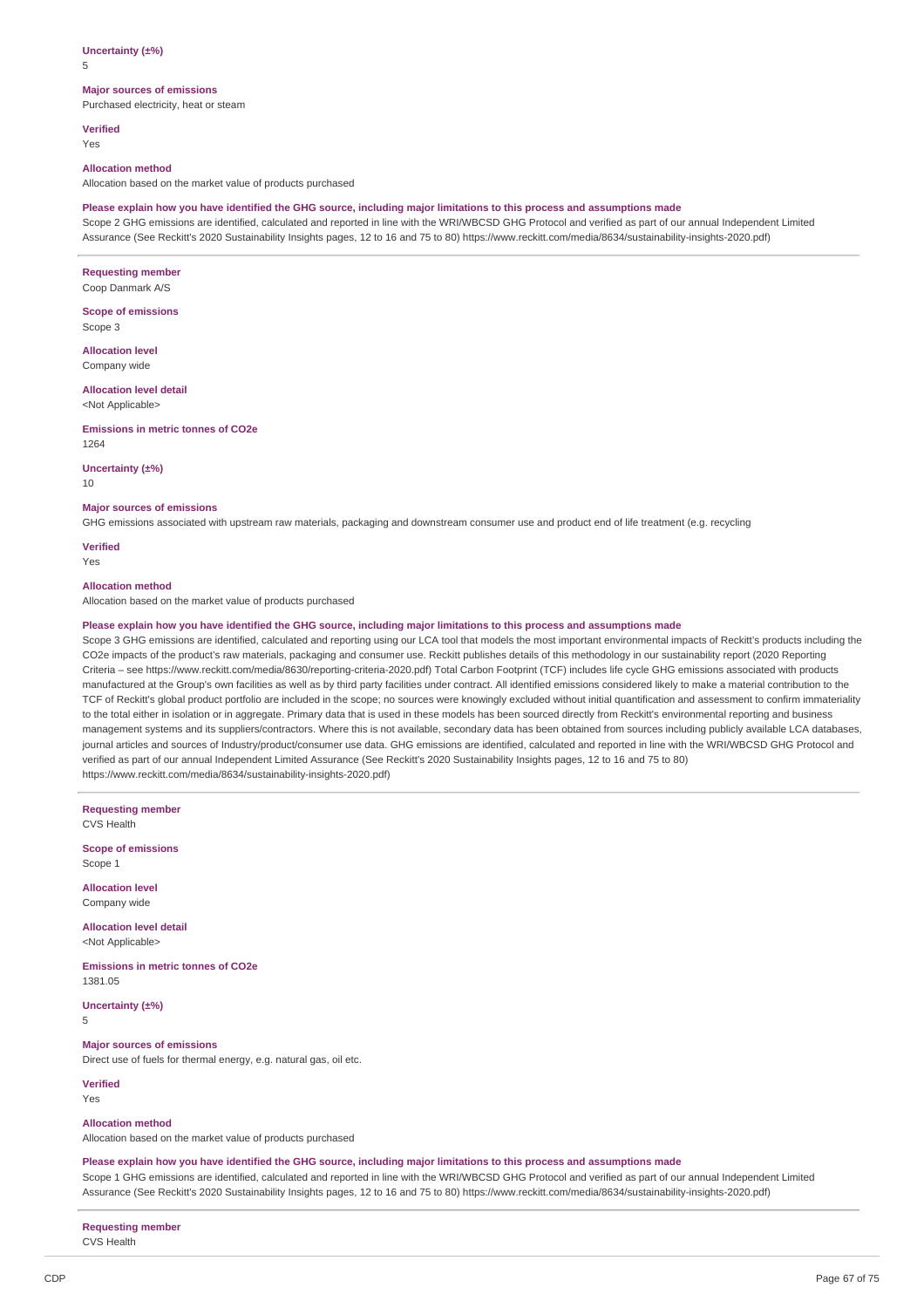### **Uncertainty (±%)**

5

### **Major sources of emissions**

Purchased electricity, heat or steam

**Verified** Yes

#### **Allocation method**

Allocation based on the market value of products purchased

### Please explain how you have identified the GHG source, including major limitations to this process and assumptions made

Scope 2 GHG emissions are identified, calculated and reported in line with the WRI/WBCSD GHG Protocol and verified as part of our annual Independent Limited Assurance (See Reckitt's 2020 Sustainability Insights pages, 12 to 16 and 75 to 80) https://www.reckitt.com/media/8634/sustainability-insights-2020.pdf)

**Requesting member** Coop Danmark A/S

**Scope of emissions** Scope 3

**Allocation level** Company wide

**Allocation level detail** <Not Applicable>

#### **Emissions in metric tonnes of CO2e**

1264

**Uncertainty (±%)**

10

### **Major sources of emissions**

GHG emissions associated with upstream raw materials, packaging and downstream consumer use and product end of life treatment (e.g. recycling

**Verified** Yes

# **Allocation method**

Allocation based on the market value of products purchased

### Please explain how you have identified the GHG source, including major limitations to this process and assumptions made

Scope 3 GHG emissions are identified, calculated and reporting using our LCA tool that models the most important environmental impacts of Reckitt's products including the CO2e impacts of the product's raw materials, packaging and consumer use. Reckitt publishes details of this methodology in our sustainability report (2020 Reporting Criteria – see https://www.reckitt.com/media/8630/reporting-criteria-2020.pdf) Total Carbon Footprint (TCF) includes life cycle GHG emissions associated with products manufactured at the Group's own facilities as well as by third party facilities under contract. All identified emissions considered likely to make a material contribution to the TCF of Reckitt's global product portfolio are included in the scope; no sources were knowingly excluded without initial quantification and assessment to confirm immateriality to the total either in isolation or in aggregate. Primary data that is used in these models has been sourced directly from Reckitt's environmental reporting and business management systems and its suppliers/contractors. Where this is not available, secondary data has been obtained from sources including publicly available LCA databases, journal articles and sources of Industry/product/consumer use data. GHG emissions are identified, calculated and reported in line with the WRI/WBCSD GHG Protocol and verified as part of our annual Independent Limited Assurance (See Reckitt's 2020 Sustainability Insights pages, 12 to 16 and 75 to 80) https://www.reckitt.com/media/8634/sustainability-insights-2020.pdf)

**Requesting member** CVS Health

**Scope of emissions** Scope 1

**Allocation level** Company wide

**Allocation level detail** <Not Applicable>

**Emissions in metric tonnes of CO2e** 1381.05

**Uncertainty (±%)**

5

# **Major sources of emissions**

Direct use of fuels for thermal energy, e.g. natural gas, oil etc.

# **Verified**

Yes

#### **Allocation method**

Allocation based on the market value of products purchased

### Please explain how you have identified the GHG source, including major limitations to this process and assumptions made

Scope 1 GHG emissions are identified, calculated and reported in line with the WRI/WBCSD GHG Protocol and verified as part of our annual Independent Limited Assurance (See Reckitt's 2020 Sustainability Insights pages, 12 to 16 and 75 to 80) https://www.reckitt.com/media/8634/sustainability-insights-2020.pdf)

**Requesting member** CVS Health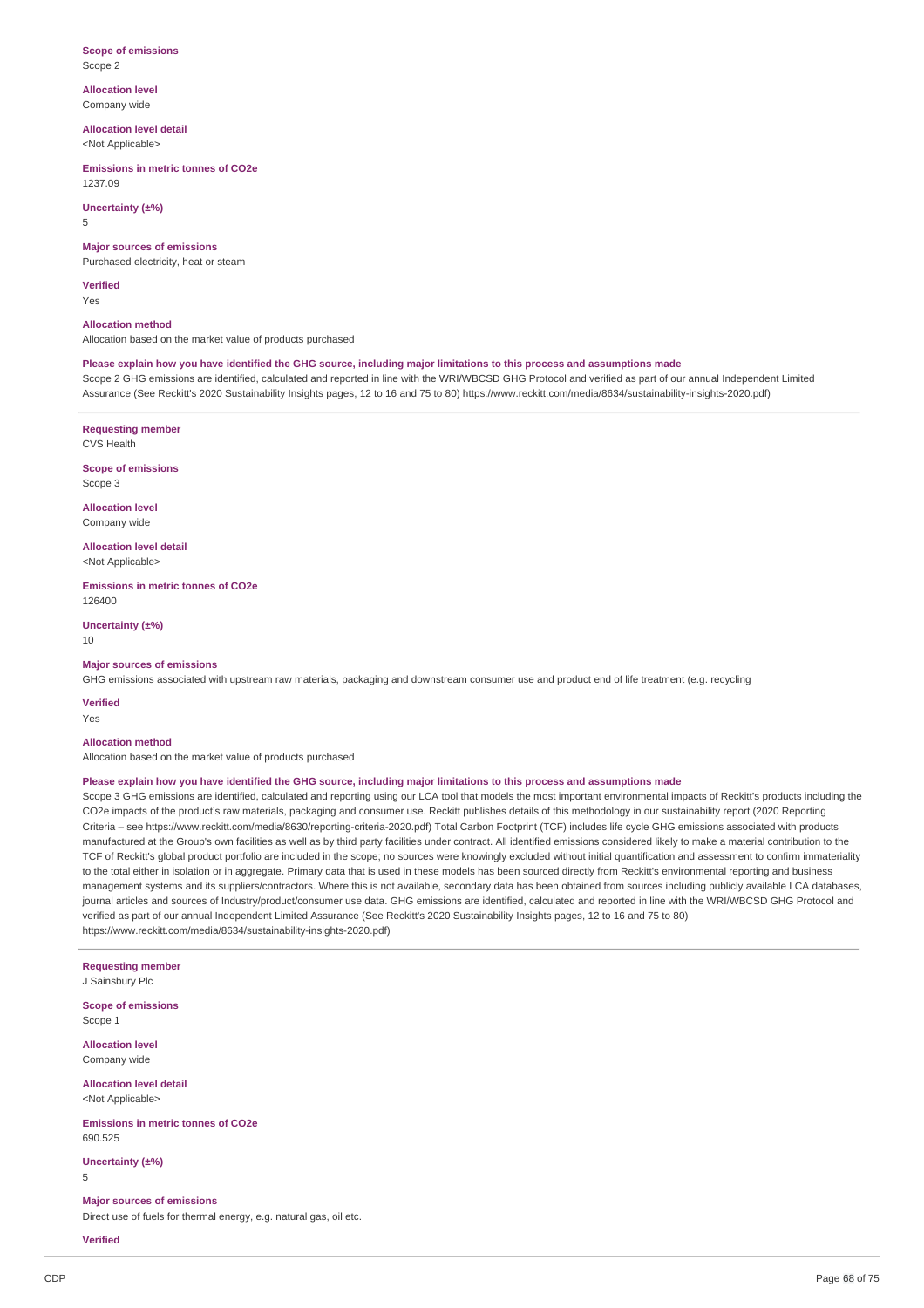#### **Scope of emissions** Scope 2

**Allocation level** Company wide

**Allocation level detail**

<Not Applicable>

**Emissions in metric tonnes of CO2e** 1237.09

# **Uncertainty (±%)**

5

**Major sources of emissions**

Purchased electricity, heat or steam

**Verified** Yes

### **Allocation method**

Allocation based on the market value of products purchased

Please explain how you have identified the GHG source, including major limitations to this process and assumptions made

Scope 2 GHG emissions are identified, calculated and reported in line with the WRI/WBCSD GHG Protocol and verified as part of our annual Independent Limited Assurance (See Reckitt's 2020 Sustainability Insights pages, 12 to 16 and 75 to 80) https://www.reckitt.com/media/8634/sustainability-insights-2020.pdf)

**Requesting member**

CVS Health

**Scope of emissions** Scope 3

**Allocation level** Company wide

**Allocation level detail** <Not Applicable>

**Emissions in metric tonnes of CO2e** 126400

**Uncertainty (±%)** 10

### **Major sources of emissions**

GHG emissions associated with upstream raw materials, packaging and downstream consumer use and product end of life treatment (e.g. recycling

**Verified**

# Yes

# **Allocation method**

Allocation based on the market value of products purchased

### Please explain how you have identified the GHG source, including major limitations to this process and assumptions made

Scope 3 GHG emissions are identified, calculated and reporting using our LCA tool that models the most important environmental impacts of Reckitt's products including the CO2e impacts of the product's raw materials, packaging and consumer use. Reckitt publishes details of this methodology in our sustainability report (2020 Reporting Criteria – see https://www.reckitt.com/media/8630/reporting-criteria-2020.pdf) Total Carbon Footprint (TCF) includes life cycle GHG emissions associated with products manufactured at the Group's own facilities as well as by third party facilities under contract. All identified emissions considered likely to make a material contribution to the TCF of Reckitt's global product portfolio are included in the scope; no sources were knowingly excluded without initial quantification and assessment to confirm immateriality to the total either in isolation or in aggregate. Primary data that is used in these models has been sourced directly from Reckitt's environmental reporting and business management systems and its suppliers/contractors. Where this is not available, secondary data has been obtained from sources including publicly available LCA databases, journal articles and sources of Industry/product/consumer use data. GHG emissions are identified, calculated and reported in line with the WRI/WBCSD GHG Protocol and verified as part of our annual Independent Limited Assurance (See Reckitt's 2020 Sustainability Insights pages, 12 to 16 and 75 to 80) https://www.reckitt.com/media/8634/sustainability-insights-2020.pdf)

**Requesting member** J Sainsbury Plc

**Scope of emissions** Scope 1

**Allocation level** Company wide

**Allocation level detail**

<Not Applicable>

**Emissions in metric tonnes of CO2e** 690.525

**Uncertainty (±%)** 5

### **Major sources of emissions** Direct use of fuels for thermal energy, e.g. natural gas, oil etc.

**Verified**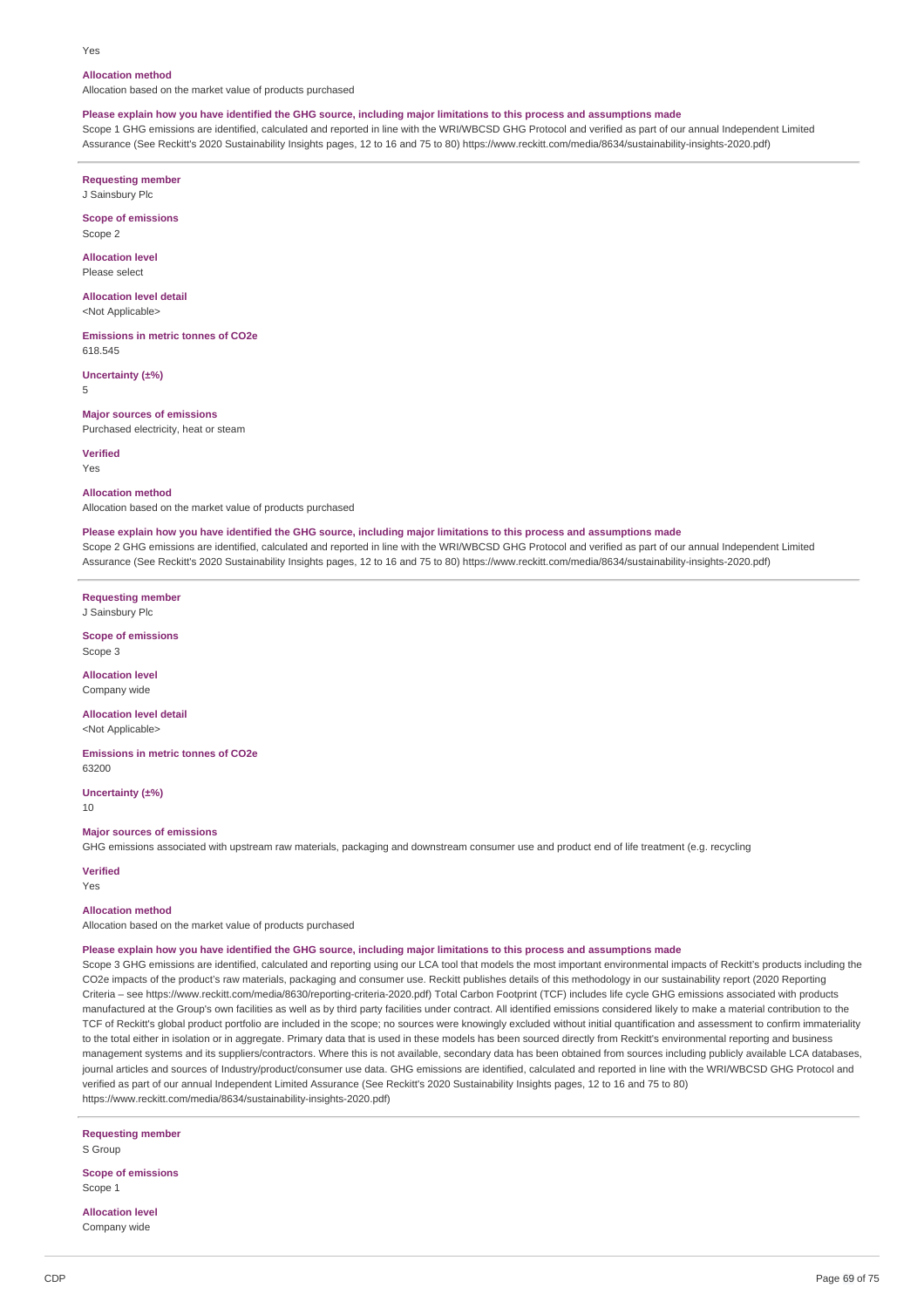#### Yes

### **Allocation method**

Allocation based on the market value of products purchased

### Please explain how you have identified the GHG source, including major limitations to this process and assumptions made

Scope 1 GHG emissions are identified, calculated and reported in line with the WRI/WBCSD GHG Protocol and verified as part of our annual Independent Limited Assurance (See Reckitt's 2020 Sustainability Insights pages, 12 to 16 and 75 to 80) https://www.reckitt.com/media/8634/sustainability-insights-2020.pdf)

**Requesting member**

J Sainsbury Plc

**Scope of emissions** Scope 2

**Allocation level** Please select

**Allocation level detail** <Not Applicable>

**Emissions in metric tonnes of CO2e** 618.545

**Uncertainty (±%)** 5

**Major sources of emissions** Purchased electricity, heat or steam

**Verified**

Yes

#### **Allocation method**

Allocation based on the market value of products purchased

#### Please explain how you have identified the GHG source, including major limitations to this process and assumptions made

Scope 2 GHG emissions are identified, calculated and reported in line with the WRI/WBCSD GHG Protocol and verified as part of our annual Independent Limited Assurance (See Reckitt's 2020 Sustainability Insights pages, 12 to 16 and 75 to 80) https://www.reckitt.com/media/8634/sustainability-insights-2020.pdf)

**Requesting member** J Sainsbury Plc

**Scope of emissions** Scope 3

**Allocation level** Company wide

**Allocation level detail** <Not Applicable>

**Emissions in metric tonnes of CO2e** 63200

**Uncertainty (±%)**

10

# **Major sources of emissions**

GHG emissions associated with upstream raw materials, packaging and downstream consumer use and product end of life treatment (e.g. recycling

**Verified**

Yes

# **Allocation method**

Allocation based on the market value of products purchased

# Please explain how you have identified the GHG source, including major limitations to this process and assumptions made

Scope 3 GHG emissions are identified, calculated and reporting using our LCA tool that models the most important environmental impacts of Reckitt's products including the CO2e impacts of the product's raw materials, packaging and consumer use. Reckitt publishes details of this methodology in our sustainability report (2020 Reporting Criteria – see https://www.reckitt.com/media/8630/reporting-criteria-2020.pdf) Total Carbon Footprint (TCF) includes life cycle GHG emissions associated with products manufactured at the Group's own facilities as well as by third party facilities under contract. All identified emissions considered likely to make a material contribution to the TCF of Reckitt's global product portfolio are included in the scope; no sources were knowingly excluded without initial quantification and assessment to confirm immateriality to the total either in isolation or in aggregate. Primary data that is used in these models has been sourced directly from Reckitt's environmental reporting and business management systems and its suppliers/contractors. Where this is not available, secondary data has been obtained from sources including publicly available LCA databases, journal articles and sources of Industry/product/consumer use data. GHG emissions are identified, calculated and reported in line with the WRI/WBCSD GHG Protocol and verified as part of our annual Independent Limited Assurance (See Reckitt's 2020 Sustainability Insights pages, 12 to 16 and 75 to 80) https://www.reckitt.com/media/8634/sustainability-insights-2020.pdf)

**Requesting member** S Group

**Scope of emissions** Scope 1

**Allocation level** Company wide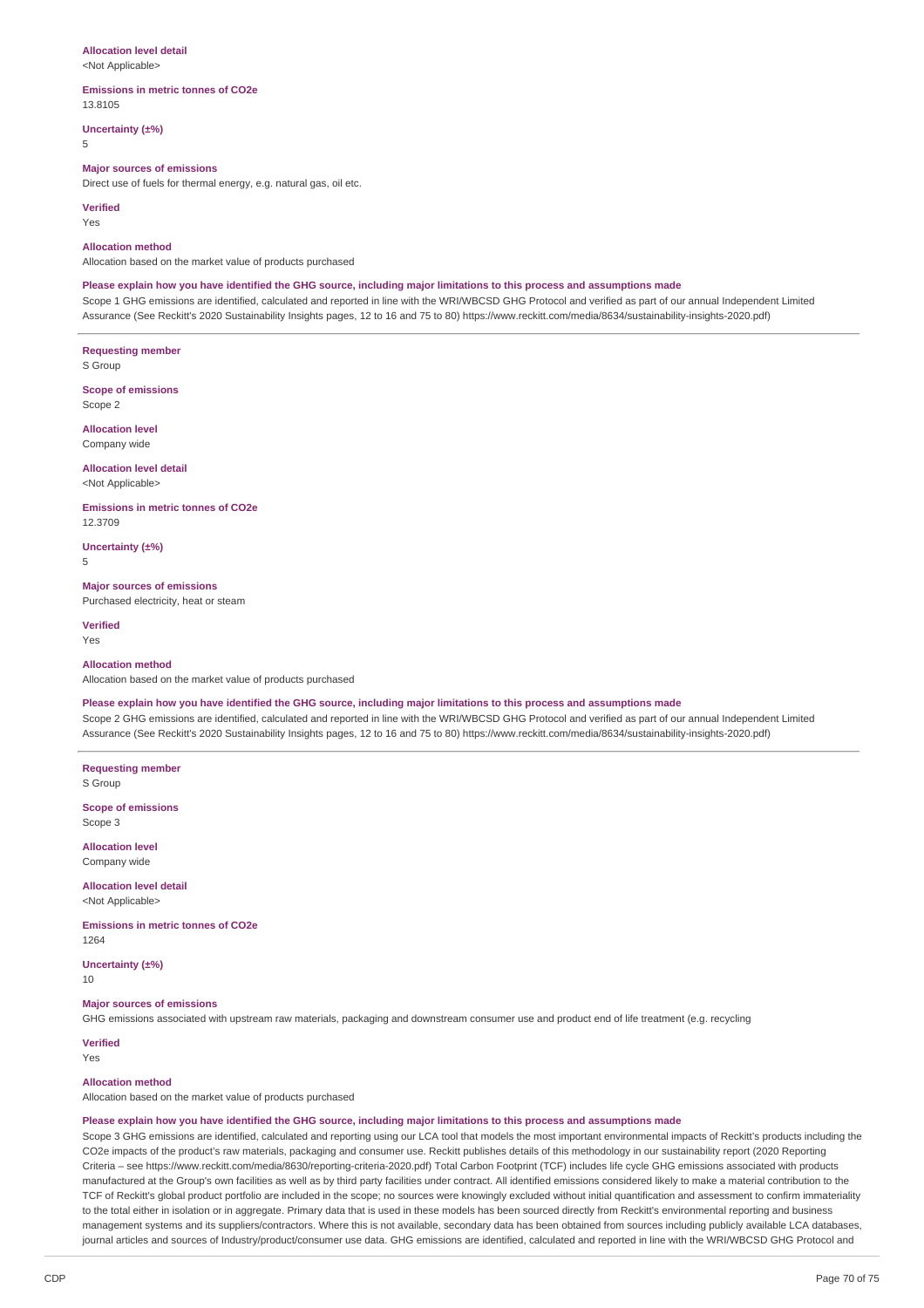#### **Allocation level detail**

<Not Applicable>

### **Emissions in metric tonnes of CO2e**

13.8105 **Uncertainty (±%)**

5

### **Major sources of emissions**

Direct use of fuels for thermal energy, e.g. natural gas, oil etc.

#### **Verified**

Yes

#### **Allocation method**

Allocation based on the market value of products purchased

#### Please explain how you have identified the GHG source, including major limitations to this process and assumptions made

Scope 1 GHG emissions are identified, calculated and reported in line with the WRI/WBCSD GHG Protocol and verified as part of our annual Independent Limited Assurance (See Reckitt's 2020 Sustainability Insights pages, 12 to 16 and 75 to 80) https://www.reckitt.com/media/8634/sustainability-insights-2020.pdf)

**Requesting member** S Group

**Scope of emissions** Scope 2

**Allocation level** Company wide

# **Allocation level detail** <Not Applicable>

**Emissions in metric tonnes of CO2e** 12.3709

**Uncertainty (±%)** 5

# **Major sources of emissions**

Purchased electricity, heat or steam

**Verified** Yes

#### **Allocation method**

Allocation based on the market value of products purchased

# Please explain how you have identified the GHG source, including major limitations to this process and assumptions made

Scope 2 GHG emissions are identified, calculated and reported in line with the WRI/WBCSD GHG Protocol and verified as part of our annual Independent Limited Assurance (See Reckitt's 2020 Sustainability Insights pages, 12 to 16 and 75 to 80) https://www.reckitt.com/media/8634/sustainability-insights-2020.pdf)

**Requesting member** S Group

**Scope of emissions** Scope 3

**Allocation level** Company wide

**Allocation level detail**

<Not Applicable>

**Emissions in metric tonnes of CO2e** 1264

**Uncertainty (±%)**

10

#### **Major sources of emissions**

GHG emissions associated with upstream raw materials, packaging and downstream consumer use and product end of life treatment (e.g. recycling

**Verified** Yes

#### **Allocation method**

Allocation based on the market value of products purchased

#### Please explain how you have identified the GHG source, including major limitations to this process and assumptions made

Scope 3 GHG emissions are identified, calculated and reporting using our LCA tool that models the most important environmental impacts of Reckitt's products including the CO2e impacts of the product's raw materials, packaging and consumer use. Reckitt publishes details of this methodology in our sustainability report (2020 Reporting Criteria – see https://www.reckitt.com/media/8630/reporting-criteria-2020.pdf) Total Carbon Footprint (TCF) includes life cycle GHG emissions associated with products manufactured at the Group's own facilities as well as by third party facilities under contract. All identified emissions considered likely to make a material contribution to the TCF of Reckitt's global product portfolio are included in the scope; no sources were knowingly excluded without initial quantification and assessment to confirm immateriality to the total either in isolation or in aggregate. Primary data that is used in these models has been sourced directly from Reckitt's environmental reporting and business management systems and its suppliers/contractors. Where this is not available, secondary data has been obtained from sources including publicly available LCA databases, journal articles and sources of Industry/product/consumer use data. GHG emissions are identified, calculated and reported in line with the WRI/WBCSD GHG Protocol and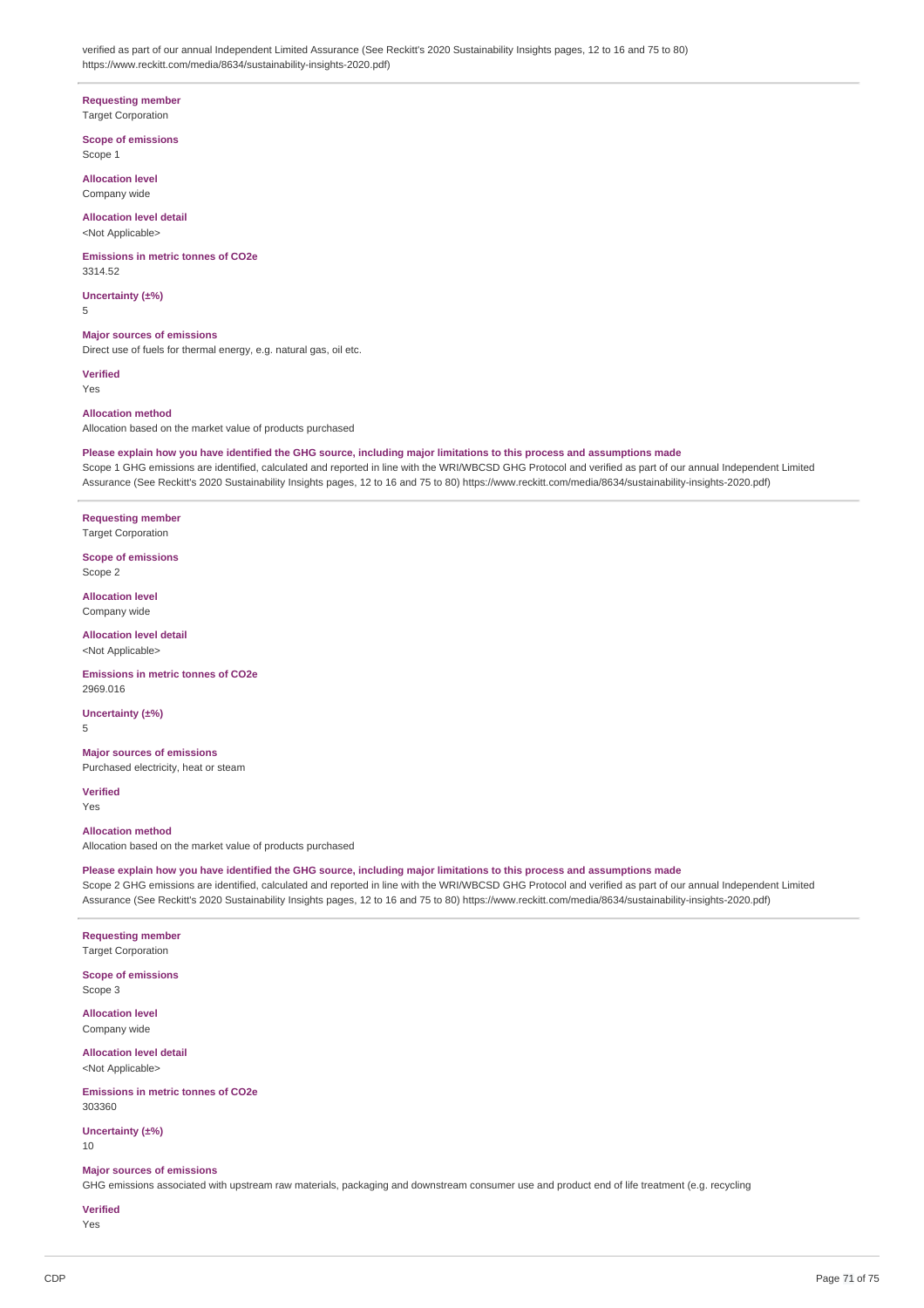verified as part of our annual Independent Limited Assurance (See Reckitt's 2020 Sustainability Insights pages, 12 to 16 and 75 to 80) https://www.reckitt.com/media/8634/sustainability-insights-2020.pdf)

**Requesting member**

**Target Corporation Scope of emissions**

Scope 1 **Allocation level**

Company wide

**Allocation level detail** <Not Applicable>

**Emissions in metric tonnes of CO2e** 3314.52

**Uncertainty (±%)** 5

**Major sources of emissions** Direct use of fuels for thermal energy, e.g. natural gas, oil etc.

**Verified**

Yes

**Allocation method**

Allocation based on the market value of products purchased

# Please explain how you have identified the GHG source, including major limitations to this process and assumptions made

Scope 1 GHG emissions are identified, calculated and reported in line with the WRI/WBCSD GHG Protocol and verified as part of our annual Independent Limited Assurance (See Reckitt's 2020 Sustainability Insights pages, 12 to 16 and 75 to 80) https://www.reckitt.com/media/8634/sustainability-insights-2020.pdf)

**Requesting member** Target Corporation

**Scope of emissions** Scope 2

**Allocation level** Company wide

**Allocation level detail** <Not Applicable>

**Emissions in metric tonnes of CO2e** 2969.016

**Uncertainty (±%)**

5

**Major sources of emissions** Purchased electricity, heat or steam

**Verified** Yes

**Allocation method**

Allocation based on the market value of products purchased

Please explain how you have identified the GHG source, including major limitations to this process and assumptions made Scope 2 GHG emissions are identified, calculated and reported in line with the WRI/WBCSD GHG Protocol and verified as part of our annual Independent Limited Assurance (See Reckitt's 2020 Sustainability Insights pages, 12 to 16 and 75 to 80) https://www.reckitt.com/media/8634/sustainability-insights-2020.pdf)

**Requesting member** Target Corporation

**Scope of emissions** Scope 3

**Allocation level** Company wide

**Allocation level detail** <Not Applicable>

**Emissions in metric tonnes of CO2e** 303360

**Uncertainty (±%)** 10

### **Major sources of emissions**

GHG emissions associated with upstream raw materials, packaging and downstream consumer use and product end of life treatment (e.g. recycling

# **Verified**

Yes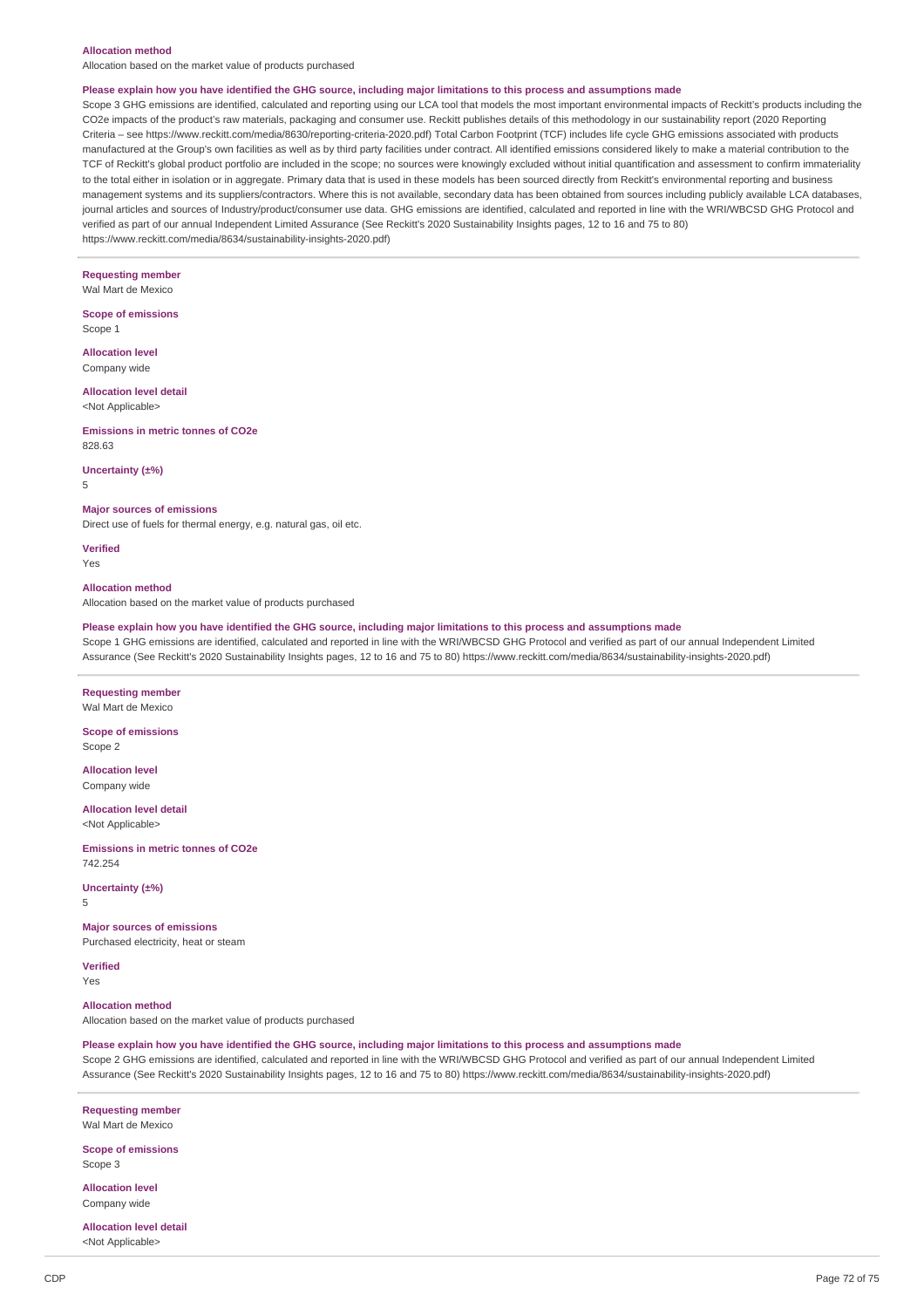#### **Allocation method**

Allocation based on the market value of products purchased

#### Please explain how you have identified the GHG source, including major limitations to this process and assumptions made

Scope 3 GHG emissions are identified, calculated and reporting using our LCA tool that models the most important environmental impacts of Reckitt's products including the CO2e impacts of the product's raw materials, packaging and consumer use. Reckitt publishes details of this methodology in our sustainability report (2020 Reporting Criteria – see https://www.reckitt.com/media/8630/reporting-criteria-2020.pdf) Total Carbon Footprint (TCF) includes life cycle GHG emissions associated with products manufactured at the Group's own facilities as well as by third party facilities under contract. All identified emissions considered likely to make a material contribution to the TCF of Reckitt's global product portfolio are included in the scope; no sources were knowingly excluded without initial quantification and assessment to confirm immateriality to the total either in isolation or in aggregate. Primary data that is used in these models has been sourced directly from Reckitt's environmental reporting and business management systems and its suppliers/contractors. Where this is not available, secondary data has been obtained from sources including publicly available LCA databases, journal articles and sources of Industry/product/consumer use data. GHG emissions are identified, calculated and reported in line with the WRI/WBCSD GHG Protocol and verified as part of our annual Independent Limited Assurance (See Reckitt's 2020 Sustainability Insights pages, 12 to 16 and 75 to 80) https://www.reckitt.com/media/8634/sustainability-insights-2020.pdf)

**Requesting member** Wal Mart de Mexico

**Scope of emissions** Scope 1

**Allocation level** Company wide

**Allocation level detail** <Not Applicable>

**Emissions in metric tonnes of CO2e**

828.63

**Uncertainty (±%)**

5

#### **Major sources of emissions**

Direct use of fuels for thermal energy, e.g. natural gas, oil etc.

**Verified** Yes

### **Allocation method**

Allocation based on the market value of products purchased

#### Please explain how you have identified the GHG source, including major limitations to this process and assumptions made

Scope 1 GHG emissions are identified, calculated and reported in line with the WRI/WBCSD GHG Protocol and verified as part of our annual Independent Limited Assurance (See Reckitt's 2020 Sustainability Insights pages, 12 to 16 and 75 to 80) https://www.reckitt.com/media/8634/sustainability-insights-2020.pdf)

#### **Requesting member** Wal Mart de Mexico

**Scope of emissions** Scope 2

**Allocation level** Company wide

### **Allocation level detail**

<Not Applicable>

**Emissions in metric tonnes of CO2e** 742.254

#### **Uncertainty (±%)** 5

**Major sources of emissions** Purchased electricity, heat or steam

**Verified**

Yes

**Allocation method** Allocation based on the market value of products purchased

Please explain how you have identified the GHG source, including major limitations to this process and assumptions made Scope 2 GHG emissions are identified, calculated and reported in line with the WRI/WBCSD GHG Protocol and verified as part of our annual Independent Limited Assurance (See Reckitt's 2020 Sustainability Insights pages, 12 to 16 and 75 to 80) https://www.reckitt.com/media/8634/sustainability-insights-2020.pdf)

**Requesting member** Wal Mart de Mexico

**Scope of emissions** Scope 3

**Allocation level**

Company wide

**Allocation level detail** <Not Applicable>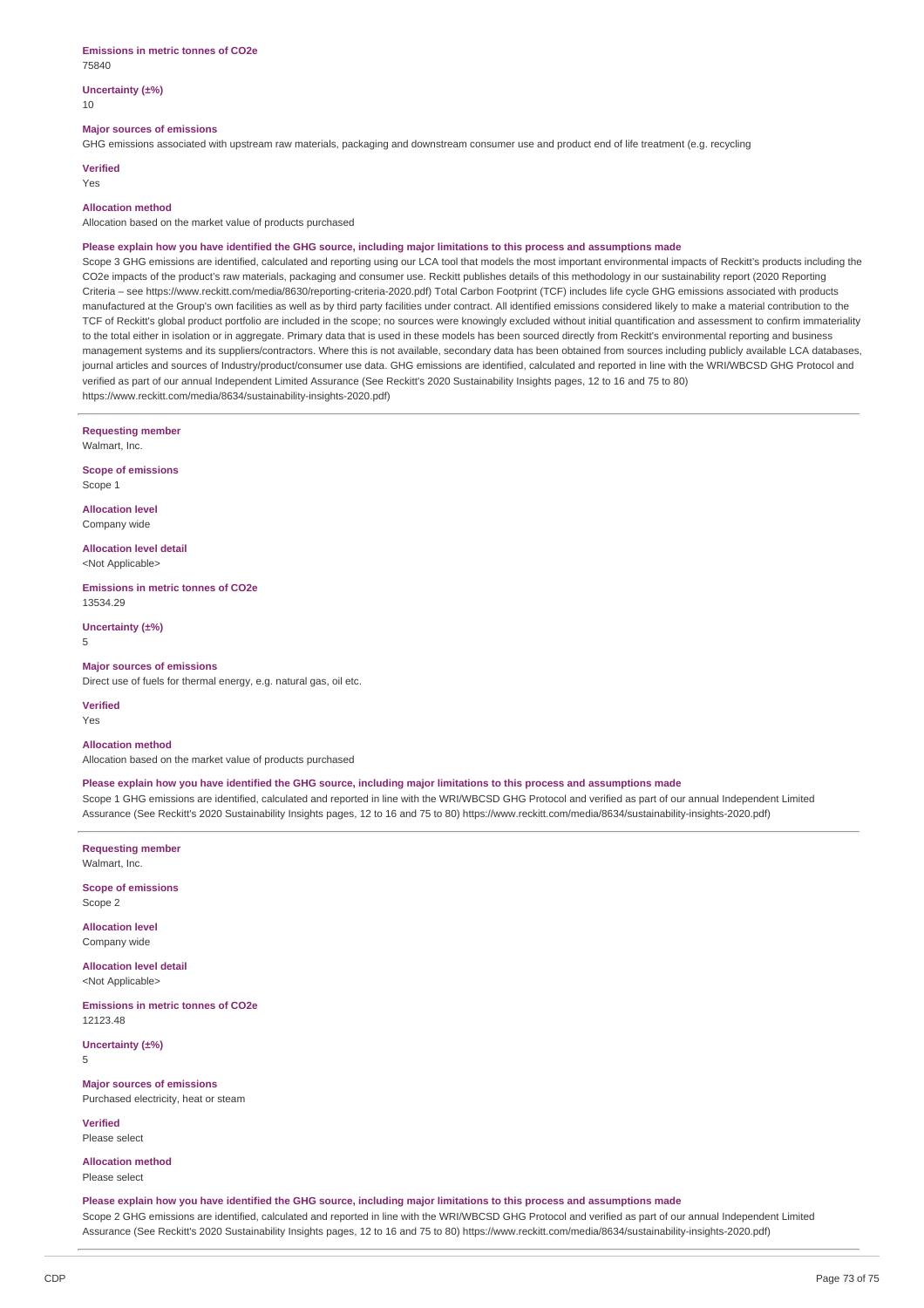#### **Uncertainty (±%)** 10

#### **Major sources of emissions**

GHG emissions associated with upstream raw materials, packaging and downstream consumer use and product end of life treatment (e.g. recycling

**Verified**

### Yes

### **Allocation method**

Allocation based on the market value of products purchased

#### Please explain how you have identified the GHG source, including major limitations to this process and assumptions made

Scope 3 GHG emissions are identified, calculated and reporting using our LCA tool that models the most important environmental impacts of Reckitt's products including the CO2e impacts of the product's raw materials, packaging and consumer use. Reckitt publishes details of this methodology in our sustainability report (2020 Reporting Criteria – see https://www.reckitt.com/media/8630/reporting-criteria-2020.pdf) Total Carbon Footprint (TCF) includes life cycle GHG emissions associated with products manufactured at the Group's own facilities as well as by third party facilities under contract. All identified emissions considered likely to make a material contribution to the TCF of Reckitt's global product portfolio are included in the scope; no sources were knowingly excluded without initial quantification and assessment to confirm immateriality to the total either in isolation or in aggregate. Primary data that is used in these models has been sourced directly from Reckitt's environmental reporting and business management systems and its suppliers/contractors. Where this is not available, secondary data has been obtained from sources including publicly available LCA databases, journal articles and sources of Industry/product/consumer use data. GHG emissions are identified, calculated and reported in line with the WRI/WBCSD GHG Protocol and verified as part of our annual Independent Limited Assurance (See Reckitt's 2020 Sustainability Insights pages, 12 to 16 and 75 to 80) https://www.reckitt.com/media/8634/sustainability-insights-2020.pdf)

**Requesting member**

Walmart, Inc.

**Scope of emissions** Scope 1

**Allocation level** Company wide

**Allocation level detail** <Not Applicable>

**Emissions in metric tonnes of CO2e** 13534.29

**Uncertainty (±%)** 5

## **Major sources of emissions**

Direct use of fuels for thermal energy, e.g. natural gas, oil etc.

**Verified**

Yes

#### **Allocation method**

Allocation based on the market value of products purchased

#### Please explain how you have identified the GHG source, including major limitations to this process and assumptions made

Scope 1 GHG emissions are identified, calculated and reported in line with the WRI/WBCSD GHG Protocol and verified as part of our annual Independent Limited Assurance (See Reckitt's 2020 Sustainability Insights pages, 12 to 16 and 75 to 80) https://www.reckitt.com/media/8634/sustainability-insights-2020.pdf)

**Requesting member** Walmart, Inc.

**Scope of emissions** Scope 2

**Allocation level** Company wide

**Allocation level detail** <Not Applicable>

**Emissions in metric tonnes of CO2e** 12123.48

**Uncertainty (±%)**

5

#### **Major sources of emissions**

Purchased electricity, heat or steam

**Verified** Please select

**Allocation method**

Please select

Please explain how you have identified the GHG source, including major limitations to this process and assumptions made Scope 2 GHG emissions are identified, calculated and reported in line with the WRI/WBCSD GHG Protocol and verified as part of our annual Independent Limited Assurance (See Reckitt's 2020 Sustainability Insights pages, 12 to 16 and 75 to 80) https://www.reckitt.com/media/8634/sustainability-insights-2020.pdf)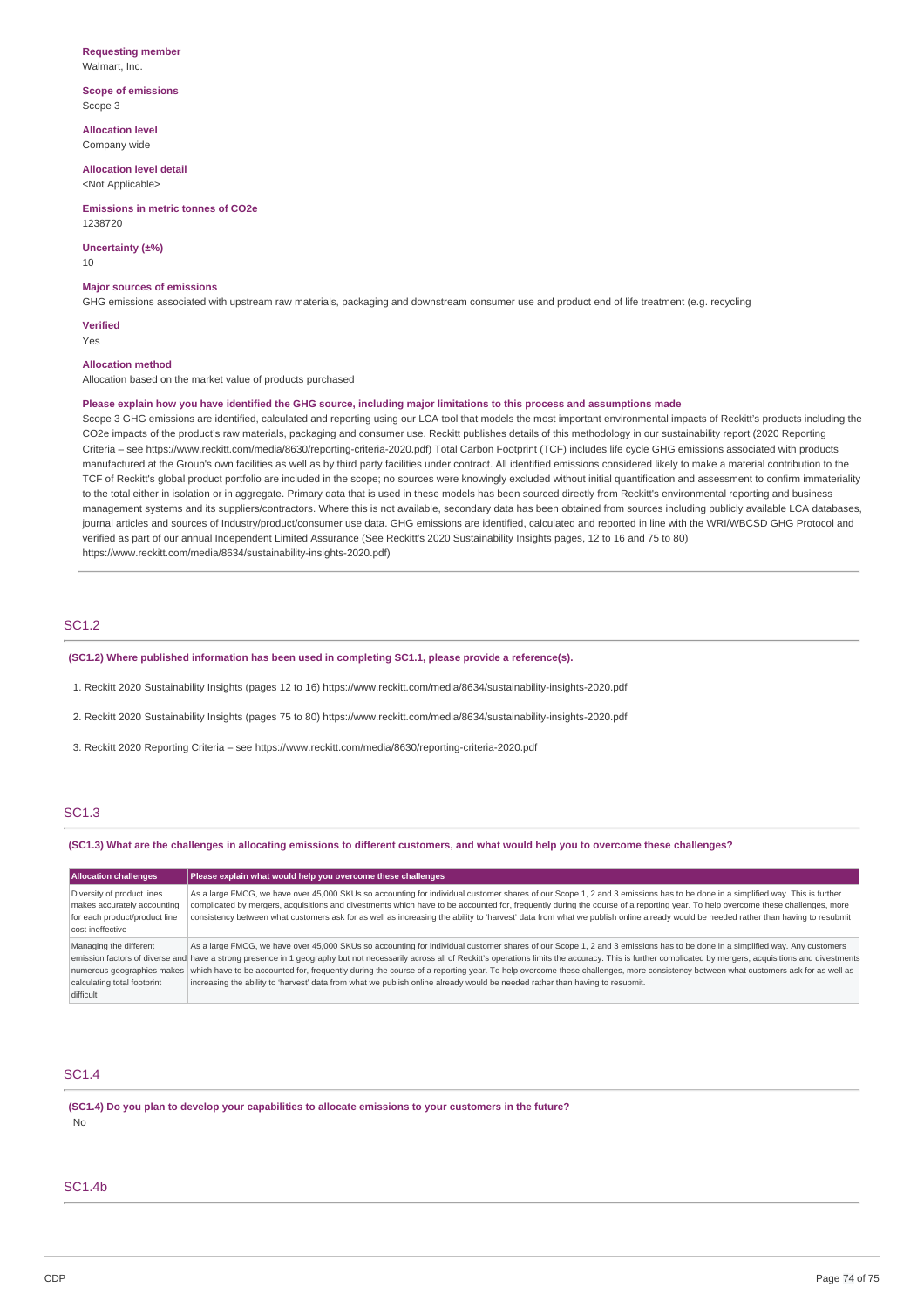#### **Requesting member** Walmart, Inc.

**Scope of emissions** Scope 3

**Allocation level** Company wide

**Allocation level detail** <Not Applicable>

**Emissions in metric tonnes of CO2e** 1238720

**Uncertainty (±%)**

10

#### **Major sources of emissions**

GHG emissions associated with upstream raw materials, packaging and downstream consumer use and product end of life treatment (e.g. recycling

**Verified**

Yes

## **Allocation method**

### Allocation based on the market value of products purchased

#### Please explain how you have identified the GHG source, including major limitations to this process and assumptions made

Scope 3 GHG emissions are identified, calculated and reporting using our LCA tool that models the most important environmental impacts of Reckitt's products including the CO2e impacts of the product's raw materials, packaging and consumer use. Reckitt publishes details of this methodology in our sustainability report (2020 Reporting Criteria – see https://www.reckitt.com/media/8630/reporting-criteria-2020.pdf) Total Carbon Footprint (TCF) includes life cycle GHG emissions associated with products manufactured at the Group's own facilities as well as by third party facilities under contract. All identified emissions considered likely to make a material contribution to the TCF of Reckitt's global product portfolio are included in the scope; no sources were knowingly excluded without initial quantification and assessment to confirm immateriality to the total either in isolation or in aggregate. Primary data that is used in these models has been sourced directly from Reckitt's environmental reporting and business management systems and its suppliers/contractors. Where this is not available, secondary data has been obtained from sources including publicly available LCA databases, journal articles and sources of Industry/product/consumer use data. GHG emissions are identified, calculated and reported in line with the WRI/WBCSD GHG Protocol and verified as part of our annual Independent Limited Assurance (See Reckitt's 2020 Sustainability Insights pages, 12 to 16 and 75 to 80) https://www.reckitt.com/media/8634/sustainability-insights-2020.pdf)

## SC1.2

**(SC1.2) Where published information has been used in completing SC1.1, please provide a reference(s).**

1. Reckitt 2020 Sustainability Insights (pages 12 to 16) https://www.reckitt.com/media/8634/sustainability-insights-2020.pdf

2. Reckitt 2020 Sustainability Insights (pages 75 to 80) https://www.reckitt.com/media/8634/sustainability-insights-2020.pdf

3. Reckitt 2020 Reporting Criteria – see https://www.reckitt.com/media/8630/reporting-criteria-2020.pdf

# SC1.3

#### (SC1.3) What are the challenges in allocating emissions to different customers, and what would help you to overcome these challenges?

| <b>Allocation challenges</b>                                                                                   | Please explain what would help you overcome these challenges                                                                                                                                                                                                                                                                                                                                                                                                                                                                                                                                                                                                                                                            |
|----------------------------------------------------------------------------------------------------------------|-------------------------------------------------------------------------------------------------------------------------------------------------------------------------------------------------------------------------------------------------------------------------------------------------------------------------------------------------------------------------------------------------------------------------------------------------------------------------------------------------------------------------------------------------------------------------------------------------------------------------------------------------------------------------------------------------------------------------|
| Diversity of product lines<br>makes accurately accounting<br>for each product/product line<br>cost ineffective | As a large FMCG, we have over 45,000 SKUs so accounting for individual customer shares of our Scope 1, 2 and 3 emissions has to be done in a simplified way. This is further<br>complicated by mergers, acquisitions and divestments which have to be accounted for, frequently during the course of a reporting year. To help overcome these challenges, more<br>consistency between what customers ask for as well as increasing the ability to 'harvest' data from what we publish online already would be needed rather than having to resubmit                                                                                                                                                                     |
| Managing the different<br>numerous geographies makes<br>calculating total footprint<br>difficult               | As a large FMCG, we have over 45,000 SKUs so accounting for individual customer shares of our Scope 1, 2 and 3 emissions has to be done in a simplified way. Any customers<br>emission factors of diverse and have a strong presence in 1 geography but not necessarily across all of Reckitt's operations limits the accuracy. This is further complicated by mergers, acquisitions and divestments<br>which have to be accounted for, frequently during the course of a reporting year. To help overcome these challenges, more consistency between what customers ask for as well as<br>increasing the ability to 'harvest' data from what we publish online already would be needed rather than having to resubmit. |

## SC1.4

**(SC1.4) Do you plan to develop your capabilities to allocate emissions to your customers in the future?** No

# SC1.4b